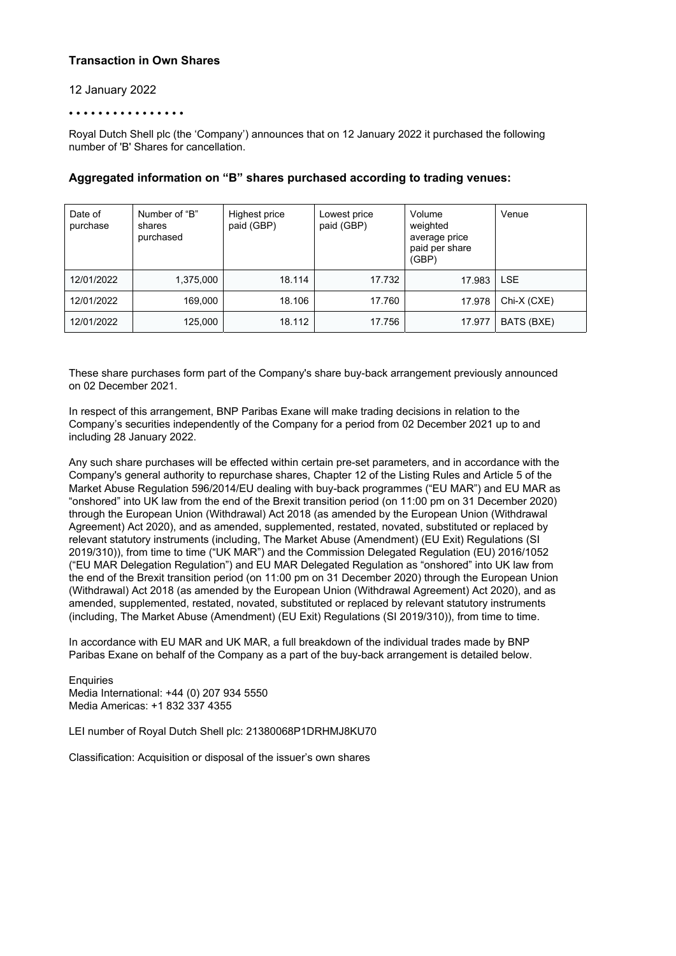## **Transaction in Own Shares**

### 12 January 2022

#### • • • • • • • • • • • • • • • •

Royal Dutch Shell plc (the 'Company') announces that on 12 January 2022 it purchased the following number of 'B' Shares for cancellation.

| Date of<br>purchase | Number of "B"<br>shares<br>purchased | Highest price<br>paid (GBP) | Lowest price<br>paid (GBP) | Volume<br>weighted<br>average price<br>paid per share<br>(GBP) | Venue       |
|---------------------|--------------------------------------|-----------------------------|----------------------------|----------------------------------------------------------------|-------------|
| 12/01/2022          | 1,375,000                            | 18.114                      | 17.732                     | 17.983                                                         | <b>LSE</b>  |
| 12/01/2022          | 169,000                              | 18.106                      | 17.760                     | 17.978                                                         | Chi-X (CXE) |
| 12/01/2022          | 125,000                              | 18.112                      | 17.756                     | 17.977                                                         | BATS (BXE)  |

## **Aggregated information on "B" shares purchased according to trading venues:**

These share purchases form part of the Company's share buy-back arrangement previously announced on 02 December 2021.

In respect of this arrangement, BNP Paribas Exane will make trading decisions in relation to the Company's securities independently of the Company for a period from 02 December 2021 up to and including 28 January 2022.

Any such share purchases will be effected within certain pre-set parameters, and in accordance with the Company's general authority to repurchase shares, Chapter 12 of the Listing Rules and Article 5 of the Market Abuse Regulation 596/2014/EU dealing with buy-back programmes ("EU MAR") and EU MAR as "onshored" into UK law from the end of the Brexit transition period (on 11:00 pm on 31 December 2020) through the European Union (Withdrawal) Act 2018 (as amended by the European Union (Withdrawal Agreement) Act 2020), and as amended, supplemented, restated, novated, substituted or replaced by relevant statutory instruments (including, The Market Abuse (Amendment) (EU Exit) Regulations (SI 2019/310)), from time to time ("UK MAR") and the Commission Delegated Regulation (EU) 2016/1052 ("EU MAR Delegation Regulation") and EU MAR Delegated Regulation as "onshored" into UK law from the end of the Brexit transition period (on 11:00 pm on 31 December 2020) through the European Union (Withdrawal) Act 2018 (as amended by the European Union (Withdrawal Agreement) Act 2020), and as amended, supplemented, restated, novated, substituted or replaced by relevant statutory instruments (including, The Market Abuse (Amendment) (EU Exit) Regulations (SI 2019/310)), from time to time.

In accordance with EU MAR and UK MAR, a full breakdown of the individual trades made by BNP Paribas Exane on behalf of the Company as a part of the buy-back arrangement is detailed below.

**Enquiries** Media International: +44 (0) 207 934 5550 Media Americas: +1 832 337 4355

LEI number of Royal Dutch Shell plc: 21380068P1DRHMJ8KU70

Classification: Acquisition or disposal of the issuer's own shares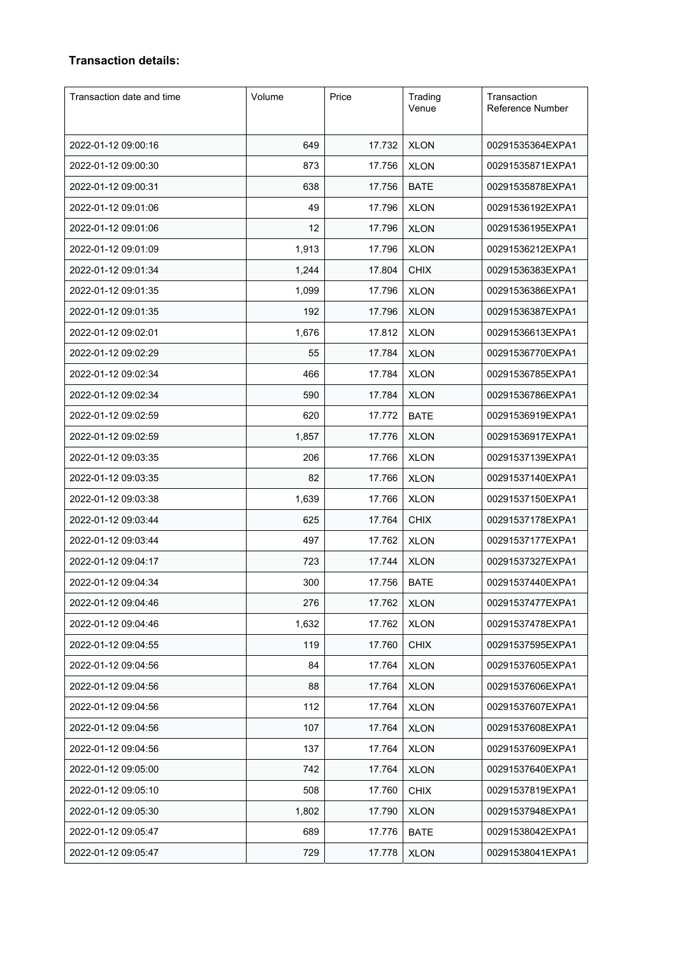# **Transaction details:**

| Transaction date and time | Volume | Price  | Trading<br>Venue | Transaction<br>Reference Number |
|---------------------------|--------|--------|------------------|---------------------------------|
| 2022-01-12 09:00:16       | 649    | 17.732 | <b>XLON</b>      | 00291535364EXPA1                |
| 2022-01-12 09:00:30       | 873    | 17.756 | <b>XLON</b>      | 00291535871EXPA1                |
| 2022-01-12 09:00:31       | 638    | 17.756 | <b>BATE</b>      | 00291535878EXPA1                |
| 2022-01-12 09:01:06       | 49     | 17.796 | <b>XLON</b>      | 00291536192EXPA1                |
| 2022-01-12 09:01:06       | 12     | 17.796 | <b>XLON</b>      | 00291536195EXPA1                |
| 2022-01-12 09:01:09       | 1,913  | 17.796 | <b>XLON</b>      | 00291536212EXPA1                |
| 2022-01-12 09:01:34       | 1,244  | 17.804 | <b>CHIX</b>      | 00291536383EXPA1                |
| 2022-01-12 09:01:35       | 1,099  | 17.796 | <b>XLON</b>      | 00291536386EXPA1                |
| 2022-01-12 09:01:35       | 192    | 17.796 | <b>XLON</b>      | 00291536387EXPA1                |
| 2022-01-12 09:02:01       | 1,676  | 17.812 | <b>XLON</b>      | 00291536613EXPA1                |
| 2022-01-12 09:02:29       | 55     | 17.784 | <b>XLON</b>      | 00291536770EXPA1                |
| 2022-01-12 09:02:34       | 466    | 17.784 | <b>XLON</b>      | 00291536785EXPA1                |
| 2022-01-12 09:02:34       | 590    | 17.784 | <b>XLON</b>      | 00291536786EXPA1                |
| 2022-01-12 09:02:59       | 620    | 17.772 | <b>BATE</b>      | 00291536919EXPA1                |
| 2022-01-12 09:02:59       | 1,857  | 17.776 | <b>XLON</b>      | 00291536917EXPA1                |
| 2022-01-12 09:03:35       | 206    | 17.766 | <b>XLON</b>      | 00291537139EXPA1                |
| 2022-01-12 09:03:35       | 82     | 17.766 | <b>XLON</b>      | 00291537140EXPA1                |
| 2022-01-12 09:03:38       | 1,639  | 17.766 | <b>XLON</b>      | 00291537150EXPA1                |
| 2022-01-12 09:03:44       | 625    | 17.764 | <b>CHIX</b>      | 00291537178EXPA1                |
| 2022-01-12 09:03:44       | 497    | 17.762 | <b>XLON</b>      | 00291537177EXPA1                |
| 2022-01-12 09:04:17       | 723    | 17.744 | <b>XLON</b>      | 00291537327EXPA1                |
| 2022-01-12 09:04:34       | 300    | 17.756 | <b>BATE</b>      | 00291537440EXPA1                |
| 2022-01-12 09:04:46       | 276    | 17.762 | <b>XLON</b>      | 00291537477EXPA1                |
| 2022-01-12 09:04:46       | 1,632  | 17.762 | <b>XLON</b>      | 00291537478EXPA1                |
| 2022-01-12 09:04:55       | 119    | 17.760 | <b>CHIX</b>      | 00291537595EXPA1                |
| 2022-01-12 09:04:56       | 84     | 17.764 | <b>XLON</b>      | 00291537605EXPA1                |
| 2022-01-12 09:04:56       | 88     | 17.764 | <b>XLON</b>      | 00291537606EXPA1                |
| 2022-01-12 09:04:56       | 112    | 17.764 | <b>XLON</b>      | 00291537607EXPA1                |
| 2022-01-12 09:04:56       | 107    | 17.764 | <b>XLON</b>      | 00291537608EXPA1                |
| 2022-01-12 09:04:56       | 137    | 17.764 | <b>XLON</b>      | 00291537609EXPA1                |
| 2022-01-12 09:05:00       | 742    | 17.764 | <b>XLON</b>      | 00291537640EXPA1                |
| 2022-01-12 09:05:10       | 508    | 17.760 | <b>CHIX</b>      | 00291537819EXPA1                |
| 2022-01-12 09:05:30       | 1,802  | 17.790 | <b>XLON</b>      | 00291537948EXPA1                |
| 2022-01-12 09:05:47       | 689    | 17.776 | <b>BATE</b>      | 00291538042EXPA1                |
| 2022-01-12 09:05:47       | 729    | 17.778 | <b>XLON</b>      | 00291538041EXPA1                |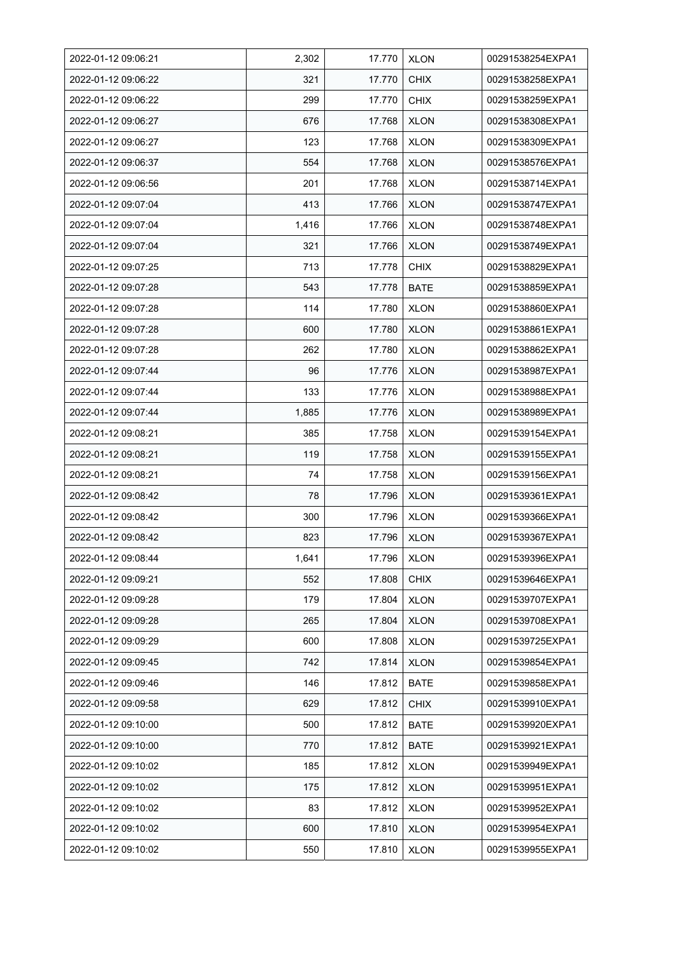| 2022-01-12 09:06:21 | 2,302 | 17.770 | <b>XLON</b> | 00291538254EXPA1 |
|---------------------|-------|--------|-------------|------------------|
| 2022-01-12 09:06:22 | 321   | 17.770 | <b>CHIX</b> | 00291538258EXPA1 |
| 2022-01-12 09:06:22 | 299   | 17.770 | <b>CHIX</b> | 00291538259EXPA1 |
| 2022-01-12 09:06:27 | 676   | 17.768 | <b>XLON</b> | 00291538308EXPA1 |
| 2022-01-12 09:06:27 | 123   | 17.768 | <b>XLON</b> | 00291538309EXPA1 |
| 2022-01-12 09:06:37 | 554   | 17.768 | <b>XLON</b> | 00291538576EXPA1 |
| 2022-01-12 09:06:56 | 201   | 17.768 | <b>XLON</b> | 00291538714EXPA1 |
| 2022-01-12 09:07:04 | 413   | 17.766 | <b>XLON</b> | 00291538747EXPA1 |
| 2022-01-12 09:07:04 | 1,416 | 17.766 | <b>XLON</b> | 00291538748EXPA1 |
| 2022-01-12 09:07:04 | 321   | 17.766 | <b>XLON</b> | 00291538749EXPA1 |
| 2022-01-12 09:07:25 | 713   | 17.778 | <b>CHIX</b> | 00291538829EXPA1 |
| 2022-01-12 09:07:28 | 543   | 17.778 | <b>BATE</b> | 00291538859EXPA1 |
| 2022-01-12 09:07:28 | 114   | 17.780 | <b>XLON</b> | 00291538860EXPA1 |
| 2022-01-12 09:07:28 | 600   | 17.780 | <b>XLON</b> | 00291538861EXPA1 |
| 2022-01-12 09:07:28 | 262   | 17.780 | <b>XLON</b> | 00291538862EXPA1 |
| 2022-01-12 09:07:44 | 96    | 17.776 | <b>XLON</b> | 00291538987EXPA1 |
| 2022-01-12 09:07:44 | 133   | 17.776 | <b>XLON</b> | 00291538988EXPA1 |
| 2022-01-12 09:07:44 | 1,885 | 17.776 | <b>XLON</b> | 00291538989EXPA1 |
| 2022-01-12 09:08:21 | 385   | 17.758 | <b>XLON</b> | 00291539154EXPA1 |
| 2022-01-12 09:08:21 | 119   | 17.758 | <b>XLON</b> | 00291539155EXPA1 |
| 2022-01-12 09:08:21 | 74    | 17.758 | <b>XLON</b> | 00291539156EXPA1 |
| 2022-01-12 09:08:42 | 78    | 17.796 | <b>XLON</b> | 00291539361EXPA1 |
| 2022-01-12 09:08:42 | 300   | 17.796 | <b>XLON</b> | 00291539366EXPA1 |
| 2022-01-12 09:08:42 | 823   | 17.796 | <b>XLON</b> | 00291539367EXPA1 |
| 2022-01-12 09:08:44 | 1,641 | 17.796 | <b>XLON</b> | 00291539396EXPA1 |
| 2022-01-12 09:09:21 | 552   | 17.808 | <b>CHIX</b> | 00291539646EXPA1 |
| 2022-01-12 09:09:28 | 179   | 17.804 | <b>XLON</b> | 00291539707EXPA1 |
| 2022-01-12 09:09:28 | 265   | 17.804 | <b>XLON</b> | 00291539708EXPA1 |
| 2022-01-12 09:09:29 | 600   | 17.808 | <b>XLON</b> | 00291539725EXPA1 |
| 2022-01-12 09:09:45 | 742   | 17.814 | <b>XLON</b> | 00291539854EXPA1 |
| 2022-01-12 09:09:46 | 146   | 17.812 | <b>BATE</b> | 00291539858EXPA1 |
| 2022-01-12 09:09:58 | 629   | 17.812 | <b>CHIX</b> | 00291539910EXPA1 |
| 2022-01-12 09:10:00 | 500   | 17.812 | <b>BATE</b> | 00291539920EXPA1 |
| 2022-01-12 09:10:00 | 770   | 17.812 | <b>BATE</b> | 00291539921EXPA1 |
| 2022-01-12 09:10:02 | 185   | 17.812 | <b>XLON</b> | 00291539949EXPA1 |
| 2022-01-12 09:10:02 | 175   | 17.812 | <b>XLON</b> | 00291539951EXPA1 |
| 2022-01-12 09:10:02 | 83    | 17.812 | <b>XLON</b> | 00291539952EXPA1 |
| 2022-01-12 09:10:02 | 600   | 17.810 | <b>XLON</b> | 00291539954EXPA1 |
| 2022-01-12 09:10:02 | 550   | 17.810 | <b>XLON</b> | 00291539955EXPA1 |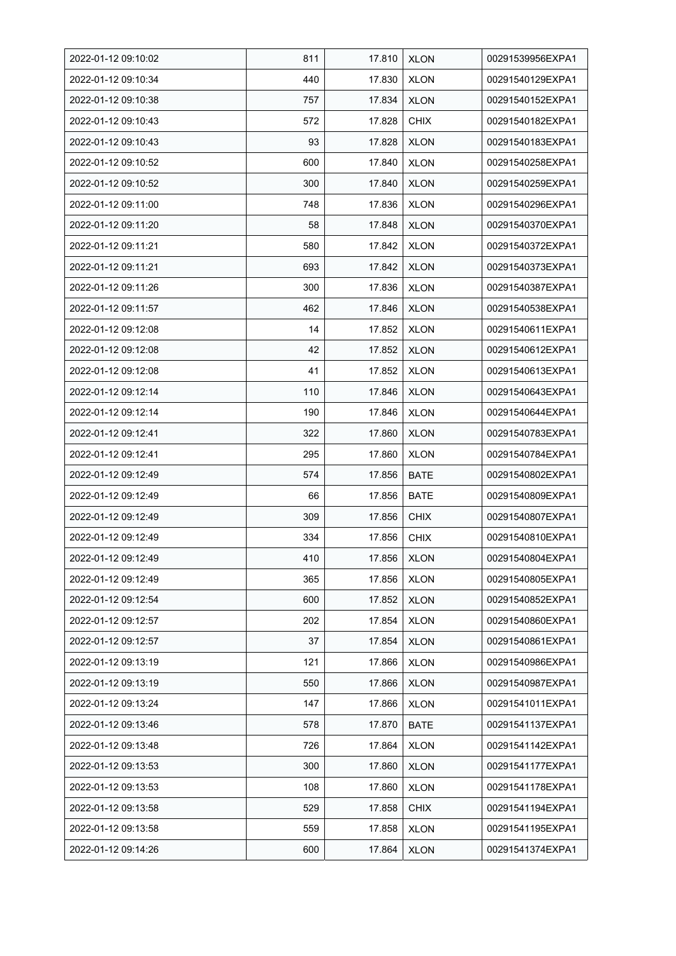| 2022-01-12 09:10:02 | 811 | 17.810 | <b>XLON</b> | 00291539956EXPA1 |
|---------------------|-----|--------|-------------|------------------|
| 2022-01-12 09:10:34 | 440 | 17.830 | <b>XLON</b> | 00291540129EXPA1 |
| 2022-01-12 09:10:38 | 757 | 17.834 | <b>XLON</b> | 00291540152EXPA1 |
| 2022-01-12 09:10:43 | 572 | 17.828 | <b>CHIX</b> | 00291540182EXPA1 |
| 2022-01-12 09:10:43 | 93  | 17.828 | <b>XLON</b> | 00291540183EXPA1 |
| 2022-01-12 09:10:52 | 600 | 17.840 | <b>XLON</b> | 00291540258EXPA1 |
| 2022-01-12 09:10:52 | 300 | 17.840 | <b>XLON</b> | 00291540259EXPA1 |
| 2022-01-12 09:11:00 | 748 | 17.836 | <b>XLON</b> | 00291540296EXPA1 |
| 2022-01-12 09:11:20 | 58  | 17.848 | <b>XLON</b> | 00291540370EXPA1 |
| 2022-01-12 09:11:21 | 580 | 17.842 | <b>XLON</b> | 00291540372EXPA1 |
| 2022-01-12 09:11:21 | 693 | 17.842 | <b>XLON</b> | 00291540373EXPA1 |
| 2022-01-12 09:11:26 | 300 | 17.836 | <b>XLON</b> | 00291540387EXPA1 |
| 2022-01-12 09:11:57 | 462 | 17.846 | <b>XLON</b> | 00291540538EXPA1 |
| 2022-01-12 09:12:08 | 14  | 17.852 | <b>XLON</b> | 00291540611EXPA1 |
| 2022-01-12 09:12:08 | 42  | 17.852 | <b>XLON</b> | 00291540612EXPA1 |
| 2022-01-12 09:12:08 | 41  | 17.852 | <b>XLON</b> | 00291540613EXPA1 |
| 2022-01-12 09:12:14 | 110 | 17.846 | <b>XLON</b> | 00291540643EXPA1 |
| 2022-01-12 09:12:14 | 190 | 17.846 | <b>XLON</b> | 00291540644EXPA1 |
| 2022-01-12 09:12:41 | 322 | 17.860 | <b>XLON</b> | 00291540783EXPA1 |
| 2022-01-12 09:12:41 | 295 | 17.860 | <b>XLON</b> | 00291540784EXPA1 |
| 2022-01-12 09:12:49 | 574 | 17.856 | <b>BATE</b> | 00291540802EXPA1 |
| 2022-01-12 09:12:49 | 66  | 17.856 | <b>BATE</b> | 00291540809EXPA1 |
| 2022-01-12 09:12:49 | 309 | 17.856 | <b>CHIX</b> | 00291540807EXPA1 |
| 2022-01-12 09:12:49 | 334 | 17.856 | <b>CHIX</b> | 00291540810EXPA1 |
| 2022-01-12 09:12:49 | 410 | 17.856 | <b>XLON</b> | 00291540804EXPA1 |
| 2022-01-12 09:12:49 | 365 | 17.856 | <b>XLON</b> | 00291540805EXPA1 |
| 2022-01-12 09:12:54 | 600 | 17.852 | <b>XLON</b> | 00291540852EXPA1 |
| 2022-01-12 09:12:57 | 202 | 17.854 | <b>XLON</b> | 00291540860EXPA1 |
| 2022-01-12 09:12:57 | 37  | 17.854 | <b>XLON</b> | 00291540861EXPA1 |
| 2022-01-12 09:13:19 | 121 | 17.866 | <b>XLON</b> | 00291540986EXPA1 |
| 2022-01-12 09:13:19 | 550 | 17.866 | <b>XLON</b> | 00291540987EXPA1 |
| 2022-01-12 09:13:24 | 147 | 17.866 | <b>XLON</b> | 00291541011EXPA1 |
| 2022-01-12 09:13:46 | 578 | 17.870 | <b>BATE</b> | 00291541137EXPA1 |
| 2022-01-12 09:13:48 | 726 | 17.864 | <b>XLON</b> | 00291541142EXPA1 |
| 2022-01-12 09:13:53 | 300 | 17.860 | <b>XLON</b> | 00291541177EXPA1 |
| 2022-01-12 09:13:53 | 108 | 17.860 | <b>XLON</b> | 00291541178EXPA1 |
| 2022-01-12 09:13:58 | 529 | 17.858 | <b>CHIX</b> | 00291541194EXPA1 |
| 2022-01-12 09:13:58 | 559 | 17.858 | <b>XLON</b> | 00291541195EXPA1 |
| 2022-01-12 09:14:26 | 600 | 17.864 | <b>XLON</b> | 00291541374EXPA1 |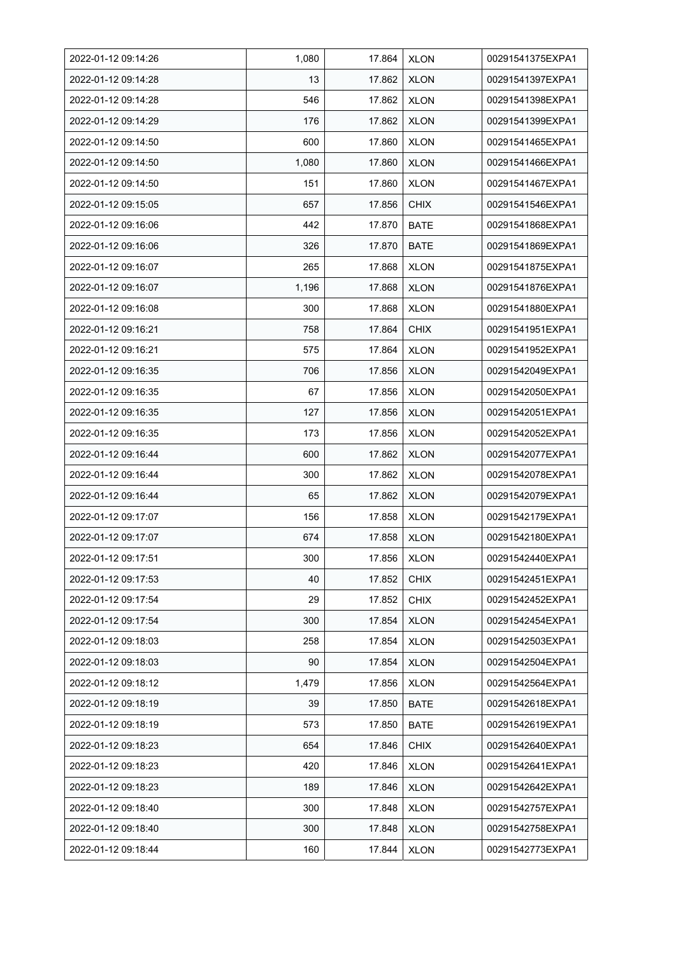| 2022-01-12 09:14:26 | 1,080 | 17.864 | <b>XLON</b> | 00291541375EXPA1 |
|---------------------|-------|--------|-------------|------------------|
| 2022-01-12 09:14:28 | 13    | 17.862 | <b>XLON</b> | 00291541397EXPA1 |
| 2022-01-12 09:14:28 | 546   | 17.862 | <b>XLON</b> | 00291541398EXPA1 |
| 2022-01-12 09:14:29 | 176   | 17.862 | <b>XLON</b> | 00291541399EXPA1 |
| 2022-01-12 09:14:50 | 600   | 17.860 | <b>XLON</b> | 00291541465EXPA1 |
| 2022-01-12 09:14:50 | 1,080 | 17.860 | <b>XLON</b> | 00291541466EXPA1 |
| 2022-01-12 09:14:50 | 151   | 17.860 | <b>XLON</b> | 00291541467EXPA1 |
| 2022-01-12 09:15:05 | 657   | 17.856 | <b>CHIX</b> | 00291541546EXPA1 |
| 2022-01-12 09:16:06 | 442   | 17.870 | <b>BATE</b> | 00291541868EXPA1 |
| 2022-01-12 09:16:06 | 326   | 17.870 | <b>BATE</b> | 00291541869EXPA1 |
| 2022-01-12 09:16:07 | 265   | 17.868 | <b>XLON</b> | 00291541875EXPA1 |
| 2022-01-12 09:16:07 | 1,196 | 17.868 | <b>XLON</b> | 00291541876EXPA1 |
| 2022-01-12 09:16:08 | 300   | 17.868 | <b>XLON</b> | 00291541880EXPA1 |
| 2022-01-12 09:16:21 | 758   | 17.864 | <b>CHIX</b> | 00291541951EXPA1 |
| 2022-01-12 09:16:21 | 575   | 17.864 | <b>XLON</b> | 00291541952EXPA1 |
| 2022-01-12 09:16:35 | 706   | 17.856 | <b>XLON</b> | 00291542049EXPA1 |
| 2022-01-12 09:16:35 | 67    | 17.856 | <b>XLON</b> | 00291542050EXPA1 |
| 2022-01-12 09:16:35 | 127   | 17.856 | <b>XLON</b> | 00291542051EXPA1 |
| 2022-01-12 09:16:35 | 173   | 17.856 | <b>XLON</b> | 00291542052EXPA1 |
| 2022-01-12 09:16:44 | 600   | 17.862 | <b>XLON</b> | 00291542077EXPA1 |
| 2022-01-12 09:16:44 | 300   | 17.862 | <b>XLON</b> | 00291542078EXPA1 |
| 2022-01-12 09:16:44 | 65    | 17.862 | <b>XLON</b> | 00291542079EXPA1 |
| 2022-01-12 09:17:07 | 156   | 17.858 | <b>XLON</b> | 00291542179EXPA1 |
| 2022-01-12 09:17:07 | 674   | 17.858 | <b>XLON</b> | 00291542180EXPA1 |
| 2022-01-12 09:17:51 | 300   | 17.856 | <b>XLON</b> | 00291542440EXPA1 |
| 2022-01-12 09:17:53 | 40    | 17.852 | <b>CHIX</b> | 00291542451EXPA1 |
| 2022-01-12 09:17:54 | 29    | 17.852 | <b>CHIX</b> | 00291542452EXPA1 |
| 2022-01-12 09:17:54 | 300   | 17.854 | <b>XLON</b> | 00291542454EXPA1 |
| 2022-01-12 09:18:03 | 258   | 17.854 | <b>XLON</b> | 00291542503EXPA1 |
| 2022-01-12 09:18:03 | 90    | 17.854 | <b>XLON</b> | 00291542504EXPA1 |
| 2022-01-12 09:18:12 | 1,479 | 17.856 | <b>XLON</b> | 00291542564EXPA1 |
| 2022-01-12 09:18:19 | 39    | 17.850 | <b>BATE</b> | 00291542618EXPA1 |
| 2022-01-12 09:18:19 | 573   | 17.850 | <b>BATE</b> | 00291542619EXPA1 |
| 2022-01-12 09:18:23 | 654   | 17.846 | <b>CHIX</b> | 00291542640EXPA1 |
| 2022-01-12 09:18:23 | 420   | 17.846 | <b>XLON</b> | 00291542641EXPA1 |
| 2022-01-12 09:18:23 | 189   | 17.846 | <b>XLON</b> | 00291542642EXPA1 |
| 2022-01-12 09:18:40 | 300   | 17.848 | <b>XLON</b> | 00291542757EXPA1 |
| 2022-01-12 09:18:40 | 300   | 17.848 | <b>XLON</b> | 00291542758EXPA1 |
| 2022-01-12 09:18:44 | 160   | 17.844 | <b>XLON</b> | 00291542773EXPA1 |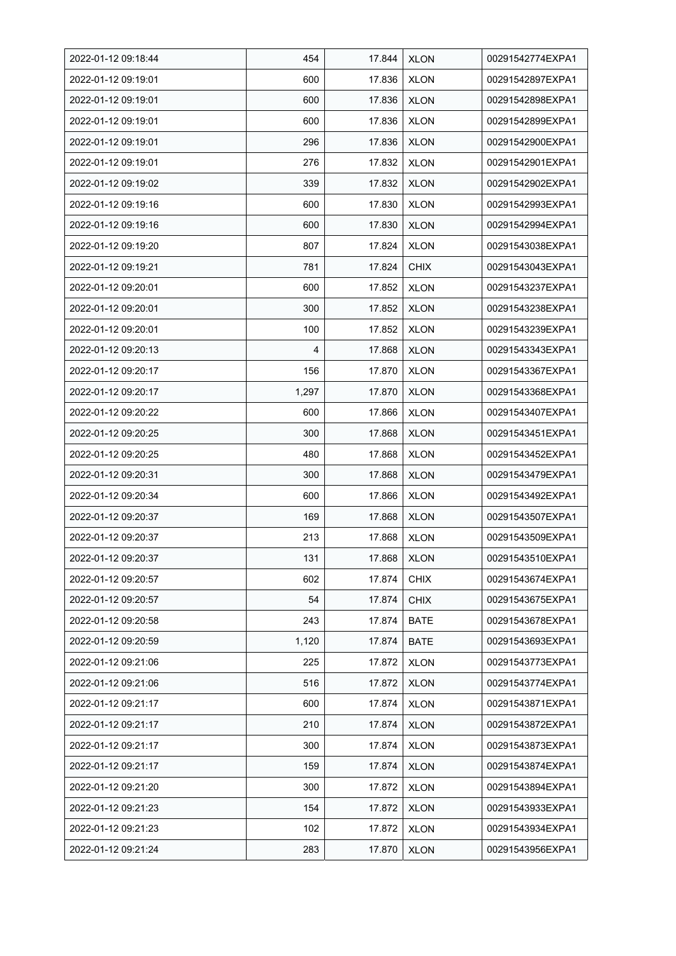| 2022-01-12 09:18:44 | 454   | 17.844 | <b>XLON</b> | 00291542774EXPA1 |
|---------------------|-------|--------|-------------|------------------|
| 2022-01-12 09:19:01 | 600   | 17.836 | <b>XLON</b> | 00291542897EXPA1 |
| 2022-01-12 09:19:01 | 600   | 17.836 | <b>XLON</b> | 00291542898EXPA1 |
| 2022-01-12 09:19:01 | 600   | 17.836 | <b>XLON</b> | 00291542899EXPA1 |
| 2022-01-12 09:19:01 | 296   | 17.836 | <b>XLON</b> | 00291542900EXPA1 |
| 2022-01-12 09:19:01 | 276   | 17.832 | <b>XLON</b> | 00291542901EXPA1 |
| 2022-01-12 09:19:02 | 339   | 17.832 | <b>XLON</b> | 00291542902EXPA1 |
| 2022-01-12 09:19:16 | 600   | 17.830 | <b>XLON</b> | 00291542993EXPA1 |
| 2022-01-12 09:19:16 | 600   | 17.830 | <b>XLON</b> | 00291542994EXPA1 |
| 2022-01-12 09:19:20 | 807   | 17.824 | <b>XLON</b> | 00291543038EXPA1 |
| 2022-01-12 09:19:21 | 781   | 17.824 | <b>CHIX</b> | 00291543043EXPA1 |
| 2022-01-12 09:20:01 | 600   | 17.852 | <b>XLON</b> | 00291543237EXPA1 |
| 2022-01-12 09:20:01 | 300   | 17.852 | <b>XLON</b> | 00291543238EXPA1 |
| 2022-01-12 09:20:01 | 100   | 17.852 | <b>XLON</b> | 00291543239EXPA1 |
| 2022-01-12 09:20:13 | 4     | 17.868 | <b>XLON</b> | 00291543343EXPA1 |
| 2022-01-12 09:20:17 | 156   | 17.870 | <b>XLON</b> | 00291543367EXPA1 |
| 2022-01-12 09:20:17 | 1,297 | 17.870 | <b>XLON</b> | 00291543368EXPA1 |
| 2022-01-12 09:20:22 | 600   | 17.866 | XLON        | 00291543407EXPA1 |
| 2022-01-12 09:20:25 | 300   | 17.868 | <b>XLON</b> | 00291543451EXPA1 |
| 2022-01-12 09:20:25 | 480   | 17.868 | <b>XLON</b> | 00291543452EXPA1 |
| 2022-01-12 09:20:31 | 300   | 17.868 | <b>XLON</b> | 00291543479EXPA1 |
| 2022-01-12 09:20:34 | 600   | 17.866 | <b>XLON</b> | 00291543492EXPA1 |
| 2022-01-12 09:20:37 | 169   | 17.868 | <b>XLON</b> | 00291543507EXPA1 |
| 2022-01-12 09:20:37 | 213   | 17.868 | <b>XLON</b> | 00291543509EXPA1 |
| 2022-01-12 09:20:37 | 131   | 17.868 | <b>XLON</b> | 00291543510EXPA1 |
| 2022-01-12 09:20:57 | 602   | 17.874 | <b>CHIX</b> | 00291543674EXPA1 |
| 2022-01-12 09:20:57 | 54    | 17.874 | <b>CHIX</b> | 00291543675EXPA1 |
| 2022-01-12 09:20:58 | 243   | 17.874 | <b>BATE</b> | 00291543678EXPA1 |
| 2022-01-12 09:20:59 | 1,120 | 17.874 | <b>BATE</b> | 00291543693EXPA1 |
| 2022-01-12 09:21:06 | 225   | 17.872 | <b>XLON</b> | 00291543773EXPA1 |
| 2022-01-12 09:21:06 | 516   | 17.872 | <b>XLON</b> | 00291543774EXPA1 |
| 2022-01-12 09:21:17 | 600   | 17.874 | <b>XLON</b> | 00291543871EXPA1 |
| 2022-01-12 09:21:17 | 210   | 17.874 | <b>XLON</b> | 00291543872EXPA1 |
| 2022-01-12 09:21:17 | 300   | 17.874 | <b>XLON</b> | 00291543873EXPA1 |
| 2022-01-12 09:21:17 | 159   | 17.874 | <b>XLON</b> | 00291543874EXPA1 |
| 2022-01-12 09:21:20 | 300   | 17.872 | <b>XLON</b> | 00291543894EXPA1 |
| 2022-01-12 09:21:23 | 154   | 17.872 | <b>XLON</b> | 00291543933EXPA1 |
| 2022-01-12 09:21:23 | 102   | 17.872 | <b>XLON</b> | 00291543934EXPA1 |
| 2022-01-12 09:21:24 | 283   | 17.870 | <b>XLON</b> | 00291543956EXPA1 |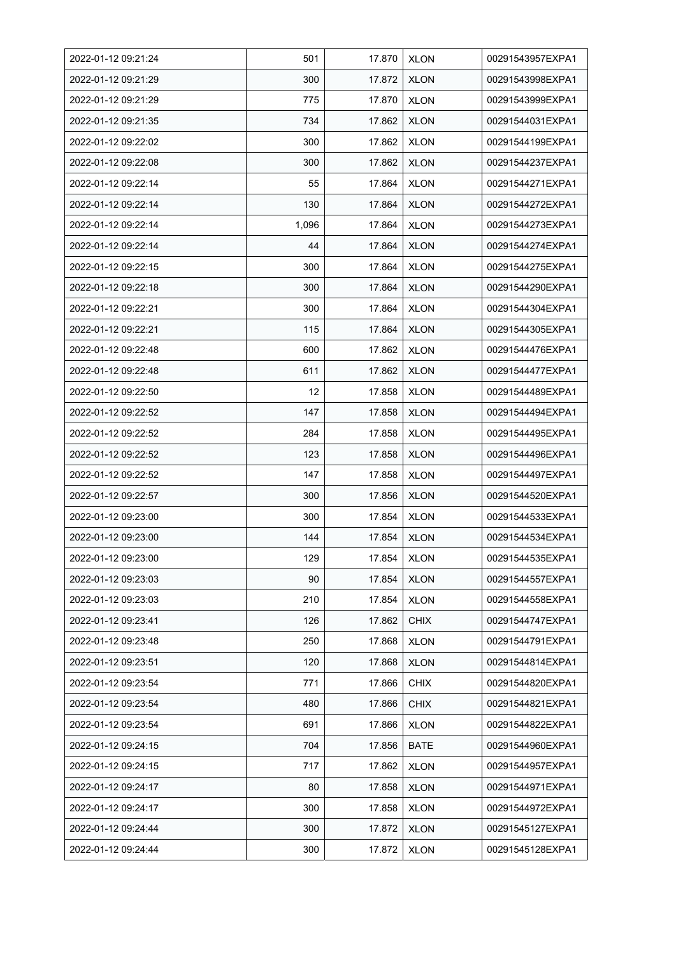| 2022-01-12 09:21:24 | 501   | 17.870 | <b>XLON</b> | 00291543957EXPA1 |
|---------------------|-------|--------|-------------|------------------|
| 2022-01-12 09:21:29 | 300   | 17.872 | <b>XLON</b> | 00291543998EXPA1 |
| 2022-01-12 09:21:29 | 775   | 17.870 | <b>XLON</b> | 00291543999EXPA1 |
| 2022-01-12 09:21:35 | 734   | 17.862 | <b>XLON</b> | 00291544031EXPA1 |
| 2022-01-12 09:22:02 | 300   | 17.862 | <b>XLON</b> | 00291544199EXPA1 |
| 2022-01-12 09:22:08 | 300   | 17.862 | <b>XLON</b> | 00291544237EXPA1 |
| 2022-01-12 09:22:14 | 55    | 17.864 | <b>XLON</b> | 00291544271EXPA1 |
| 2022-01-12 09:22:14 | 130   | 17.864 | <b>XLON</b> | 00291544272EXPA1 |
| 2022-01-12 09:22:14 | 1,096 | 17.864 | <b>XLON</b> | 00291544273EXPA1 |
| 2022-01-12 09:22:14 | 44    | 17.864 | <b>XLON</b> | 00291544274EXPA1 |
| 2022-01-12 09:22:15 | 300   | 17.864 | <b>XLON</b> | 00291544275EXPA1 |
| 2022-01-12 09:22:18 | 300   | 17.864 | <b>XLON</b> | 00291544290EXPA1 |
| 2022-01-12 09:22:21 | 300   | 17.864 | <b>XLON</b> | 00291544304EXPA1 |
| 2022-01-12 09:22:21 | 115   | 17.864 | <b>XLON</b> | 00291544305EXPA1 |
| 2022-01-12 09:22:48 | 600   | 17.862 | <b>XLON</b> | 00291544476EXPA1 |
| 2022-01-12 09:22:48 | 611   | 17.862 | <b>XLON</b> | 00291544477EXPA1 |
| 2022-01-12 09:22:50 | 12    | 17.858 | <b>XLON</b> | 00291544489EXPA1 |
| 2022-01-12 09:22:52 | 147   | 17.858 | <b>XLON</b> | 00291544494EXPA1 |
| 2022-01-12 09:22:52 | 284   | 17.858 | <b>XLON</b> | 00291544495EXPA1 |
| 2022-01-12 09:22:52 | 123   | 17.858 | <b>XLON</b> | 00291544496EXPA1 |
| 2022-01-12 09:22:52 | 147   | 17.858 | <b>XLON</b> | 00291544497EXPA1 |
| 2022-01-12 09:22:57 | 300   | 17.856 | <b>XLON</b> | 00291544520EXPA1 |
| 2022-01-12 09:23:00 | 300   | 17.854 | <b>XLON</b> | 00291544533EXPA1 |
| 2022-01-12 09:23:00 | 144   | 17.854 | <b>XLON</b> | 00291544534EXPA1 |
| 2022-01-12 09:23:00 | 129   | 17.854 | <b>XLON</b> | 00291544535EXPA1 |
| 2022-01-12 09:23:03 | 90    | 17.854 | <b>XLON</b> | 00291544557EXPA1 |
| 2022-01-12 09:23:03 | 210   | 17.854 | <b>XLON</b> | 00291544558EXPA1 |
| 2022-01-12 09:23:41 | 126   | 17.862 | <b>CHIX</b> | 00291544747EXPA1 |
| 2022-01-12 09:23:48 | 250   | 17.868 | <b>XLON</b> | 00291544791EXPA1 |
| 2022-01-12 09:23:51 | 120   | 17.868 | <b>XLON</b> | 00291544814EXPA1 |
| 2022-01-12 09:23:54 | 771   | 17.866 | <b>CHIX</b> | 00291544820EXPA1 |
| 2022-01-12 09:23:54 | 480   | 17.866 | <b>CHIX</b> | 00291544821EXPA1 |
| 2022-01-12 09:23:54 | 691   | 17.866 | <b>XLON</b> | 00291544822EXPA1 |
| 2022-01-12 09:24:15 | 704   | 17.856 | <b>BATE</b> | 00291544960EXPA1 |
| 2022-01-12 09:24:15 | 717   | 17.862 | <b>XLON</b> | 00291544957EXPA1 |
| 2022-01-12 09:24:17 | 80    | 17.858 | <b>XLON</b> | 00291544971EXPA1 |
| 2022-01-12 09:24:17 | 300   | 17.858 | <b>XLON</b> | 00291544972EXPA1 |
| 2022-01-12 09:24:44 | 300   | 17.872 | <b>XLON</b> | 00291545127EXPA1 |
| 2022-01-12 09:24:44 | 300   | 17.872 | <b>XLON</b> | 00291545128EXPA1 |
|                     |       |        |             |                  |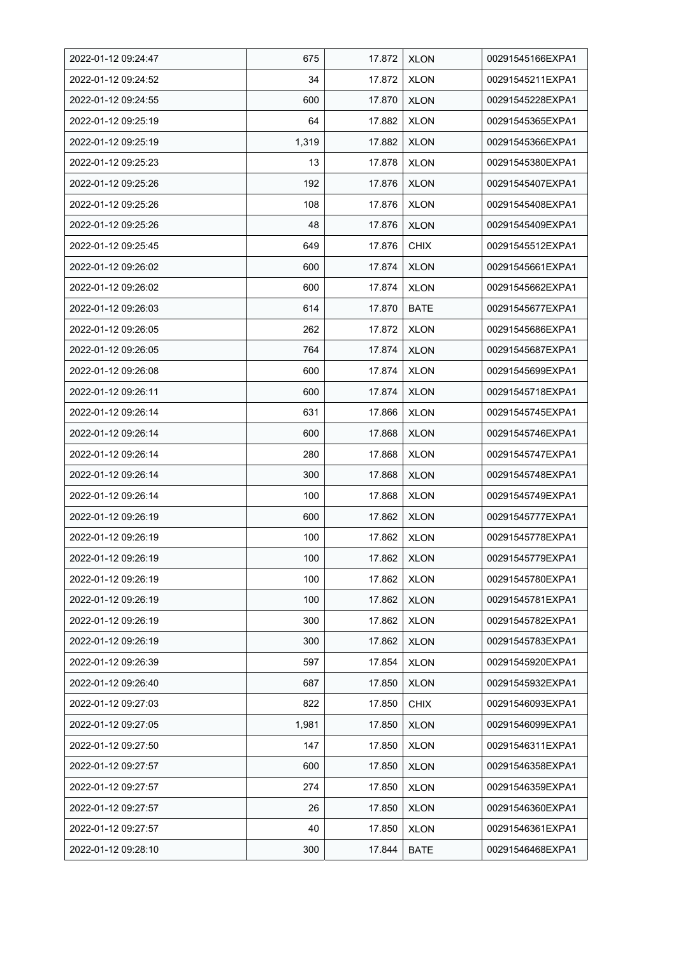| 2022-01-12 09:24:47 | 675   | 17.872 | <b>XLON</b> | 00291545166EXPA1 |
|---------------------|-------|--------|-------------|------------------|
| 2022-01-12 09:24:52 | 34    | 17.872 | <b>XLON</b> | 00291545211EXPA1 |
| 2022-01-12 09:24:55 | 600   | 17.870 | <b>XLON</b> | 00291545228EXPA1 |
| 2022-01-12 09:25:19 | 64    | 17.882 | <b>XLON</b> | 00291545365EXPA1 |
| 2022-01-12 09:25:19 | 1,319 | 17.882 | <b>XLON</b> | 00291545366EXPA1 |
| 2022-01-12 09:25:23 | 13    | 17.878 | <b>XLON</b> | 00291545380EXPA1 |
| 2022-01-12 09:25:26 | 192   | 17.876 | <b>XLON</b> | 00291545407EXPA1 |
| 2022-01-12 09:25:26 | 108   | 17.876 | <b>XLON</b> | 00291545408EXPA1 |
| 2022-01-12 09:25:26 | 48    | 17.876 | <b>XLON</b> | 00291545409EXPA1 |
| 2022-01-12 09:25:45 | 649   | 17.876 | <b>CHIX</b> | 00291545512EXPA1 |
| 2022-01-12 09:26:02 | 600   | 17.874 | <b>XLON</b> | 00291545661EXPA1 |
| 2022-01-12 09:26:02 | 600   | 17.874 | <b>XLON</b> | 00291545662EXPA1 |
| 2022-01-12 09:26:03 | 614   | 17.870 | <b>BATE</b> | 00291545677EXPA1 |
| 2022-01-12 09:26:05 | 262   | 17.872 | <b>XLON</b> | 00291545686EXPA1 |
| 2022-01-12 09:26:05 | 764   | 17.874 | <b>XLON</b> | 00291545687EXPA1 |
| 2022-01-12 09:26:08 | 600   | 17.874 | <b>XLON</b> | 00291545699EXPA1 |
| 2022-01-12 09:26:11 | 600   | 17.874 | <b>XLON</b> | 00291545718EXPA1 |
| 2022-01-12 09:26:14 | 631   | 17.866 | <b>XLON</b> | 00291545745EXPA1 |
| 2022-01-12 09:26:14 | 600   | 17.868 | <b>XLON</b> | 00291545746EXPA1 |
| 2022-01-12 09:26:14 | 280   | 17.868 | XLON        | 00291545747EXPA1 |
| 2022-01-12 09:26:14 | 300   | 17.868 | <b>XLON</b> | 00291545748EXPA1 |
| 2022-01-12 09:26:14 | 100   | 17.868 | <b>XLON</b> | 00291545749EXPA1 |
| 2022-01-12 09:26:19 | 600   | 17.862 | <b>XLON</b> | 00291545777EXPA1 |
| 2022-01-12 09:26:19 | 100   | 17.862 | <b>XLON</b> | 00291545778EXPA1 |
| 2022-01-12 09:26:19 | 100   | 17.862 | <b>XLON</b> | 00291545779EXPA1 |
| 2022-01-12 09:26:19 | 100   | 17.862 | <b>XLON</b> | 00291545780EXPA1 |
| 2022-01-12 09:26:19 | 100   | 17.862 | <b>XLON</b> | 00291545781EXPA1 |
| 2022-01-12 09:26:19 | 300   | 17.862 | <b>XLON</b> | 00291545782EXPA1 |
| 2022-01-12 09:26:19 | 300   | 17.862 | <b>XLON</b> | 00291545783EXPA1 |
| 2022-01-12 09:26:39 | 597   | 17.854 | <b>XLON</b> | 00291545920EXPA1 |
| 2022-01-12 09:26:40 | 687   | 17.850 | <b>XLON</b> | 00291545932EXPA1 |
| 2022-01-12 09:27:03 | 822   | 17.850 | <b>CHIX</b> | 00291546093EXPA1 |
| 2022-01-12 09:27:05 | 1,981 | 17.850 | <b>XLON</b> | 00291546099EXPA1 |
| 2022-01-12 09:27:50 | 147   | 17.850 | <b>XLON</b> | 00291546311EXPA1 |
| 2022-01-12 09:27:57 | 600   | 17.850 | <b>XLON</b> | 00291546358EXPA1 |
| 2022-01-12 09:27:57 | 274   | 17.850 | <b>XLON</b> | 00291546359EXPA1 |
| 2022-01-12 09:27:57 | 26    | 17.850 | <b>XLON</b> | 00291546360EXPA1 |
| 2022-01-12 09:27:57 | 40    | 17.850 | <b>XLON</b> | 00291546361EXPA1 |
| 2022-01-12 09:28:10 | 300   | 17.844 | <b>BATE</b> | 00291546468EXPA1 |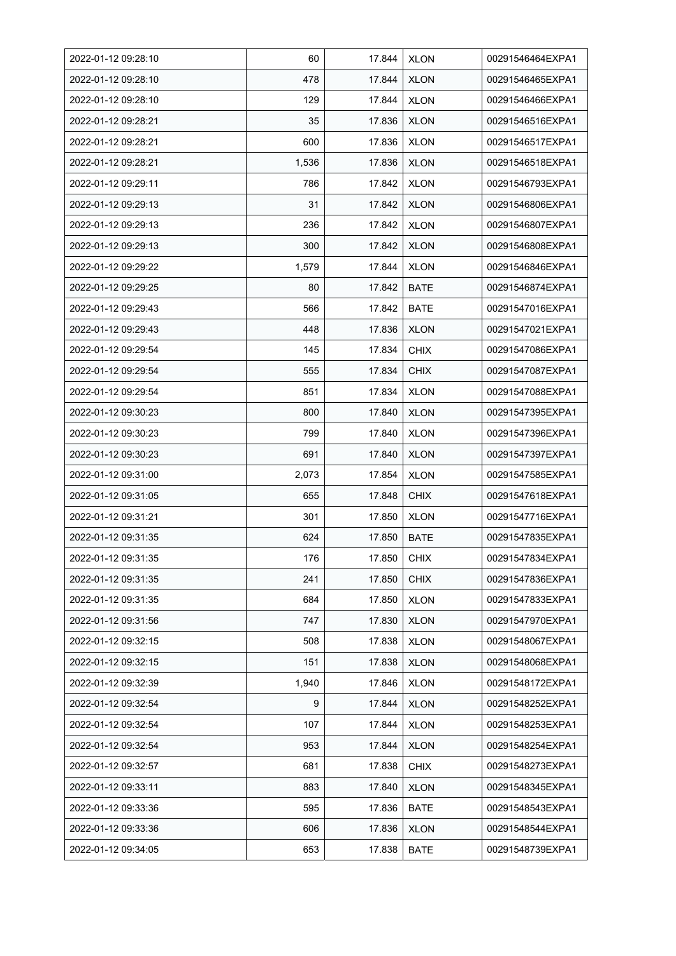| 2022-01-12 09:28:10 | 60    | 17.844 | <b>XLON</b> | 00291546464EXPA1 |
|---------------------|-------|--------|-------------|------------------|
| 2022-01-12 09:28:10 | 478   | 17.844 | <b>XLON</b> | 00291546465EXPA1 |
| 2022-01-12 09:28:10 | 129   | 17.844 | <b>XLON</b> | 00291546466EXPA1 |
| 2022-01-12 09:28:21 | 35    | 17.836 | <b>XLON</b> | 00291546516EXPA1 |
| 2022-01-12 09:28:21 | 600   | 17.836 | <b>XLON</b> | 00291546517EXPA1 |
| 2022-01-12 09:28:21 | 1,536 | 17.836 | <b>XLON</b> | 00291546518EXPA1 |
| 2022-01-12 09:29:11 | 786   | 17.842 | <b>XLON</b> | 00291546793EXPA1 |
| 2022-01-12 09:29:13 | 31    | 17.842 | <b>XLON</b> | 00291546806EXPA1 |
| 2022-01-12 09:29:13 | 236   | 17.842 | <b>XLON</b> | 00291546807EXPA1 |
| 2022-01-12 09:29:13 | 300   | 17.842 | <b>XLON</b> | 00291546808EXPA1 |
| 2022-01-12 09:29:22 | 1,579 | 17.844 | <b>XLON</b> | 00291546846EXPA1 |
| 2022-01-12 09:29:25 | 80    | 17.842 | <b>BATE</b> | 00291546874EXPA1 |
| 2022-01-12 09:29:43 | 566   | 17.842 | <b>BATE</b> | 00291547016EXPA1 |
| 2022-01-12 09:29:43 | 448   | 17.836 | <b>XLON</b> | 00291547021EXPA1 |
| 2022-01-12 09:29:54 | 145   | 17.834 | <b>CHIX</b> | 00291547086EXPA1 |
| 2022-01-12 09:29:54 | 555   | 17.834 | <b>CHIX</b> | 00291547087EXPA1 |
| 2022-01-12 09:29:54 | 851   | 17.834 | <b>XLON</b> | 00291547088EXPA1 |
| 2022-01-12 09:30:23 | 800   | 17.840 | <b>XLON</b> | 00291547395EXPA1 |
| 2022-01-12 09:30:23 | 799   | 17.840 | <b>XLON</b> | 00291547396EXPA1 |
| 2022-01-12 09:30:23 | 691   | 17.840 | <b>XLON</b> | 00291547397EXPA1 |
| 2022-01-12 09:31:00 | 2,073 | 17.854 | <b>XLON</b> | 00291547585EXPA1 |
| 2022-01-12 09:31:05 | 655   | 17.848 | <b>CHIX</b> | 00291547618EXPA1 |
| 2022-01-12 09:31:21 | 301   | 17.850 | <b>XLON</b> | 00291547716EXPA1 |
| 2022-01-12 09:31:35 | 624   | 17.850 | <b>BATE</b> | 00291547835EXPA1 |
| 2022-01-12 09:31:35 | 176   | 17.850 | <b>CHIX</b> | 00291547834EXPA1 |
| 2022-01-12 09:31:35 | 241   | 17.850 | <b>CHIX</b> | 00291547836EXPA1 |
| 2022-01-12 09:31:35 | 684   | 17.850 | <b>XLON</b> | 00291547833EXPA1 |
| 2022-01-12 09:31:56 | 747   | 17.830 | <b>XLON</b> | 00291547970EXPA1 |
| 2022-01-12 09:32:15 | 508   | 17.838 | <b>XLON</b> | 00291548067EXPA1 |
| 2022-01-12 09:32:15 | 151   | 17.838 | <b>XLON</b> | 00291548068EXPA1 |
| 2022-01-12 09:32:39 | 1,940 | 17.846 | <b>XLON</b> | 00291548172EXPA1 |
| 2022-01-12 09:32:54 | 9     | 17.844 | <b>XLON</b> | 00291548252EXPA1 |
| 2022-01-12 09:32:54 | 107   | 17.844 | <b>XLON</b> | 00291548253EXPA1 |
| 2022-01-12 09:32:54 | 953   | 17.844 | <b>XLON</b> | 00291548254EXPA1 |
| 2022-01-12 09:32:57 | 681   | 17.838 | <b>CHIX</b> | 00291548273EXPA1 |
| 2022-01-12 09:33:11 | 883   | 17.840 | <b>XLON</b> | 00291548345EXPA1 |
| 2022-01-12 09:33:36 | 595   | 17.836 | <b>BATE</b> | 00291548543EXPA1 |
| 2022-01-12 09:33:36 | 606   | 17.836 | <b>XLON</b> | 00291548544EXPA1 |
| 2022-01-12 09:34:05 | 653   | 17.838 | <b>BATE</b> | 00291548739EXPA1 |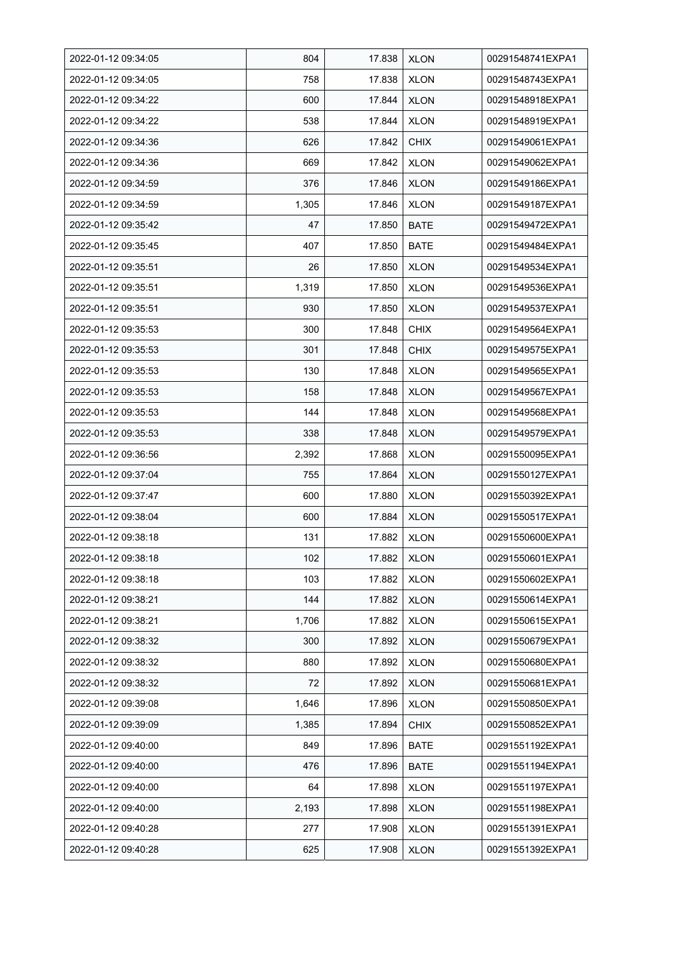| 2022-01-12 09:34:05 | 804   | 17.838 | <b>XLON</b> | 00291548741EXPA1 |
|---------------------|-------|--------|-------------|------------------|
| 2022-01-12 09:34:05 | 758   | 17.838 | <b>XLON</b> | 00291548743EXPA1 |
| 2022-01-12 09:34:22 | 600   | 17.844 | <b>XLON</b> | 00291548918EXPA1 |
| 2022-01-12 09:34:22 | 538   | 17.844 | <b>XLON</b> | 00291548919EXPA1 |
| 2022-01-12 09:34:36 | 626   | 17.842 | <b>CHIX</b> | 00291549061EXPA1 |
| 2022-01-12 09:34:36 | 669   | 17.842 | <b>XLON</b> | 00291549062EXPA1 |
| 2022-01-12 09:34:59 | 376   | 17.846 | <b>XLON</b> | 00291549186EXPA1 |
| 2022-01-12 09:34:59 | 1,305 | 17.846 | <b>XLON</b> | 00291549187EXPA1 |
| 2022-01-12 09:35:42 | 47    | 17.850 | <b>BATE</b> | 00291549472EXPA1 |
| 2022-01-12 09:35:45 | 407   | 17.850 | <b>BATE</b> | 00291549484EXPA1 |
| 2022-01-12 09:35:51 | 26    | 17.850 | <b>XLON</b> | 00291549534EXPA1 |
| 2022-01-12 09:35:51 | 1,319 | 17.850 | <b>XLON</b> | 00291549536EXPA1 |
| 2022-01-12 09:35:51 | 930   | 17.850 | <b>XLON</b> | 00291549537EXPA1 |
| 2022-01-12 09:35:53 | 300   | 17.848 | <b>CHIX</b> | 00291549564EXPA1 |
| 2022-01-12 09:35:53 | 301   | 17.848 | <b>CHIX</b> | 00291549575EXPA1 |
| 2022-01-12 09:35:53 | 130   | 17.848 | <b>XLON</b> | 00291549565EXPA1 |
| 2022-01-12 09:35:53 | 158   | 17.848 | <b>XLON</b> | 00291549567EXPA1 |
| 2022-01-12 09:35:53 | 144   | 17.848 | XLON        | 00291549568EXPA1 |
| 2022-01-12 09:35:53 | 338   | 17.848 | <b>XLON</b> | 00291549579EXPA1 |
| 2022-01-12 09:36:56 | 2,392 | 17.868 | <b>XLON</b> | 00291550095EXPA1 |
| 2022-01-12 09:37:04 | 755   | 17.864 | <b>XLON</b> | 00291550127EXPA1 |
| 2022-01-12 09:37:47 | 600   | 17.880 | <b>XLON</b> | 00291550392EXPA1 |
| 2022-01-12 09:38:04 | 600   | 17.884 | <b>XLON</b> | 00291550517EXPA1 |
| 2022-01-12 09:38:18 | 131   | 17.882 | <b>XLON</b> | 00291550600EXPA1 |
| 2022-01-12 09:38:18 | 102   | 17.882 | <b>XLON</b> | 00291550601EXPA1 |
| 2022-01-12 09:38:18 | 103   | 17.882 | <b>XLON</b> | 00291550602EXPA1 |
| 2022-01-12 09:38:21 | 144   | 17.882 | <b>XLON</b> | 00291550614EXPA1 |
| 2022-01-12 09:38:21 | 1,706 | 17.882 | <b>XLON</b> | 00291550615EXPA1 |
| 2022-01-12 09:38:32 | 300   | 17.892 | <b>XLON</b> | 00291550679EXPA1 |
| 2022-01-12 09:38:32 | 880   | 17.892 | <b>XLON</b> | 00291550680EXPA1 |
| 2022-01-12 09:38:32 | 72    | 17.892 | <b>XLON</b> | 00291550681EXPA1 |
| 2022-01-12 09:39:08 | 1,646 | 17.896 | <b>XLON</b> | 00291550850EXPA1 |
| 2022-01-12 09:39:09 | 1,385 | 17.894 | <b>CHIX</b> | 00291550852EXPA1 |
| 2022-01-12 09:40:00 | 849   | 17.896 | <b>BATE</b> | 00291551192EXPA1 |
| 2022-01-12 09:40:00 | 476   | 17.896 | BATE        | 00291551194EXPA1 |
| 2022-01-12 09:40:00 | 64    | 17.898 | <b>XLON</b> | 00291551197EXPA1 |
| 2022-01-12 09:40:00 | 2,193 | 17.898 | <b>XLON</b> | 00291551198EXPA1 |
| 2022-01-12 09:40:28 | 277   | 17.908 | <b>XLON</b> | 00291551391EXPA1 |
| 2022-01-12 09:40:28 | 625   | 17.908 | <b>XLON</b> | 00291551392EXPA1 |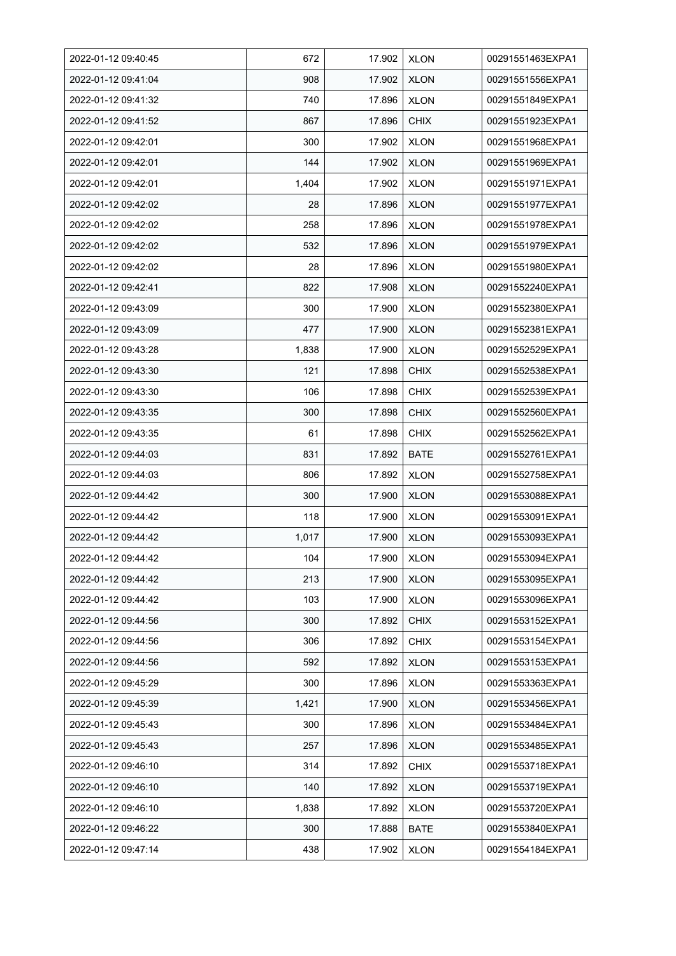| 2022-01-12 09:40:45 | 672   | 17.902 | <b>XLON</b> | 00291551463EXPA1 |
|---------------------|-------|--------|-------------|------------------|
| 2022-01-12 09:41:04 | 908   | 17.902 | <b>XLON</b> | 00291551556EXPA1 |
| 2022-01-12 09:41:32 | 740   | 17.896 | <b>XLON</b> | 00291551849EXPA1 |
| 2022-01-12 09:41:52 | 867   | 17.896 | <b>CHIX</b> | 00291551923EXPA1 |
| 2022-01-12 09:42:01 | 300   | 17.902 | <b>XLON</b> | 00291551968EXPA1 |
| 2022-01-12 09:42:01 | 144   | 17.902 | <b>XLON</b> | 00291551969EXPA1 |
| 2022-01-12 09:42:01 | 1,404 | 17.902 | <b>XLON</b> | 00291551971EXPA1 |
| 2022-01-12 09:42:02 | 28    | 17.896 | <b>XLON</b> | 00291551977EXPA1 |
| 2022-01-12 09:42:02 | 258   | 17.896 | <b>XLON</b> | 00291551978EXPA1 |
| 2022-01-12 09:42:02 | 532   | 17.896 | <b>XLON</b> | 00291551979EXPA1 |
| 2022-01-12 09:42:02 | 28    | 17.896 | <b>XLON</b> | 00291551980EXPA1 |
| 2022-01-12 09:42:41 | 822   | 17.908 | <b>XLON</b> | 00291552240EXPA1 |
| 2022-01-12 09:43:09 | 300   | 17.900 | <b>XLON</b> | 00291552380EXPA1 |
| 2022-01-12 09:43:09 | 477   | 17.900 | <b>XLON</b> | 00291552381EXPA1 |
| 2022-01-12 09:43:28 | 1,838 | 17.900 | <b>XLON</b> | 00291552529EXPA1 |
| 2022-01-12 09:43:30 | 121   | 17.898 | <b>CHIX</b> | 00291552538EXPA1 |
| 2022-01-12 09:43:30 | 106   | 17.898 | <b>CHIX</b> | 00291552539EXPA1 |
| 2022-01-12 09:43:35 | 300   | 17.898 | <b>CHIX</b> | 00291552560EXPA1 |
| 2022-01-12 09:43:35 | 61    | 17.898 | <b>CHIX</b> | 00291552562EXPA1 |
| 2022-01-12 09:44:03 | 831   | 17.892 | <b>BATE</b> | 00291552761EXPA1 |
| 2022-01-12 09:44:03 | 806   | 17.892 | <b>XLON</b> | 00291552758EXPA1 |
| 2022-01-12 09:44:42 | 300   | 17.900 | <b>XLON</b> | 00291553088EXPA1 |
| 2022-01-12 09:44:42 | 118   | 17.900 | <b>XLON</b> | 00291553091EXPA1 |
| 2022-01-12 09:44:42 | 1,017 | 17.900 | <b>XLON</b> | 00291553093EXPA1 |
| 2022-01-12 09:44:42 | 104   | 17.900 | <b>XLON</b> | 00291553094EXPA1 |
| 2022-01-12 09:44:42 | 213   | 17.900 | <b>XLON</b> | 00291553095EXPA1 |
| 2022-01-12 09:44:42 | 103   | 17.900 | <b>XLON</b> | 00291553096EXPA1 |
| 2022-01-12 09:44:56 | 300   | 17.892 | <b>CHIX</b> | 00291553152EXPA1 |
| 2022-01-12 09:44:56 | 306   | 17.892 | <b>CHIX</b> | 00291553154EXPA1 |
| 2022-01-12 09:44:56 | 592   | 17.892 | <b>XLON</b> | 00291553153EXPA1 |
| 2022-01-12 09:45:29 | 300   | 17.896 | <b>XLON</b> | 00291553363EXPA1 |
| 2022-01-12 09:45:39 | 1,421 | 17.900 | <b>XLON</b> | 00291553456EXPA1 |
| 2022-01-12 09:45:43 | 300   | 17.896 | <b>XLON</b> | 00291553484EXPA1 |
| 2022-01-12 09:45:43 | 257   | 17.896 | <b>XLON</b> | 00291553485EXPA1 |
| 2022-01-12 09:46:10 | 314   | 17.892 | <b>CHIX</b> | 00291553718EXPA1 |
| 2022-01-12 09:46:10 | 140   | 17.892 | <b>XLON</b> | 00291553719EXPA1 |
| 2022-01-12 09:46:10 | 1,838 | 17.892 | <b>XLON</b> | 00291553720EXPA1 |
| 2022-01-12 09:46:22 | 300   | 17.888 | <b>BATE</b> | 00291553840EXPA1 |
| 2022-01-12 09:47:14 | 438   | 17.902 | <b>XLON</b> | 00291554184EXPA1 |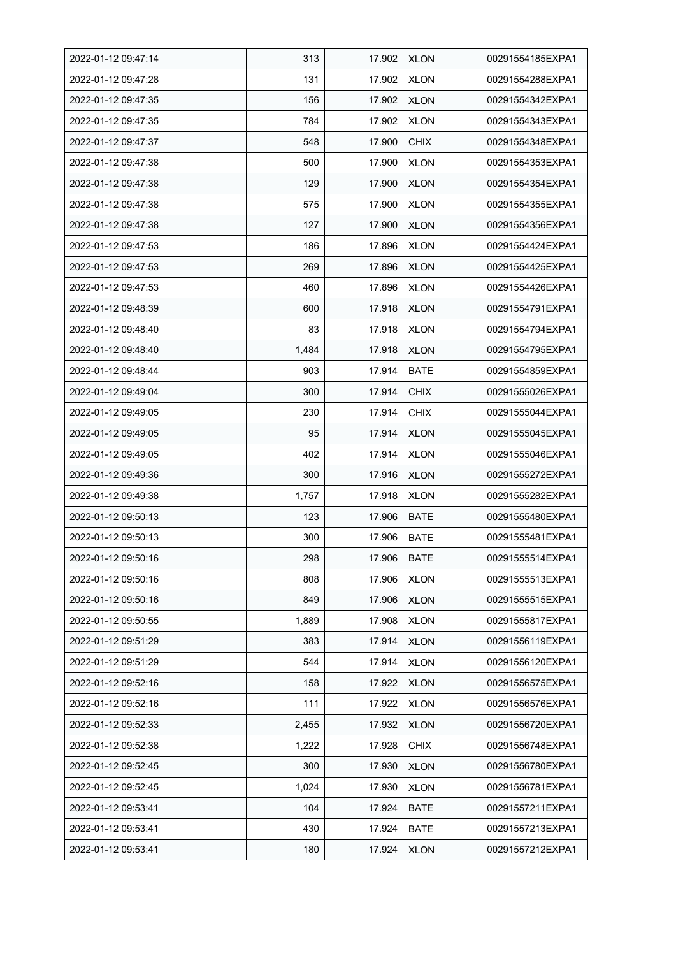| 2022-01-12 09:47:14 | 313   | 17.902 | <b>XLON</b> | 00291554185EXPA1 |
|---------------------|-------|--------|-------------|------------------|
| 2022-01-12 09:47:28 | 131   | 17.902 | <b>XLON</b> | 00291554288EXPA1 |
| 2022-01-12 09:47:35 | 156   | 17.902 | <b>XLON</b> | 00291554342EXPA1 |
| 2022-01-12 09:47:35 | 784   | 17.902 | <b>XLON</b> | 00291554343EXPA1 |
| 2022-01-12 09:47:37 | 548   | 17.900 | <b>CHIX</b> | 00291554348EXPA1 |
| 2022-01-12 09:47:38 | 500   | 17.900 | <b>XLON</b> | 00291554353EXPA1 |
| 2022-01-12 09:47:38 | 129   | 17.900 | <b>XLON</b> | 00291554354EXPA1 |
| 2022-01-12 09:47:38 | 575   | 17.900 | <b>XLON</b> | 00291554355EXPA1 |
| 2022-01-12 09:47:38 | 127   | 17.900 | <b>XLON</b> | 00291554356EXPA1 |
| 2022-01-12 09:47:53 | 186   | 17.896 | <b>XLON</b> | 00291554424EXPA1 |
| 2022-01-12 09:47:53 | 269   | 17.896 | <b>XLON</b> | 00291554425EXPA1 |
| 2022-01-12 09:47:53 | 460   | 17.896 | <b>XLON</b> | 00291554426EXPA1 |
| 2022-01-12 09:48:39 | 600   | 17.918 | <b>XLON</b> | 00291554791EXPA1 |
| 2022-01-12 09:48:40 | 83    | 17.918 | <b>XLON</b> | 00291554794EXPA1 |
| 2022-01-12 09:48:40 | 1,484 | 17.918 | <b>XLON</b> | 00291554795EXPA1 |
| 2022-01-12 09:48:44 | 903   | 17.914 | <b>BATE</b> | 00291554859EXPA1 |
| 2022-01-12 09:49:04 | 300   | 17.914 | <b>CHIX</b> | 00291555026EXPA1 |
| 2022-01-12 09:49:05 | 230   | 17.914 | <b>CHIX</b> | 00291555044EXPA1 |
| 2022-01-12 09:49:05 | 95    | 17.914 | <b>XLON</b> | 00291555045EXPA1 |
| 2022-01-12 09:49:05 | 402   | 17.914 | <b>XLON</b> | 00291555046EXPA1 |
| 2022-01-12 09:49:36 | 300   | 17.916 | <b>XLON</b> | 00291555272EXPA1 |
| 2022-01-12 09:49:38 | 1,757 | 17.918 | <b>XLON</b> | 00291555282EXPA1 |
| 2022-01-12 09:50:13 | 123   | 17.906 | <b>BATE</b> | 00291555480EXPA1 |
| 2022-01-12 09:50:13 | 300   | 17.906 | <b>BATE</b> | 00291555481EXPA1 |
| 2022-01-12 09:50:16 | 298   | 17.906 | <b>BATE</b> | 00291555514EXPA1 |
| 2022-01-12 09:50:16 | 808   | 17.906 | <b>XLON</b> | 00291555513EXPA1 |
| 2022-01-12 09:50:16 | 849   | 17.906 | <b>XLON</b> | 00291555515EXPA1 |
| 2022-01-12 09:50:55 | 1,889 | 17.908 | <b>XLON</b> | 00291555817EXPA1 |
| 2022-01-12 09:51:29 | 383   | 17.914 | <b>XLON</b> | 00291556119EXPA1 |
| 2022-01-12 09:51:29 | 544   | 17.914 | <b>XLON</b> | 00291556120EXPA1 |
| 2022-01-12 09:52:16 | 158   | 17.922 | <b>XLON</b> | 00291556575EXPA1 |
| 2022-01-12 09:52:16 | 111   | 17.922 | <b>XLON</b> | 00291556576EXPA1 |
| 2022-01-12 09:52:33 | 2,455 | 17.932 | <b>XLON</b> | 00291556720EXPA1 |
| 2022-01-12 09:52:38 | 1,222 | 17.928 | <b>CHIX</b> | 00291556748EXPA1 |
| 2022-01-12 09:52:45 | 300   | 17.930 | <b>XLON</b> | 00291556780EXPA1 |
| 2022-01-12 09:52:45 | 1,024 | 17.930 | <b>XLON</b> | 00291556781EXPA1 |
| 2022-01-12 09:53:41 | 104   | 17.924 | BATE        | 00291557211EXPA1 |
| 2022-01-12 09:53:41 | 430   | 17.924 | <b>BATE</b> | 00291557213EXPA1 |
| 2022-01-12 09:53:41 | 180   | 17.924 | <b>XLON</b> | 00291557212EXPA1 |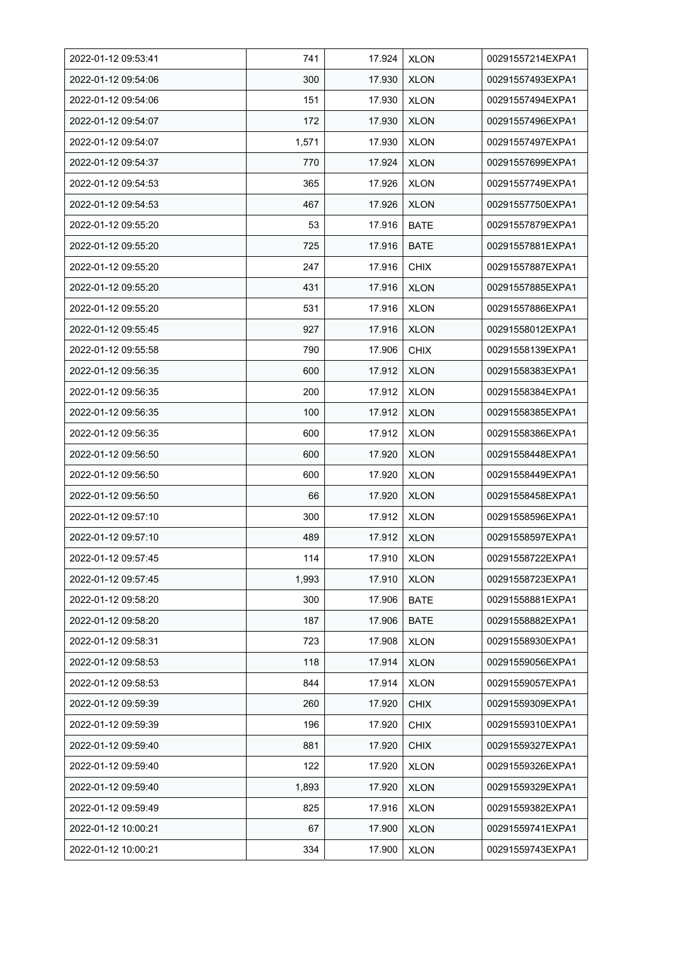| 2022-01-12 09:53:41 | 741   | 17.924 | <b>XLON</b> | 00291557214EXPA1 |
|---------------------|-------|--------|-------------|------------------|
| 2022-01-12 09:54:06 | 300   | 17.930 | <b>XLON</b> | 00291557493EXPA1 |
| 2022-01-12 09:54:06 | 151   | 17.930 | <b>XLON</b> | 00291557494EXPA1 |
| 2022-01-12 09:54:07 | 172   | 17.930 | <b>XLON</b> | 00291557496EXPA1 |
| 2022-01-12 09:54:07 | 1,571 | 17.930 | <b>XLON</b> | 00291557497EXPA1 |
| 2022-01-12 09:54:37 | 770   | 17.924 | <b>XLON</b> | 00291557699EXPA1 |
| 2022-01-12 09:54:53 | 365   | 17.926 | <b>XLON</b> | 00291557749EXPA1 |
| 2022-01-12 09:54:53 | 467   | 17.926 | <b>XLON</b> | 00291557750EXPA1 |
| 2022-01-12 09:55:20 | 53    | 17.916 | <b>BATE</b> | 00291557879EXPA1 |
| 2022-01-12 09:55:20 | 725   | 17.916 | <b>BATE</b> | 00291557881EXPA1 |
| 2022-01-12 09:55:20 | 247   | 17.916 | <b>CHIX</b> | 00291557887EXPA1 |
| 2022-01-12 09:55:20 | 431   | 17.916 | <b>XLON</b> | 00291557885EXPA1 |
| 2022-01-12 09:55:20 | 531   | 17.916 | <b>XLON</b> | 00291557886EXPA1 |
| 2022-01-12 09:55:45 | 927   | 17.916 | <b>XLON</b> | 00291558012EXPA1 |
| 2022-01-12 09:55:58 | 790   | 17.906 | <b>CHIX</b> | 00291558139EXPA1 |
| 2022-01-12 09:56:35 | 600   | 17.912 | <b>XLON</b> | 00291558383EXPA1 |
| 2022-01-12 09:56:35 | 200   | 17.912 | <b>XLON</b> | 00291558384EXPA1 |
| 2022-01-12 09:56:35 | 100   | 17.912 | <b>XLON</b> | 00291558385EXPA1 |
| 2022-01-12 09:56:35 | 600   | 17.912 | <b>XLON</b> | 00291558386EXPA1 |
| 2022-01-12 09:56:50 | 600   | 17.920 | <b>XLON</b> | 00291558448EXPA1 |
| 2022-01-12 09:56:50 | 600   | 17.920 | <b>XLON</b> | 00291558449EXPA1 |
| 2022-01-12 09:56:50 | 66    | 17.920 | <b>XLON</b> | 00291558458EXPA1 |
| 2022-01-12 09:57:10 | 300   | 17.912 | <b>XLON</b> | 00291558596EXPA1 |
| 2022-01-12 09:57:10 | 489   | 17.912 | <b>XLON</b> | 00291558597EXPA1 |
| 2022-01-12 09:57:45 | 114   | 17.910 | <b>XLON</b> | 00291558722EXPA1 |
| 2022-01-12 09:57:45 | 1,993 | 17.910 | <b>XLON</b> | 00291558723EXPA1 |
| 2022-01-12 09:58:20 | 300   | 17.906 | <b>BATE</b> | 00291558881EXPA1 |
| 2022-01-12 09:58:20 | 187   | 17.906 | <b>BATE</b> | 00291558882EXPA1 |
| 2022-01-12 09:58:31 | 723   | 17.908 | <b>XLON</b> | 00291558930EXPA1 |
| 2022-01-12 09:58:53 | 118   | 17.914 | <b>XLON</b> | 00291559056EXPA1 |
| 2022-01-12 09:58:53 | 844   | 17.914 | <b>XLON</b> | 00291559057EXPA1 |
| 2022-01-12 09:59:39 | 260   | 17.920 | <b>CHIX</b> | 00291559309EXPA1 |
| 2022-01-12 09:59:39 | 196   | 17.920 | <b>CHIX</b> | 00291559310EXPA1 |
| 2022-01-12 09:59:40 | 881   | 17.920 | <b>CHIX</b> | 00291559327EXPA1 |
| 2022-01-12 09:59:40 | 122   | 17.920 | <b>XLON</b> | 00291559326EXPA1 |
| 2022-01-12 09:59:40 | 1,893 | 17.920 | <b>XLON</b> | 00291559329EXPA1 |
| 2022-01-12 09:59:49 | 825   | 17.916 | <b>XLON</b> | 00291559382EXPA1 |
| 2022-01-12 10:00:21 | 67    | 17.900 | <b>XLON</b> | 00291559741EXPA1 |
| 2022-01-12 10:00:21 | 334   | 17.900 | <b>XLON</b> | 00291559743EXPA1 |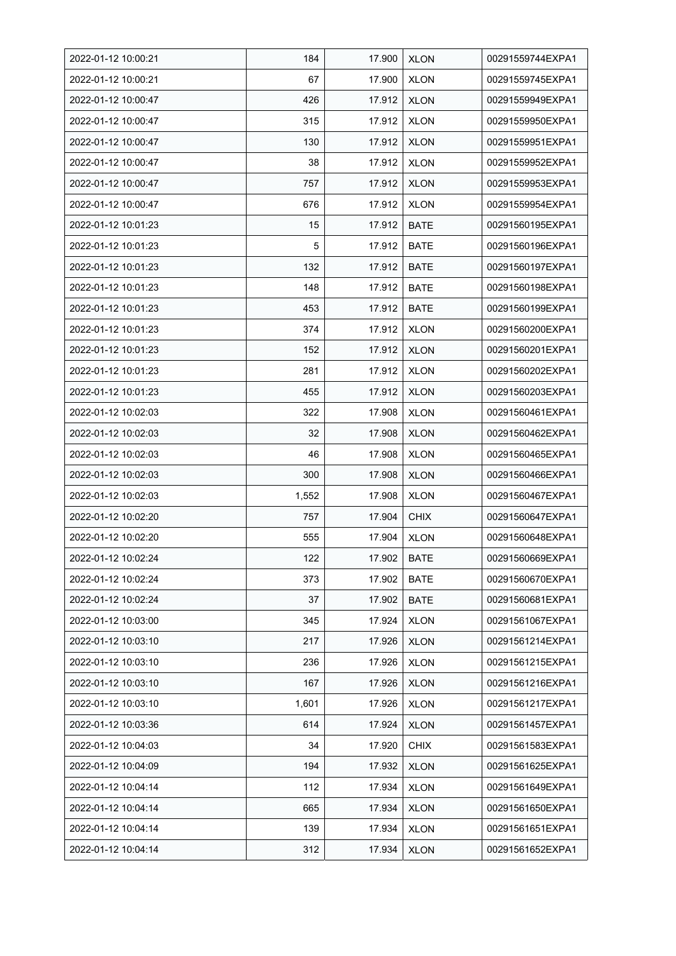| 2022-01-12 10:00:21 | 184   | 17.900 | <b>XLON</b> | 00291559744EXPA1 |
|---------------------|-------|--------|-------------|------------------|
| 2022-01-12 10:00:21 | 67    | 17.900 | <b>XLON</b> | 00291559745EXPA1 |
| 2022-01-12 10:00:47 | 426   | 17.912 | <b>XLON</b> | 00291559949EXPA1 |
| 2022-01-12 10:00:47 | 315   | 17.912 | <b>XLON</b> | 00291559950EXPA1 |
| 2022-01-12 10:00:47 | 130   | 17.912 | <b>XLON</b> | 00291559951EXPA1 |
| 2022-01-12 10:00:47 | 38    | 17.912 | <b>XLON</b> | 00291559952EXPA1 |
| 2022-01-12 10:00:47 | 757   | 17.912 | <b>XLON</b> | 00291559953EXPA1 |
| 2022-01-12 10:00:47 | 676   | 17.912 | <b>XLON</b> | 00291559954EXPA1 |
| 2022-01-12 10:01:23 | 15    | 17.912 | <b>BATE</b> | 00291560195EXPA1 |
| 2022-01-12 10:01:23 | 5     | 17.912 | <b>BATE</b> | 00291560196EXPA1 |
| 2022-01-12 10:01:23 | 132   | 17.912 | <b>BATE</b> | 00291560197EXPA1 |
| 2022-01-12 10:01:23 | 148   | 17.912 | <b>BATE</b> | 00291560198EXPA1 |
| 2022-01-12 10:01:23 | 453   | 17.912 | <b>BATE</b> | 00291560199EXPA1 |
| 2022-01-12 10:01:23 | 374   | 17.912 | <b>XLON</b> | 00291560200EXPA1 |
| 2022-01-12 10:01:23 | 152   | 17.912 | <b>XLON</b> | 00291560201EXPA1 |
| 2022-01-12 10:01:23 | 281   | 17.912 | <b>XLON</b> | 00291560202EXPA1 |
| 2022-01-12 10:01:23 | 455   | 17.912 | <b>XLON</b> | 00291560203EXPA1 |
| 2022-01-12 10:02:03 | 322   | 17.908 | <b>XLON</b> | 00291560461EXPA1 |
| 2022-01-12 10:02:03 | 32    | 17.908 | <b>XLON</b> | 00291560462EXPA1 |
| 2022-01-12 10:02:03 | 46    | 17.908 | <b>XLON</b> | 00291560465EXPA1 |
| 2022-01-12 10:02:03 | 300   | 17.908 | <b>XLON</b> | 00291560466EXPA1 |
| 2022-01-12 10:02:03 | 1,552 | 17.908 | <b>XLON</b> | 00291560467EXPA1 |
| 2022-01-12 10:02:20 | 757   | 17.904 | <b>CHIX</b> | 00291560647EXPA1 |
| 2022-01-12 10:02:20 | 555   | 17.904 | <b>XLON</b> | 00291560648EXPA1 |
| 2022-01-12 10:02:24 | 122   | 17.902 | <b>BATE</b> | 00291560669EXPA1 |
| 2022-01-12 10:02:24 | 373   | 17.902 | <b>BATE</b> | 00291560670EXPA1 |
| 2022-01-12 10:02:24 | 37    | 17.902 | <b>BATE</b> | 00291560681EXPA1 |
| 2022-01-12 10:03:00 | 345   | 17.924 | <b>XLON</b> | 00291561067EXPA1 |
| 2022-01-12 10:03:10 | 217   | 17.926 | <b>XLON</b> | 00291561214EXPA1 |
| 2022-01-12 10:03:10 | 236   | 17.926 | <b>XLON</b> | 00291561215EXPA1 |
| 2022-01-12 10:03:10 | 167   | 17.926 | <b>XLON</b> | 00291561216EXPA1 |
| 2022-01-12 10:03:10 | 1,601 | 17.926 | <b>XLON</b> | 00291561217EXPA1 |
| 2022-01-12 10:03:36 | 614   | 17.924 | <b>XLON</b> | 00291561457EXPA1 |
| 2022-01-12 10:04:03 | 34    | 17.920 | <b>CHIX</b> | 00291561583EXPA1 |
| 2022-01-12 10:04:09 | 194   | 17.932 | <b>XLON</b> | 00291561625EXPA1 |
| 2022-01-12 10:04:14 | 112   | 17.934 | <b>XLON</b> | 00291561649EXPA1 |
| 2022-01-12 10:04:14 | 665   | 17.934 | <b>XLON</b> | 00291561650EXPA1 |
| 2022-01-12 10:04:14 | 139   | 17.934 | <b>XLON</b> | 00291561651EXPA1 |
| 2022-01-12 10:04:14 | 312   | 17.934 | <b>XLON</b> | 00291561652EXPA1 |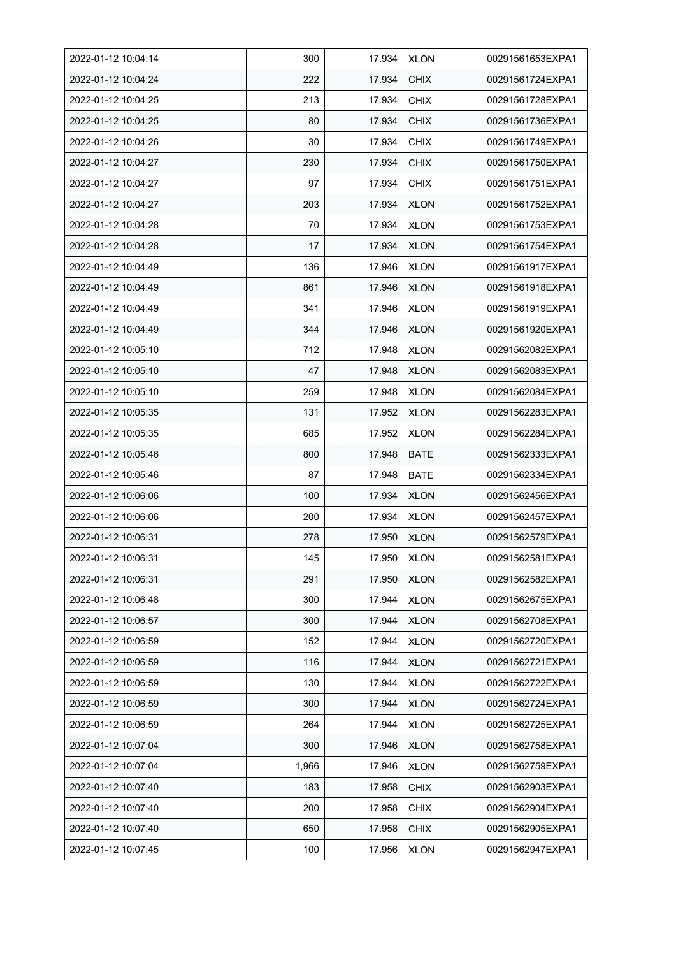| 2022-01-12 10:04:14 | 300   | 17.934 | <b>XLON</b> | 00291561653EXPA1 |
|---------------------|-------|--------|-------------|------------------|
| 2022-01-12 10:04:24 | 222   | 17.934 | <b>CHIX</b> | 00291561724EXPA1 |
| 2022-01-12 10:04:25 | 213   | 17.934 | <b>CHIX</b> | 00291561728EXPA1 |
| 2022-01-12 10:04:25 | 80    | 17.934 | <b>CHIX</b> | 00291561736EXPA1 |
| 2022-01-12 10:04:26 | 30    | 17.934 | <b>CHIX</b> | 00291561749EXPA1 |
| 2022-01-12 10:04:27 | 230   | 17.934 | <b>CHIX</b> | 00291561750EXPA1 |
| 2022-01-12 10:04:27 | 97    | 17.934 | <b>CHIX</b> | 00291561751EXPA1 |
| 2022-01-12 10:04:27 | 203   | 17.934 | <b>XLON</b> | 00291561752EXPA1 |
| 2022-01-12 10:04:28 | 70    | 17.934 | <b>XLON</b> | 00291561753EXPA1 |
| 2022-01-12 10:04:28 | 17    | 17.934 | <b>XLON</b> | 00291561754EXPA1 |
| 2022-01-12 10:04:49 | 136   | 17.946 | <b>XLON</b> | 00291561917EXPA1 |
| 2022-01-12 10:04:49 | 861   | 17.946 | <b>XLON</b> | 00291561918EXPA1 |
| 2022-01-12 10:04:49 | 341   | 17.946 | <b>XLON</b> | 00291561919EXPA1 |
| 2022-01-12 10:04:49 | 344   | 17.946 | <b>XLON</b> | 00291561920EXPA1 |
| 2022-01-12 10:05:10 | 712   | 17.948 | <b>XLON</b> | 00291562082EXPA1 |
| 2022-01-12 10:05:10 | 47    | 17.948 | <b>XLON</b> | 00291562083EXPA1 |
| 2022-01-12 10:05:10 | 259   | 17.948 | <b>XLON</b> | 00291562084EXPA1 |
| 2022-01-12 10:05:35 | 131   | 17.952 | <b>XLON</b> | 00291562283EXPA1 |
| 2022-01-12 10:05:35 | 685   | 17.952 | <b>XLON</b> | 00291562284EXPA1 |
| 2022-01-12 10:05:46 | 800   | 17.948 | <b>BATE</b> | 00291562333EXPA1 |
| 2022-01-12 10:05:46 | 87    | 17.948 | <b>BATE</b> | 00291562334EXPA1 |
| 2022-01-12 10:06:06 | 100   | 17.934 | <b>XLON</b> | 00291562456EXPA1 |
| 2022-01-12 10:06:06 | 200   | 17.934 | <b>XLON</b> | 00291562457EXPA1 |
| 2022-01-12 10:06:31 | 278   | 17.950 | <b>XLON</b> | 00291562579EXPA1 |
| 2022-01-12 10:06:31 | 145   | 17.950 | <b>XLON</b> | 00291562581EXPA1 |
| 2022-01-12 10:06:31 | 291   | 17.950 | <b>XLON</b> | 00291562582EXPA1 |
| 2022-01-12 10:06:48 | 300   | 17.944 | <b>XLON</b> | 00291562675EXPA1 |
| 2022-01-12 10:06:57 | 300   | 17.944 | <b>XLON</b> | 00291562708EXPA1 |
| 2022-01-12 10:06:59 | 152   | 17.944 | <b>XLON</b> | 00291562720EXPA1 |
| 2022-01-12 10:06:59 | 116   | 17.944 | <b>XLON</b> | 00291562721EXPA1 |
| 2022-01-12 10:06:59 | 130   | 17.944 | <b>XLON</b> | 00291562722EXPA1 |
| 2022-01-12 10:06:59 | 300   | 17.944 | <b>XLON</b> | 00291562724EXPA1 |
| 2022-01-12 10:06:59 | 264   | 17.944 | <b>XLON</b> | 00291562725EXPA1 |
| 2022-01-12 10:07:04 | 300   | 17.946 | <b>XLON</b> | 00291562758EXPA1 |
| 2022-01-12 10:07:04 | 1,966 | 17.946 | <b>XLON</b> | 00291562759EXPA1 |
| 2022-01-12 10:07:40 | 183   | 17.958 | <b>CHIX</b> | 00291562903EXPA1 |
| 2022-01-12 10:07:40 | 200   | 17.958 | <b>CHIX</b> | 00291562904EXPA1 |
| 2022-01-12 10:07:40 | 650   | 17.958 | <b>CHIX</b> | 00291562905EXPA1 |
| 2022-01-12 10:07:45 | 100   | 17.956 | <b>XLON</b> | 00291562947EXPA1 |
|                     |       |        |             |                  |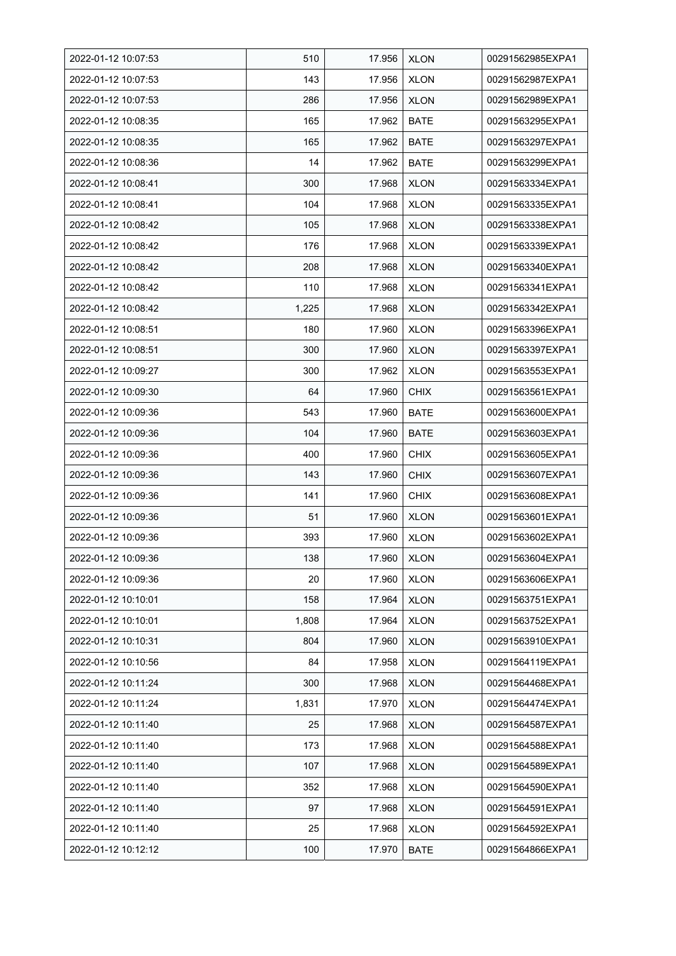| 2022-01-12 10:07:53 | 510   | 17.956 | <b>XLON</b> | 00291562985EXPA1 |
|---------------------|-------|--------|-------------|------------------|
| 2022-01-12 10:07:53 | 143   | 17.956 | <b>XLON</b> | 00291562987EXPA1 |
| 2022-01-12 10:07:53 | 286   | 17.956 | <b>XLON</b> | 00291562989EXPA1 |
| 2022-01-12 10:08:35 | 165   | 17.962 | <b>BATE</b> | 00291563295EXPA1 |
| 2022-01-12 10:08:35 | 165   | 17.962 | <b>BATE</b> | 00291563297EXPA1 |
| 2022-01-12 10:08:36 | 14    | 17.962 | <b>BATE</b> | 00291563299EXPA1 |
| 2022-01-12 10:08:41 | 300   | 17.968 | <b>XLON</b> | 00291563334EXPA1 |
| 2022-01-12 10:08:41 | 104   | 17.968 | <b>XLON</b> | 00291563335EXPA1 |
| 2022-01-12 10:08:42 | 105   | 17.968 | <b>XLON</b> | 00291563338EXPA1 |
| 2022-01-12 10:08:42 | 176   | 17.968 | <b>XLON</b> | 00291563339EXPA1 |
| 2022-01-12 10:08:42 | 208   | 17.968 | <b>XLON</b> | 00291563340EXPA1 |
| 2022-01-12 10:08:42 | 110   | 17.968 | <b>XLON</b> | 00291563341EXPA1 |
| 2022-01-12 10:08:42 | 1,225 | 17.968 | <b>XLON</b> | 00291563342EXPA1 |
| 2022-01-12 10:08:51 | 180   | 17.960 | <b>XLON</b> | 00291563396EXPA1 |
| 2022-01-12 10:08:51 | 300   | 17.960 | <b>XLON</b> | 00291563397EXPA1 |
| 2022-01-12 10:09:27 | 300   | 17.962 | <b>XLON</b> | 00291563553EXPA1 |
| 2022-01-12 10:09:30 | 64    | 17.960 | <b>CHIX</b> | 00291563561EXPA1 |
| 2022-01-12 10:09:36 | 543   | 17.960 | <b>BATE</b> | 00291563600EXPA1 |
| 2022-01-12 10:09:36 | 104   | 17.960 | <b>BATE</b> | 00291563603EXPA1 |
| 2022-01-12 10:09:36 | 400   | 17.960 | <b>CHIX</b> | 00291563605EXPA1 |
| 2022-01-12 10:09:36 | 143   | 17.960 | <b>CHIX</b> | 00291563607EXPA1 |
| 2022-01-12 10:09:36 | 141   | 17.960 | <b>CHIX</b> | 00291563608EXPA1 |
| 2022-01-12 10:09:36 | 51    | 17.960 | <b>XLON</b> | 00291563601EXPA1 |
| 2022-01-12 10:09:36 | 393   | 17.960 | <b>XLON</b> | 00291563602EXPA1 |
| 2022-01-12 10:09:36 | 138   | 17.960 | <b>XLON</b> | 00291563604EXPA1 |
| 2022-01-12 10:09:36 | 20    | 17.960 | <b>XLON</b> | 00291563606EXPA1 |
| 2022-01-12 10:10:01 | 158   | 17.964 | <b>XLON</b> | 00291563751EXPA1 |
| 2022-01-12 10:10:01 | 1,808 | 17.964 | <b>XLON</b> | 00291563752EXPA1 |
| 2022-01-12 10:10:31 | 804   | 17.960 | <b>XLON</b> | 00291563910EXPA1 |
| 2022-01-12 10:10:56 | 84    | 17.958 | <b>XLON</b> | 00291564119EXPA1 |
| 2022-01-12 10:11:24 | 300   | 17.968 | <b>XLON</b> | 00291564468EXPA1 |
| 2022-01-12 10:11:24 | 1,831 | 17.970 | <b>XLON</b> | 00291564474EXPA1 |
| 2022-01-12 10:11:40 | 25    | 17.968 | <b>XLON</b> | 00291564587EXPA1 |
| 2022-01-12 10:11:40 | 173   | 17.968 | <b>XLON</b> | 00291564588EXPA1 |
| 2022-01-12 10:11:40 | 107   | 17.968 | <b>XLON</b> | 00291564589EXPA1 |
| 2022-01-12 10:11:40 | 352   | 17.968 | <b>XLON</b> | 00291564590EXPA1 |
| 2022-01-12 10:11:40 | 97    | 17.968 | <b>XLON</b> | 00291564591EXPA1 |
| 2022-01-12 10:11:40 | 25    | 17.968 | <b>XLON</b> | 00291564592EXPA1 |
| 2022-01-12 10:12:12 | 100   | 17.970 | <b>BATE</b> | 00291564866EXPA1 |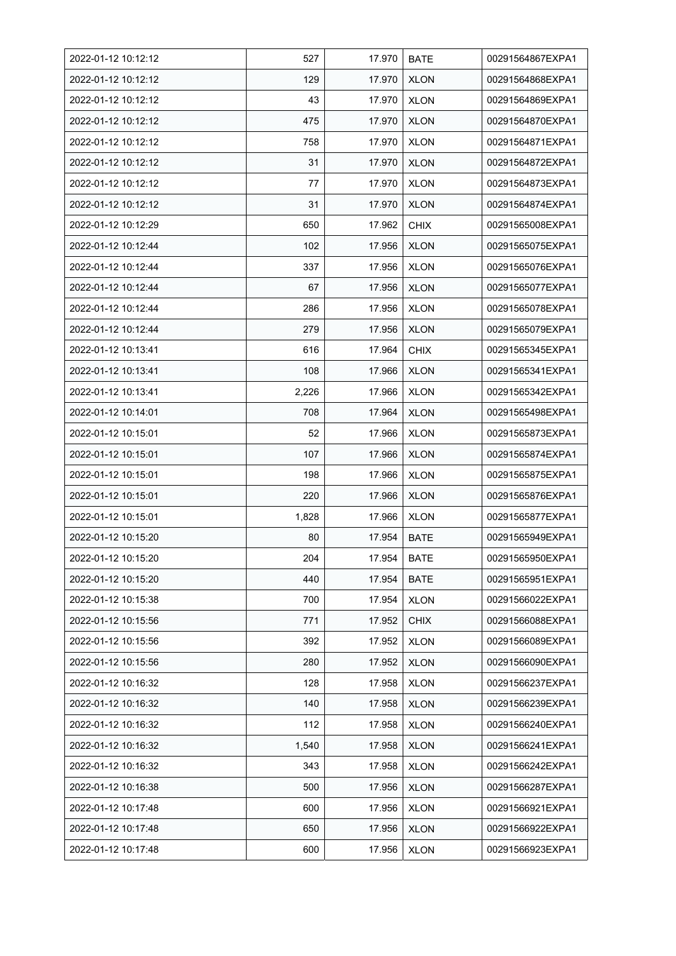| 2022-01-12 10:12:12 | 527   | 17.970 | <b>BATE</b> | 00291564867EXPA1 |
|---------------------|-------|--------|-------------|------------------|
| 2022-01-12 10:12:12 | 129   | 17.970 | <b>XLON</b> | 00291564868EXPA1 |
| 2022-01-12 10:12:12 | 43    | 17.970 | <b>XLON</b> | 00291564869EXPA1 |
| 2022-01-12 10:12:12 | 475   | 17.970 | <b>XLON</b> | 00291564870EXPA1 |
| 2022-01-12 10:12:12 | 758   | 17.970 | <b>XLON</b> | 00291564871EXPA1 |
| 2022-01-12 10:12:12 | 31    | 17.970 | <b>XLON</b> | 00291564872EXPA1 |
| 2022-01-12 10:12:12 | 77    | 17.970 | <b>XLON</b> | 00291564873EXPA1 |
| 2022-01-12 10:12:12 | 31    | 17.970 | <b>XLON</b> | 00291564874EXPA1 |
| 2022-01-12 10:12:29 | 650   | 17.962 | <b>CHIX</b> | 00291565008EXPA1 |
| 2022-01-12 10:12:44 | 102   | 17.956 | <b>XLON</b> | 00291565075EXPA1 |
| 2022-01-12 10:12:44 | 337   | 17.956 | <b>XLON</b> | 00291565076EXPA1 |
| 2022-01-12 10:12:44 | 67    | 17.956 | <b>XLON</b> | 00291565077EXPA1 |
| 2022-01-12 10:12:44 | 286   | 17.956 | <b>XLON</b> | 00291565078EXPA1 |
| 2022-01-12 10:12:44 | 279   | 17.956 | <b>XLON</b> | 00291565079EXPA1 |
| 2022-01-12 10:13:41 | 616   | 17.964 | <b>CHIX</b> | 00291565345EXPA1 |
| 2022-01-12 10:13:41 | 108   | 17.966 | <b>XLON</b> | 00291565341EXPA1 |
| 2022-01-12 10:13:41 | 2,226 | 17.966 | <b>XLON</b> | 00291565342EXPA1 |
| 2022-01-12 10:14:01 | 708   | 17.964 | <b>XLON</b> | 00291565498EXPA1 |
| 2022-01-12 10:15:01 | 52    | 17.966 | <b>XLON</b> | 00291565873EXPA1 |
| 2022-01-12 10:15:01 | 107   | 17.966 | <b>XLON</b> | 00291565874EXPA1 |
| 2022-01-12 10:15:01 | 198   | 17.966 | <b>XLON</b> | 00291565875EXPA1 |
| 2022-01-12 10:15:01 | 220   | 17.966 | <b>XLON</b> | 00291565876EXPA1 |
| 2022-01-12 10:15:01 | 1,828 | 17.966 | <b>XLON</b> | 00291565877EXPA1 |
| 2022-01-12 10:15:20 | 80    | 17.954 | <b>BATE</b> | 00291565949EXPA1 |
| 2022-01-12 10:15:20 | 204   | 17.954 | <b>BATE</b> | 00291565950EXPA1 |
| 2022-01-12 10:15:20 | 440   | 17.954 | BATE        | 00291565951EXPA1 |
| 2022-01-12 10:15:38 | 700   | 17.954 | <b>XLON</b> | 00291566022EXPA1 |
| 2022-01-12 10:15:56 | 771   | 17.952 | <b>CHIX</b> | 00291566088EXPA1 |
| 2022-01-12 10:15:56 | 392   | 17.952 | <b>XLON</b> | 00291566089EXPA1 |
| 2022-01-12 10:15:56 | 280   | 17.952 | <b>XLON</b> | 00291566090EXPA1 |
| 2022-01-12 10:16:32 | 128   | 17.958 | <b>XLON</b> | 00291566237EXPA1 |
| 2022-01-12 10:16:32 | 140   | 17.958 | <b>XLON</b> | 00291566239EXPA1 |
| 2022-01-12 10:16:32 | 112   | 17.958 | <b>XLON</b> | 00291566240EXPA1 |
| 2022-01-12 10:16:32 | 1,540 | 17.958 | <b>XLON</b> | 00291566241EXPA1 |
| 2022-01-12 10:16:32 | 343   | 17.958 | <b>XLON</b> | 00291566242EXPA1 |
| 2022-01-12 10:16:38 | 500   | 17.956 | <b>XLON</b> | 00291566287EXPA1 |
| 2022-01-12 10:17:48 | 600   | 17.956 | <b>XLON</b> | 00291566921EXPA1 |
| 2022-01-12 10:17:48 | 650   | 17.956 | <b>XLON</b> | 00291566922EXPA1 |
| 2022-01-12 10:17:48 | 600   | 17.956 | <b>XLON</b> | 00291566923EXPA1 |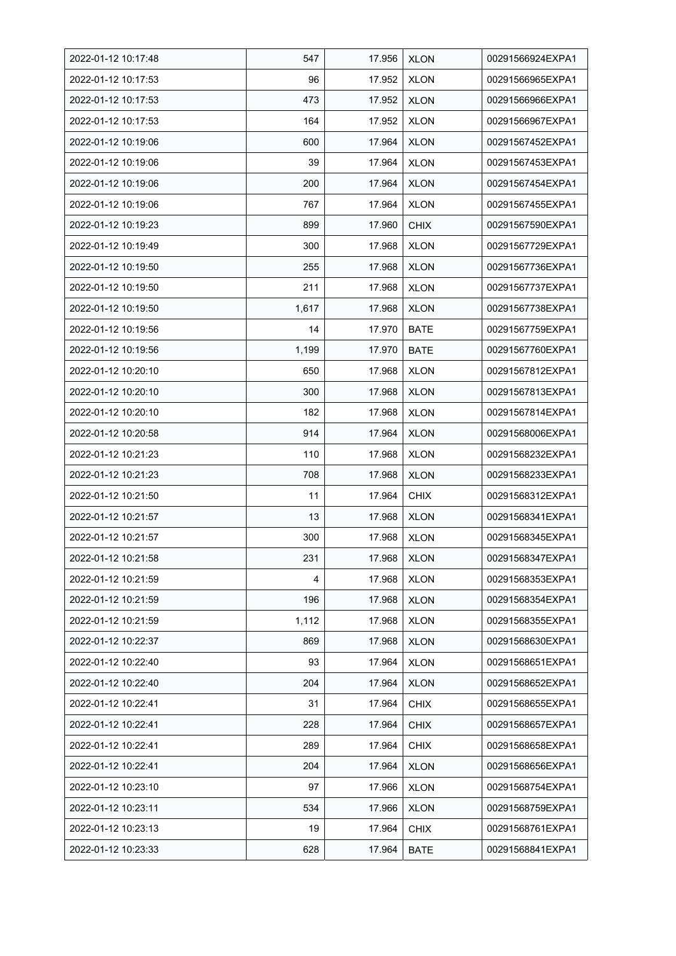| 2022-01-12 10:17:48 | 547   | 17.956 | <b>XLON</b> | 00291566924EXPA1 |
|---------------------|-------|--------|-------------|------------------|
| 2022-01-12 10:17:53 | 96    | 17.952 | <b>XLON</b> | 00291566965EXPA1 |
| 2022-01-12 10:17:53 | 473   | 17.952 | <b>XLON</b> | 00291566966EXPA1 |
| 2022-01-12 10:17:53 | 164   | 17.952 | <b>XLON</b> | 00291566967EXPA1 |
| 2022-01-12 10:19:06 | 600   | 17.964 | <b>XLON</b> | 00291567452EXPA1 |
| 2022-01-12 10:19:06 | 39    | 17.964 | <b>XLON</b> | 00291567453EXPA1 |
| 2022-01-12 10:19:06 | 200   | 17.964 | <b>XLON</b> | 00291567454EXPA1 |
| 2022-01-12 10:19:06 | 767   | 17.964 | <b>XLON</b> | 00291567455EXPA1 |
| 2022-01-12 10:19:23 | 899   | 17.960 | <b>CHIX</b> | 00291567590EXPA1 |
| 2022-01-12 10:19:49 | 300   | 17.968 | <b>XLON</b> | 00291567729EXPA1 |
| 2022-01-12 10:19:50 | 255   | 17.968 | <b>XLON</b> | 00291567736EXPA1 |
| 2022-01-12 10:19:50 | 211   | 17.968 | <b>XLON</b> | 00291567737EXPA1 |
| 2022-01-12 10:19:50 | 1,617 | 17.968 | <b>XLON</b> | 00291567738EXPA1 |
| 2022-01-12 10:19:56 | 14    | 17.970 | <b>BATE</b> | 00291567759EXPA1 |
| 2022-01-12 10:19:56 | 1,199 | 17.970 | <b>BATE</b> | 00291567760EXPA1 |
| 2022-01-12 10:20:10 | 650   | 17.968 | <b>XLON</b> | 00291567812EXPA1 |
| 2022-01-12 10:20:10 | 300   | 17.968 | <b>XLON</b> | 00291567813EXPA1 |
| 2022-01-12 10:20:10 | 182   | 17.968 | <b>XLON</b> | 00291567814EXPA1 |
| 2022-01-12 10:20:58 | 914   | 17.964 | <b>XLON</b> | 00291568006EXPA1 |
| 2022-01-12 10:21:23 | 110   | 17.968 | <b>XLON</b> | 00291568232EXPA1 |
| 2022-01-12 10:21:23 | 708   | 17.968 | <b>XLON</b> | 00291568233EXPA1 |
| 2022-01-12 10:21:50 | 11    | 17.964 | <b>CHIX</b> | 00291568312EXPA1 |
| 2022-01-12 10:21:57 | 13    | 17.968 | <b>XLON</b> | 00291568341EXPA1 |
| 2022-01-12 10:21:57 | 300   | 17.968 | <b>XLON</b> | 00291568345EXPA1 |
| 2022-01-12 10:21:58 | 231   | 17.968 | <b>XLON</b> | 00291568347EXPA1 |
| 2022-01-12 10:21:59 | 4     | 17.968 | <b>XLON</b> | 00291568353EXPA1 |
| 2022-01-12 10:21:59 | 196   | 17.968 | <b>XLON</b> | 00291568354EXPA1 |
| 2022-01-12 10:21:59 | 1,112 | 17.968 | <b>XLON</b> | 00291568355EXPA1 |
| 2022-01-12 10:22:37 | 869   | 17.968 | <b>XLON</b> | 00291568630EXPA1 |
| 2022-01-12 10:22:40 | 93    | 17.964 | <b>XLON</b> | 00291568651EXPA1 |
| 2022-01-12 10:22:40 | 204   | 17.964 | <b>XLON</b> | 00291568652EXPA1 |
| 2022-01-12 10:22:41 | 31    | 17.964 | <b>CHIX</b> | 00291568655EXPA1 |
| 2022-01-12 10:22:41 | 228   | 17.964 | <b>CHIX</b> | 00291568657EXPA1 |
| 2022-01-12 10:22:41 | 289   | 17.964 | <b>CHIX</b> | 00291568658EXPA1 |
| 2022-01-12 10:22:41 | 204   | 17.964 | <b>XLON</b> | 00291568656EXPA1 |
| 2022-01-12 10:23:10 | 97    | 17.966 | XLON        | 00291568754EXPA1 |
| 2022-01-12 10:23:11 | 534   | 17.966 | <b>XLON</b> | 00291568759EXPA1 |
| 2022-01-12 10:23:13 | 19    | 17.964 | <b>CHIX</b> | 00291568761EXPA1 |
| 2022-01-12 10:23:33 | 628   | 17.964 | <b>BATE</b> | 00291568841EXPA1 |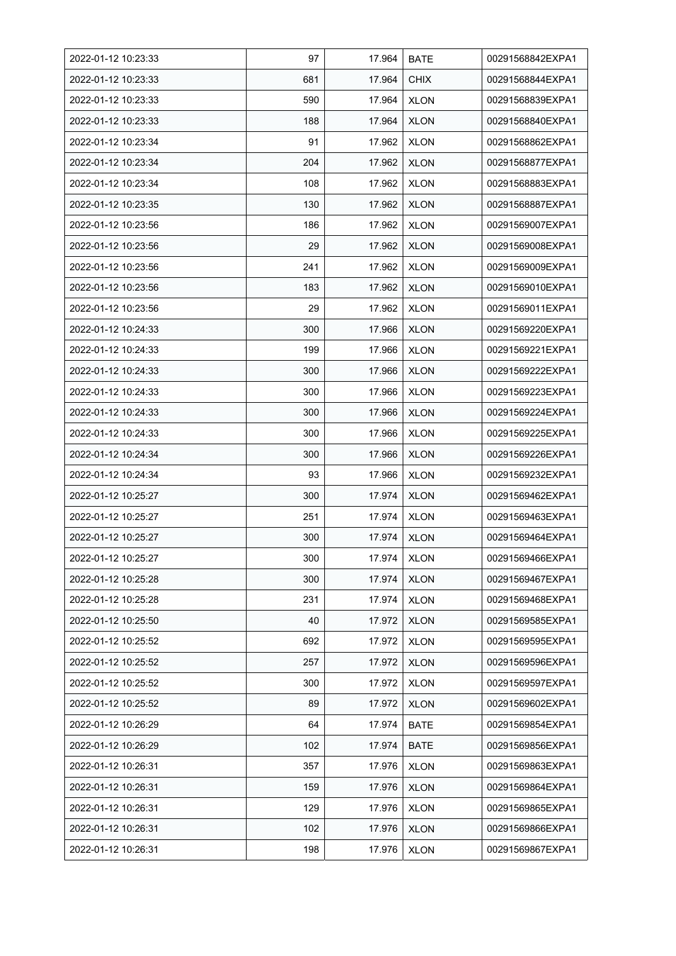| 2022-01-12 10:23:33 | 97  | 17.964 | <b>BATE</b> | 00291568842EXPA1 |
|---------------------|-----|--------|-------------|------------------|
| 2022-01-12 10:23:33 | 681 | 17.964 | <b>CHIX</b> | 00291568844EXPA1 |
| 2022-01-12 10:23:33 | 590 | 17.964 | <b>XLON</b> | 00291568839EXPA1 |
| 2022-01-12 10:23:33 | 188 | 17.964 | <b>XLON</b> | 00291568840EXPA1 |
| 2022-01-12 10:23:34 | 91  | 17.962 | <b>XLON</b> | 00291568862EXPA1 |
| 2022-01-12 10:23:34 | 204 | 17.962 | <b>XLON</b> | 00291568877EXPA1 |
| 2022-01-12 10:23:34 | 108 | 17.962 | <b>XLON</b> | 00291568883EXPA1 |
| 2022-01-12 10:23:35 | 130 | 17.962 | <b>XLON</b> | 00291568887EXPA1 |
| 2022-01-12 10:23:56 | 186 | 17.962 | <b>XLON</b> | 00291569007EXPA1 |
| 2022-01-12 10:23:56 | 29  | 17.962 | <b>XLON</b> | 00291569008EXPA1 |
| 2022-01-12 10:23:56 | 241 | 17.962 | <b>XLON</b> | 00291569009EXPA1 |
| 2022-01-12 10:23:56 | 183 | 17.962 | <b>XLON</b> | 00291569010EXPA1 |
| 2022-01-12 10:23:56 | 29  | 17.962 | <b>XLON</b> | 00291569011EXPA1 |
| 2022-01-12 10:24:33 | 300 | 17.966 | <b>XLON</b> | 00291569220EXPA1 |
| 2022-01-12 10:24:33 | 199 | 17.966 | <b>XLON</b> | 00291569221EXPA1 |
| 2022-01-12 10:24:33 | 300 | 17.966 | <b>XLON</b> | 00291569222EXPA1 |
| 2022-01-12 10:24:33 | 300 | 17.966 | <b>XLON</b> | 00291569223EXPA1 |
| 2022-01-12 10:24:33 | 300 | 17.966 | <b>XLON</b> | 00291569224EXPA1 |
| 2022-01-12 10:24:33 | 300 | 17.966 | <b>XLON</b> | 00291569225EXPA1 |
| 2022-01-12 10:24:34 | 300 | 17.966 | <b>XLON</b> | 00291569226EXPA1 |
| 2022-01-12 10:24:34 | 93  | 17.966 | <b>XLON</b> | 00291569232EXPA1 |
| 2022-01-12 10:25:27 | 300 | 17.974 | <b>XLON</b> | 00291569462EXPA1 |
| 2022-01-12 10:25:27 | 251 | 17.974 | <b>XLON</b> | 00291569463EXPA1 |
| 2022-01-12 10:25:27 | 300 | 17.974 | <b>XLON</b> | 00291569464EXPA1 |
| 2022-01-12 10:25:27 | 300 | 17.974 | <b>XLON</b> | 00291569466EXPA1 |
| 2022-01-12 10:25:28 | 300 | 17.974 | <b>XLON</b> | 00291569467EXPA1 |
| 2022-01-12 10:25:28 | 231 | 17.974 | <b>XLON</b> | 00291569468EXPA1 |
| 2022-01-12 10:25:50 | 40  | 17.972 | <b>XLON</b> | 00291569585EXPA1 |
| 2022-01-12 10:25:52 | 692 | 17.972 | <b>XLON</b> | 00291569595EXPA1 |
| 2022-01-12 10:25:52 | 257 | 17.972 | <b>XLON</b> | 00291569596EXPA1 |
| 2022-01-12 10:25:52 | 300 | 17.972 | <b>XLON</b> | 00291569597EXPA1 |
| 2022-01-12 10:25:52 | 89  | 17.972 | <b>XLON</b> | 00291569602EXPA1 |
| 2022-01-12 10:26:29 | 64  | 17.974 | <b>BATE</b> | 00291569854EXPA1 |
| 2022-01-12 10:26:29 | 102 | 17.974 | <b>BATE</b> | 00291569856EXPA1 |
| 2022-01-12 10:26:31 | 357 | 17.976 | <b>XLON</b> | 00291569863EXPA1 |
| 2022-01-12 10:26:31 | 159 | 17.976 | <b>XLON</b> | 00291569864EXPA1 |
| 2022-01-12 10:26:31 | 129 | 17.976 | <b>XLON</b> | 00291569865EXPA1 |
| 2022-01-12 10:26:31 | 102 | 17.976 | <b>XLON</b> | 00291569866EXPA1 |
| 2022-01-12 10:26:31 | 198 | 17.976 | <b>XLON</b> | 00291569867EXPA1 |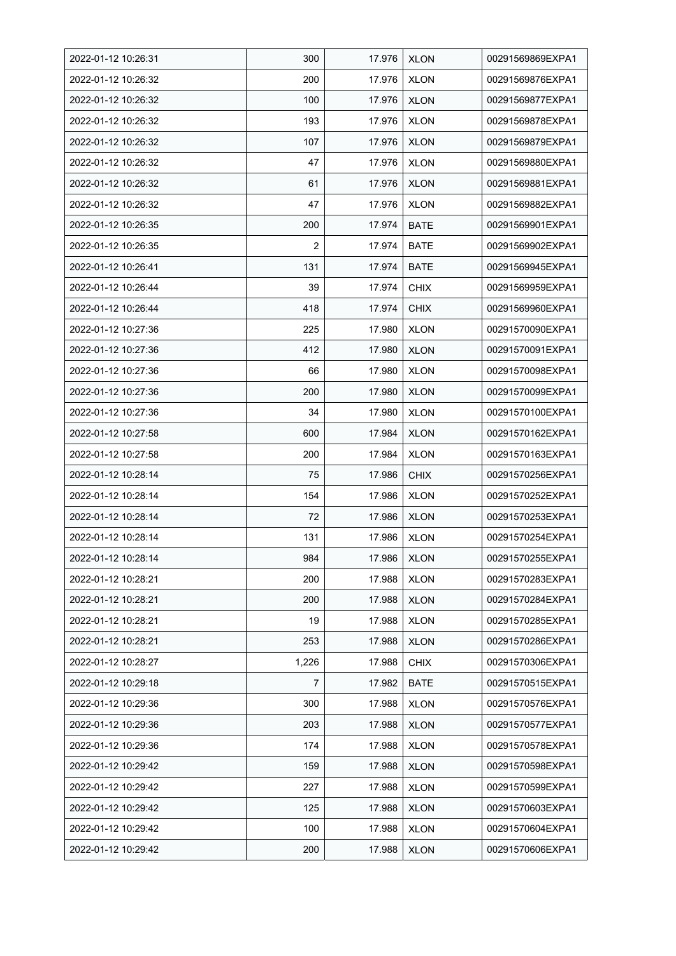| 2022-01-12 10:26:31 | 300   | 17.976 | <b>XLON</b> | 00291569869EXPA1 |
|---------------------|-------|--------|-------------|------------------|
| 2022-01-12 10:26:32 | 200   | 17.976 | <b>XLON</b> | 00291569876EXPA1 |
| 2022-01-12 10:26:32 | 100   | 17.976 | <b>XLON</b> | 00291569877EXPA1 |
| 2022-01-12 10:26:32 | 193   | 17.976 | <b>XLON</b> | 00291569878EXPA1 |
| 2022-01-12 10:26:32 | 107   | 17.976 | <b>XLON</b> | 00291569879EXPA1 |
| 2022-01-12 10:26:32 | 47    | 17.976 | <b>XLON</b> | 00291569880EXPA1 |
| 2022-01-12 10:26:32 | 61    | 17.976 | <b>XLON</b> | 00291569881EXPA1 |
| 2022-01-12 10:26:32 | 47    | 17.976 | <b>XLON</b> | 00291569882EXPA1 |
| 2022-01-12 10:26:35 | 200   | 17.974 | <b>BATE</b> | 00291569901EXPA1 |
| 2022-01-12 10:26:35 | 2     | 17.974 | <b>BATE</b> | 00291569902EXPA1 |
| 2022-01-12 10:26:41 | 131   | 17.974 | <b>BATE</b> | 00291569945EXPA1 |
| 2022-01-12 10:26:44 | 39    | 17.974 | <b>CHIX</b> | 00291569959EXPA1 |
| 2022-01-12 10:26:44 | 418   | 17.974 | <b>CHIX</b> | 00291569960EXPA1 |
| 2022-01-12 10:27:36 | 225   | 17.980 | <b>XLON</b> | 00291570090EXPA1 |
| 2022-01-12 10:27:36 | 412   | 17.980 | <b>XLON</b> | 00291570091EXPA1 |
| 2022-01-12 10:27:36 | 66    | 17.980 | <b>XLON</b> | 00291570098EXPA1 |
| 2022-01-12 10:27:36 | 200   | 17.980 | <b>XLON</b> | 00291570099EXPA1 |
| 2022-01-12 10:27:36 | 34    | 17.980 | <b>XLON</b> | 00291570100EXPA1 |
| 2022-01-12 10:27:58 | 600   | 17.984 | <b>XLON</b> | 00291570162EXPA1 |
| 2022-01-12 10:27:58 | 200   | 17.984 | <b>XLON</b> | 00291570163EXPA1 |
| 2022-01-12 10:28:14 | 75    | 17.986 | <b>CHIX</b> | 00291570256EXPA1 |
| 2022-01-12 10:28:14 | 154   | 17.986 | <b>XLON</b> | 00291570252EXPA1 |
| 2022-01-12 10:28:14 | 72    | 17.986 | <b>XLON</b> | 00291570253EXPA1 |
| 2022-01-12 10:28:14 | 131   | 17.986 | <b>XLON</b> | 00291570254EXPA1 |
| 2022-01-12 10:28:14 | 984   | 17.986 | <b>XLON</b> | 00291570255EXPA1 |
| 2022-01-12 10:28:21 | 200   | 17.988 | <b>XLON</b> | 00291570283EXPA1 |
| 2022-01-12 10:28:21 | 200   | 17.988 | <b>XLON</b> | 00291570284EXPA1 |
| 2022-01-12 10:28:21 | 19    | 17.988 | <b>XLON</b> | 00291570285EXPA1 |
| 2022-01-12 10:28:21 | 253   | 17.988 | <b>XLON</b> | 00291570286EXPA1 |
| 2022-01-12 10:28:27 | 1,226 | 17.988 | <b>CHIX</b> | 00291570306EXPA1 |
| 2022-01-12 10:29:18 | 7     | 17.982 | <b>BATE</b> | 00291570515EXPA1 |
| 2022-01-12 10:29:36 | 300   | 17.988 | <b>XLON</b> | 00291570576EXPA1 |
| 2022-01-12 10:29:36 | 203   | 17.988 | <b>XLON</b> | 00291570577EXPA1 |
| 2022-01-12 10:29:36 | 174   | 17.988 | <b>XLON</b> | 00291570578EXPA1 |
| 2022-01-12 10:29:42 | 159   | 17.988 | <b>XLON</b> | 00291570598EXPA1 |
| 2022-01-12 10:29:42 | 227   | 17.988 | <b>XLON</b> | 00291570599EXPA1 |
| 2022-01-12 10:29:42 | 125   | 17.988 | <b>XLON</b> | 00291570603EXPA1 |
| 2022-01-12 10:29:42 | 100   | 17.988 | <b>XLON</b> | 00291570604EXPA1 |
| 2022-01-12 10:29:42 | 200   | 17.988 | <b>XLON</b> | 00291570606EXPA1 |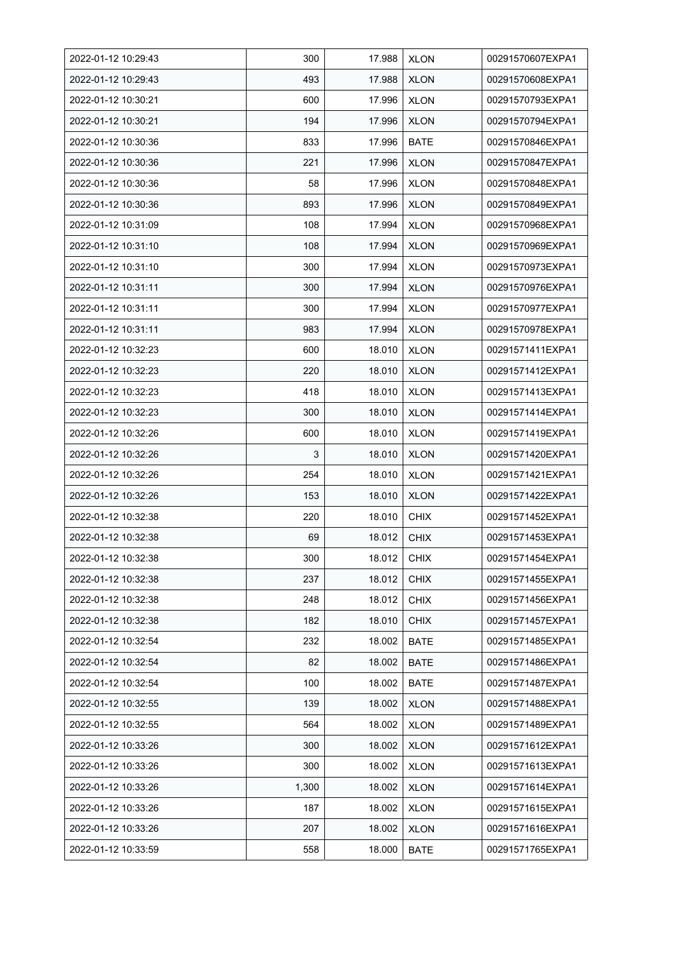| 2022-01-12 10:29:43 | 300   | 17.988 | <b>XLON</b> | 00291570607EXPA1 |
|---------------------|-------|--------|-------------|------------------|
| 2022-01-12 10:29:43 | 493   | 17.988 | <b>XLON</b> | 00291570608EXPA1 |
| 2022-01-12 10:30:21 | 600   | 17.996 | <b>XLON</b> | 00291570793EXPA1 |
| 2022-01-12 10:30:21 | 194   | 17.996 | <b>XLON</b> | 00291570794EXPA1 |
| 2022-01-12 10:30:36 | 833   | 17.996 | <b>BATE</b> | 00291570846EXPA1 |
| 2022-01-12 10:30:36 | 221   | 17.996 | <b>XLON</b> | 00291570847EXPA1 |
| 2022-01-12 10:30:36 | 58    | 17.996 | <b>XLON</b> | 00291570848EXPA1 |
| 2022-01-12 10:30:36 | 893   | 17.996 | <b>XLON</b> | 00291570849EXPA1 |
| 2022-01-12 10:31:09 | 108   | 17.994 | <b>XLON</b> | 00291570968EXPA1 |
| 2022-01-12 10:31:10 | 108   | 17.994 | <b>XLON</b> | 00291570969EXPA1 |
| 2022-01-12 10:31:10 | 300   | 17.994 | <b>XLON</b> | 00291570973EXPA1 |
| 2022-01-12 10:31:11 | 300   | 17.994 | <b>XLON</b> | 00291570976EXPA1 |
| 2022-01-12 10:31:11 | 300   | 17.994 | <b>XLON</b> | 00291570977EXPA1 |
| 2022-01-12 10:31:11 | 983   | 17.994 | <b>XLON</b> | 00291570978EXPA1 |
| 2022-01-12 10:32:23 | 600   | 18.010 | <b>XLON</b> | 00291571411EXPA1 |
| 2022-01-12 10:32:23 | 220   | 18.010 | <b>XLON</b> | 00291571412EXPA1 |
| 2022-01-12 10:32:23 | 418   | 18.010 | <b>XLON</b> | 00291571413EXPA1 |
| 2022-01-12 10:32:23 | 300   | 18.010 | <b>XLON</b> | 00291571414EXPA1 |
| 2022-01-12 10:32:26 | 600   | 18.010 | <b>XLON</b> | 00291571419EXPA1 |
| 2022-01-12 10:32:26 | 3     | 18.010 | <b>XLON</b> | 00291571420EXPA1 |
| 2022-01-12 10:32:26 | 254   | 18.010 | <b>XLON</b> | 00291571421EXPA1 |
| 2022-01-12 10:32:26 | 153   | 18.010 | <b>XLON</b> | 00291571422EXPA1 |
| 2022-01-12 10:32:38 | 220   | 18.010 | <b>CHIX</b> | 00291571452EXPA1 |
| 2022-01-12 10:32:38 | 69    | 18.012 | <b>CHIX</b> | 00291571453EXPA1 |
| 2022-01-12 10:32:38 | 300   | 18.012 | <b>CHIX</b> | 00291571454EXPA1 |
| 2022-01-12 10:32:38 | 237   | 18.012 | <b>CHIX</b> | 00291571455EXPA1 |
| 2022-01-12 10:32:38 | 248   | 18.012 | <b>CHIX</b> | 00291571456EXPA1 |
| 2022-01-12 10:32:38 | 182   | 18.010 | <b>CHIX</b> | 00291571457EXPA1 |
| 2022-01-12 10:32:54 | 232   | 18.002 | <b>BATE</b> | 00291571485EXPA1 |
| 2022-01-12 10:32:54 | 82    | 18.002 | <b>BATE</b> | 00291571486EXPA1 |
| 2022-01-12 10:32:54 | 100   | 18.002 | <b>BATE</b> | 00291571487EXPA1 |
| 2022-01-12 10:32:55 | 139   | 18.002 | <b>XLON</b> | 00291571488EXPA1 |
| 2022-01-12 10:32:55 | 564   | 18.002 | <b>XLON</b> | 00291571489EXPA1 |
| 2022-01-12 10:33:26 | 300   | 18.002 | <b>XLON</b> | 00291571612EXPA1 |
| 2022-01-12 10:33:26 | 300   | 18.002 | <b>XLON</b> | 00291571613EXPA1 |
| 2022-01-12 10:33:26 | 1,300 | 18.002 | <b>XLON</b> | 00291571614EXPA1 |
| 2022-01-12 10:33:26 | 187   | 18.002 | <b>XLON</b> | 00291571615EXPA1 |
| 2022-01-12 10:33:26 | 207   | 18.002 | <b>XLON</b> | 00291571616EXPA1 |
| 2022-01-12 10:33:59 | 558   | 18.000 | <b>BATE</b> | 00291571765EXPA1 |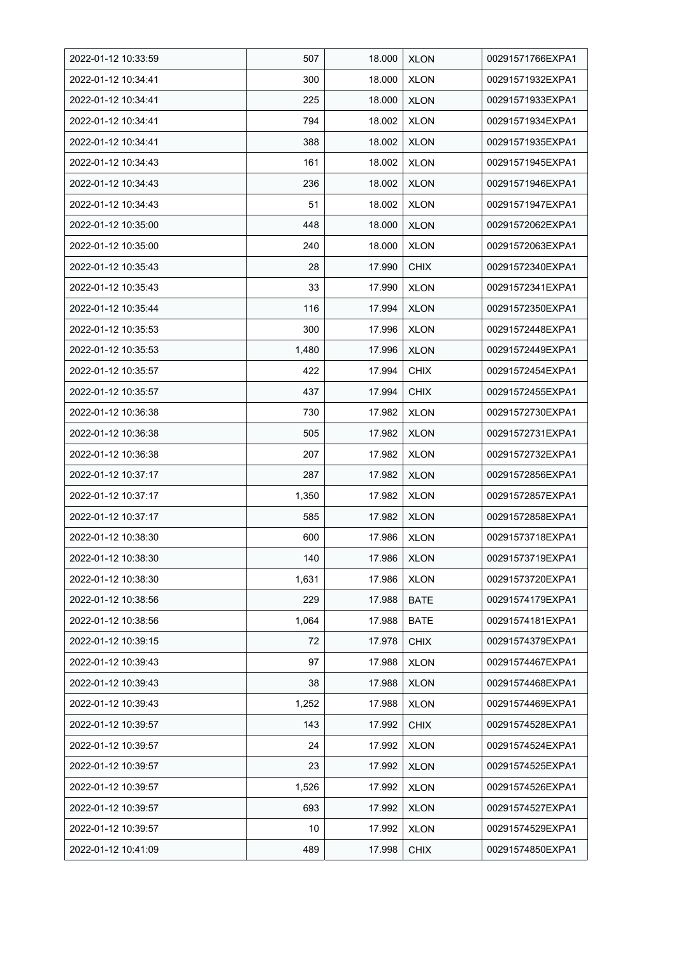| 2022-01-12 10:33:59 | 507   | 18.000 | <b>XLON</b> | 00291571766EXPA1 |
|---------------------|-------|--------|-------------|------------------|
| 2022-01-12 10:34:41 | 300   | 18.000 | <b>XLON</b> | 00291571932EXPA1 |
| 2022-01-12 10:34:41 | 225   | 18.000 | <b>XLON</b> | 00291571933EXPA1 |
| 2022-01-12 10:34:41 | 794   | 18.002 | <b>XLON</b> | 00291571934EXPA1 |
| 2022-01-12 10:34:41 | 388   | 18.002 | <b>XLON</b> | 00291571935EXPA1 |
| 2022-01-12 10:34:43 | 161   | 18.002 | <b>XLON</b> | 00291571945EXPA1 |
| 2022-01-12 10:34:43 | 236   | 18.002 | <b>XLON</b> | 00291571946EXPA1 |
| 2022-01-12 10:34:43 | 51    | 18.002 | <b>XLON</b> | 00291571947EXPA1 |
| 2022-01-12 10:35:00 | 448   | 18.000 | <b>XLON</b> | 00291572062EXPA1 |
| 2022-01-12 10:35:00 | 240   | 18.000 | <b>XLON</b> | 00291572063EXPA1 |
| 2022-01-12 10:35:43 | 28    | 17.990 | <b>CHIX</b> | 00291572340EXPA1 |
| 2022-01-12 10:35:43 | 33    | 17.990 | <b>XLON</b> | 00291572341EXPA1 |
| 2022-01-12 10:35:44 | 116   | 17.994 | <b>XLON</b> | 00291572350EXPA1 |
| 2022-01-12 10:35:53 | 300   | 17.996 | <b>XLON</b> | 00291572448EXPA1 |
| 2022-01-12 10:35:53 | 1,480 | 17.996 | <b>XLON</b> | 00291572449EXPA1 |
| 2022-01-12 10:35:57 | 422   | 17.994 | <b>CHIX</b> | 00291572454EXPA1 |
| 2022-01-12 10:35:57 | 437   | 17.994 | <b>CHIX</b> | 00291572455EXPA1 |
| 2022-01-12 10:36:38 | 730   | 17.982 | <b>XLON</b> | 00291572730EXPA1 |
| 2022-01-12 10:36:38 | 505   | 17.982 | <b>XLON</b> | 00291572731EXPA1 |
| 2022-01-12 10:36:38 | 207   | 17.982 | <b>XLON</b> | 00291572732EXPA1 |
| 2022-01-12 10:37:17 | 287   | 17.982 | <b>XLON</b> | 00291572856EXPA1 |
| 2022-01-12 10:37:17 | 1,350 | 17.982 | <b>XLON</b> | 00291572857EXPA1 |
| 2022-01-12 10:37:17 | 585   | 17.982 | <b>XLON</b> | 00291572858EXPA1 |
| 2022-01-12 10:38:30 | 600   | 17.986 | <b>XLON</b> | 00291573718EXPA1 |
| 2022-01-12 10:38:30 | 140   | 17.986 | <b>XLON</b> | 00291573719EXPA1 |
| 2022-01-12 10:38:30 | 1,631 | 17.986 | <b>XLON</b> | 00291573720EXPA1 |
| 2022-01-12 10:38:56 | 229   | 17.988 | <b>BATE</b> | 00291574179EXPA1 |
| 2022-01-12 10:38:56 | 1,064 | 17.988 | <b>BATE</b> | 00291574181EXPA1 |
| 2022-01-12 10:39:15 | 72    | 17.978 | <b>CHIX</b> | 00291574379EXPA1 |
| 2022-01-12 10:39:43 | 97    | 17.988 | <b>XLON</b> | 00291574467EXPA1 |
| 2022-01-12 10:39:43 | 38    | 17.988 | <b>XLON</b> | 00291574468EXPA1 |
| 2022-01-12 10:39:43 | 1,252 | 17.988 | <b>XLON</b> | 00291574469EXPA1 |
| 2022-01-12 10:39:57 | 143   | 17.992 | <b>CHIX</b> | 00291574528EXPA1 |
| 2022-01-12 10:39:57 | 24    | 17.992 | <b>XLON</b> | 00291574524EXPA1 |
| 2022-01-12 10:39:57 | 23    | 17.992 | <b>XLON</b> | 00291574525EXPA1 |
| 2022-01-12 10:39:57 | 1,526 | 17.992 | <b>XLON</b> | 00291574526EXPA1 |
| 2022-01-12 10:39:57 | 693   | 17.992 | <b>XLON</b> | 00291574527EXPA1 |
| 2022-01-12 10:39:57 | 10    | 17.992 | <b>XLON</b> | 00291574529EXPA1 |
| 2022-01-12 10:41:09 | 489   | 17.998 | <b>CHIX</b> | 00291574850EXPA1 |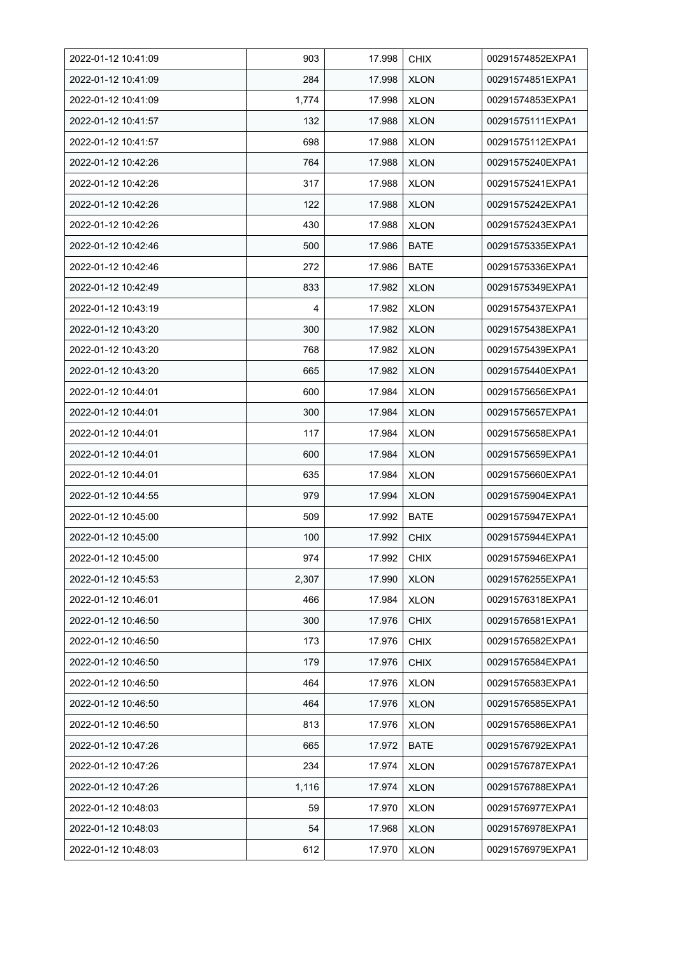| 2022-01-12 10:41:09 | 903   | 17.998 | <b>CHIX</b> | 00291574852EXPA1 |
|---------------------|-------|--------|-------------|------------------|
| 2022-01-12 10:41:09 | 284   | 17.998 | <b>XLON</b> | 00291574851EXPA1 |
| 2022-01-12 10:41:09 | 1,774 | 17.998 | <b>XLON</b> | 00291574853EXPA1 |
| 2022-01-12 10:41:57 | 132   | 17.988 | <b>XLON</b> | 00291575111EXPA1 |
| 2022-01-12 10:41:57 | 698   | 17.988 | <b>XLON</b> | 00291575112EXPA1 |
| 2022-01-12 10:42:26 | 764   | 17.988 | <b>XLON</b> | 00291575240EXPA1 |
| 2022-01-12 10:42:26 | 317   | 17.988 | <b>XLON</b> | 00291575241EXPA1 |
| 2022-01-12 10:42:26 | 122   | 17.988 | <b>XLON</b> | 00291575242EXPA1 |
| 2022-01-12 10:42:26 | 430   | 17.988 | <b>XLON</b> | 00291575243EXPA1 |
| 2022-01-12 10:42:46 | 500   | 17.986 | <b>BATE</b> | 00291575335EXPA1 |
| 2022-01-12 10:42:46 | 272   | 17.986 | <b>BATE</b> | 00291575336EXPA1 |
| 2022-01-12 10:42:49 | 833   | 17.982 | <b>XLON</b> | 00291575349EXPA1 |
| 2022-01-12 10:43:19 | 4     | 17.982 | <b>XLON</b> | 00291575437EXPA1 |
| 2022-01-12 10:43:20 | 300   | 17.982 | <b>XLON</b> | 00291575438EXPA1 |
| 2022-01-12 10:43:20 | 768   | 17.982 | <b>XLON</b> | 00291575439EXPA1 |
| 2022-01-12 10:43:20 | 665   | 17.982 | <b>XLON</b> | 00291575440EXPA1 |
| 2022-01-12 10:44:01 | 600   | 17.984 | <b>XLON</b> | 00291575656EXPA1 |
| 2022-01-12 10:44:01 | 300   | 17.984 | <b>XLON</b> | 00291575657EXPA1 |
| 2022-01-12 10:44:01 | 117   | 17.984 | <b>XLON</b> | 00291575658EXPA1 |
| 2022-01-12 10:44:01 | 600   | 17.984 | <b>XLON</b> | 00291575659EXPA1 |
| 2022-01-12 10:44:01 | 635   | 17.984 | <b>XLON</b> | 00291575660EXPA1 |
| 2022-01-12 10:44:55 | 979   | 17.994 | <b>XLON</b> | 00291575904EXPA1 |
| 2022-01-12 10:45:00 | 509   | 17.992 | <b>BATE</b> | 00291575947EXPA1 |
| 2022-01-12 10:45:00 | 100   | 17.992 | <b>CHIX</b> | 00291575944EXPA1 |
| 2022-01-12 10:45:00 | 974   | 17.992 | <b>CHIX</b> | 00291575946EXPA1 |
| 2022-01-12 10:45:53 | 2,307 | 17.990 | <b>XLON</b> | 00291576255EXPA1 |
| 2022-01-12 10:46:01 | 466   | 17.984 | <b>XLON</b> | 00291576318EXPA1 |
| 2022-01-12 10:46:50 | 300   | 17.976 | <b>CHIX</b> | 00291576581EXPA1 |
| 2022-01-12 10:46:50 | 173   | 17.976 | <b>CHIX</b> | 00291576582EXPA1 |
| 2022-01-12 10:46:50 | 179   | 17.976 | <b>CHIX</b> | 00291576584EXPA1 |
| 2022-01-12 10:46:50 | 464   | 17.976 | <b>XLON</b> | 00291576583EXPA1 |
| 2022-01-12 10:46:50 | 464   | 17.976 | <b>XLON</b> | 00291576585EXPA1 |
| 2022-01-12 10:46:50 | 813   | 17.976 | <b>XLON</b> | 00291576586EXPA1 |
| 2022-01-12 10:47:26 | 665   | 17.972 | <b>BATE</b> | 00291576792EXPA1 |
| 2022-01-12 10:47:26 | 234   | 17.974 | <b>XLON</b> | 00291576787EXPA1 |
| 2022-01-12 10:47:26 | 1,116 | 17.974 | <b>XLON</b> | 00291576788EXPA1 |
| 2022-01-12 10:48:03 | 59    | 17.970 | <b>XLON</b> | 00291576977EXPA1 |
| 2022-01-12 10:48:03 | 54    | 17.968 | <b>XLON</b> | 00291576978EXPA1 |
| 2022-01-12 10:48:03 | 612   | 17.970 | <b>XLON</b> | 00291576979EXPA1 |
|                     |       |        |             |                  |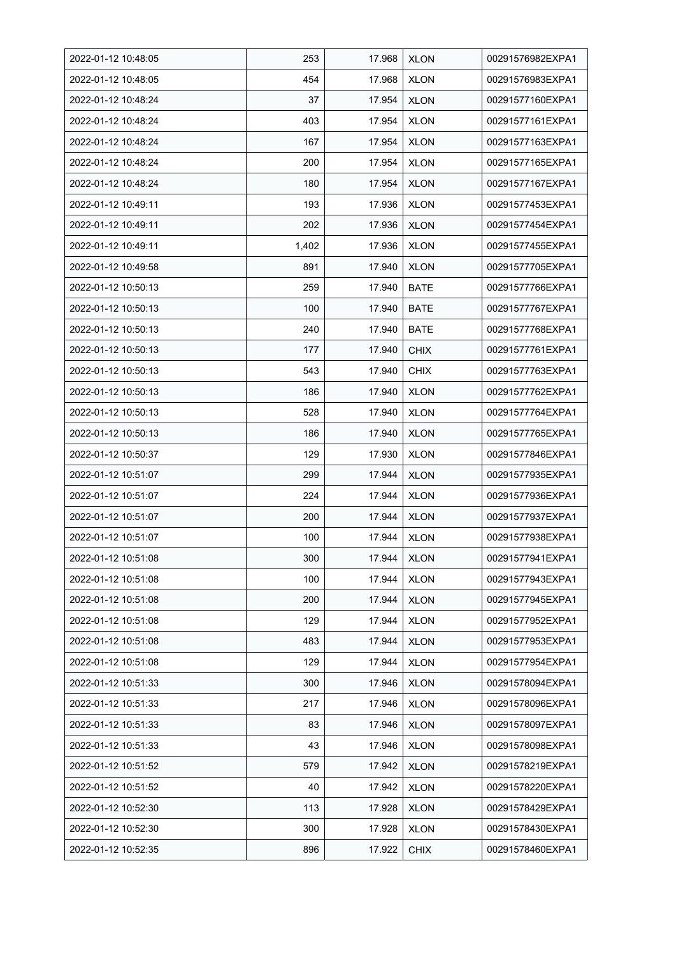| 2022-01-12 10:48:05 | 253   | 17.968 | <b>XLON</b> | 00291576982EXPA1 |
|---------------------|-------|--------|-------------|------------------|
| 2022-01-12 10:48:05 | 454   | 17.968 | <b>XLON</b> | 00291576983EXPA1 |
| 2022-01-12 10:48:24 | 37    | 17.954 | <b>XLON</b> | 00291577160EXPA1 |
| 2022-01-12 10:48:24 | 403   | 17.954 | <b>XLON</b> | 00291577161EXPA1 |
| 2022-01-12 10:48:24 | 167   | 17.954 | <b>XLON</b> | 00291577163EXPA1 |
| 2022-01-12 10:48:24 | 200   | 17.954 | <b>XLON</b> | 00291577165EXPA1 |
| 2022-01-12 10:48:24 | 180   | 17.954 | <b>XLON</b> | 00291577167EXPA1 |
| 2022-01-12 10:49:11 | 193   | 17.936 | <b>XLON</b> | 00291577453EXPA1 |
| 2022-01-12 10:49:11 | 202   | 17.936 | <b>XLON</b> | 00291577454EXPA1 |
| 2022-01-12 10:49:11 | 1,402 | 17.936 | <b>XLON</b> | 00291577455EXPA1 |
| 2022-01-12 10:49:58 | 891   | 17.940 | <b>XLON</b> | 00291577705EXPA1 |
| 2022-01-12 10:50:13 | 259   | 17.940 | <b>BATE</b> | 00291577766EXPA1 |
| 2022-01-12 10:50:13 | 100   | 17.940 | <b>BATE</b> | 00291577767EXPA1 |
| 2022-01-12 10:50:13 | 240   | 17.940 | <b>BATE</b> | 00291577768EXPA1 |
| 2022-01-12 10:50:13 | 177   | 17.940 | <b>CHIX</b> | 00291577761EXPA1 |
| 2022-01-12 10:50:13 | 543   | 17.940 | <b>CHIX</b> | 00291577763EXPA1 |
| 2022-01-12 10:50:13 | 186   | 17.940 | <b>XLON</b> | 00291577762EXPA1 |
| 2022-01-12 10:50:13 | 528   | 17.940 | <b>XLON</b> | 00291577764EXPA1 |
| 2022-01-12 10:50:13 | 186   | 17.940 | <b>XLON</b> | 00291577765EXPA1 |
| 2022-01-12 10:50:37 | 129   | 17.930 | <b>XLON</b> | 00291577846EXPA1 |
| 2022-01-12 10:51:07 | 299   | 17.944 | <b>XLON</b> | 00291577935EXPA1 |
| 2022-01-12 10:51:07 | 224   | 17.944 | <b>XLON</b> | 00291577936EXPA1 |
| 2022-01-12 10:51:07 | 200   | 17.944 | <b>XLON</b> | 00291577937EXPA1 |
| 2022-01-12 10:51:07 | 100   | 17.944 | <b>XLON</b> | 00291577938EXPA1 |
| 2022-01-12 10:51:08 | 300   | 17.944 | <b>XLON</b> | 00291577941EXPA1 |
| 2022-01-12 10:51:08 | 100   | 17.944 | <b>XLON</b> | 00291577943EXPA1 |
| 2022-01-12 10:51:08 | 200   | 17.944 | <b>XLON</b> | 00291577945EXPA1 |
| 2022-01-12 10:51:08 | 129   | 17.944 | <b>XLON</b> | 00291577952EXPA1 |
| 2022-01-12 10:51:08 | 483   | 17.944 | <b>XLON</b> | 00291577953EXPA1 |
| 2022-01-12 10:51:08 | 129   | 17.944 | <b>XLON</b> | 00291577954EXPA1 |
| 2022-01-12 10:51:33 | 300   | 17.946 | <b>XLON</b> | 00291578094EXPA1 |
| 2022-01-12 10:51:33 | 217   | 17.946 | <b>XLON</b> | 00291578096EXPA1 |
| 2022-01-12 10:51:33 | 83    | 17.946 | <b>XLON</b> | 00291578097EXPA1 |
| 2022-01-12 10:51:33 | 43    | 17.946 | <b>XLON</b> | 00291578098EXPA1 |
| 2022-01-12 10:51:52 | 579   | 17.942 | <b>XLON</b> | 00291578219EXPA1 |
| 2022-01-12 10:51:52 | 40    | 17.942 | <b>XLON</b> | 00291578220EXPA1 |
| 2022-01-12 10:52:30 | 113   | 17.928 | <b>XLON</b> | 00291578429EXPA1 |
| 2022-01-12 10:52:30 | 300   | 17.928 | <b>XLON</b> | 00291578430EXPA1 |
| 2022-01-12 10:52:35 | 896   | 17.922 | <b>CHIX</b> | 00291578460EXPA1 |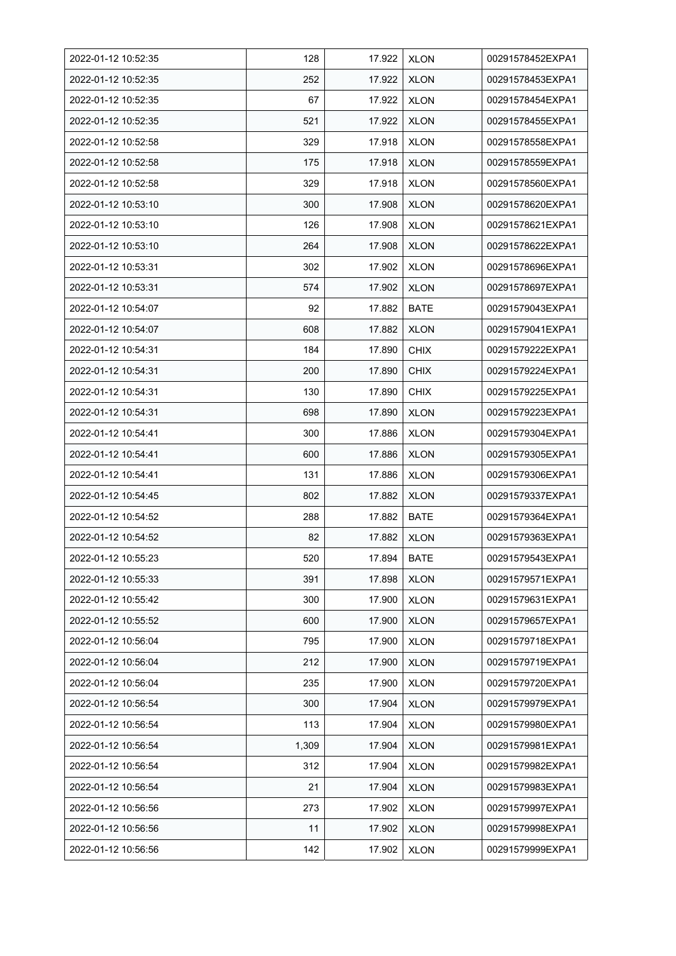| 2022-01-12 10:52:35 | 128   | 17.922 | <b>XLON</b> | 00291578452EXPA1 |
|---------------------|-------|--------|-------------|------------------|
| 2022-01-12 10:52:35 | 252   | 17.922 | <b>XLON</b> | 00291578453EXPA1 |
| 2022-01-12 10:52:35 | 67    | 17.922 | <b>XLON</b> | 00291578454EXPA1 |
| 2022-01-12 10:52:35 | 521   | 17.922 | <b>XLON</b> | 00291578455EXPA1 |
| 2022-01-12 10:52:58 | 329   | 17.918 | <b>XLON</b> | 00291578558EXPA1 |
| 2022-01-12 10:52:58 | 175   | 17.918 | <b>XLON</b> | 00291578559EXPA1 |
| 2022-01-12 10:52:58 | 329   | 17.918 | <b>XLON</b> | 00291578560EXPA1 |
| 2022-01-12 10:53:10 | 300   | 17.908 | <b>XLON</b> | 00291578620EXPA1 |
| 2022-01-12 10:53:10 | 126   | 17.908 | <b>XLON</b> | 00291578621EXPA1 |
| 2022-01-12 10:53:10 | 264   | 17.908 | <b>XLON</b> | 00291578622EXPA1 |
| 2022-01-12 10:53:31 | 302   | 17.902 | <b>XLON</b> | 00291578696EXPA1 |
| 2022-01-12 10:53:31 | 574   | 17.902 | <b>XLON</b> | 00291578697EXPA1 |
| 2022-01-12 10:54:07 | 92    | 17.882 | <b>BATE</b> | 00291579043EXPA1 |
| 2022-01-12 10:54:07 | 608   | 17.882 | <b>XLON</b> | 00291579041EXPA1 |
| 2022-01-12 10:54:31 | 184   | 17.890 | <b>CHIX</b> | 00291579222EXPA1 |
| 2022-01-12 10:54:31 | 200   | 17.890 | <b>CHIX</b> | 00291579224EXPA1 |
| 2022-01-12 10:54:31 | 130   | 17.890 | <b>CHIX</b> | 00291579225EXPA1 |
| 2022-01-12 10:54:31 | 698   | 17.890 | <b>XLON</b> | 00291579223EXPA1 |
| 2022-01-12 10:54:41 | 300   | 17.886 | <b>XLON</b> | 00291579304EXPA1 |
| 2022-01-12 10:54:41 | 600   | 17.886 | <b>XLON</b> | 00291579305EXPA1 |
| 2022-01-12 10:54:41 | 131   | 17.886 | <b>XLON</b> | 00291579306EXPA1 |
| 2022-01-12 10:54:45 | 802   | 17.882 | <b>XLON</b> | 00291579337EXPA1 |
| 2022-01-12 10:54:52 | 288   | 17.882 | <b>BATE</b> | 00291579364EXPA1 |
| 2022-01-12 10:54:52 | 82    | 17.882 | <b>XLON</b> | 00291579363EXPA1 |
| 2022-01-12 10:55:23 | 520   | 17.894 | <b>BATE</b> | 00291579543EXPA1 |
| 2022-01-12 10:55:33 | 391   | 17.898 | <b>XLON</b> | 00291579571EXPA1 |
| 2022-01-12 10:55:42 | 300   | 17.900 | <b>XLON</b> | 00291579631EXPA1 |
| 2022-01-12 10:55:52 | 600   | 17.900 | <b>XLON</b> | 00291579657EXPA1 |
| 2022-01-12 10:56:04 | 795   | 17.900 | <b>XLON</b> | 00291579718EXPA1 |
| 2022-01-12 10:56:04 | 212   | 17.900 | <b>XLON</b> | 00291579719EXPA1 |
| 2022-01-12 10:56:04 | 235   | 17.900 | <b>XLON</b> | 00291579720EXPA1 |
| 2022-01-12 10:56:54 | 300   | 17.904 | <b>XLON</b> | 00291579979EXPA1 |
| 2022-01-12 10:56:54 | 113   | 17.904 | <b>XLON</b> | 00291579980EXPA1 |
| 2022-01-12 10:56:54 | 1,309 | 17.904 | <b>XLON</b> | 00291579981EXPA1 |
| 2022-01-12 10:56:54 | 312   | 17.904 | <b>XLON</b> | 00291579982EXPA1 |
| 2022-01-12 10:56:54 | 21    | 17.904 | <b>XLON</b> | 00291579983EXPA1 |
| 2022-01-12 10:56:56 | 273   | 17.902 | <b>XLON</b> | 00291579997EXPA1 |
| 2022-01-12 10:56:56 | 11    | 17.902 | <b>XLON</b> | 00291579998EXPA1 |
| 2022-01-12 10:56:56 | 142   | 17.902 | <b>XLON</b> | 00291579999EXPA1 |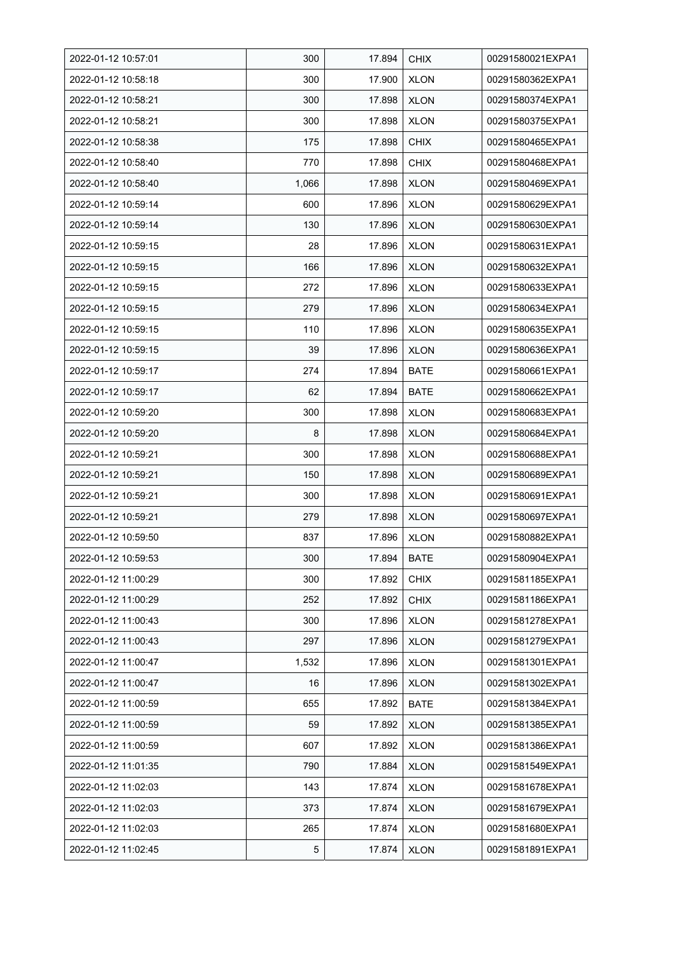| 2022-01-12 10:57:01 | 300   | 17.894 | <b>CHIX</b> | 00291580021EXPA1 |
|---------------------|-------|--------|-------------|------------------|
| 2022-01-12 10:58:18 | 300   | 17.900 | <b>XLON</b> | 00291580362EXPA1 |
| 2022-01-12 10:58:21 | 300   | 17.898 | <b>XLON</b> | 00291580374EXPA1 |
| 2022-01-12 10:58:21 | 300   | 17.898 | <b>XLON</b> | 00291580375EXPA1 |
| 2022-01-12 10:58:38 | 175   | 17.898 | <b>CHIX</b> | 00291580465EXPA1 |
| 2022-01-12 10:58:40 | 770   | 17.898 | <b>CHIX</b> | 00291580468EXPA1 |
| 2022-01-12 10:58:40 | 1,066 | 17.898 | <b>XLON</b> | 00291580469EXPA1 |
| 2022-01-12 10:59:14 | 600   | 17.896 | <b>XLON</b> | 00291580629EXPA1 |
| 2022-01-12 10:59:14 | 130   | 17.896 | <b>XLON</b> | 00291580630EXPA1 |
| 2022-01-12 10:59:15 | 28    | 17.896 | <b>XLON</b> | 00291580631EXPA1 |
| 2022-01-12 10:59:15 | 166   | 17.896 | <b>XLON</b> | 00291580632EXPA1 |
| 2022-01-12 10:59:15 | 272   | 17.896 | <b>XLON</b> | 00291580633EXPA1 |
| 2022-01-12 10:59:15 | 279   | 17.896 | <b>XLON</b> | 00291580634EXPA1 |
| 2022-01-12 10:59:15 | 110   | 17.896 | <b>XLON</b> | 00291580635EXPA1 |
| 2022-01-12 10:59:15 | 39    | 17.896 | <b>XLON</b> | 00291580636EXPA1 |
| 2022-01-12 10:59:17 | 274   | 17.894 | <b>BATE</b> | 00291580661EXPA1 |
| 2022-01-12 10:59:17 | 62    | 17.894 | <b>BATE</b> | 00291580662EXPA1 |
| 2022-01-12 10:59:20 | 300   | 17.898 | <b>XLON</b> | 00291580683EXPA1 |
| 2022-01-12 10:59:20 | 8     | 17.898 | <b>XLON</b> | 00291580684EXPA1 |
| 2022-01-12 10:59:21 | 300   | 17.898 | <b>XLON</b> | 00291580688EXPA1 |
| 2022-01-12 10:59:21 | 150   | 17.898 | <b>XLON</b> | 00291580689EXPA1 |
| 2022-01-12 10:59:21 | 300   | 17.898 | <b>XLON</b> | 00291580691EXPA1 |
| 2022-01-12 10:59:21 | 279   | 17.898 | <b>XLON</b> | 00291580697EXPA1 |
| 2022-01-12 10:59:50 | 837   | 17.896 | <b>XLON</b> | 00291580882EXPA1 |
| 2022-01-12 10:59:53 | 300   | 17.894 | <b>BATE</b> | 00291580904EXPA1 |
| 2022-01-12 11:00:29 | 300   | 17.892 | <b>CHIX</b> | 00291581185EXPA1 |
| 2022-01-12 11:00:29 | 252   | 17.892 | <b>CHIX</b> | 00291581186EXPA1 |
| 2022-01-12 11:00:43 | 300   | 17.896 | <b>XLON</b> | 00291581278EXPA1 |
| 2022-01-12 11:00:43 | 297   | 17.896 | <b>XLON</b> | 00291581279EXPA1 |
| 2022-01-12 11:00:47 | 1,532 | 17.896 | <b>XLON</b> | 00291581301EXPA1 |
| 2022-01-12 11:00:47 | 16    | 17.896 | <b>XLON</b> | 00291581302EXPA1 |
| 2022-01-12 11:00:59 | 655   | 17.892 | <b>BATE</b> | 00291581384EXPA1 |
| 2022-01-12 11:00:59 | 59    | 17.892 | <b>XLON</b> | 00291581385EXPA1 |
| 2022-01-12 11:00:59 | 607   | 17.892 | <b>XLON</b> | 00291581386EXPA1 |
| 2022-01-12 11:01:35 | 790   | 17.884 | <b>XLON</b> | 00291581549EXPA1 |
| 2022-01-12 11:02:03 | 143   | 17.874 | <b>XLON</b> | 00291581678EXPA1 |
| 2022-01-12 11:02:03 | 373   | 17.874 | <b>XLON</b> | 00291581679EXPA1 |
| 2022-01-12 11:02:03 | 265   | 17.874 | <b>XLON</b> | 00291581680EXPA1 |
| 2022-01-12 11:02:45 | 5     | 17.874 | <b>XLON</b> | 00291581891EXPA1 |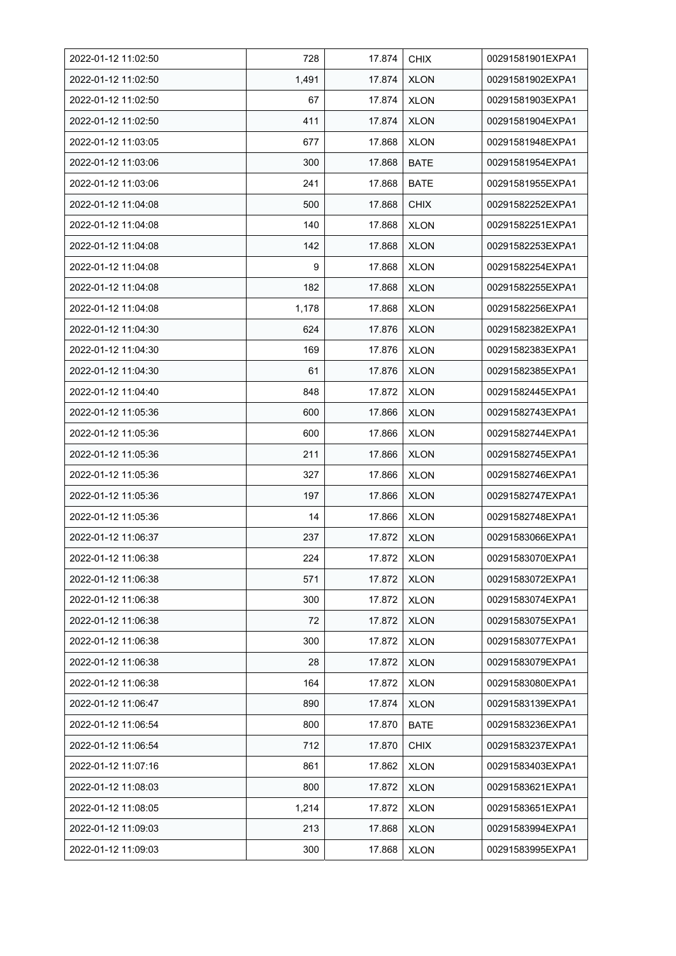| 2022-01-12 11:02:50 | 728   | 17.874 | <b>CHIX</b> | 00291581901EXPA1 |
|---------------------|-------|--------|-------------|------------------|
| 2022-01-12 11:02:50 | 1,491 | 17.874 | <b>XLON</b> | 00291581902EXPA1 |
| 2022-01-12 11:02:50 | 67    | 17.874 | <b>XLON</b> | 00291581903EXPA1 |
| 2022-01-12 11:02:50 | 411   | 17.874 | <b>XLON</b> | 00291581904EXPA1 |
| 2022-01-12 11:03:05 | 677   | 17.868 | <b>XLON</b> | 00291581948EXPA1 |
| 2022-01-12 11:03:06 | 300   | 17.868 | <b>BATE</b> | 00291581954EXPA1 |
| 2022-01-12 11:03:06 | 241   | 17.868 | <b>BATE</b> | 00291581955EXPA1 |
| 2022-01-12 11:04:08 | 500   | 17.868 | <b>CHIX</b> | 00291582252EXPA1 |
| 2022-01-12 11:04:08 | 140   | 17.868 | <b>XLON</b> | 00291582251EXPA1 |
| 2022-01-12 11:04:08 | 142   | 17.868 | <b>XLON</b> | 00291582253EXPA1 |
| 2022-01-12 11:04:08 | 9     | 17.868 | <b>XLON</b> | 00291582254EXPA1 |
| 2022-01-12 11:04:08 | 182   | 17.868 | <b>XLON</b> | 00291582255EXPA1 |
| 2022-01-12 11:04:08 | 1,178 | 17.868 | <b>XLON</b> | 00291582256EXPA1 |
| 2022-01-12 11:04:30 | 624   | 17.876 | <b>XLON</b> | 00291582382EXPA1 |
| 2022-01-12 11:04:30 | 169   | 17.876 | <b>XLON</b> | 00291582383EXPA1 |
| 2022-01-12 11:04:30 | 61    | 17.876 | <b>XLON</b> | 00291582385EXPA1 |
| 2022-01-12 11:04:40 | 848   | 17.872 | <b>XLON</b> | 00291582445EXPA1 |
| 2022-01-12 11:05:36 | 600   | 17.866 | <b>XLON</b> | 00291582743EXPA1 |
| 2022-01-12 11:05:36 | 600   | 17.866 | <b>XLON</b> | 00291582744EXPA1 |
| 2022-01-12 11:05:36 | 211   | 17.866 | <b>XLON</b> | 00291582745EXPA1 |
| 2022-01-12 11:05:36 | 327   | 17.866 | <b>XLON</b> | 00291582746EXPA1 |
| 2022-01-12 11:05:36 | 197   | 17.866 | <b>XLON</b> | 00291582747EXPA1 |
| 2022-01-12 11:05:36 | 14    | 17.866 | <b>XLON</b> | 00291582748EXPA1 |
| 2022-01-12 11:06:37 | 237   | 17.872 | <b>XLON</b> | 00291583066EXPA1 |
| 2022-01-12 11:06:38 | 224   | 17.872 | <b>XLON</b> | 00291583070EXPA1 |
| 2022-01-12 11:06:38 | 571   | 17.872 | <b>XLON</b> | 00291583072EXPA1 |
| 2022-01-12 11:06:38 | 300   | 17.872 | <b>XLON</b> | 00291583074EXPA1 |
| 2022-01-12 11:06:38 | 72    | 17.872 | <b>XLON</b> | 00291583075EXPA1 |
| 2022-01-12 11:06:38 | 300   | 17.872 | <b>XLON</b> | 00291583077EXPA1 |
| 2022-01-12 11:06:38 | 28    | 17.872 | <b>XLON</b> | 00291583079EXPA1 |
| 2022-01-12 11:06:38 | 164   | 17.872 | <b>XLON</b> | 00291583080EXPA1 |
| 2022-01-12 11:06:47 | 890   | 17.874 | <b>XLON</b> | 00291583139EXPA1 |
| 2022-01-12 11:06:54 | 800   | 17.870 | <b>BATE</b> | 00291583236EXPA1 |
| 2022-01-12 11:06:54 | 712   | 17.870 | <b>CHIX</b> | 00291583237EXPA1 |
| 2022-01-12 11:07:16 | 861   | 17.862 | <b>XLON</b> | 00291583403EXPA1 |
| 2022-01-12 11:08:03 | 800   | 17.872 | <b>XLON</b> | 00291583621EXPA1 |
| 2022-01-12 11:08:05 | 1,214 | 17.872 | <b>XLON</b> | 00291583651EXPA1 |
| 2022-01-12 11:09:03 | 213   | 17.868 | <b>XLON</b> | 00291583994EXPA1 |
| 2022-01-12 11:09:03 | 300   | 17.868 | <b>XLON</b> | 00291583995EXPA1 |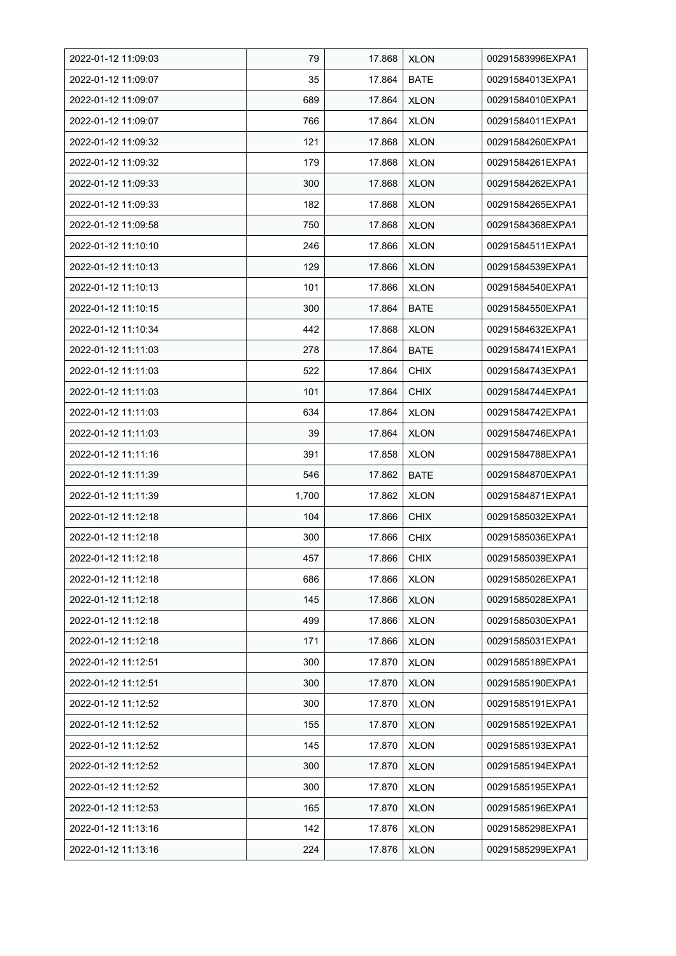| 2022-01-12 11:09:03 | 79    | 17.868 | <b>XLON</b> | 00291583996EXPA1 |
|---------------------|-------|--------|-------------|------------------|
| 2022-01-12 11:09:07 | 35    | 17.864 | <b>BATE</b> | 00291584013EXPA1 |
| 2022-01-12 11:09:07 | 689   | 17.864 | <b>XLON</b> | 00291584010EXPA1 |
| 2022-01-12 11:09:07 | 766   | 17.864 | <b>XLON</b> | 00291584011EXPA1 |
| 2022-01-12 11:09:32 | 121   | 17.868 | <b>XLON</b> | 00291584260EXPA1 |
| 2022-01-12 11:09:32 | 179   | 17.868 | <b>XLON</b> | 00291584261EXPA1 |
| 2022-01-12 11:09:33 | 300   | 17.868 | <b>XLON</b> | 00291584262EXPA1 |
| 2022-01-12 11:09:33 | 182   | 17.868 | <b>XLON</b> | 00291584265EXPA1 |
| 2022-01-12 11:09:58 | 750   | 17.868 | <b>XLON</b> | 00291584368EXPA1 |
| 2022-01-12 11:10:10 | 246   | 17.866 | <b>XLON</b> | 00291584511EXPA1 |
| 2022-01-12 11:10:13 | 129   | 17.866 | <b>XLON</b> | 00291584539EXPA1 |
| 2022-01-12 11:10:13 | 101   | 17.866 | <b>XLON</b> | 00291584540EXPA1 |
| 2022-01-12 11:10:15 | 300   | 17.864 | <b>BATE</b> | 00291584550EXPA1 |
| 2022-01-12 11:10:34 | 442   | 17.868 | <b>XLON</b> | 00291584632EXPA1 |
| 2022-01-12 11:11:03 | 278   | 17.864 | <b>BATE</b> | 00291584741EXPA1 |
| 2022-01-12 11:11:03 | 522   | 17.864 | <b>CHIX</b> | 00291584743EXPA1 |
| 2022-01-12 11:11:03 | 101   | 17.864 | <b>CHIX</b> | 00291584744EXPA1 |
| 2022-01-12 11:11:03 | 634   | 17.864 | <b>XLON</b> | 00291584742EXPA1 |
| 2022-01-12 11:11:03 | 39    | 17.864 | <b>XLON</b> | 00291584746EXPA1 |
| 2022-01-12 11:11:16 | 391   | 17.858 | <b>XLON</b> | 00291584788EXPA1 |
| 2022-01-12 11:11:39 | 546   | 17.862 | <b>BATE</b> | 00291584870EXPA1 |
| 2022-01-12 11:11:39 | 1,700 | 17.862 | <b>XLON</b> | 00291584871EXPA1 |
| 2022-01-12 11:12:18 | 104   | 17.866 | <b>CHIX</b> | 00291585032EXPA1 |
| 2022-01-12 11:12:18 | 300   | 17.866 | <b>CHIX</b> | 00291585036EXPA1 |
| 2022-01-12 11:12:18 | 457   | 17.866 | <b>CHIX</b> | 00291585039EXPA1 |
| 2022-01-12 11:12:18 | 686   | 17.866 | <b>XLON</b> | 00291585026EXPA1 |
| 2022-01-12 11:12:18 | 145   | 17.866 | <b>XLON</b> | 00291585028EXPA1 |
| 2022-01-12 11:12:18 | 499   | 17.866 | <b>XLON</b> | 00291585030EXPA1 |
| 2022-01-12 11:12:18 | 171   | 17.866 | <b>XLON</b> | 00291585031EXPA1 |
| 2022-01-12 11:12:51 | 300   | 17.870 | <b>XLON</b> | 00291585189EXPA1 |
| 2022-01-12 11:12:51 | 300   | 17.870 | <b>XLON</b> | 00291585190EXPA1 |
| 2022-01-12 11:12:52 | 300   | 17.870 | <b>XLON</b> | 00291585191EXPA1 |
| 2022-01-12 11:12:52 | 155   | 17.870 | <b>XLON</b> | 00291585192EXPA1 |
| 2022-01-12 11:12:52 | 145   | 17.870 | <b>XLON</b> | 00291585193EXPA1 |
| 2022-01-12 11:12:52 | 300   | 17.870 | <b>XLON</b> | 00291585194EXPA1 |
| 2022-01-12 11:12:52 | 300   | 17.870 | <b>XLON</b> | 00291585195EXPA1 |
| 2022-01-12 11:12:53 | 165   | 17.870 | <b>XLON</b> | 00291585196EXPA1 |
| 2022-01-12 11:13:16 | 142   | 17.876 | <b>XLON</b> | 00291585298EXPA1 |
| 2022-01-12 11:13:16 | 224   | 17.876 | <b>XLON</b> | 00291585299EXPA1 |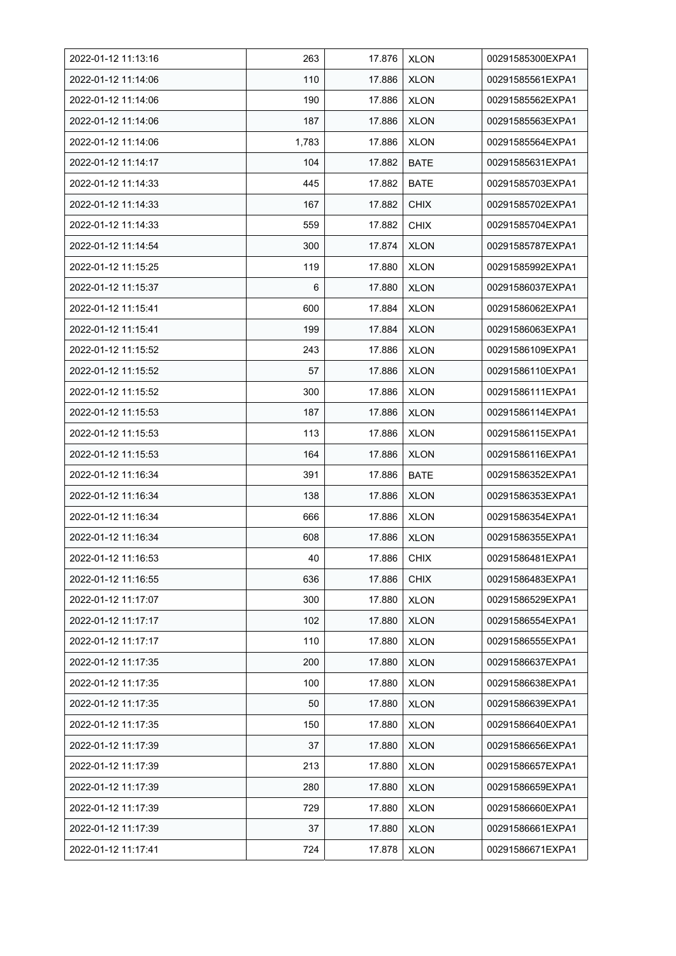| 2022-01-12 11:13:16 | 263   | 17.876 | <b>XLON</b> | 00291585300EXPA1 |
|---------------------|-------|--------|-------------|------------------|
| 2022-01-12 11:14:06 | 110   | 17.886 | <b>XLON</b> | 00291585561EXPA1 |
| 2022-01-12 11:14:06 | 190   | 17.886 | <b>XLON</b> | 00291585562EXPA1 |
| 2022-01-12 11:14:06 | 187   | 17.886 | <b>XLON</b> | 00291585563EXPA1 |
| 2022-01-12 11:14:06 | 1,783 | 17.886 | <b>XLON</b> | 00291585564EXPA1 |
| 2022-01-12 11:14:17 | 104   | 17.882 | <b>BATE</b> | 00291585631EXPA1 |
| 2022-01-12 11:14:33 | 445   | 17.882 | <b>BATE</b> | 00291585703EXPA1 |
| 2022-01-12 11:14:33 | 167   | 17.882 | <b>CHIX</b> | 00291585702EXPA1 |
| 2022-01-12 11:14:33 | 559   | 17.882 | <b>CHIX</b> | 00291585704EXPA1 |
| 2022-01-12 11:14:54 | 300   | 17.874 | <b>XLON</b> | 00291585787EXPA1 |
| 2022-01-12 11:15:25 | 119   | 17.880 | <b>XLON</b> | 00291585992EXPA1 |
| 2022-01-12 11:15:37 | 6     | 17.880 | <b>XLON</b> | 00291586037EXPA1 |
| 2022-01-12 11:15:41 | 600   | 17.884 | <b>XLON</b> | 00291586062EXPA1 |
| 2022-01-12 11:15:41 | 199   | 17.884 | <b>XLON</b> | 00291586063EXPA1 |
| 2022-01-12 11:15:52 | 243   | 17.886 | <b>XLON</b> | 00291586109EXPA1 |
| 2022-01-12 11:15:52 | 57    | 17.886 | <b>XLON</b> | 00291586110EXPA1 |
| 2022-01-12 11:15:52 | 300   | 17.886 | <b>XLON</b> | 00291586111EXPA1 |
| 2022-01-12 11:15:53 | 187   | 17.886 | <b>XLON</b> | 00291586114EXPA1 |
| 2022-01-12 11:15:53 | 113   | 17.886 | <b>XLON</b> | 00291586115EXPA1 |
| 2022-01-12 11:15:53 | 164   | 17.886 | <b>XLON</b> | 00291586116EXPA1 |
| 2022-01-12 11:16:34 | 391   | 17.886 | <b>BATE</b> | 00291586352EXPA1 |
| 2022-01-12 11:16:34 | 138   | 17.886 | <b>XLON</b> | 00291586353EXPA1 |
| 2022-01-12 11:16:34 | 666   | 17.886 | <b>XLON</b> | 00291586354EXPA1 |
| 2022-01-12 11:16:34 | 608   | 17.886 | <b>XLON</b> | 00291586355EXPA1 |
| 2022-01-12 11:16:53 | 40    | 17.886 | <b>CHIX</b> | 00291586481EXPA1 |
| 2022-01-12 11:16:55 | 636   | 17.886 | <b>CHIX</b> | 00291586483EXPA1 |
| 2022-01-12 11:17:07 | 300   | 17.880 | <b>XLON</b> | 00291586529EXPA1 |
| 2022-01-12 11:17:17 | 102   | 17.880 | <b>XLON</b> | 00291586554EXPA1 |
| 2022-01-12 11:17:17 | 110   | 17.880 | <b>XLON</b> | 00291586555EXPA1 |
| 2022-01-12 11:17:35 | 200   | 17.880 | <b>XLON</b> | 00291586637EXPA1 |
| 2022-01-12 11:17:35 | 100   | 17.880 | <b>XLON</b> | 00291586638EXPA1 |
| 2022-01-12 11:17:35 | 50    | 17.880 | <b>XLON</b> | 00291586639EXPA1 |
| 2022-01-12 11:17:35 | 150   | 17.880 | <b>XLON</b> | 00291586640EXPA1 |
| 2022-01-12 11:17:39 | 37    | 17.880 | <b>XLON</b> | 00291586656EXPA1 |
| 2022-01-12 11:17:39 | 213   | 17.880 | <b>XLON</b> | 00291586657EXPA1 |
| 2022-01-12 11:17:39 | 280   | 17.880 | <b>XLON</b> | 00291586659EXPA1 |
| 2022-01-12 11:17:39 | 729   | 17.880 | <b>XLON</b> | 00291586660EXPA1 |
| 2022-01-12 11:17:39 | 37    | 17.880 | <b>XLON</b> | 00291586661EXPA1 |
| 2022-01-12 11:17:41 | 724   | 17.878 | <b>XLON</b> | 00291586671EXPA1 |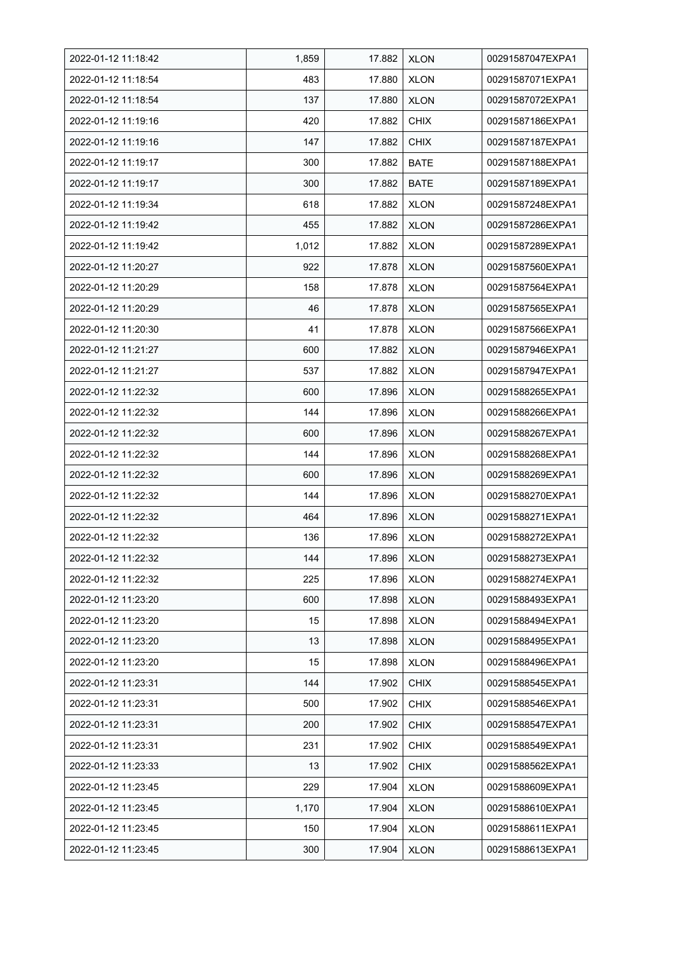| 2022-01-12 11:18:42 | 1,859 | 17.882 | <b>XLON</b> | 00291587047EXPA1 |
|---------------------|-------|--------|-------------|------------------|
| 2022-01-12 11:18:54 | 483   | 17.880 | <b>XLON</b> | 00291587071EXPA1 |
| 2022-01-12 11:18:54 | 137   | 17.880 | <b>XLON</b> | 00291587072EXPA1 |
| 2022-01-12 11:19:16 | 420   | 17.882 | <b>CHIX</b> | 00291587186EXPA1 |
| 2022-01-12 11:19:16 | 147   | 17.882 | <b>CHIX</b> | 00291587187EXPA1 |
| 2022-01-12 11:19:17 | 300   | 17.882 | <b>BATE</b> | 00291587188EXPA1 |
| 2022-01-12 11:19:17 | 300   | 17.882 | <b>BATE</b> | 00291587189EXPA1 |
| 2022-01-12 11:19:34 | 618   | 17.882 | <b>XLON</b> | 00291587248EXPA1 |
| 2022-01-12 11:19:42 | 455   | 17.882 | <b>XLON</b> | 00291587286EXPA1 |
| 2022-01-12 11:19:42 | 1,012 | 17.882 | <b>XLON</b> | 00291587289EXPA1 |
| 2022-01-12 11:20:27 | 922   | 17.878 | <b>XLON</b> | 00291587560EXPA1 |
| 2022-01-12 11:20:29 | 158   | 17.878 | <b>XLON</b> | 00291587564EXPA1 |
| 2022-01-12 11:20:29 | 46    | 17.878 | <b>XLON</b> | 00291587565EXPA1 |
| 2022-01-12 11:20:30 | 41    | 17.878 | <b>XLON</b> | 00291587566EXPA1 |
| 2022-01-12 11:21:27 | 600   | 17.882 | <b>XLON</b> | 00291587946EXPA1 |
| 2022-01-12 11:21:27 | 537   | 17.882 | <b>XLON</b> | 00291587947EXPA1 |
| 2022-01-12 11:22:32 | 600   | 17.896 | <b>XLON</b> | 00291588265EXPA1 |
| 2022-01-12 11:22:32 | 144   | 17.896 | <b>XLON</b> | 00291588266EXPA1 |
| 2022-01-12 11:22:32 | 600   | 17.896 | <b>XLON</b> | 00291588267EXPA1 |
| 2022-01-12 11:22:32 | 144   | 17.896 | <b>XLON</b> | 00291588268EXPA1 |
| 2022-01-12 11:22:32 | 600   | 17.896 | <b>XLON</b> | 00291588269EXPA1 |
| 2022-01-12 11:22:32 | 144   | 17.896 | <b>XLON</b> | 00291588270EXPA1 |
| 2022-01-12 11:22:32 | 464   | 17.896 | <b>XLON</b> | 00291588271EXPA1 |
| 2022-01-12 11:22:32 | 136   | 17.896 | <b>XLON</b> | 00291588272EXPA1 |
| 2022-01-12 11:22:32 | 144   | 17.896 | <b>XLON</b> | 00291588273EXPA1 |
| 2022-01-12 11:22:32 | 225   | 17.896 | <b>XLON</b> | 00291588274EXPA1 |
| 2022-01-12 11:23:20 | 600   | 17.898 | <b>XLON</b> | 00291588493EXPA1 |
| 2022-01-12 11:23:20 | 15    | 17.898 | <b>XLON</b> | 00291588494EXPA1 |
| 2022-01-12 11:23:20 | 13    | 17.898 | <b>XLON</b> | 00291588495EXPA1 |
| 2022-01-12 11:23:20 | 15    | 17.898 | <b>XLON</b> | 00291588496EXPA1 |
| 2022-01-12 11:23:31 | 144   | 17.902 | <b>CHIX</b> | 00291588545EXPA1 |
| 2022-01-12 11:23:31 | 500   | 17.902 | <b>CHIX</b> | 00291588546EXPA1 |
| 2022-01-12 11:23:31 | 200   | 17.902 | <b>CHIX</b> | 00291588547EXPA1 |
| 2022-01-12 11:23:31 | 231   | 17.902 | <b>CHIX</b> | 00291588549EXPA1 |
| 2022-01-12 11:23:33 | 13    | 17.902 | <b>CHIX</b> | 00291588562EXPA1 |
| 2022-01-12 11:23:45 | 229   | 17.904 | <b>XLON</b> | 00291588609EXPA1 |
| 2022-01-12 11:23:45 | 1,170 | 17.904 | <b>XLON</b> | 00291588610EXPA1 |
| 2022-01-12 11:23:45 | 150   | 17.904 | <b>XLON</b> | 00291588611EXPA1 |
| 2022-01-12 11:23:45 | 300   | 17.904 | <b>XLON</b> | 00291588613EXPA1 |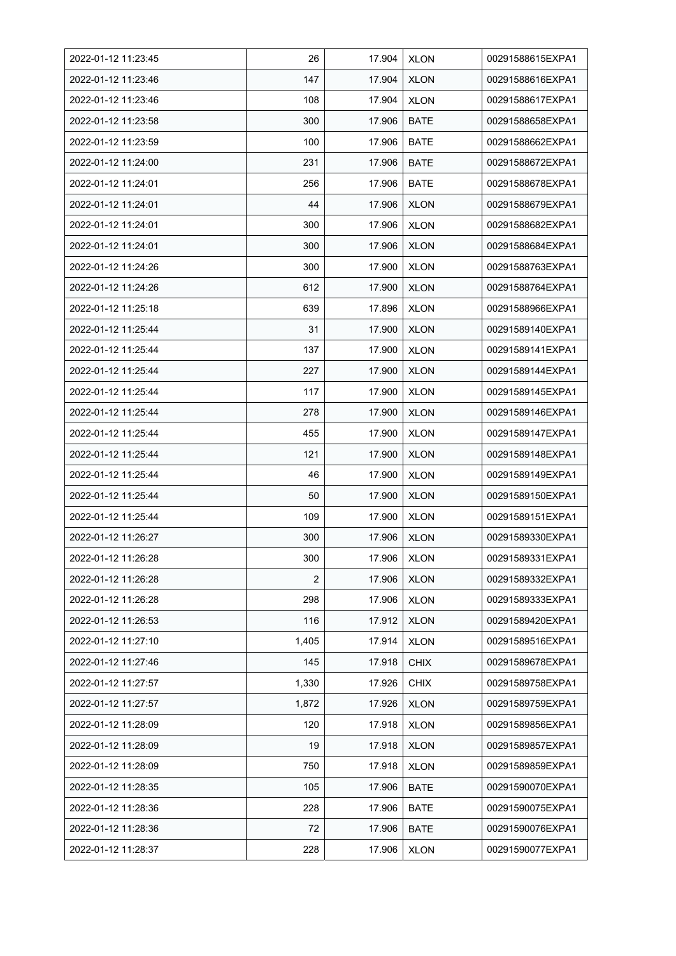| 2022-01-12 11:23:45 | 26    | 17.904 | <b>XLON</b> | 00291588615EXPA1 |
|---------------------|-------|--------|-------------|------------------|
| 2022-01-12 11:23:46 | 147   | 17.904 | <b>XLON</b> | 00291588616EXPA1 |
| 2022-01-12 11:23:46 | 108   | 17.904 | <b>XLON</b> | 00291588617EXPA1 |
| 2022-01-12 11:23:58 | 300   | 17.906 | <b>BATE</b> | 00291588658EXPA1 |
| 2022-01-12 11:23:59 | 100   | 17.906 | <b>BATE</b> | 00291588662EXPA1 |
| 2022-01-12 11:24:00 | 231   | 17.906 | <b>BATE</b> | 00291588672EXPA1 |
| 2022-01-12 11:24:01 | 256   | 17.906 | <b>BATE</b> | 00291588678EXPA1 |
| 2022-01-12 11:24:01 | 44    | 17.906 | <b>XLON</b> | 00291588679EXPA1 |
| 2022-01-12 11:24:01 | 300   | 17.906 | <b>XLON</b> | 00291588682EXPA1 |
| 2022-01-12 11:24:01 | 300   | 17.906 | <b>XLON</b> | 00291588684EXPA1 |
| 2022-01-12 11:24:26 | 300   | 17.900 | <b>XLON</b> | 00291588763EXPA1 |
| 2022-01-12 11:24:26 | 612   | 17.900 | <b>XLON</b> | 00291588764EXPA1 |
| 2022-01-12 11:25:18 | 639   | 17.896 | <b>XLON</b> | 00291588966EXPA1 |
| 2022-01-12 11:25:44 | 31    | 17.900 | <b>XLON</b> | 00291589140EXPA1 |
| 2022-01-12 11:25:44 | 137   | 17.900 | <b>XLON</b> | 00291589141EXPA1 |
| 2022-01-12 11:25:44 | 227   | 17.900 | <b>XLON</b> | 00291589144EXPA1 |
| 2022-01-12 11:25:44 | 117   | 17.900 | <b>XLON</b> | 00291589145EXPA1 |
| 2022-01-12 11:25:44 | 278   | 17.900 | <b>XLON</b> | 00291589146EXPA1 |
| 2022-01-12 11:25:44 | 455   | 17.900 | <b>XLON</b> | 00291589147EXPA1 |
| 2022-01-12 11:25:44 | 121   | 17.900 | <b>XLON</b> | 00291589148EXPA1 |
| 2022-01-12 11:25:44 | 46    | 17.900 | <b>XLON</b> | 00291589149EXPA1 |
| 2022-01-12 11:25:44 | 50    | 17.900 | <b>XLON</b> | 00291589150EXPA1 |
| 2022-01-12 11:25:44 | 109   | 17.900 | <b>XLON</b> | 00291589151EXPA1 |
| 2022-01-12 11:26:27 | 300   | 17.906 | <b>XLON</b> | 00291589330EXPA1 |
| 2022-01-12 11:26:28 | 300   | 17.906 | <b>XLON</b> | 00291589331EXPA1 |
| 2022-01-12 11:26:28 | 2     | 17.906 | <b>XLON</b> | 00291589332EXPA1 |
| 2022-01-12 11:26:28 | 298   | 17.906 | <b>XLON</b> | 00291589333EXPA1 |
| 2022-01-12 11:26:53 | 116   | 17.912 | <b>XLON</b> | 00291589420EXPA1 |
| 2022-01-12 11:27:10 | 1,405 | 17.914 | <b>XLON</b> | 00291589516EXPA1 |
| 2022-01-12 11:27:46 | 145   | 17.918 | <b>CHIX</b> | 00291589678EXPA1 |
| 2022-01-12 11:27:57 | 1,330 | 17.926 | <b>CHIX</b> | 00291589758EXPA1 |
| 2022-01-12 11:27:57 | 1,872 | 17.926 | <b>XLON</b> | 00291589759EXPA1 |
| 2022-01-12 11:28:09 | 120   | 17.918 | <b>XLON</b> | 00291589856EXPA1 |
| 2022-01-12 11:28:09 | 19    | 17.918 | <b>XLON</b> | 00291589857EXPA1 |
| 2022-01-12 11:28:09 | 750   | 17.918 | <b>XLON</b> | 00291589859EXPA1 |
| 2022-01-12 11:28:35 | 105   | 17.906 | BATE        | 00291590070EXPA1 |
| 2022-01-12 11:28:36 | 228   | 17.906 | <b>BATE</b> | 00291590075EXPA1 |
| 2022-01-12 11:28:36 | 72    | 17.906 | <b>BATE</b> | 00291590076EXPA1 |
| 2022-01-12 11:28:37 | 228   | 17.906 | <b>XLON</b> | 00291590077EXPA1 |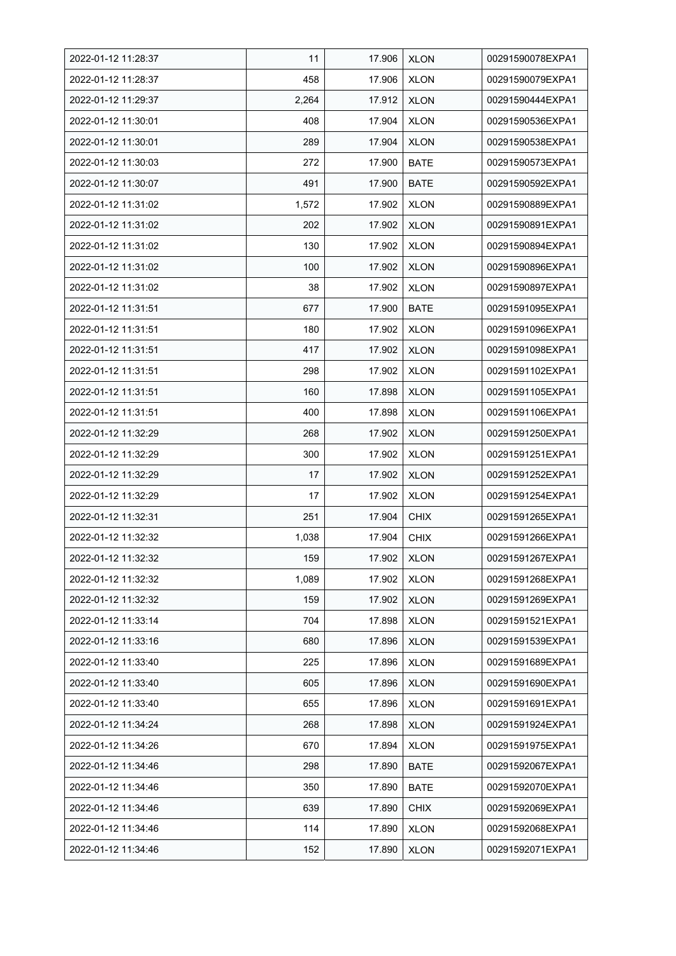| 2022-01-12 11:28:37 | 11    | 17.906 | <b>XLON</b> | 00291590078EXPA1 |
|---------------------|-------|--------|-------------|------------------|
| 2022-01-12 11:28:37 | 458   | 17.906 | <b>XLON</b> | 00291590079EXPA1 |
| 2022-01-12 11:29:37 | 2,264 | 17.912 | <b>XLON</b> | 00291590444EXPA1 |
| 2022-01-12 11:30:01 | 408   | 17.904 | <b>XLON</b> | 00291590536EXPA1 |
| 2022-01-12 11:30:01 | 289   | 17.904 | <b>XLON</b> | 00291590538EXPA1 |
| 2022-01-12 11:30:03 | 272   | 17.900 | <b>BATE</b> | 00291590573EXPA1 |
| 2022-01-12 11:30:07 | 491   | 17.900 | <b>BATE</b> | 00291590592EXPA1 |
| 2022-01-12 11:31:02 | 1,572 | 17.902 | <b>XLON</b> | 00291590889EXPA1 |
| 2022-01-12 11:31:02 | 202   | 17.902 | <b>XLON</b> | 00291590891EXPA1 |
| 2022-01-12 11:31:02 | 130   | 17.902 | <b>XLON</b> | 00291590894EXPA1 |
| 2022-01-12 11:31:02 | 100   | 17.902 | <b>XLON</b> | 00291590896EXPA1 |
| 2022-01-12 11:31:02 | 38    | 17.902 | <b>XLON</b> | 00291590897EXPA1 |
| 2022-01-12 11:31:51 | 677   | 17.900 | <b>BATE</b> | 00291591095EXPA1 |
| 2022-01-12 11:31:51 | 180   | 17.902 | <b>XLON</b> | 00291591096EXPA1 |
| 2022-01-12 11:31:51 | 417   | 17.902 | <b>XLON</b> | 00291591098EXPA1 |
| 2022-01-12 11:31:51 | 298   | 17.902 | <b>XLON</b> | 00291591102EXPA1 |
| 2022-01-12 11:31:51 | 160   | 17.898 | <b>XLON</b> | 00291591105EXPA1 |
| 2022-01-12 11:31:51 | 400   | 17.898 | <b>XLON</b> | 00291591106EXPA1 |
| 2022-01-12 11:32:29 | 268   | 17.902 | <b>XLON</b> | 00291591250EXPA1 |
| 2022-01-12 11:32:29 | 300   | 17.902 | <b>XLON</b> | 00291591251EXPA1 |
| 2022-01-12 11:32:29 | 17    | 17.902 | <b>XLON</b> | 00291591252EXPA1 |
| 2022-01-12 11:32:29 | 17    | 17.902 | <b>XLON</b> | 00291591254EXPA1 |
| 2022-01-12 11:32:31 | 251   | 17.904 | <b>CHIX</b> | 00291591265EXPA1 |
| 2022-01-12 11:32:32 | 1,038 | 17.904 | <b>CHIX</b> | 00291591266EXPA1 |
| 2022-01-12 11:32:32 | 159   | 17.902 | <b>XLON</b> | 00291591267EXPA1 |
| 2022-01-12 11:32:32 | 1,089 | 17.902 | <b>XLON</b> | 00291591268EXPA1 |
| 2022-01-12 11:32:32 | 159   | 17.902 | <b>XLON</b> | 00291591269EXPA1 |
| 2022-01-12 11:33:14 | 704   | 17.898 | <b>XLON</b> | 00291591521EXPA1 |
| 2022-01-12 11:33:16 | 680   | 17.896 | <b>XLON</b> | 00291591539EXPA1 |
| 2022-01-12 11:33:40 | 225   | 17.896 | <b>XLON</b> | 00291591689EXPA1 |
| 2022-01-12 11:33:40 | 605   | 17.896 | <b>XLON</b> | 00291591690EXPA1 |
| 2022-01-12 11:33:40 | 655   | 17.896 | <b>XLON</b> | 00291591691EXPA1 |
| 2022-01-12 11:34:24 | 268   | 17.898 | <b>XLON</b> | 00291591924EXPA1 |
| 2022-01-12 11:34:26 | 670   | 17.894 | <b>XLON</b> | 00291591975EXPA1 |
| 2022-01-12 11:34:46 | 298   | 17.890 | BATE        | 00291592067EXPA1 |
| 2022-01-12 11:34:46 | 350   | 17.890 | BATE        | 00291592070EXPA1 |
| 2022-01-12 11:34:46 | 639   | 17.890 | <b>CHIX</b> | 00291592069EXPA1 |
| 2022-01-12 11:34:46 | 114   | 17.890 | <b>XLON</b> | 00291592068EXPA1 |
| 2022-01-12 11:34:46 | 152   | 17.890 | <b>XLON</b> | 00291592071EXPA1 |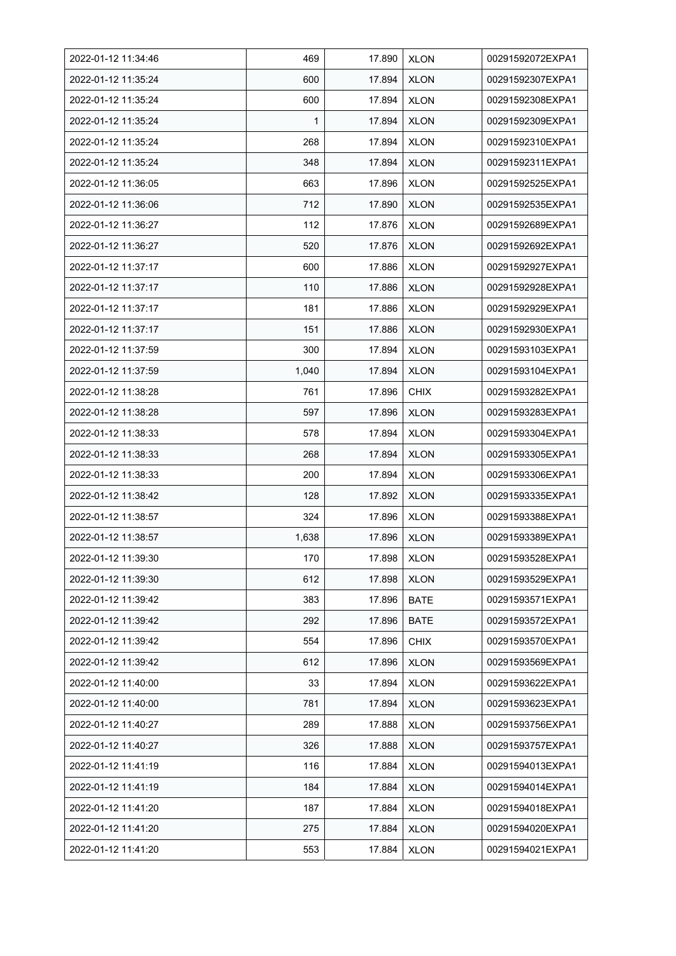| 2022-01-12 11:34:46 | 469   | 17.890 | <b>XLON</b> | 00291592072EXPA1 |
|---------------------|-------|--------|-------------|------------------|
| 2022-01-12 11:35:24 | 600   | 17.894 | <b>XLON</b> | 00291592307EXPA1 |
| 2022-01-12 11:35:24 | 600   | 17.894 | <b>XLON</b> | 00291592308EXPA1 |
| 2022-01-12 11:35:24 | 1     | 17.894 | <b>XLON</b> | 00291592309EXPA1 |
| 2022-01-12 11:35:24 | 268   | 17.894 | <b>XLON</b> | 00291592310EXPA1 |
| 2022-01-12 11:35:24 | 348   | 17.894 | <b>XLON</b> | 00291592311EXPA1 |
| 2022-01-12 11:36:05 | 663   | 17.896 | <b>XLON</b> | 00291592525EXPA1 |
| 2022-01-12 11:36:06 | 712   | 17.890 | <b>XLON</b> | 00291592535EXPA1 |
| 2022-01-12 11:36:27 | 112   | 17.876 | <b>XLON</b> | 00291592689EXPA1 |
| 2022-01-12 11:36:27 | 520   | 17.876 | <b>XLON</b> | 00291592692EXPA1 |
| 2022-01-12 11:37:17 | 600   | 17.886 | <b>XLON</b> | 00291592927EXPA1 |
| 2022-01-12 11:37:17 | 110   | 17.886 | <b>XLON</b> | 00291592928EXPA1 |
| 2022-01-12 11:37:17 | 181   | 17.886 | <b>XLON</b> | 00291592929EXPA1 |
| 2022-01-12 11:37:17 | 151   | 17.886 | <b>XLON</b> | 00291592930EXPA1 |
| 2022-01-12 11:37:59 | 300   | 17.894 | <b>XLON</b> | 00291593103EXPA1 |
| 2022-01-12 11:37:59 | 1,040 | 17.894 | <b>XLON</b> | 00291593104EXPA1 |
| 2022-01-12 11:38:28 | 761   | 17.896 | <b>CHIX</b> | 00291593282EXPA1 |
| 2022-01-12 11:38:28 | 597   | 17.896 | <b>XLON</b> | 00291593283EXPA1 |
| 2022-01-12 11:38:33 | 578   | 17.894 | <b>XLON</b> | 00291593304EXPA1 |
| 2022-01-12 11:38:33 | 268   | 17.894 | <b>XLON</b> | 00291593305EXPA1 |
| 2022-01-12 11:38:33 | 200   | 17.894 | <b>XLON</b> | 00291593306EXPA1 |
| 2022-01-12 11:38:42 | 128   | 17.892 | <b>XLON</b> | 00291593335EXPA1 |
| 2022-01-12 11:38:57 | 324   | 17.896 | <b>XLON</b> | 00291593388EXPA1 |
| 2022-01-12 11:38:57 | 1,638 | 17.896 | <b>XLON</b> | 00291593389EXPA1 |
| 2022-01-12 11:39:30 | 170   | 17.898 | <b>XLON</b> | 00291593528EXPA1 |
| 2022-01-12 11:39:30 | 612   | 17.898 | <b>XLON</b> | 00291593529EXPA1 |
| 2022-01-12 11:39:42 | 383   | 17.896 | <b>BATE</b> | 00291593571EXPA1 |
| 2022-01-12 11:39:42 | 292   | 17.896 | <b>BATE</b> | 00291593572EXPA1 |
| 2022-01-12 11:39:42 | 554   | 17.896 | <b>CHIX</b> | 00291593570EXPA1 |
| 2022-01-12 11:39:42 | 612   | 17.896 | <b>XLON</b> | 00291593569EXPA1 |
| 2022-01-12 11:40:00 | 33    | 17.894 | <b>XLON</b> | 00291593622EXPA1 |
| 2022-01-12 11:40:00 | 781   | 17.894 | <b>XLON</b> | 00291593623EXPA1 |
| 2022-01-12 11:40:27 | 289   | 17.888 | <b>XLON</b> | 00291593756EXPA1 |
| 2022-01-12 11:40:27 | 326   | 17.888 | <b>XLON</b> | 00291593757EXPA1 |
| 2022-01-12 11:41:19 | 116   | 17.884 | <b>XLON</b> | 00291594013EXPA1 |
| 2022-01-12 11:41:19 | 184   | 17.884 | <b>XLON</b> | 00291594014EXPA1 |
| 2022-01-12 11:41:20 | 187   | 17.884 | <b>XLON</b> | 00291594018EXPA1 |
| 2022-01-12 11:41:20 | 275   | 17.884 | <b>XLON</b> | 00291594020EXPA1 |
| 2022-01-12 11:41:20 | 553   | 17.884 | <b>XLON</b> | 00291594021EXPA1 |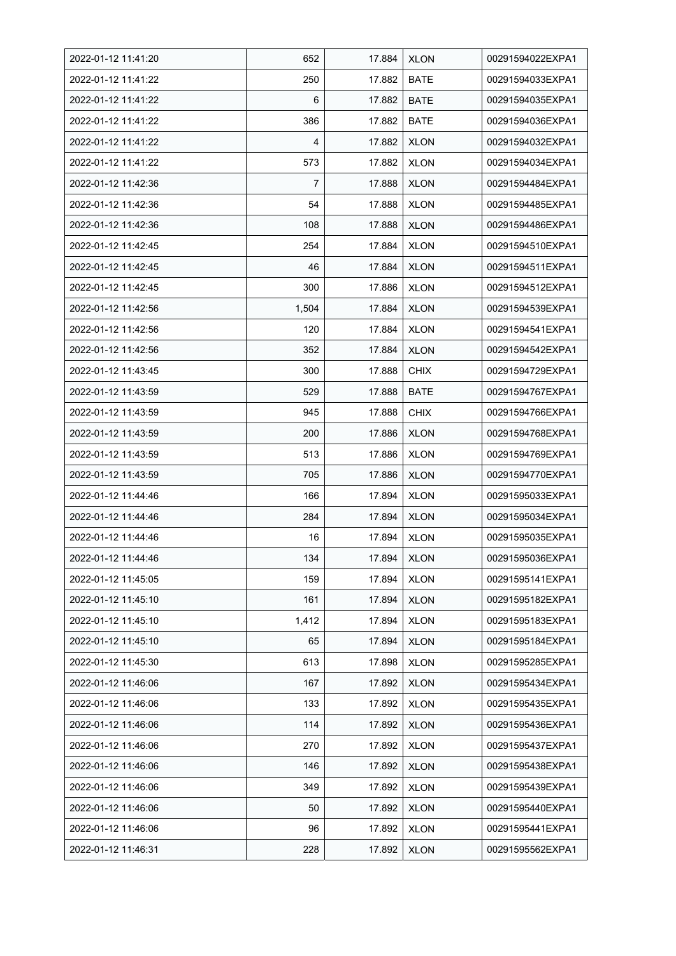| 2022-01-12 11:41:20 | 652   | 17.884 | <b>XLON</b> | 00291594022EXPA1 |
|---------------------|-------|--------|-------------|------------------|
| 2022-01-12 11:41:22 | 250   | 17.882 | <b>BATE</b> | 00291594033EXPA1 |
| 2022-01-12 11:41:22 | 6     | 17.882 | <b>BATE</b> | 00291594035EXPA1 |
| 2022-01-12 11:41:22 | 386   | 17.882 | <b>BATE</b> | 00291594036EXPA1 |
| 2022-01-12 11:41:22 | 4     | 17.882 | <b>XLON</b> | 00291594032EXPA1 |
| 2022-01-12 11:41:22 | 573   | 17.882 | <b>XLON</b> | 00291594034EXPA1 |
| 2022-01-12 11:42:36 | 7     | 17.888 | <b>XLON</b> | 00291594484EXPA1 |
| 2022-01-12 11:42:36 | 54    | 17.888 | <b>XLON</b> | 00291594485EXPA1 |
| 2022-01-12 11:42:36 | 108   | 17.888 | <b>XLON</b> | 00291594486EXPA1 |
| 2022-01-12 11:42:45 | 254   | 17.884 | <b>XLON</b> | 00291594510EXPA1 |
| 2022-01-12 11:42:45 | 46    | 17.884 | <b>XLON</b> | 00291594511EXPA1 |
| 2022-01-12 11:42:45 | 300   | 17.886 | <b>XLON</b> | 00291594512EXPA1 |
| 2022-01-12 11:42:56 | 1,504 | 17.884 | <b>XLON</b> | 00291594539EXPA1 |
| 2022-01-12 11:42:56 | 120   | 17.884 | <b>XLON</b> | 00291594541EXPA1 |
| 2022-01-12 11:42:56 | 352   | 17.884 | <b>XLON</b> | 00291594542EXPA1 |
| 2022-01-12 11:43:45 | 300   | 17.888 | <b>CHIX</b> | 00291594729EXPA1 |
| 2022-01-12 11:43:59 | 529   | 17.888 | <b>BATE</b> | 00291594767EXPA1 |
| 2022-01-12 11:43:59 | 945   | 17.888 | <b>CHIX</b> | 00291594766EXPA1 |
| 2022-01-12 11:43:59 | 200   | 17.886 | <b>XLON</b> | 00291594768EXPA1 |
| 2022-01-12 11:43:59 | 513   | 17.886 | XLON        | 00291594769EXPA1 |
| 2022-01-12 11:43:59 | 705   | 17.886 | <b>XLON</b> | 00291594770EXPA1 |
| 2022-01-12 11:44:46 | 166   | 17.894 | <b>XLON</b> | 00291595033EXPA1 |
| 2022-01-12 11:44:46 | 284   | 17.894 | <b>XLON</b> | 00291595034EXPA1 |
| 2022-01-12 11:44:46 | 16    | 17.894 | <b>XLON</b> | 00291595035EXPA1 |
| 2022-01-12 11:44:46 | 134   | 17.894 | <b>XLON</b> | 00291595036EXPA1 |
| 2022-01-12 11:45:05 | 159   | 17.894 | <b>XLON</b> | 00291595141EXPA1 |
| 2022-01-12 11:45:10 | 161   | 17.894 | <b>XLON</b> | 00291595182EXPA1 |
| 2022-01-12 11:45:10 | 1,412 | 17.894 | <b>XLON</b> | 00291595183EXPA1 |
| 2022-01-12 11:45:10 | 65    | 17.894 | <b>XLON</b> | 00291595184EXPA1 |
| 2022-01-12 11:45:30 | 613   | 17.898 | <b>XLON</b> | 00291595285EXPA1 |
| 2022-01-12 11:46:06 | 167   | 17.892 | <b>XLON</b> | 00291595434EXPA1 |
| 2022-01-12 11:46:06 | 133   | 17.892 | <b>XLON</b> | 00291595435EXPA1 |
| 2022-01-12 11:46:06 | 114   | 17.892 | <b>XLON</b> | 00291595436EXPA1 |
| 2022-01-12 11:46:06 | 270   | 17.892 | <b>XLON</b> | 00291595437EXPA1 |
| 2022-01-12 11:46:06 | 146   | 17.892 | <b>XLON</b> | 00291595438EXPA1 |
| 2022-01-12 11:46:06 | 349   | 17.892 | <b>XLON</b> | 00291595439EXPA1 |
| 2022-01-12 11:46:06 | 50    | 17.892 | <b>XLON</b> | 00291595440EXPA1 |
| 2022-01-12 11:46:06 | 96    | 17.892 | XLON        | 00291595441EXPA1 |
| 2022-01-12 11:46:31 | 228   | 17.892 | <b>XLON</b> | 00291595562EXPA1 |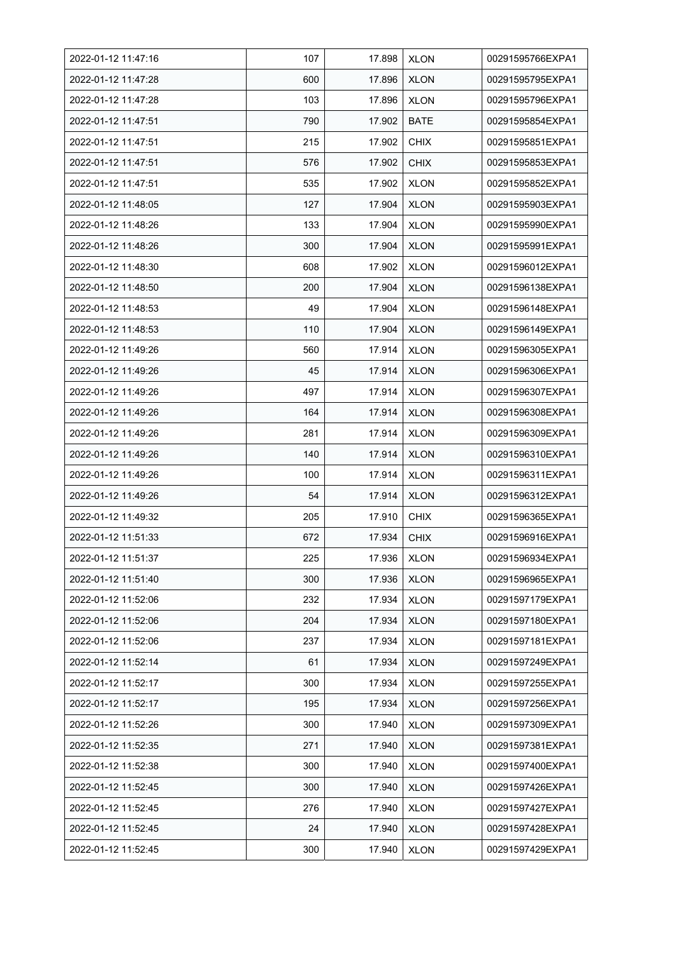| 2022-01-12 11:47:16 | 107 | 17.898 | <b>XLON</b> | 00291595766EXPA1 |
|---------------------|-----|--------|-------------|------------------|
| 2022-01-12 11:47:28 | 600 | 17.896 | <b>XLON</b> | 00291595795EXPA1 |
| 2022-01-12 11:47:28 | 103 | 17.896 | <b>XLON</b> | 00291595796EXPA1 |
| 2022-01-12 11:47:51 | 790 | 17.902 | <b>BATE</b> | 00291595854EXPA1 |
| 2022-01-12 11:47:51 | 215 | 17.902 | <b>CHIX</b> | 00291595851EXPA1 |
| 2022-01-12 11:47:51 | 576 | 17.902 | <b>CHIX</b> | 00291595853EXPA1 |
| 2022-01-12 11:47:51 | 535 | 17.902 | <b>XLON</b> | 00291595852EXPA1 |
| 2022-01-12 11:48:05 | 127 | 17.904 | <b>XLON</b> | 00291595903EXPA1 |
| 2022-01-12 11:48:26 | 133 | 17.904 | <b>XLON</b> | 00291595990EXPA1 |
| 2022-01-12 11:48:26 | 300 | 17.904 | <b>XLON</b> | 00291595991EXPA1 |
| 2022-01-12 11:48:30 | 608 | 17.902 | <b>XLON</b> | 00291596012EXPA1 |
| 2022-01-12 11:48:50 | 200 | 17.904 | <b>XLON</b> | 00291596138EXPA1 |
| 2022-01-12 11:48:53 | 49  | 17.904 | <b>XLON</b> | 00291596148EXPA1 |
| 2022-01-12 11:48:53 | 110 | 17.904 | <b>XLON</b> | 00291596149EXPA1 |
| 2022-01-12 11:49:26 | 560 | 17.914 | <b>XLON</b> | 00291596305EXPA1 |
| 2022-01-12 11:49:26 | 45  | 17.914 | <b>XLON</b> | 00291596306EXPA1 |
| 2022-01-12 11:49:26 | 497 | 17.914 | <b>XLON</b> | 00291596307EXPA1 |
| 2022-01-12 11:49:26 | 164 | 17.914 | <b>XLON</b> | 00291596308EXPA1 |
| 2022-01-12 11:49:26 | 281 | 17.914 | <b>XLON</b> | 00291596309EXPA1 |
| 2022-01-12 11:49:26 | 140 | 17.914 | <b>XLON</b> | 00291596310EXPA1 |
| 2022-01-12 11:49:26 | 100 | 17.914 | <b>XLON</b> | 00291596311EXPA1 |
| 2022-01-12 11:49:26 | 54  | 17.914 | <b>XLON</b> | 00291596312EXPA1 |
| 2022-01-12 11:49:32 | 205 | 17.910 | <b>CHIX</b> | 00291596365EXPA1 |
| 2022-01-12 11:51:33 | 672 | 17.934 | <b>CHIX</b> | 00291596916EXPA1 |
| 2022-01-12 11:51:37 | 225 | 17.936 | <b>XLON</b> | 00291596934EXPA1 |
| 2022-01-12 11:51:40 | 300 | 17.936 | <b>XLON</b> | 00291596965EXPA1 |
| 2022-01-12 11:52:06 | 232 | 17.934 | <b>XLON</b> | 00291597179EXPA1 |
| 2022-01-12 11:52:06 | 204 | 17.934 | <b>XLON</b> | 00291597180EXPA1 |
| 2022-01-12 11:52:06 | 237 | 17.934 | <b>XLON</b> | 00291597181EXPA1 |
| 2022-01-12 11:52:14 | 61  | 17.934 | <b>XLON</b> | 00291597249EXPA1 |
| 2022-01-12 11:52:17 | 300 | 17.934 | XLON        | 00291597255EXPA1 |
| 2022-01-12 11:52:17 | 195 | 17.934 | <b>XLON</b> | 00291597256EXPA1 |
| 2022-01-12 11:52:26 | 300 | 17.940 | <b>XLON</b> | 00291597309EXPA1 |
| 2022-01-12 11:52:35 | 271 | 17.940 | <b>XLON</b> | 00291597381EXPA1 |
| 2022-01-12 11:52:38 | 300 | 17.940 | <b>XLON</b> | 00291597400EXPA1 |
| 2022-01-12 11:52:45 | 300 | 17.940 | <b>XLON</b> | 00291597426EXPA1 |
| 2022-01-12 11:52:45 | 276 | 17.940 | <b>XLON</b> | 00291597427EXPA1 |
| 2022-01-12 11:52:45 | 24  | 17.940 | <b>XLON</b> | 00291597428EXPA1 |
| 2022-01-12 11:52:45 | 300 | 17.940 | <b>XLON</b> | 00291597429EXPA1 |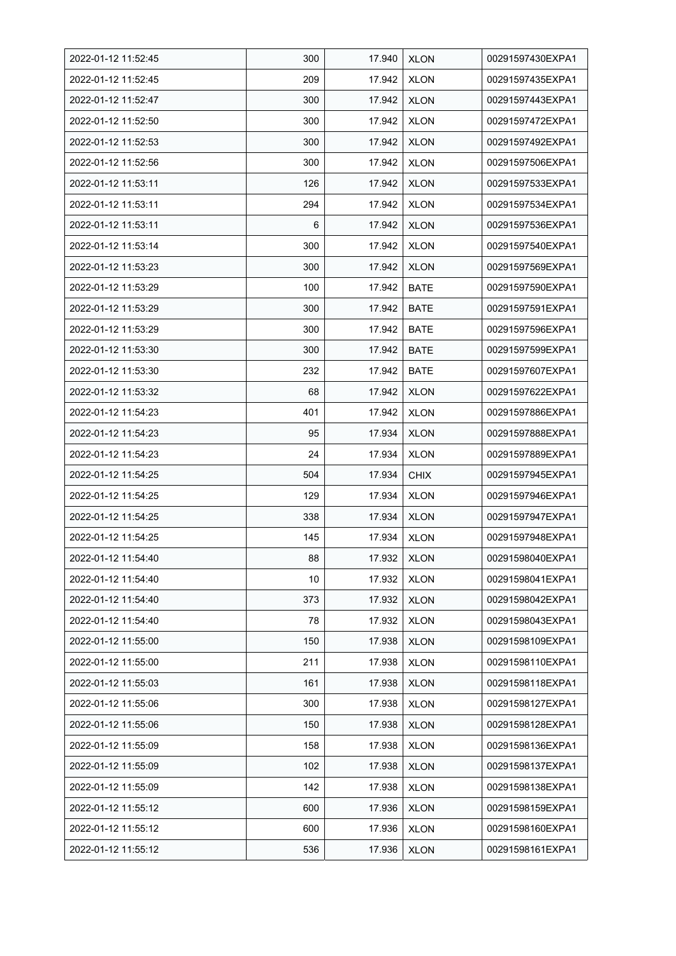| 2022-01-12 11:52:45 | 300 | 17.940 | <b>XLON</b> | 00291597430EXPA1 |
|---------------------|-----|--------|-------------|------------------|
| 2022-01-12 11:52:45 | 209 | 17.942 | <b>XLON</b> | 00291597435EXPA1 |
| 2022-01-12 11:52:47 | 300 | 17.942 | <b>XLON</b> | 00291597443EXPA1 |
| 2022-01-12 11:52:50 | 300 | 17.942 | <b>XLON</b> | 00291597472EXPA1 |
| 2022-01-12 11:52:53 | 300 | 17.942 | <b>XLON</b> | 00291597492EXPA1 |
| 2022-01-12 11:52:56 | 300 | 17.942 | <b>XLON</b> | 00291597506EXPA1 |
| 2022-01-12 11:53:11 | 126 | 17.942 | <b>XLON</b> | 00291597533EXPA1 |
| 2022-01-12 11:53:11 | 294 | 17.942 | <b>XLON</b> | 00291597534EXPA1 |
| 2022-01-12 11:53:11 | 6   | 17.942 | <b>XLON</b> | 00291597536EXPA1 |
| 2022-01-12 11:53:14 | 300 | 17.942 | <b>XLON</b> | 00291597540EXPA1 |
| 2022-01-12 11:53:23 | 300 | 17.942 | <b>XLON</b> | 00291597569EXPA1 |
| 2022-01-12 11:53:29 | 100 | 17.942 | <b>BATE</b> | 00291597590EXPA1 |
| 2022-01-12 11:53:29 | 300 | 17.942 | <b>BATE</b> | 00291597591EXPA1 |
| 2022-01-12 11:53:29 | 300 | 17.942 | <b>BATE</b> | 00291597596EXPA1 |
| 2022-01-12 11:53:30 | 300 | 17.942 | <b>BATE</b> | 00291597599EXPA1 |
| 2022-01-12 11:53:30 | 232 | 17.942 | <b>BATE</b> | 00291597607EXPA1 |
| 2022-01-12 11:53:32 | 68  | 17.942 | <b>XLON</b> | 00291597622EXPA1 |
| 2022-01-12 11:54:23 | 401 | 17.942 | XLON        | 00291597886EXPA1 |
| 2022-01-12 11:54:23 | 95  | 17.934 | <b>XLON</b> | 00291597888EXPA1 |
| 2022-01-12 11:54:23 | 24  | 17.934 | <b>XLON</b> | 00291597889EXPA1 |
| 2022-01-12 11:54:25 | 504 | 17.934 | <b>CHIX</b> | 00291597945EXPA1 |
| 2022-01-12 11:54:25 | 129 | 17.934 | <b>XLON</b> | 00291597946EXPA1 |
| 2022-01-12 11:54:25 | 338 | 17.934 | <b>XLON</b> | 00291597947EXPA1 |
| 2022-01-12 11:54:25 | 145 | 17.934 | <b>XLON</b> | 00291597948EXPA1 |
| 2022-01-12 11:54:40 | 88  | 17.932 | <b>XLON</b> | 00291598040EXPA1 |
| 2022-01-12 11:54:40 | 10  | 17.932 | <b>XLON</b> | 00291598041EXPA1 |
| 2022-01-12 11:54:40 | 373 | 17.932 | <b>XLON</b> | 00291598042EXPA1 |
| 2022-01-12 11:54:40 | 78  | 17.932 | <b>XLON</b> | 00291598043EXPA1 |
| 2022-01-12 11:55:00 | 150 | 17.938 | <b>XLON</b> | 00291598109EXPA1 |
| 2022-01-12 11:55:00 | 211 | 17.938 | <b>XLON</b> | 00291598110EXPA1 |
| 2022-01-12 11:55:03 | 161 | 17.938 | <b>XLON</b> | 00291598118EXPA1 |
| 2022-01-12 11:55:06 | 300 | 17.938 | <b>XLON</b> | 00291598127EXPA1 |
| 2022-01-12 11:55:06 | 150 | 17.938 | <b>XLON</b> | 00291598128EXPA1 |
| 2022-01-12 11:55:09 | 158 | 17.938 | <b>XLON</b> | 00291598136EXPA1 |
| 2022-01-12 11:55:09 | 102 | 17.938 | <b>XLON</b> | 00291598137EXPA1 |
| 2022-01-12 11:55:09 | 142 | 17.938 | <b>XLON</b> | 00291598138EXPA1 |
| 2022-01-12 11:55:12 | 600 | 17.936 | <b>XLON</b> | 00291598159EXPA1 |
| 2022-01-12 11:55:12 | 600 | 17.936 | <b>XLON</b> | 00291598160EXPA1 |
| 2022-01-12 11:55:12 | 536 | 17.936 | <b>XLON</b> | 00291598161EXPA1 |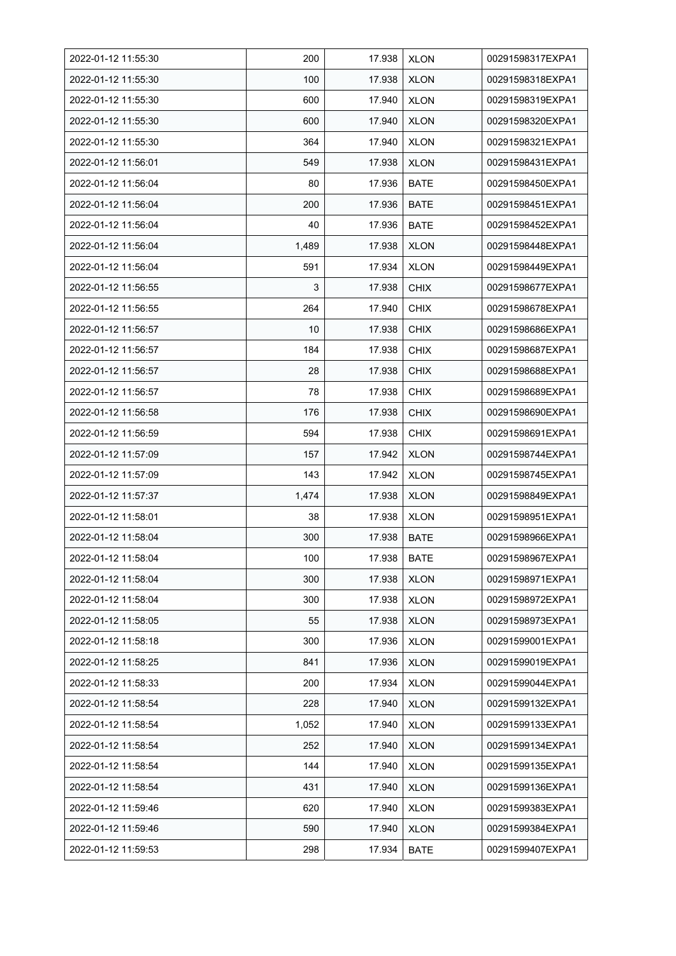| 2022-01-12 11:55:30 | 200   | 17.938 | <b>XLON</b> | 00291598317EXPA1 |
|---------------------|-------|--------|-------------|------------------|
| 2022-01-12 11:55:30 | 100   | 17.938 | <b>XLON</b> | 00291598318EXPA1 |
| 2022-01-12 11:55:30 | 600   | 17.940 | <b>XLON</b> | 00291598319EXPA1 |
| 2022-01-12 11:55:30 | 600   | 17.940 | <b>XLON</b> | 00291598320EXPA1 |
| 2022-01-12 11:55:30 | 364   | 17.940 | <b>XLON</b> | 00291598321EXPA1 |
| 2022-01-12 11:56:01 | 549   | 17.938 | <b>XLON</b> | 00291598431EXPA1 |
| 2022-01-12 11:56:04 | 80    | 17.936 | <b>BATE</b> | 00291598450EXPA1 |
| 2022-01-12 11:56:04 | 200   | 17.936 | <b>BATE</b> | 00291598451EXPA1 |
| 2022-01-12 11:56:04 | 40    | 17.936 | <b>BATE</b> | 00291598452EXPA1 |
| 2022-01-12 11:56:04 | 1,489 | 17.938 | <b>XLON</b> | 00291598448EXPA1 |
| 2022-01-12 11:56:04 | 591   | 17.934 | <b>XLON</b> | 00291598449EXPA1 |
| 2022-01-12 11:56:55 | 3     | 17.938 | <b>CHIX</b> | 00291598677EXPA1 |
| 2022-01-12 11:56:55 | 264   | 17.940 | <b>CHIX</b> | 00291598678EXPA1 |
| 2022-01-12 11:56:57 | 10    | 17.938 | <b>CHIX</b> | 00291598686EXPA1 |
| 2022-01-12 11:56:57 | 184   | 17.938 | <b>CHIX</b> | 00291598687EXPA1 |
| 2022-01-12 11:56:57 | 28    | 17.938 | <b>CHIX</b> | 00291598688EXPA1 |
| 2022-01-12 11:56:57 | 78    | 17.938 | <b>CHIX</b> | 00291598689EXPA1 |
| 2022-01-12 11:56:58 | 176   | 17.938 | <b>CHIX</b> | 00291598690EXPA1 |
| 2022-01-12 11:56:59 | 594   | 17.938 | <b>CHIX</b> | 00291598691EXPA1 |
| 2022-01-12 11:57:09 | 157   | 17.942 | <b>XLON</b> | 00291598744EXPA1 |
| 2022-01-12 11:57:09 | 143   | 17.942 | <b>XLON</b> | 00291598745EXPA1 |
| 2022-01-12 11:57:37 | 1,474 | 17.938 | <b>XLON</b> | 00291598849EXPA1 |
| 2022-01-12 11:58:01 | 38    | 17.938 | <b>XLON</b> | 00291598951EXPA1 |
| 2022-01-12 11:58:04 | 300   | 17.938 | <b>BATE</b> | 00291598966EXPA1 |
| 2022-01-12 11:58:04 | 100   | 17.938 | <b>BATE</b> | 00291598967EXPA1 |
| 2022-01-12 11:58:04 | 300   | 17.938 | <b>XLON</b> | 00291598971EXPA1 |
| 2022-01-12 11:58:04 | 300   | 17.938 | <b>XLON</b> | 00291598972EXPA1 |
| 2022-01-12 11:58:05 | 55    | 17.938 | <b>XLON</b> | 00291598973EXPA1 |
| 2022-01-12 11:58:18 | 300   | 17.936 | <b>XLON</b> | 00291599001EXPA1 |
| 2022-01-12 11:58:25 | 841   | 17.936 | <b>XLON</b> | 00291599019EXPA1 |
| 2022-01-12 11:58:33 | 200   | 17.934 | <b>XLON</b> | 00291599044EXPA1 |
| 2022-01-12 11:58:54 | 228   | 17.940 | <b>XLON</b> | 00291599132EXPA1 |
| 2022-01-12 11:58:54 | 1,052 | 17.940 | <b>XLON</b> | 00291599133EXPA1 |
| 2022-01-12 11:58:54 | 252   | 17.940 | <b>XLON</b> | 00291599134EXPA1 |
| 2022-01-12 11:58:54 | 144   | 17.940 | <b>XLON</b> | 00291599135EXPA1 |
| 2022-01-12 11:58:54 | 431   | 17.940 | <b>XLON</b> | 00291599136EXPA1 |
| 2022-01-12 11:59:46 | 620   | 17.940 | <b>XLON</b> | 00291599383EXPA1 |
| 2022-01-12 11:59:46 | 590   | 17.940 | <b>XLON</b> | 00291599384EXPA1 |
| 2022-01-12 11:59:53 | 298   | 17.934 | <b>BATE</b> | 00291599407EXPA1 |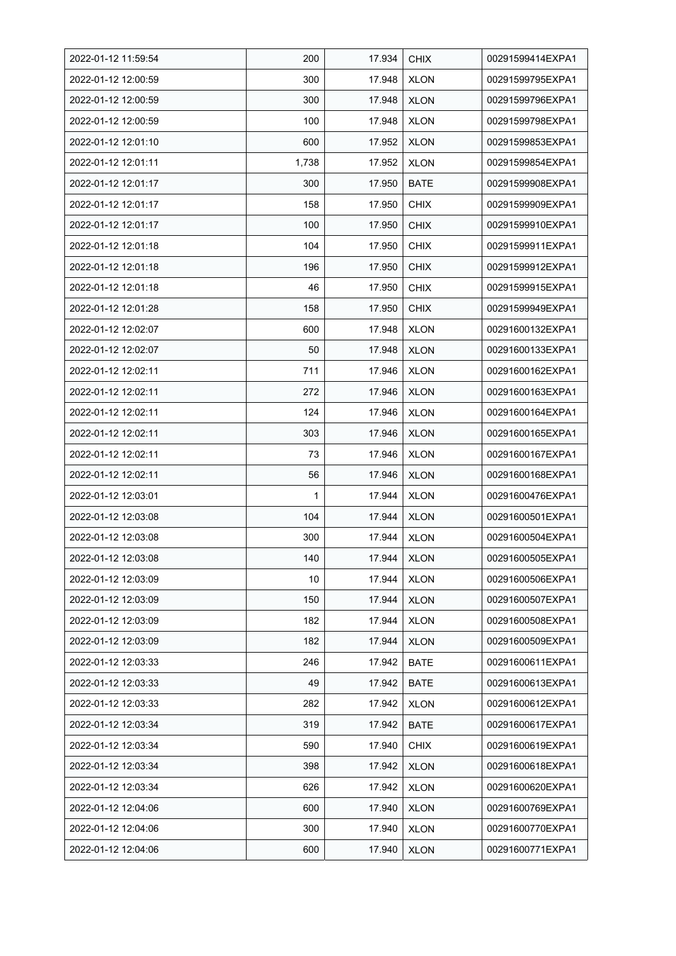| 2022-01-12 11:59:54 | 200   | 17.934 | <b>CHIX</b> | 00291599414EXPA1 |
|---------------------|-------|--------|-------------|------------------|
| 2022-01-12 12:00:59 | 300   | 17.948 | <b>XLON</b> | 00291599795EXPA1 |
| 2022-01-12 12:00:59 | 300   | 17.948 | <b>XLON</b> | 00291599796EXPA1 |
| 2022-01-12 12:00:59 | 100   | 17.948 | <b>XLON</b> | 00291599798EXPA1 |
| 2022-01-12 12:01:10 | 600   | 17.952 | <b>XLON</b> | 00291599853EXPA1 |
| 2022-01-12 12:01:11 | 1,738 | 17.952 | <b>XLON</b> | 00291599854EXPA1 |
| 2022-01-12 12:01:17 | 300   | 17.950 | <b>BATE</b> | 00291599908EXPA1 |
| 2022-01-12 12:01:17 | 158   | 17.950 | <b>CHIX</b> | 00291599909EXPA1 |
| 2022-01-12 12:01:17 | 100   | 17.950 | <b>CHIX</b> | 00291599910EXPA1 |
| 2022-01-12 12:01:18 | 104   | 17.950 | <b>CHIX</b> | 00291599911EXPA1 |
| 2022-01-12 12:01:18 | 196   | 17.950 | <b>CHIX</b> | 00291599912EXPA1 |
| 2022-01-12 12:01:18 | 46    | 17.950 | <b>CHIX</b> | 00291599915EXPA1 |
| 2022-01-12 12:01:28 | 158   | 17.950 | <b>CHIX</b> | 00291599949EXPA1 |
| 2022-01-12 12:02:07 | 600   | 17.948 | <b>XLON</b> | 00291600132EXPA1 |
| 2022-01-12 12:02:07 | 50    | 17.948 | <b>XLON</b> | 00291600133EXPA1 |
| 2022-01-12 12:02:11 | 711   | 17.946 | <b>XLON</b> | 00291600162EXPA1 |
| 2022-01-12 12:02:11 | 272   | 17.946 | <b>XLON</b> | 00291600163EXPA1 |
| 2022-01-12 12:02:11 | 124   | 17.946 | XLON        | 00291600164EXPA1 |
| 2022-01-12 12:02:11 | 303   | 17.946 | <b>XLON</b> | 00291600165EXPA1 |
| 2022-01-12 12:02:11 | 73    | 17.946 | <b>XLON</b> | 00291600167EXPA1 |
| 2022-01-12 12:02:11 | 56    | 17.946 | <b>XLON</b> | 00291600168EXPA1 |
| 2022-01-12 12:03:01 | 1     | 17.944 | <b>XLON</b> | 00291600476EXPA1 |
| 2022-01-12 12:03:08 | 104   | 17.944 | <b>XLON</b> | 00291600501EXPA1 |
| 2022-01-12 12:03:08 | 300   | 17.944 | <b>XLON</b> | 00291600504EXPA1 |
| 2022-01-12 12:03:08 | 140   | 17.944 | <b>XLON</b> | 00291600505EXPA1 |
| 2022-01-12 12:03:09 | 10    | 17.944 | <b>XLON</b> | 00291600506EXPA1 |
| 2022-01-12 12:03:09 | 150   | 17.944 | <b>XLON</b> | 00291600507EXPA1 |
| 2022-01-12 12:03:09 | 182   | 17.944 | <b>XLON</b> | 00291600508EXPA1 |
| 2022-01-12 12:03:09 | 182   | 17.944 | <b>XLON</b> | 00291600509EXPA1 |
| 2022-01-12 12:03:33 | 246   | 17.942 | <b>BATE</b> | 00291600611EXPA1 |
| 2022-01-12 12:03:33 | 49    | 17.942 | <b>BATE</b> | 00291600613EXPA1 |
| 2022-01-12 12:03:33 | 282   | 17.942 | <b>XLON</b> | 00291600612EXPA1 |
| 2022-01-12 12:03:34 | 319   | 17.942 | <b>BATE</b> | 00291600617EXPA1 |
| 2022-01-12 12:03:34 | 590   | 17.940 | <b>CHIX</b> | 00291600619EXPA1 |
| 2022-01-12 12:03:34 | 398   | 17.942 | <b>XLON</b> | 00291600618EXPA1 |
| 2022-01-12 12:03:34 | 626   | 17.942 | <b>XLON</b> | 00291600620EXPA1 |
| 2022-01-12 12:04:06 | 600   | 17.940 | <b>XLON</b> | 00291600769EXPA1 |
| 2022-01-12 12:04:06 | 300   | 17.940 | <b>XLON</b> | 00291600770EXPA1 |
| 2022-01-12 12:04:06 | 600   | 17.940 | <b>XLON</b> | 00291600771EXPA1 |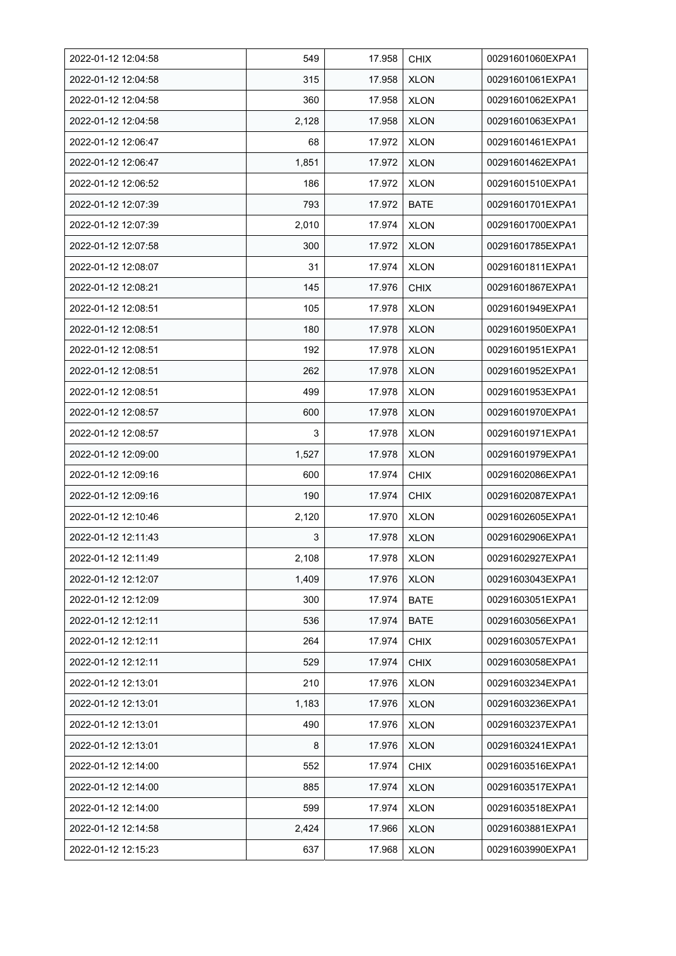| 2022-01-12 12:04:58 | 549   | 17.958 | <b>CHIX</b> | 00291601060EXPA1 |
|---------------------|-------|--------|-------------|------------------|
| 2022-01-12 12:04:58 | 315   | 17.958 | <b>XLON</b> | 00291601061EXPA1 |
| 2022-01-12 12:04:58 | 360   | 17.958 | <b>XLON</b> | 00291601062EXPA1 |
| 2022-01-12 12:04:58 | 2,128 | 17.958 | <b>XLON</b> | 00291601063EXPA1 |
| 2022-01-12 12:06:47 | 68    | 17.972 | <b>XLON</b> | 00291601461EXPA1 |
| 2022-01-12 12:06:47 | 1,851 | 17.972 | <b>XLON</b> | 00291601462EXPA1 |
| 2022-01-12 12:06:52 | 186   | 17.972 | <b>XLON</b> | 00291601510EXPA1 |
| 2022-01-12 12:07:39 | 793   | 17.972 | <b>BATE</b> | 00291601701EXPA1 |
| 2022-01-12 12:07:39 | 2,010 | 17.974 | <b>XLON</b> | 00291601700EXPA1 |
| 2022-01-12 12:07:58 | 300   | 17.972 | <b>XLON</b> | 00291601785EXPA1 |
| 2022-01-12 12:08:07 | 31    | 17.974 | <b>XLON</b> | 00291601811EXPA1 |
| 2022-01-12 12:08:21 | 145   | 17.976 | <b>CHIX</b> | 00291601867EXPA1 |
| 2022-01-12 12:08:51 | 105   | 17.978 | <b>XLON</b> | 00291601949EXPA1 |
| 2022-01-12 12:08:51 | 180   | 17.978 | <b>XLON</b> | 00291601950EXPA1 |
| 2022-01-12 12:08:51 | 192   | 17.978 | <b>XLON</b> | 00291601951EXPA1 |
| 2022-01-12 12:08:51 | 262   | 17.978 | <b>XLON</b> | 00291601952EXPA1 |
| 2022-01-12 12:08:51 | 499   | 17.978 | <b>XLON</b> | 00291601953EXPA1 |
| 2022-01-12 12:08:57 | 600   | 17.978 | <b>XLON</b> | 00291601970EXPA1 |
| 2022-01-12 12:08:57 | 3     | 17.978 | <b>XLON</b> | 00291601971EXPA1 |
| 2022-01-12 12:09:00 | 1,527 | 17.978 | <b>XLON</b> | 00291601979EXPA1 |
| 2022-01-12 12:09:16 | 600   | 17.974 | <b>CHIX</b> | 00291602086EXPA1 |
| 2022-01-12 12:09:16 | 190   | 17.974 | <b>CHIX</b> | 00291602087EXPA1 |
| 2022-01-12 12:10:46 | 2,120 | 17.970 | <b>XLON</b> | 00291602605EXPA1 |
| 2022-01-12 12:11:43 | 3     | 17.978 | <b>XLON</b> | 00291602906EXPA1 |
| 2022-01-12 12:11:49 | 2,108 | 17.978 | <b>XLON</b> | 00291602927EXPA1 |
| 2022-01-12 12:12:07 | 1,409 | 17.976 | <b>XLON</b> | 00291603043EXPA1 |
| 2022-01-12 12:12:09 | 300   | 17.974 | <b>BATE</b> | 00291603051EXPA1 |
| 2022-01-12 12:12:11 | 536   | 17.974 | <b>BATE</b> | 00291603056EXPA1 |
| 2022-01-12 12:12:11 | 264   | 17.974 | <b>CHIX</b> | 00291603057EXPA1 |
| 2022-01-12 12:12:11 | 529   | 17.974 | <b>CHIX</b> | 00291603058EXPA1 |
| 2022-01-12 12:13:01 | 210   | 17.976 | <b>XLON</b> | 00291603234EXPA1 |
| 2022-01-12 12:13:01 | 1,183 | 17.976 | <b>XLON</b> | 00291603236EXPA1 |
| 2022-01-12 12:13:01 | 490   | 17.976 | <b>XLON</b> | 00291603237EXPA1 |
| 2022-01-12 12:13:01 | 8     | 17.976 | <b>XLON</b> | 00291603241EXPA1 |
| 2022-01-12 12:14:00 | 552   | 17.974 | <b>CHIX</b> | 00291603516EXPA1 |
| 2022-01-12 12:14:00 | 885   | 17.974 | <b>XLON</b> | 00291603517EXPA1 |
| 2022-01-12 12:14:00 | 599   | 17.974 | <b>XLON</b> | 00291603518EXPA1 |
| 2022-01-12 12:14:58 | 2,424 | 17.966 | <b>XLON</b> | 00291603881EXPA1 |
| 2022-01-12 12:15:23 | 637   | 17.968 | <b>XLON</b> | 00291603990EXPA1 |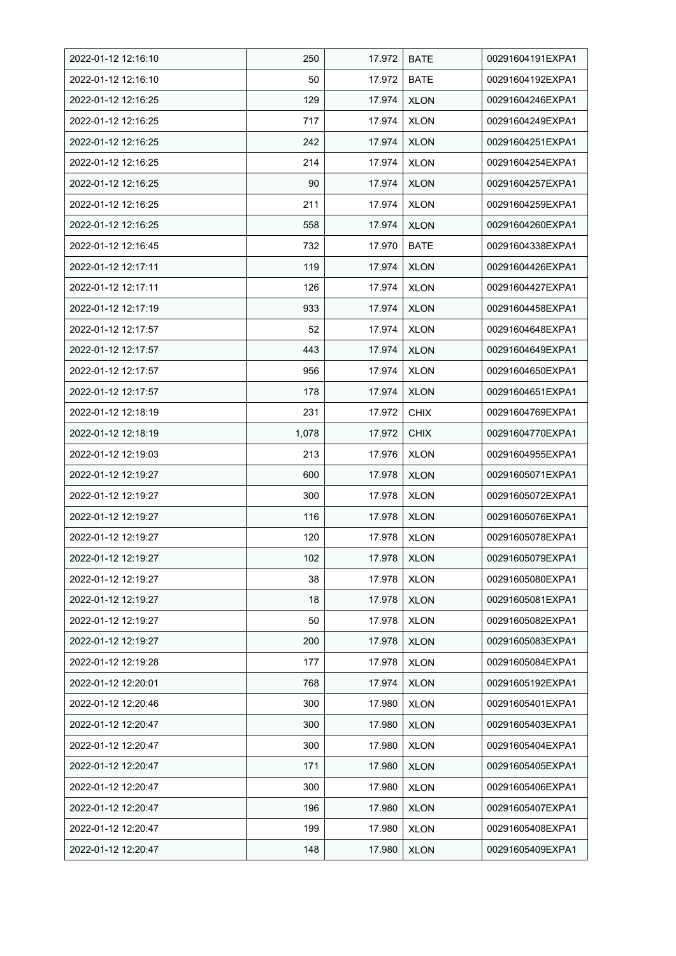| 2022-01-12 12:16:10 | 250   | 17.972 | <b>BATE</b> | 00291604191EXPA1 |
|---------------------|-------|--------|-------------|------------------|
| 2022-01-12 12:16:10 | 50    | 17.972 | <b>BATE</b> | 00291604192EXPA1 |
| 2022-01-12 12:16:25 | 129   | 17.974 | <b>XLON</b> | 00291604246EXPA1 |
| 2022-01-12 12:16:25 | 717   | 17.974 | <b>XLON</b> | 00291604249EXPA1 |
| 2022-01-12 12:16:25 | 242   | 17.974 | <b>XLON</b> | 00291604251EXPA1 |
| 2022-01-12 12:16:25 | 214   | 17.974 | <b>XLON</b> | 00291604254EXPA1 |
| 2022-01-12 12:16:25 | 90    | 17.974 | <b>XLON</b> | 00291604257EXPA1 |
| 2022-01-12 12:16:25 | 211   | 17.974 | <b>XLON</b> | 00291604259EXPA1 |
| 2022-01-12 12:16:25 | 558   | 17.974 | <b>XLON</b> | 00291604260EXPA1 |
| 2022-01-12 12:16:45 | 732   | 17.970 | <b>BATE</b> | 00291604338EXPA1 |
| 2022-01-12 12:17:11 | 119   | 17.974 | <b>XLON</b> | 00291604426EXPA1 |
| 2022-01-12 12:17:11 | 126   | 17.974 | <b>XLON</b> | 00291604427EXPA1 |
| 2022-01-12 12:17:19 | 933   | 17.974 | <b>XLON</b> | 00291604458EXPA1 |
| 2022-01-12 12:17:57 | 52    | 17.974 | <b>XLON</b> | 00291604648EXPA1 |
| 2022-01-12 12:17:57 | 443   | 17.974 | <b>XLON</b> | 00291604649EXPA1 |
| 2022-01-12 12:17:57 | 956   | 17.974 | <b>XLON</b> | 00291604650EXPA1 |
| 2022-01-12 12:17:57 | 178   | 17.974 | <b>XLON</b> | 00291604651EXPA1 |
| 2022-01-12 12:18:19 | 231   | 17.972 | <b>CHIX</b> | 00291604769EXPA1 |
| 2022-01-12 12:18:19 | 1,078 | 17.972 | <b>CHIX</b> | 00291604770EXPA1 |
| 2022-01-12 12:19:03 | 213   | 17.976 | <b>XLON</b> | 00291604955EXPA1 |
| 2022-01-12 12:19:27 | 600   | 17.978 | <b>XLON</b> | 00291605071EXPA1 |
| 2022-01-12 12:19:27 | 300   | 17.978 | <b>XLON</b> | 00291605072EXPA1 |
| 2022-01-12 12:19:27 | 116   | 17.978 | <b>XLON</b> | 00291605076EXPA1 |
| 2022-01-12 12:19:27 | 120   | 17.978 | <b>XLON</b> | 00291605078EXPA1 |
| 2022-01-12 12:19:27 | 102   | 17.978 | <b>XLON</b> | 00291605079EXPA1 |
| 2022-01-12 12:19:27 | 38    | 17.978 | <b>XLON</b> | 00291605080EXPA1 |
| 2022-01-12 12:19:27 | 18    | 17.978 | <b>XLON</b> | 00291605081EXPA1 |
| 2022-01-12 12:19:27 | 50    | 17.978 | <b>XLON</b> | 00291605082EXPA1 |
| 2022-01-12 12:19:27 | 200   | 17.978 | <b>XLON</b> | 00291605083EXPA1 |
| 2022-01-12 12:19:28 | 177   | 17.978 | <b>XLON</b> | 00291605084EXPA1 |
| 2022-01-12 12:20:01 | 768   | 17.974 | <b>XLON</b> | 00291605192EXPA1 |
| 2022-01-12 12:20:46 | 300   | 17.980 | <b>XLON</b> | 00291605401EXPA1 |
| 2022-01-12 12:20:47 | 300   | 17.980 | <b>XLON</b> | 00291605403EXPA1 |
| 2022-01-12 12:20:47 | 300   | 17.980 | <b>XLON</b> | 00291605404EXPA1 |
| 2022-01-12 12:20:47 | 171   | 17.980 | <b>XLON</b> | 00291605405EXPA1 |
| 2022-01-12 12:20:47 | 300   | 17.980 | <b>XLON</b> | 00291605406EXPA1 |
| 2022-01-12 12:20:47 | 196   | 17.980 | <b>XLON</b> | 00291605407EXPA1 |
| 2022-01-12 12:20:47 | 199   | 17.980 | <b>XLON</b> | 00291605408EXPA1 |
| 2022-01-12 12:20:47 | 148   | 17.980 | <b>XLON</b> | 00291605409EXPA1 |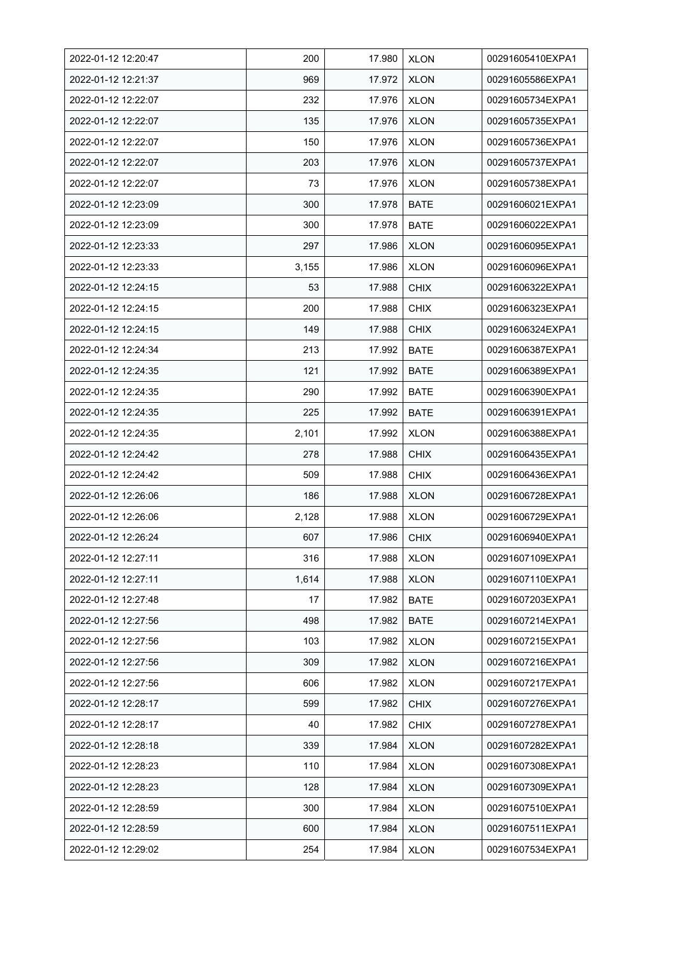| 2022-01-12 12:20:47 | 200   | 17.980 | <b>XLON</b> | 00291605410EXPA1 |
|---------------------|-------|--------|-------------|------------------|
| 2022-01-12 12:21:37 | 969   | 17.972 | <b>XLON</b> | 00291605586EXPA1 |
| 2022-01-12 12:22:07 | 232   | 17.976 | <b>XLON</b> | 00291605734EXPA1 |
| 2022-01-12 12:22:07 | 135   | 17.976 | <b>XLON</b> | 00291605735EXPA1 |
| 2022-01-12 12:22:07 | 150   | 17.976 | <b>XLON</b> | 00291605736EXPA1 |
| 2022-01-12 12:22:07 | 203   | 17.976 | <b>XLON</b> | 00291605737EXPA1 |
| 2022-01-12 12:22:07 | 73    | 17.976 | <b>XLON</b> | 00291605738EXPA1 |
| 2022-01-12 12:23:09 | 300   | 17.978 | <b>BATE</b> | 00291606021EXPA1 |
| 2022-01-12 12:23:09 | 300   | 17.978 | <b>BATE</b> | 00291606022EXPA1 |
| 2022-01-12 12:23:33 | 297   | 17.986 | <b>XLON</b> | 00291606095EXPA1 |
| 2022-01-12 12:23:33 | 3,155 | 17.986 | <b>XLON</b> | 00291606096EXPA1 |
| 2022-01-12 12:24:15 | 53    | 17.988 | <b>CHIX</b> | 00291606322EXPA1 |
| 2022-01-12 12:24:15 | 200   | 17.988 | <b>CHIX</b> | 00291606323EXPA1 |
| 2022-01-12 12:24:15 | 149   | 17.988 | <b>CHIX</b> | 00291606324EXPA1 |
| 2022-01-12 12:24:34 | 213   | 17.992 | <b>BATE</b> | 00291606387EXPA1 |
| 2022-01-12 12:24:35 | 121   | 17.992 | <b>BATE</b> | 00291606389EXPA1 |
| 2022-01-12 12:24:35 | 290   | 17.992 | <b>BATE</b> | 00291606390EXPA1 |
| 2022-01-12 12:24:35 | 225   | 17.992 | <b>BATE</b> | 00291606391EXPA1 |
| 2022-01-12 12:24:35 | 2,101 | 17.992 | <b>XLON</b> | 00291606388EXPA1 |
| 2022-01-12 12:24:42 | 278   | 17.988 | <b>CHIX</b> | 00291606435EXPA1 |
| 2022-01-12 12:24:42 | 509   | 17.988 | <b>CHIX</b> | 00291606436EXPA1 |
| 2022-01-12 12:26:06 | 186   | 17.988 | <b>XLON</b> | 00291606728EXPA1 |
| 2022-01-12 12:26:06 | 2,128 | 17.988 | <b>XLON</b> | 00291606729EXPA1 |
| 2022-01-12 12:26:24 | 607   | 17.986 | <b>CHIX</b> | 00291606940EXPA1 |
| 2022-01-12 12:27:11 | 316   | 17.988 | <b>XLON</b> | 00291607109EXPA1 |
| 2022-01-12 12:27:11 | 1,614 | 17.988 | <b>XLON</b> | 00291607110EXPA1 |
| 2022-01-12 12:27:48 | 17    | 17.982 | <b>BATE</b> | 00291607203EXPA1 |
| 2022-01-12 12:27:56 | 498   | 17.982 | <b>BATE</b> | 00291607214EXPA1 |
| 2022-01-12 12:27:56 | 103   | 17.982 | <b>XLON</b> | 00291607215EXPA1 |
| 2022-01-12 12:27:56 | 309   | 17.982 | <b>XLON</b> | 00291607216EXPA1 |
| 2022-01-12 12:27:56 | 606   | 17.982 | <b>XLON</b> | 00291607217EXPA1 |
| 2022-01-12 12:28:17 | 599   | 17.982 | <b>CHIX</b> | 00291607276EXPA1 |
| 2022-01-12 12:28:17 | 40    | 17.982 | <b>CHIX</b> | 00291607278EXPA1 |
| 2022-01-12 12:28:18 | 339   | 17.984 | <b>XLON</b> | 00291607282EXPA1 |
| 2022-01-12 12:28:23 | 110   | 17.984 | <b>XLON</b> | 00291607308EXPA1 |
| 2022-01-12 12:28:23 | 128   | 17.984 | <b>XLON</b> | 00291607309EXPA1 |
| 2022-01-12 12:28:59 | 300   | 17.984 | <b>XLON</b> | 00291607510EXPA1 |
| 2022-01-12 12:28:59 | 600   | 17.984 | <b>XLON</b> | 00291607511EXPA1 |
| 2022-01-12 12:29:02 | 254   | 17.984 | <b>XLON</b> | 00291607534EXPA1 |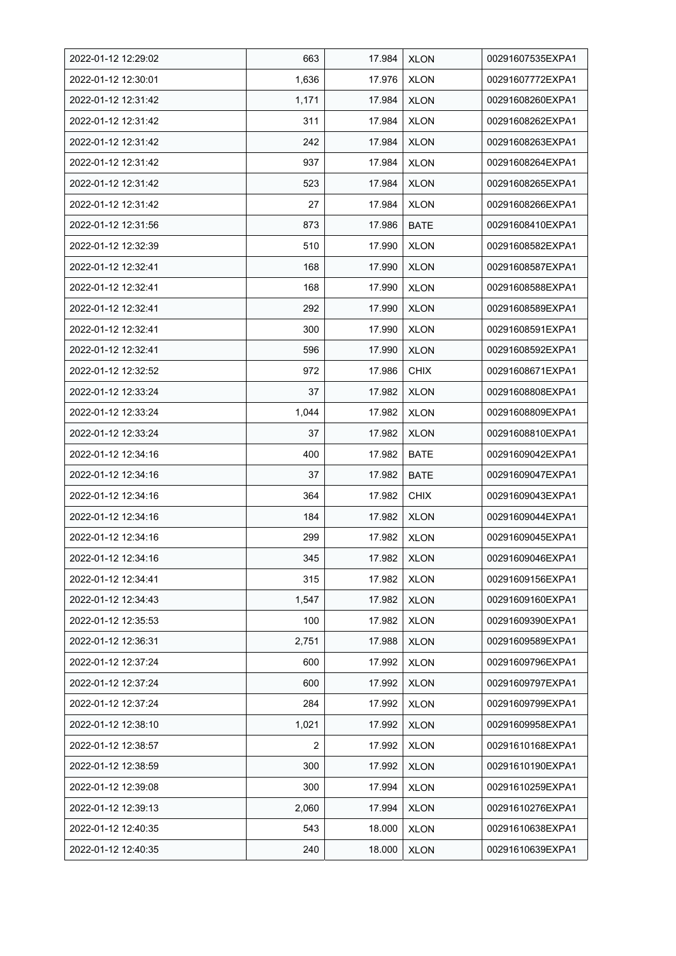| 2022-01-12 12:29:02 | 663   | 17.984 | <b>XLON</b> | 00291607535EXPA1 |
|---------------------|-------|--------|-------------|------------------|
| 2022-01-12 12:30:01 | 1,636 | 17.976 | <b>XLON</b> | 00291607772EXPA1 |
| 2022-01-12 12:31:42 | 1,171 | 17.984 | <b>XLON</b> | 00291608260EXPA1 |
| 2022-01-12 12:31:42 | 311   | 17.984 | <b>XLON</b> | 00291608262EXPA1 |
| 2022-01-12 12:31:42 | 242   | 17.984 | <b>XLON</b> | 00291608263EXPA1 |
| 2022-01-12 12:31:42 | 937   | 17.984 | <b>XLON</b> | 00291608264EXPA1 |
| 2022-01-12 12:31:42 | 523   | 17.984 | <b>XLON</b> | 00291608265EXPA1 |
| 2022-01-12 12:31:42 | 27    | 17.984 | <b>XLON</b> | 00291608266EXPA1 |
| 2022-01-12 12:31:56 | 873   | 17.986 | <b>BATE</b> | 00291608410EXPA1 |
| 2022-01-12 12:32:39 | 510   | 17.990 | <b>XLON</b> | 00291608582EXPA1 |
| 2022-01-12 12:32:41 | 168   | 17.990 | <b>XLON</b> | 00291608587EXPA1 |
| 2022-01-12 12:32:41 | 168   | 17.990 | <b>XLON</b> | 00291608588EXPA1 |
| 2022-01-12 12:32:41 | 292   | 17.990 | <b>XLON</b> | 00291608589EXPA1 |
| 2022-01-12 12:32:41 | 300   | 17.990 | <b>XLON</b> | 00291608591EXPA1 |
| 2022-01-12 12:32:41 | 596   | 17.990 | <b>XLON</b> | 00291608592EXPA1 |
| 2022-01-12 12:32:52 | 972   | 17.986 | <b>CHIX</b> | 00291608671EXPA1 |
| 2022-01-12 12:33:24 | 37    | 17.982 | <b>XLON</b> | 00291608808EXPA1 |
| 2022-01-12 12:33:24 | 1,044 | 17.982 | <b>XLON</b> | 00291608809EXPA1 |
| 2022-01-12 12:33:24 | 37    | 17.982 | <b>XLON</b> | 00291608810EXPA1 |
| 2022-01-12 12:34:16 | 400   | 17.982 | <b>BATE</b> | 00291609042EXPA1 |
| 2022-01-12 12:34:16 | 37    | 17.982 | <b>BATE</b> | 00291609047EXPA1 |
| 2022-01-12 12:34:16 | 364   | 17.982 | <b>CHIX</b> | 00291609043EXPA1 |
| 2022-01-12 12:34:16 | 184   | 17.982 | <b>XLON</b> | 00291609044EXPA1 |
| 2022-01-12 12:34:16 | 299   | 17.982 | <b>XLON</b> | 00291609045EXPA1 |
| 2022-01-12 12:34:16 | 345   | 17.982 | <b>XLON</b> | 00291609046EXPA1 |
| 2022-01-12 12:34:41 | 315   | 17.982 | <b>XLON</b> | 00291609156EXPA1 |
| 2022-01-12 12:34:43 | 1,547 | 17.982 | <b>XLON</b> | 00291609160EXPA1 |
| 2022-01-12 12:35:53 | 100   | 17.982 | <b>XLON</b> | 00291609390EXPA1 |
| 2022-01-12 12:36:31 | 2,751 | 17.988 | <b>XLON</b> | 00291609589EXPA1 |
| 2022-01-12 12:37:24 | 600   | 17.992 | <b>XLON</b> | 00291609796EXPA1 |
| 2022-01-12 12:37:24 | 600   | 17.992 | <b>XLON</b> | 00291609797EXPA1 |
| 2022-01-12 12:37:24 | 284   | 17.992 | <b>XLON</b> | 00291609799EXPA1 |
| 2022-01-12 12:38:10 | 1,021 | 17.992 | <b>XLON</b> | 00291609958EXPA1 |
| 2022-01-12 12:38:57 | 2     | 17.992 | <b>XLON</b> | 00291610168EXPA1 |
| 2022-01-12 12:38:59 | 300   | 17.992 | <b>XLON</b> | 00291610190EXPA1 |
| 2022-01-12 12:39:08 | 300   | 17.994 | <b>XLON</b> | 00291610259EXPA1 |
| 2022-01-12 12:39:13 | 2,060 | 17.994 | <b>XLON</b> | 00291610276EXPA1 |
| 2022-01-12 12:40:35 | 543   | 18.000 | <b>XLON</b> | 00291610638EXPA1 |
| 2022-01-12 12:40:35 | 240   | 18.000 | <b>XLON</b> | 00291610639EXPA1 |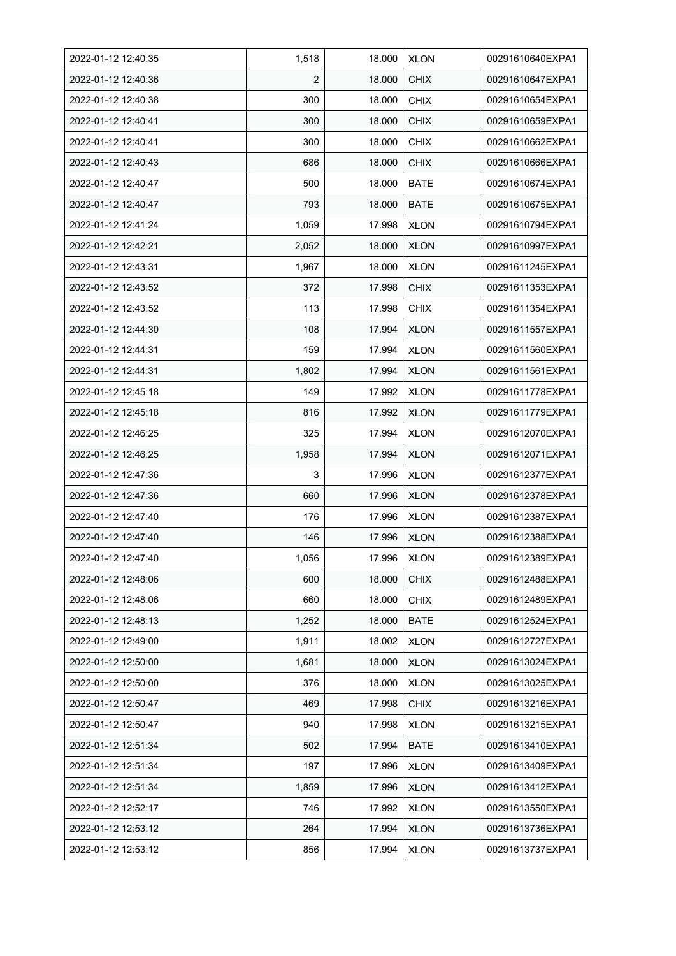| 2022-01-12 12:40:35 | 1,518 | 18.000 | <b>XLON</b> | 00291610640EXPA1 |
|---------------------|-------|--------|-------------|------------------|
| 2022-01-12 12:40:36 | 2     | 18.000 | <b>CHIX</b> | 00291610647EXPA1 |
| 2022-01-12 12:40:38 | 300   | 18.000 | <b>CHIX</b> | 00291610654EXPA1 |
| 2022-01-12 12:40:41 | 300   | 18.000 | <b>CHIX</b> | 00291610659EXPA1 |
| 2022-01-12 12:40:41 | 300   | 18.000 | <b>CHIX</b> | 00291610662EXPA1 |
| 2022-01-12 12:40:43 | 686   | 18.000 | <b>CHIX</b> | 00291610666EXPA1 |
| 2022-01-12 12:40:47 | 500   | 18.000 | <b>BATE</b> | 00291610674EXPA1 |
| 2022-01-12 12:40:47 | 793   | 18.000 | <b>BATE</b> | 00291610675EXPA1 |
| 2022-01-12 12:41:24 | 1,059 | 17.998 | <b>XLON</b> | 00291610794EXPA1 |
| 2022-01-12 12:42:21 | 2,052 | 18.000 | <b>XLON</b> | 00291610997EXPA1 |
| 2022-01-12 12:43:31 | 1,967 | 18.000 | <b>XLON</b> | 00291611245EXPA1 |
| 2022-01-12 12:43:52 | 372   | 17.998 | <b>CHIX</b> | 00291611353EXPA1 |
| 2022-01-12 12:43:52 | 113   | 17.998 | <b>CHIX</b> | 00291611354EXPA1 |
| 2022-01-12 12:44:30 | 108   | 17.994 | <b>XLON</b> | 00291611557EXPA1 |
| 2022-01-12 12:44:31 | 159   | 17.994 | <b>XLON</b> | 00291611560EXPA1 |
| 2022-01-12 12:44:31 | 1,802 | 17.994 | <b>XLON</b> | 00291611561EXPA1 |
| 2022-01-12 12:45:18 | 149   | 17.992 | <b>XLON</b> | 00291611778EXPA1 |
| 2022-01-12 12:45:18 | 816   | 17.992 | <b>XLON</b> | 00291611779EXPA1 |
| 2022-01-12 12:46:25 | 325   | 17.994 | <b>XLON</b> | 00291612070EXPA1 |
| 2022-01-12 12:46:25 | 1,958 | 17.994 | <b>XLON</b> | 00291612071EXPA1 |
| 2022-01-12 12:47:36 | 3     | 17.996 | <b>XLON</b> | 00291612377EXPA1 |
| 2022-01-12 12:47:36 | 660   | 17.996 | <b>XLON</b> | 00291612378EXPA1 |
| 2022-01-12 12:47:40 | 176   | 17.996 | <b>XLON</b> | 00291612387EXPA1 |
| 2022-01-12 12:47:40 | 146   | 17.996 | <b>XLON</b> | 00291612388EXPA1 |
| 2022-01-12 12:47:40 | 1,056 | 17.996 | <b>XLON</b> | 00291612389EXPA1 |
| 2022-01-12 12:48:06 | 600   | 18.000 | <b>CHIX</b> | 00291612488EXPA1 |
| 2022-01-12 12:48:06 | 660   | 18.000 | <b>CHIX</b> | 00291612489EXPA1 |
| 2022-01-12 12:48:13 | 1,252 | 18.000 | <b>BATE</b> | 00291612524EXPA1 |
| 2022-01-12 12:49:00 | 1,911 | 18.002 | <b>XLON</b> | 00291612727EXPA1 |
| 2022-01-12 12:50:00 | 1,681 | 18.000 | <b>XLON</b> | 00291613024EXPA1 |
| 2022-01-12 12:50:00 | 376   | 18.000 | <b>XLON</b> | 00291613025EXPA1 |
| 2022-01-12 12:50:47 | 469   | 17.998 | <b>CHIX</b> | 00291613216EXPA1 |
| 2022-01-12 12:50:47 | 940   | 17.998 | <b>XLON</b> | 00291613215EXPA1 |
| 2022-01-12 12:51:34 | 502   | 17.994 | <b>BATE</b> | 00291613410EXPA1 |
| 2022-01-12 12:51:34 | 197   | 17.996 | <b>XLON</b> | 00291613409EXPA1 |
| 2022-01-12 12:51:34 | 1,859 | 17.996 | <b>XLON</b> | 00291613412EXPA1 |
| 2022-01-12 12:52:17 | 746   | 17.992 | <b>XLON</b> | 00291613550EXPA1 |
| 2022-01-12 12:53:12 | 264   | 17.994 | <b>XLON</b> | 00291613736EXPA1 |
| 2022-01-12 12:53:12 | 856   | 17.994 | <b>XLON</b> | 00291613737EXPA1 |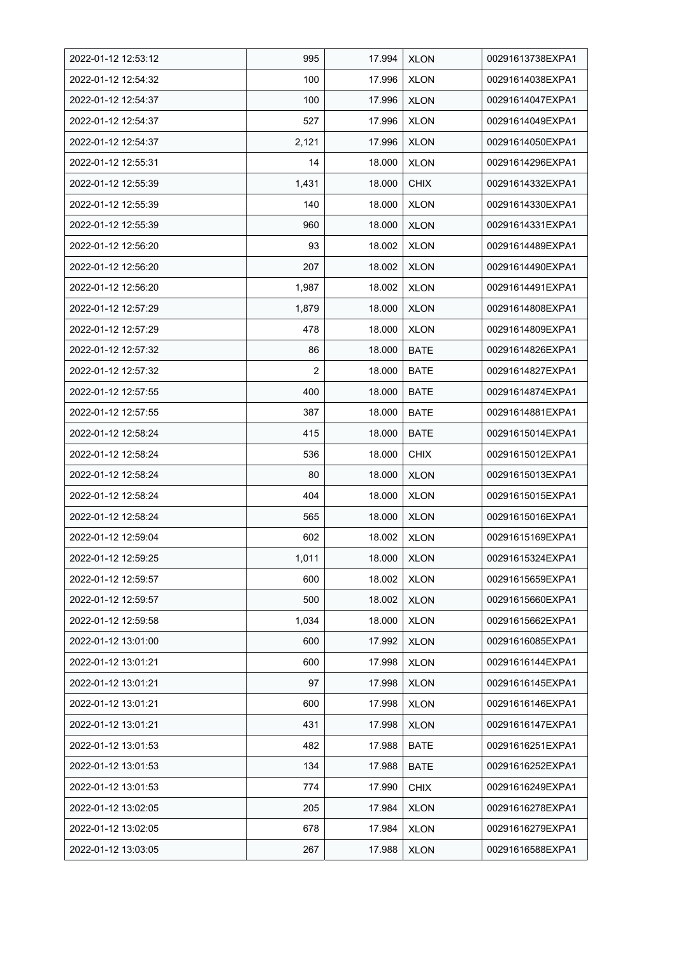| 2022-01-12 12:53:12 | 995   | 17.994 | <b>XLON</b> | 00291613738EXPA1 |
|---------------------|-------|--------|-------------|------------------|
| 2022-01-12 12:54:32 | 100   | 17.996 | <b>XLON</b> | 00291614038EXPA1 |
| 2022-01-12 12:54:37 | 100   | 17.996 | <b>XLON</b> | 00291614047EXPA1 |
| 2022-01-12 12:54:37 | 527   | 17.996 | <b>XLON</b> | 00291614049EXPA1 |
| 2022-01-12 12:54:37 | 2,121 | 17.996 | <b>XLON</b> | 00291614050EXPA1 |
| 2022-01-12 12:55:31 | 14    | 18.000 | <b>XLON</b> | 00291614296EXPA1 |
| 2022-01-12 12:55:39 | 1,431 | 18.000 | <b>CHIX</b> | 00291614332EXPA1 |
| 2022-01-12 12:55:39 | 140   | 18.000 | <b>XLON</b> | 00291614330EXPA1 |
| 2022-01-12 12:55:39 | 960   | 18.000 | <b>XLON</b> | 00291614331EXPA1 |
| 2022-01-12 12:56:20 | 93    | 18.002 | <b>XLON</b> | 00291614489EXPA1 |
| 2022-01-12 12:56:20 | 207   | 18.002 | <b>XLON</b> | 00291614490EXPA1 |
| 2022-01-12 12:56:20 | 1,987 | 18.002 | <b>XLON</b> | 00291614491EXPA1 |
| 2022-01-12 12:57:29 | 1,879 | 18.000 | <b>XLON</b> | 00291614808EXPA1 |
| 2022-01-12 12:57:29 | 478   | 18.000 | <b>XLON</b> | 00291614809EXPA1 |
| 2022-01-12 12:57:32 | 86    | 18.000 | <b>BATE</b> | 00291614826EXPA1 |
| 2022-01-12 12:57:32 | 2     | 18.000 | <b>BATE</b> | 00291614827EXPA1 |
| 2022-01-12 12:57:55 | 400   | 18.000 | <b>BATE</b> | 00291614874EXPA1 |
| 2022-01-12 12:57:55 | 387   | 18.000 | <b>BATE</b> | 00291614881EXPA1 |
| 2022-01-12 12:58:24 | 415   | 18.000 | <b>BATE</b> | 00291615014EXPA1 |
| 2022-01-12 12:58:24 | 536   | 18.000 | <b>CHIX</b> | 00291615012EXPA1 |
| 2022-01-12 12:58:24 | 80    | 18.000 | <b>XLON</b> | 00291615013EXPA1 |
| 2022-01-12 12:58:24 | 404   | 18.000 | <b>XLON</b> | 00291615015EXPA1 |
| 2022-01-12 12:58:24 | 565   | 18.000 | <b>XLON</b> | 00291615016EXPA1 |
| 2022-01-12 12:59:04 | 602   | 18.002 | <b>XLON</b> | 00291615169EXPA1 |
| 2022-01-12 12:59:25 | 1,011 | 18.000 | <b>XLON</b> | 00291615324EXPA1 |
| 2022-01-12 12:59:57 | 600   | 18.002 | <b>XLON</b> | 00291615659EXPA1 |
| 2022-01-12 12:59:57 | 500   | 18.002 | <b>XLON</b> | 00291615660EXPA1 |
| 2022-01-12 12:59:58 | 1,034 | 18.000 | <b>XLON</b> | 00291615662EXPA1 |
| 2022-01-12 13:01:00 | 600   | 17.992 | <b>XLON</b> | 00291616085EXPA1 |
| 2022-01-12 13:01:21 | 600   | 17.998 | <b>XLON</b> | 00291616144EXPA1 |
| 2022-01-12 13:01:21 | 97    | 17.998 | <b>XLON</b> | 00291616145EXPA1 |
| 2022-01-12 13:01:21 | 600   | 17.998 | <b>XLON</b> | 00291616146EXPA1 |
| 2022-01-12 13:01:21 | 431   | 17.998 | <b>XLON</b> | 00291616147EXPA1 |
| 2022-01-12 13:01:53 | 482   | 17.988 | <b>BATE</b> | 00291616251EXPA1 |
| 2022-01-12 13:01:53 | 134   | 17.988 | <b>BATE</b> | 00291616252EXPA1 |
| 2022-01-12 13:01:53 | 774   | 17.990 | <b>CHIX</b> | 00291616249EXPA1 |
| 2022-01-12 13:02:05 | 205   | 17.984 | <b>XLON</b> | 00291616278EXPA1 |
| 2022-01-12 13:02:05 | 678   | 17.984 | <b>XLON</b> | 00291616279EXPA1 |
| 2022-01-12 13:03:05 | 267   | 17.988 | <b>XLON</b> | 00291616588EXPA1 |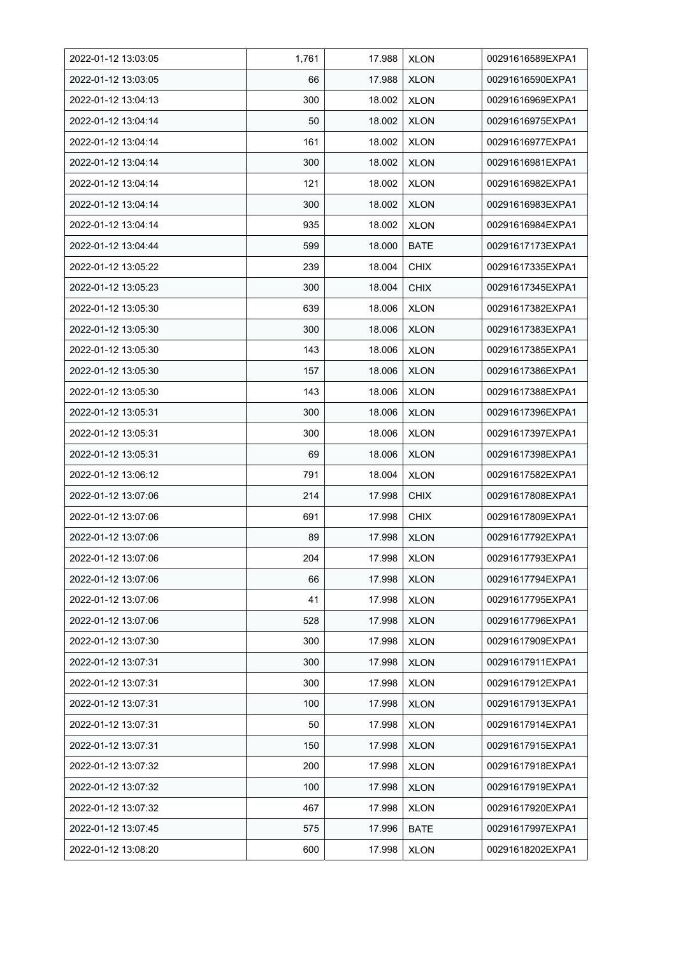| 2022-01-12 13:03:05 | 1,761 | 17.988 | <b>XLON</b> | 00291616589EXPA1 |
|---------------------|-------|--------|-------------|------------------|
| 2022-01-12 13:03:05 | 66    | 17.988 | <b>XLON</b> | 00291616590EXPA1 |
| 2022-01-12 13:04:13 | 300   | 18.002 | <b>XLON</b> | 00291616969EXPA1 |
| 2022-01-12 13:04:14 | 50    | 18.002 | <b>XLON</b> | 00291616975EXPA1 |
| 2022-01-12 13:04:14 | 161   | 18.002 | <b>XLON</b> | 00291616977EXPA1 |
| 2022-01-12 13:04:14 | 300   | 18.002 | <b>XLON</b> | 00291616981EXPA1 |
| 2022-01-12 13:04:14 | 121   | 18.002 | <b>XLON</b> | 00291616982EXPA1 |
| 2022-01-12 13:04:14 | 300   | 18.002 | <b>XLON</b> | 00291616983EXPA1 |
| 2022-01-12 13:04:14 | 935   | 18.002 | <b>XLON</b> | 00291616984EXPA1 |
| 2022-01-12 13:04:44 | 599   | 18.000 | <b>BATE</b> | 00291617173EXPA1 |
| 2022-01-12 13:05:22 | 239   | 18.004 | <b>CHIX</b> | 00291617335EXPA1 |
| 2022-01-12 13:05:23 | 300   | 18.004 | <b>CHIX</b> | 00291617345EXPA1 |
| 2022-01-12 13:05:30 | 639   | 18.006 | <b>XLON</b> | 00291617382EXPA1 |
| 2022-01-12 13:05:30 | 300   | 18.006 | <b>XLON</b> | 00291617383EXPA1 |
| 2022-01-12 13:05:30 | 143   | 18.006 | <b>XLON</b> | 00291617385EXPA1 |
| 2022-01-12 13:05:30 | 157   | 18.006 | <b>XLON</b> | 00291617386EXPA1 |
| 2022-01-12 13:05:30 | 143   | 18.006 | <b>XLON</b> | 00291617388EXPA1 |
| 2022-01-12 13:05:31 | 300   | 18.006 | <b>XLON</b> | 00291617396EXPA1 |
| 2022-01-12 13:05:31 | 300   | 18.006 | <b>XLON</b> | 00291617397EXPA1 |
| 2022-01-12 13:05:31 | 69    | 18.006 | <b>XLON</b> | 00291617398EXPA1 |
| 2022-01-12 13:06:12 | 791   | 18.004 | <b>XLON</b> | 00291617582EXPA1 |
| 2022-01-12 13:07:06 | 214   | 17.998 | <b>CHIX</b> | 00291617808EXPA1 |
| 2022-01-12 13:07:06 | 691   | 17.998 | <b>CHIX</b> | 00291617809EXPA1 |
| 2022-01-12 13:07:06 | 89    | 17.998 | <b>XLON</b> | 00291617792EXPA1 |
| 2022-01-12 13:07:06 | 204   | 17.998 | <b>XLON</b> | 00291617793EXPA1 |
| 2022-01-12 13:07:06 | 66    | 17.998 | <b>XLON</b> | 00291617794EXPA1 |
| 2022-01-12 13:07:06 | 41    | 17.998 | <b>XLON</b> | 00291617795EXPA1 |
| 2022-01-12 13:07:06 | 528   | 17.998 | <b>XLON</b> | 00291617796EXPA1 |
| 2022-01-12 13:07:30 | 300   | 17.998 | <b>XLON</b> | 00291617909EXPA1 |
| 2022-01-12 13:07:31 | 300   | 17.998 | <b>XLON</b> | 00291617911EXPA1 |
| 2022-01-12 13:07:31 | 300   | 17.998 | <b>XLON</b> | 00291617912EXPA1 |
| 2022-01-12 13:07:31 | 100   | 17.998 | <b>XLON</b> | 00291617913EXPA1 |
| 2022-01-12 13:07:31 | 50    | 17.998 | <b>XLON</b> | 00291617914EXPA1 |
| 2022-01-12 13:07:31 | 150   | 17.998 | <b>XLON</b> | 00291617915EXPA1 |
| 2022-01-12 13:07:32 | 200   | 17.998 | <b>XLON</b> | 00291617918EXPA1 |
| 2022-01-12 13:07:32 | 100   | 17.998 | <b>XLON</b> | 00291617919EXPA1 |
| 2022-01-12 13:07:32 | 467   | 17.998 | <b>XLON</b> | 00291617920EXPA1 |
| 2022-01-12 13:07:45 | 575   | 17.996 | <b>BATE</b> | 00291617997EXPA1 |
| 2022-01-12 13:08:20 | 600   | 17.998 | <b>XLON</b> | 00291618202EXPA1 |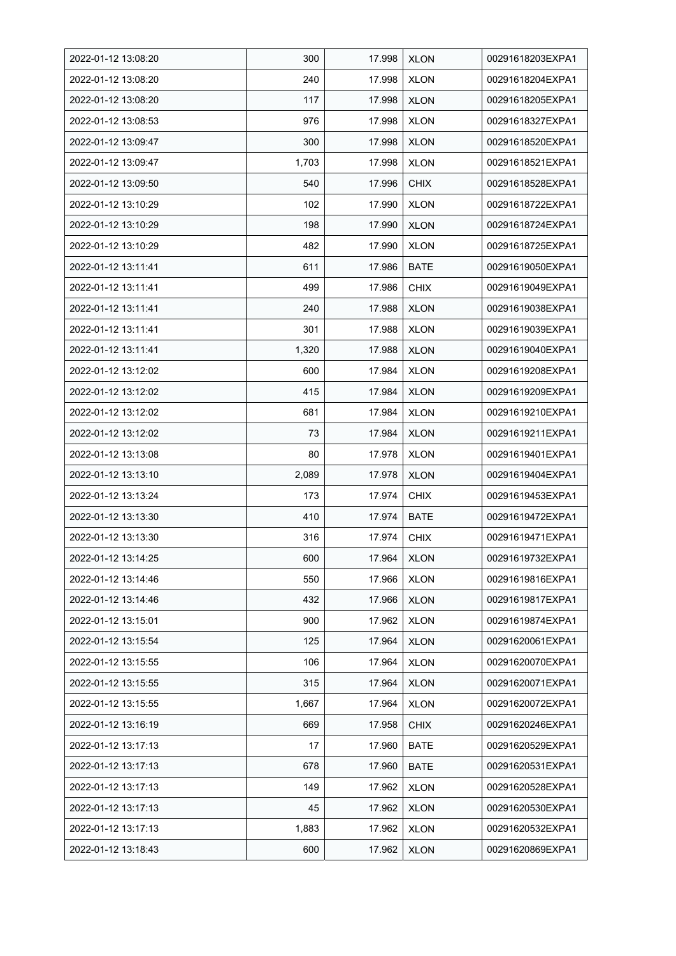| 2022-01-12 13:08:20 | 300   | 17.998 | <b>XLON</b> | 00291618203EXPA1 |
|---------------------|-------|--------|-------------|------------------|
| 2022-01-12 13:08:20 | 240   | 17.998 | <b>XLON</b> | 00291618204EXPA1 |
| 2022-01-12 13:08:20 | 117   | 17.998 | <b>XLON</b> | 00291618205EXPA1 |
| 2022-01-12 13:08:53 | 976   | 17.998 | <b>XLON</b> | 00291618327EXPA1 |
| 2022-01-12 13:09:47 | 300   | 17.998 | <b>XLON</b> | 00291618520EXPA1 |
| 2022-01-12 13:09:47 | 1,703 | 17.998 | <b>XLON</b> | 00291618521EXPA1 |
| 2022-01-12 13:09:50 | 540   | 17.996 | <b>CHIX</b> | 00291618528EXPA1 |
| 2022-01-12 13:10:29 | 102   | 17.990 | <b>XLON</b> | 00291618722EXPA1 |
| 2022-01-12 13:10:29 | 198   | 17.990 | <b>XLON</b> | 00291618724EXPA1 |
| 2022-01-12 13:10:29 | 482   | 17.990 | <b>XLON</b> | 00291618725EXPA1 |
| 2022-01-12 13:11:41 | 611   | 17.986 | <b>BATE</b> | 00291619050EXPA1 |
| 2022-01-12 13:11:41 | 499   | 17.986 | <b>CHIX</b> | 00291619049EXPA1 |
| 2022-01-12 13:11:41 | 240   | 17.988 | <b>XLON</b> | 00291619038EXPA1 |
| 2022-01-12 13:11:41 | 301   | 17.988 | <b>XLON</b> | 00291619039EXPA1 |
| 2022-01-12 13:11:41 | 1,320 | 17.988 | <b>XLON</b> | 00291619040EXPA1 |
| 2022-01-12 13:12:02 | 600   | 17.984 | <b>XLON</b> | 00291619208EXPA1 |
| 2022-01-12 13:12:02 | 415   | 17.984 | <b>XLON</b> | 00291619209EXPA1 |
| 2022-01-12 13:12:02 | 681   | 17.984 | <b>XLON</b> | 00291619210EXPA1 |
| 2022-01-12 13:12:02 | 73    | 17.984 | <b>XLON</b> | 00291619211EXPA1 |
| 2022-01-12 13:13:08 | 80    | 17.978 | <b>XLON</b> | 00291619401EXPA1 |
| 2022-01-12 13:13:10 | 2,089 | 17.978 | <b>XLON</b> | 00291619404EXPA1 |
| 2022-01-12 13:13:24 | 173   | 17.974 | <b>CHIX</b> | 00291619453EXPA1 |
| 2022-01-12 13:13:30 | 410   | 17.974 | <b>BATE</b> | 00291619472EXPA1 |
| 2022-01-12 13:13:30 | 316   | 17.974 | <b>CHIX</b> | 00291619471EXPA1 |
| 2022-01-12 13:14:25 | 600   | 17.964 | <b>XLON</b> | 00291619732EXPA1 |
| 2022-01-12 13:14:46 | 550   | 17.966 | <b>XLON</b> | 00291619816EXPA1 |
| 2022-01-12 13:14:46 | 432   | 17.966 | <b>XLON</b> | 00291619817EXPA1 |
| 2022-01-12 13:15:01 | 900   | 17.962 | <b>XLON</b> | 00291619874EXPA1 |
| 2022-01-12 13:15:54 | 125   | 17.964 | <b>XLON</b> | 00291620061EXPA1 |
| 2022-01-12 13:15:55 | 106   | 17.964 | <b>XLON</b> | 00291620070EXPA1 |
| 2022-01-12 13:15:55 | 315   | 17.964 | <b>XLON</b> | 00291620071EXPA1 |
| 2022-01-12 13:15:55 | 1,667 | 17.964 | <b>XLON</b> | 00291620072EXPA1 |
| 2022-01-12 13:16:19 | 669   | 17.958 | <b>CHIX</b> | 00291620246EXPA1 |
| 2022-01-12 13:17:13 | 17    | 17.960 | <b>BATE</b> | 00291620529EXPA1 |
| 2022-01-12 13:17:13 | 678   | 17.960 | BATE        | 00291620531EXPA1 |
| 2022-01-12 13:17:13 | 149   | 17.962 | <b>XLON</b> | 00291620528EXPA1 |
| 2022-01-12 13:17:13 | 45    | 17.962 | <b>XLON</b> | 00291620530EXPA1 |
| 2022-01-12 13:17:13 | 1,883 | 17.962 | <b>XLON</b> | 00291620532EXPA1 |
| 2022-01-12 13:18:43 | 600   | 17.962 | <b>XLON</b> | 00291620869EXPA1 |
|                     |       |        |             |                  |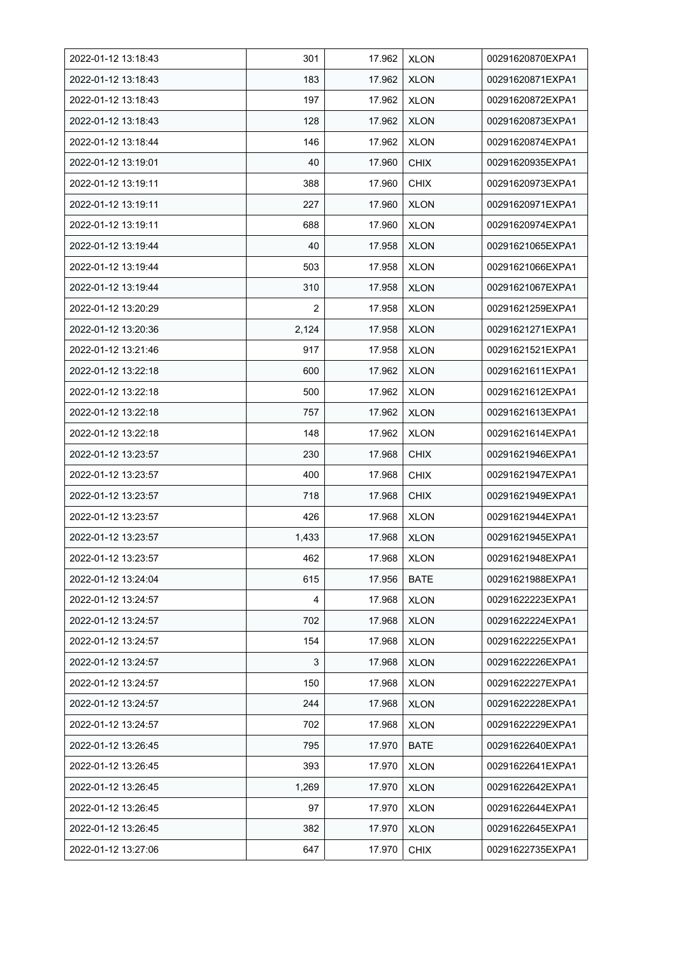| 2022-01-12 13:18:43 | 301            | 17.962 | <b>XLON</b> | 00291620870EXPA1 |
|---------------------|----------------|--------|-------------|------------------|
| 2022-01-12 13:18:43 | 183            | 17.962 | <b>XLON</b> | 00291620871EXPA1 |
| 2022-01-12 13:18:43 | 197            | 17.962 | <b>XLON</b> | 00291620872EXPA1 |
| 2022-01-12 13:18:43 | 128            | 17.962 | <b>XLON</b> | 00291620873EXPA1 |
| 2022-01-12 13:18:44 | 146            | 17.962 | <b>XLON</b> | 00291620874EXPA1 |
| 2022-01-12 13:19:01 | 40             | 17.960 | <b>CHIX</b> | 00291620935EXPA1 |
| 2022-01-12 13:19:11 | 388            | 17.960 | <b>CHIX</b> | 00291620973EXPA1 |
| 2022-01-12 13:19:11 | 227            | 17.960 | <b>XLON</b> | 00291620971EXPA1 |
| 2022-01-12 13:19:11 | 688            | 17.960 | <b>XLON</b> | 00291620974EXPA1 |
| 2022-01-12 13:19:44 | 40             | 17.958 | <b>XLON</b> | 00291621065EXPA1 |
| 2022-01-12 13:19:44 | 503            | 17.958 | <b>XLON</b> | 00291621066EXPA1 |
| 2022-01-12 13:19:44 | 310            | 17.958 | <b>XLON</b> | 00291621067EXPA1 |
| 2022-01-12 13:20:29 | $\overline{2}$ | 17.958 | <b>XLON</b> | 00291621259EXPA1 |
| 2022-01-12 13:20:36 | 2,124          | 17.958 | <b>XLON</b> | 00291621271EXPA1 |
| 2022-01-12 13:21:46 | 917            | 17.958 | <b>XLON</b> | 00291621521EXPA1 |
| 2022-01-12 13:22:18 | 600            | 17.962 | <b>XLON</b> | 00291621611EXPA1 |
| 2022-01-12 13:22:18 | 500            | 17.962 | <b>XLON</b> | 00291621612EXPA1 |
| 2022-01-12 13:22:18 | 757            | 17.962 | <b>XLON</b> | 00291621613EXPA1 |
| 2022-01-12 13:22:18 | 148            | 17.962 | <b>XLON</b> | 00291621614EXPA1 |
| 2022-01-12 13:23:57 | 230            | 17.968 | <b>CHIX</b> | 00291621946EXPA1 |
| 2022-01-12 13:23:57 | 400            | 17.968 | <b>CHIX</b> | 00291621947EXPA1 |
| 2022-01-12 13:23:57 | 718            | 17.968 | <b>CHIX</b> | 00291621949EXPA1 |
| 2022-01-12 13:23:57 | 426            | 17.968 | <b>XLON</b> | 00291621944EXPA1 |
| 2022-01-12 13:23:57 | 1,433          | 17.968 | <b>XLON</b> | 00291621945EXPA1 |
| 2022-01-12 13:23:57 | 462            | 17.968 | <b>XLON</b> | 00291621948EXPA1 |
| 2022-01-12 13:24:04 | 615            | 17.956 | <b>BATE</b> | 00291621988EXPA1 |
| 2022-01-12 13:24:57 | 4              | 17.968 | <b>XLON</b> | 00291622223EXPA1 |
| 2022-01-12 13:24:57 | 702            | 17.968 | <b>XLON</b> | 00291622224EXPA1 |
| 2022-01-12 13:24:57 | 154            | 17.968 | <b>XLON</b> | 00291622225EXPA1 |
| 2022-01-12 13:24:57 | 3              | 17.968 | <b>XLON</b> | 00291622226EXPA1 |
| 2022-01-12 13:24:57 | 150            | 17.968 | <b>XLON</b> | 00291622227EXPA1 |
| 2022-01-12 13:24:57 | 244            | 17.968 | <b>XLON</b> | 00291622228EXPA1 |
| 2022-01-12 13:24:57 | 702            | 17.968 | <b>XLON</b> | 00291622229EXPA1 |
| 2022-01-12 13:26:45 | 795            | 17.970 | <b>BATE</b> | 00291622640EXPA1 |
| 2022-01-12 13:26:45 | 393            | 17.970 | <b>XLON</b> | 00291622641EXPA1 |
| 2022-01-12 13:26:45 | 1,269          | 17.970 | <b>XLON</b> | 00291622642EXPA1 |
| 2022-01-12 13:26:45 | 97             | 17.970 | <b>XLON</b> | 00291622644EXPA1 |
| 2022-01-12 13:26:45 | 382            | 17.970 | <b>XLON</b> | 00291622645EXPA1 |
| 2022-01-12 13:27:06 | 647            | 17.970 | <b>CHIX</b> | 00291622735EXPA1 |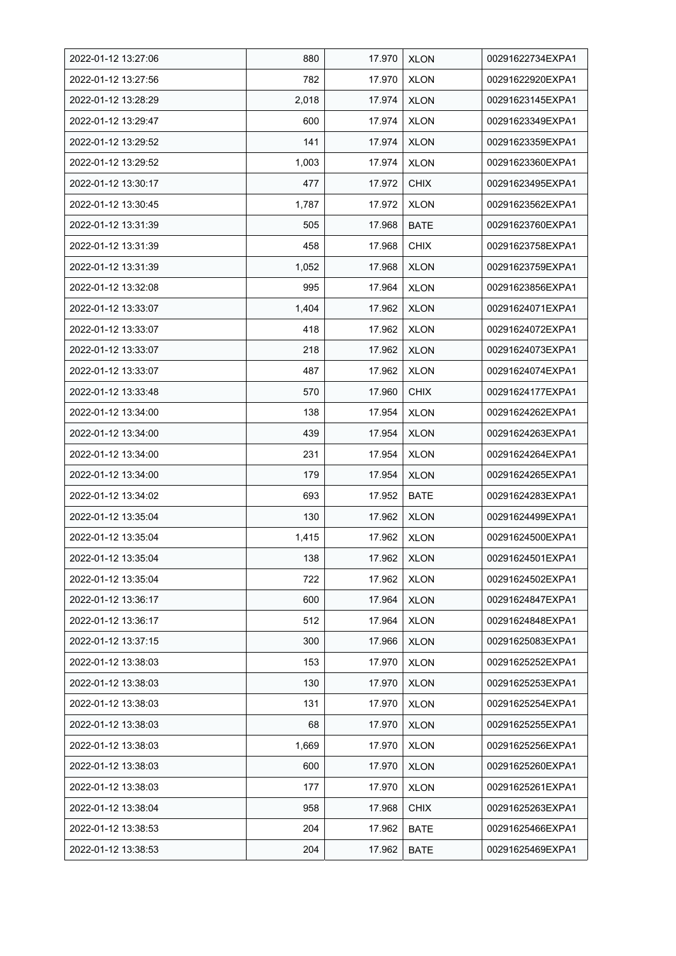| 2022-01-12 13:27:06 | 880   | 17.970 | <b>XLON</b> | 00291622734EXPA1 |
|---------------------|-------|--------|-------------|------------------|
| 2022-01-12 13:27:56 | 782   | 17.970 | <b>XLON</b> | 00291622920EXPA1 |
| 2022-01-12 13:28:29 | 2,018 | 17.974 | <b>XLON</b> | 00291623145EXPA1 |
| 2022-01-12 13:29:47 | 600   | 17.974 | <b>XLON</b> | 00291623349EXPA1 |
| 2022-01-12 13:29:52 | 141   | 17.974 | <b>XLON</b> | 00291623359EXPA1 |
| 2022-01-12 13:29:52 | 1,003 | 17.974 | <b>XLON</b> | 00291623360EXPA1 |
| 2022-01-12 13:30:17 | 477   | 17.972 | <b>CHIX</b> | 00291623495EXPA1 |
| 2022-01-12 13:30:45 | 1,787 | 17.972 | <b>XLON</b> | 00291623562EXPA1 |
| 2022-01-12 13:31:39 | 505   | 17.968 | <b>BATE</b> | 00291623760EXPA1 |
| 2022-01-12 13:31:39 | 458   | 17.968 | <b>CHIX</b> | 00291623758EXPA1 |
| 2022-01-12 13:31:39 | 1,052 | 17.968 | <b>XLON</b> | 00291623759EXPA1 |
| 2022-01-12 13:32:08 | 995   | 17.964 | <b>XLON</b> | 00291623856EXPA1 |
| 2022-01-12 13:33:07 | 1,404 | 17.962 | <b>XLON</b> | 00291624071EXPA1 |
| 2022-01-12 13:33:07 | 418   | 17.962 | <b>XLON</b> | 00291624072EXPA1 |
| 2022-01-12 13:33:07 | 218   | 17.962 | <b>XLON</b> | 00291624073EXPA1 |
| 2022-01-12 13:33:07 | 487   | 17.962 | <b>XLON</b> | 00291624074EXPA1 |
| 2022-01-12 13:33:48 | 570   | 17.960 | <b>CHIX</b> | 00291624177EXPA1 |
| 2022-01-12 13:34:00 | 138   | 17.954 | <b>XLON</b> | 00291624262EXPA1 |
| 2022-01-12 13:34:00 | 439   | 17.954 | <b>XLON</b> | 00291624263EXPA1 |
| 2022-01-12 13:34:00 | 231   | 17.954 | <b>XLON</b> | 00291624264EXPA1 |
| 2022-01-12 13:34:00 | 179   | 17.954 | <b>XLON</b> | 00291624265EXPA1 |
| 2022-01-12 13:34:02 | 693   | 17.952 | <b>BATE</b> | 00291624283EXPA1 |
| 2022-01-12 13:35:04 | 130   | 17.962 | <b>XLON</b> | 00291624499EXPA1 |
| 2022-01-12 13:35:04 | 1,415 | 17.962 | <b>XLON</b> | 00291624500EXPA1 |
| 2022-01-12 13:35:04 | 138   | 17.962 | <b>XLON</b> | 00291624501EXPA1 |
| 2022-01-12 13:35:04 | 722   | 17.962 | <b>XLON</b> | 00291624502EXPA1 |
| 2022-01-12 13:36:17 | 600   | 17.964 | <b>XLON</b> | 00291624847EXPA1 |
| 2022-01-12 13:36:17 | 512   | 17.964 | <b>XLON</b> | 00291624848EXPA1 |
| 2022-01-12 13:37:15 | 300   | 17.966 | <b>XLON</b> | 00291625083EXPA1 |
| 2022-01-12 13:38:03 | 153   | 17.970 | <b>XLON</b> | 00291625252EXPA1 |
| 2022-01-12 13:38:03 | 130   | 17.970 | <b>XLON</b> | 00291625253EXPA1 |
| 2022-01-12 13:38:03 | 131   | 17.970 | <b>XLON</b> | 00291625254EXPA1 |
| 2022-01-12 13:38:03 | 68    | 17.970 | <b>XLON</b> | 00291625255EXPA1 |
| 2022-01-12 13:38:03 | 1,669 | 17.970 | <b>XLON</b> | 00291625256EXPA1 |
| 2022-01-12 13:38:03 | 600   | 17.970 | <b>XLON</b> | 00291625260EXPA1 |
| 2022-01-12 13:38:03 | 177   | 17.970 | <b>XLON</b> | 00291625261EXPA1 |
| 2022-01-12 13:38:04 | 958   | 17.968 | <b>CHIX</b> | 00291625263EXPA1 |
| 2022-01-12 13:38:53 | 204   | 17.962 | <b>BATE</b> | 00291625466EXPA1 |
| 2022-01-12 13:38:53 | 204   | 17.962 | <b>BATE</b> | 00291625469EXPA1 |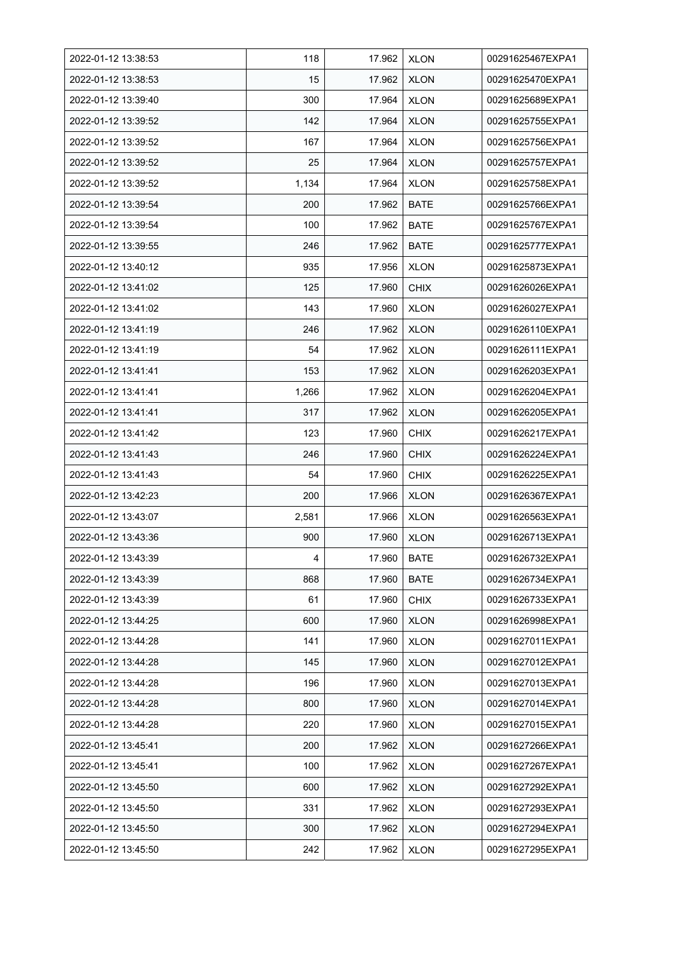| 2022-01-12 13:38:53 | 118   | 17.962 | <b>XLON</b> | 00291625467EXPA1 |
|---------------------|-------|--------|-------------|------------------|
| 2022-01-12 13:38:53 | 15    | 17.962 | <b>XLON</b> | 00291625470EXPA1 |
| 2022-01-12 13:39:40 | 300   | 17.964 | <b>XLON</b> | 00291625689EXPA1 |
| 2022-01-12 13:39:52 | 142   | 17.964 | <b>XLON</b> | 00291625755EXPA1 |
| 2022-01-12 13:39:52 | 167   | 17.964 | <b>XLON</b> | 00291625756EXPA1 |
| 2022-01-12 13:39:52 | 25    | 17.964 | <b>XLON</b> | 00291625757EXPA1 |
| 2022-01-12 13:39:52 | 1,134 | 17.964 | <b>XLON</b> | 00291625758EXPA1 |
| 2022-01-12 13:39:54 | 200   | 17.962 | <b>BATE</b> | 00291625766EXPA1 |
| 2022-01-12 13:39:54 | 100   | 17.962 | <b>BATE</b> | 00291625767EXPA1 |
| 2022-01-12 13:39:55 | 246   | 17.962 | <b>BATE</b> | 00291625777EXPA1 |
| 2022-01-12 13:40:12 | 935   | 17.956 | <b>XLON</b> | 00291625873EXPA1 |
| 2022-01-12 13:41:02 | 125   | 17.960 | <b>CHIX</b> | 00291626026EXPA1 |
| 2022-01-12 13:41:02 | 143   | 17.960 | <b>XLON</b> | 00291626027EXPA1 |
| 2022-01-12 13:41:19 | 246   | 17.962 | <b>XLON</b> | 00291626110EXPA1 |
| 2022-01-12 13:41:19 | 54    | 17.962 | <b>XLON</b> | 00291626111EXPA1 |
| 2022-01-12 13:41:41 | 153   | 17.962 | <b>XLON</b> | 00291626203EXPA1 |
| 2022-01-12 13:41:41 | 1,266 | 17.962 | <b>XLON</b> | 00291626204EXPA1 |
| 2022-01-12 13:41:41 | 317   | 17.962 | <b>XLON</b> | 00291626205EXPA1 |
| 2022-01-12 13:41:42 | 123   | 17.960 | <b>CHIX</b> | 00291626217EXPA1 |
| 2022-01-12 13:41:43 | 246   | 17.960 | <b>CHIX</b> | 00291626224EXPA1 |
| 2022-01-12 13:41:43 | 54    | 17.960 | <b>CHIX</b> | 00291626225EXPA1 |
| 2022-01-12 13:42:23 | 200   | 17.966 | <b>XLON</b> | 00291626367EXPA1 |
| 2022-01-12 13:43:07 | 2,581 | 17.966 | <b>XLON</b> | 00291626563EXPA1 |
| 2022-01-12 13:43:36 | 900   | 17.960 | <b>XLON</b> | 00291626713EXPA1 |
| 2022-01-12 13:43:39 | 4     | 17.960 | <b>BATE</b> | 00291626732EXPA1 |
| 2022-01-12 13:43:39 | 868   | 17.960 | BATE        | 00291626734EXPA1 |
| 2022-01-12 13:43:39 | 61    | 17.960 | <b>CHIX</b> | 00291626733EXPA1 |
| 2022-01-12 13:44:25 | 600   | 17.960 | <b>XLON</b> | 00291626998EXPA1 |
| 2022-01-12 13:44:28 | 141   | 17.960 | <b>XLON</b> | 00291627011EXPA1 |
| 2022-01-12 13:44:28 | 145   | 17.960 | <b>XLON</b> | 00291627012EXPA1 |
| 2022-01-12 13:44:28 | 196   | 17.960 | <b>XLON</b> | 00291627013EXPA1 |
| 2022-01-12 13:44:28 | 800   | 17.960 | <b>XLON</b> | 00291627014EXPA1 |
| 2022-01-12 13:44:28 | 220   | 17.960 | <b>XLON</b> | 00291627015EXPA1 |
| 2022-01-12 13:45:41 | 200   | 17.962 | <b>XLON</b> | 00291627266EXPA1 |
| 2022-01-12 13:45:41 | 100   | 17.962 | <b>XLON</b> | 00291627267EXPA1 |
| 2022-01-12 13:45:50 | 600   | 17.962 | <b>XLON</b> | 00291627292EXPA1 |
| 2022-01-12 13:45:50 | 331   | 17.962 | <b>XLON</b> | 00291627293EXPA1 |
| 2022-01-12 13:45:50 | 300   | 17.962 | <b>XLON</b> | 00291627294EXPA1 |
| 2022-01-12 13:45:50 | 242   | 17.962 | <b>XLON</b> | 00291627295EXPA1 |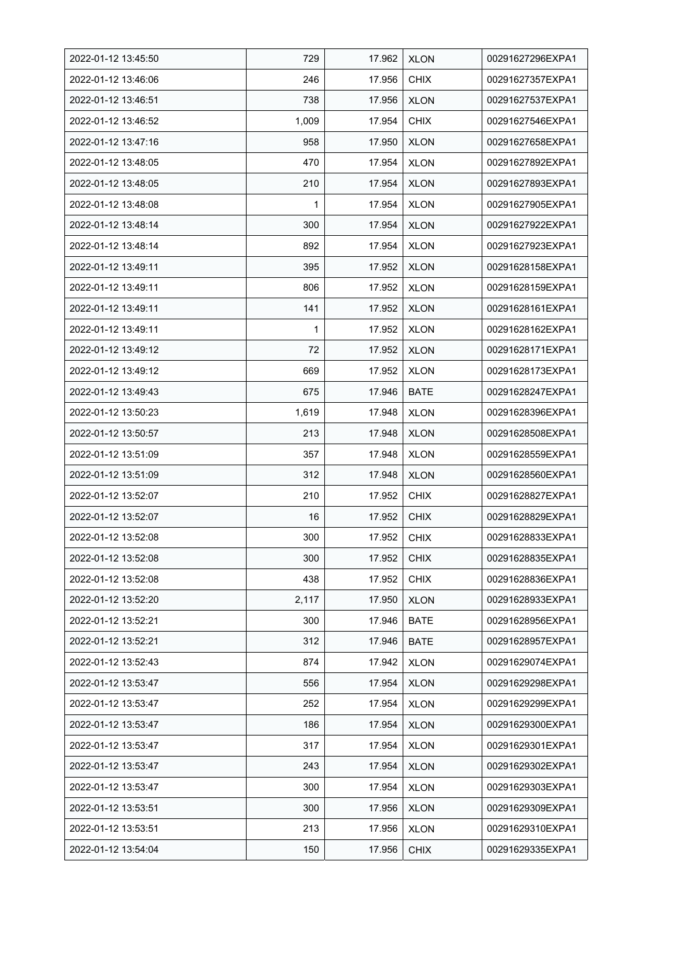| 2022-01-12 13:45:50 | 729   | 17.962 | <b>XLON</b> | 00291627296EXPA1 |
|---------------------|-------|--------|-------------|------------------|
| 2022-01-12 13:46:06 | 246   | 17.956 | <b>CHIX</b> | 00291627357EXPA1 |
| 2022-01-12 13:46.51 | 738   | 17.956 | <b>XLON</b> | 00291627537EXPA1 |
| 2022-01-12 13:46:52 | 1,009 | 17.954 | <b>CHIX</b> | 00291627546EXPA1 |
| 2022-01-12 13:47:16 | 958   | 17.950 | <b>XLON</b> | 00291627658EXPA1 |
| 2022-01-12 13:48:05 | 470   | 17.954 | <b>XLON</b> | 00291627892EXPA1 |
| 2022-01-12 13:48:05 | 210   | 17.954 | <b>XLON</b> | 00291627893EXPA1 |
| 2022-01-12 13:48:08 | 1     | 17.954 | <b>XLON</b> | 00291627905EXPA1 |
| 2022-01-12 13:48:14 | 300   | 17.954 | <b>XLON</b> | 00291627922EXPA1 |
| 2022-01-12 13:48:14 | 892   | 17.954 | <b>XLON</b> | 00291627923EXPA1 |
| 2022-01-12 13:49:11 | 395   | 17.952 | <b>XLON</b> | 00291628158EXPA1 |
| 2022-01-12 13:49:11 | 806   | 17.952 | <b>XLON</b> | 00291628159EXPA1 |
| 2022-01-12 13:49:11 | 141   | 17.952 | <b>XLON</b> | 00291628161EXPA1 |
| 2022-01-12 13:49:11 | 1     | 17.952 | <b>XLON</b> | 00291628162EXPA1 |
| 2022-01-12 13:49:12 | 72    | 17.952 | <b>XLON</b> | 00291628171EXPA1 |
| 2022-01-12 13:49:12 | 669   | 17.952 | <b>XLON</b> | 00291628173EXPA1 |
| 2022-01-12 13:49:43 | 675   | 17.946 | <b>BATE</b> | 00291628247EXPA1 |
| 2022-01-12 13:50:23 | 1,619 | 17.948 | <b>XLON</b> | 00291628396EXPA1 |
| 2022-01-12 13:50:57 | 213   | 17.948 | <b>XLON</b> | 00291628508EXPA1 |
| 2022-01-12 13:51:09 | 357   | 17.948 | <b>XLON</b> | 00291628559EXPA1 |
| 2022-01-12 13:51:09 | 312   | 17.948 | <b>XLON</b> | 00291628560EXPA1 |
| 2022-01-12 13:52:07 | 210   | 17.952 | <b>CHIX</b> | 00291628827EXPA1 |
| 2022-01-12 13:52:07 | 16    | 17.952 | <b>CHIX</b> | 00291628829EXPA1 |
| 2022-01-12 13:52:08 | 300   | 17.952 | <b>CHIX</b> | 00291628833EXPA1 |
| 2022-01-12 13:52:08 | 300   | 17.952 | <b>CHIX</b> | 00291628835EXPA1 |
| 2022-01-12 13:52:08 | 438   | 17.952 | <b>CHIX</b> | 00291628836EXPA1 |
| 2022-01-12 13:52:20 | 2,117 | 17.950 | <b>XLON</b> | 00291628933EXPA1 |
| 2022-01-12 13:52:21 | 300   | 17.946 | <b>BATE</b> | 00291628956EXPA1 |
| 2022-01-12 13:52:21 | 312   | 17.946 | <b>BATE</b> | 00291628957EXPA1 |
| 2022-01-12 13:52:43 | 874   | 17.942 | <b>XLON</b> | 00291629074EXPA1 |
| 2022-01-12 13:53:47 | 556   | 17.954 | <b>XLON</b> | 00291629298EXPA1 |
| 2022-01-12 13:53:47 | 252   | 17.954 | <b>XLON</b> | 00291629299EXPA1 |
| 2022-01-12 13:53:47 | 186   | 17.954 | <b>XLON</b> | 00291629300EXPA1 |
| 2022-01-12 13:53:47 | 317   | 17.954 | <b>XLON</b> | 00291629301EXPA1 |
| 2022-01-12 13:53:47 | 243   | 17.954 | <b>XLON</b> | 00291629302EXPA1 |
| 2022-01-12 13:53:47 | 300   | 17.954 | <b>XLON</b> | 00291629303EXPA1 |
| 2022-01-12 13:53:51 | 300   | 17.956 | <b>XLON</b> | 00291629309EXPA1 |
| 2022-01-12 13:53:51 | 213   | 17.956 | <b>XLON</b> | 00291629310EXPA1 |
| 2022-01-12 13:54:04 | 150   | 17.956 | <b>CHIX</b> | 00291629335EXPA1 |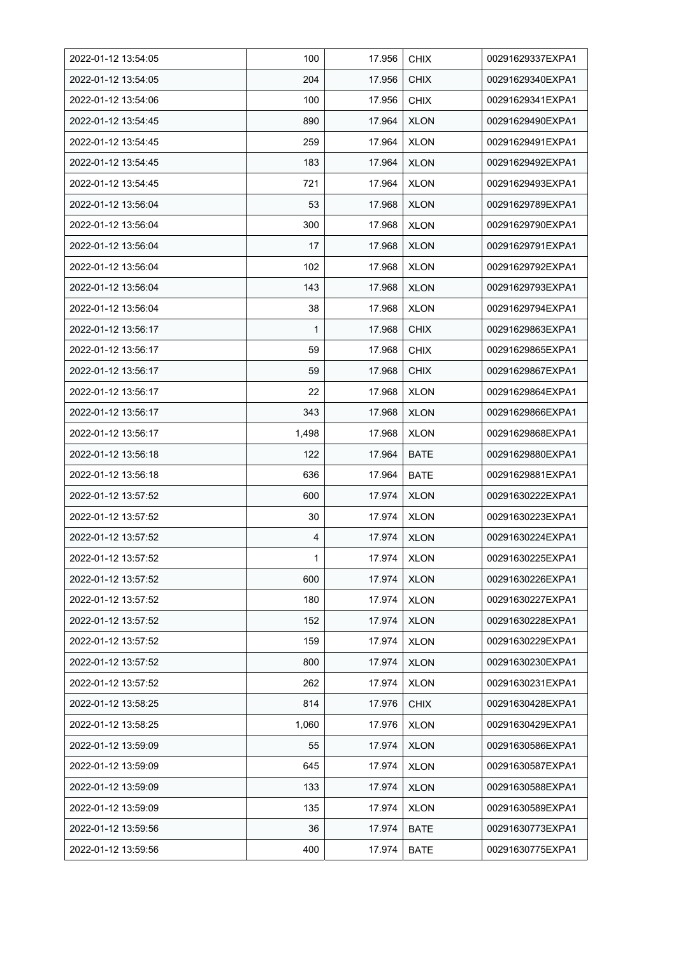| 2022-01-12 13:54:05 | 100   | 17.956 | <b>CHIX</b> | 00291629337EXPA1 |
|---------------------|-------|--------|-------------|------------------|
| 2022-01-12 13:54:05 | 204   | 17.956 | <b>CHIX</b> | 00291629340EXPA1 |
| 2022-01-12 13:54:06 | 100   | 17.956 | <b>CHIX</b> | 00291629341EXPA1 |
| 2022-01-12 13:54:45 | 890   | 17.964 | <b>XLON</b> | 00291629490EXPA1 |
| 2022-01-12 13:54:45 | 259   | 17.964 | <b>XLON</b> | 00291629491EXPA1 |
| 2022-01-12 13:54:45 | 183   | 17.964 | <b>XLON</b> | 00291629492EXPA1 |
| 2022-01-12 13:54:45 | 721   | 17.964 | <b>XLON</b> | 00291629493EXPA1 |
| 2022-01-12 13:56:04 | 53    | 17.968 | <b>XLON</b> | 00291629789EXPA1 |
| 2022-01-12 13:56:04 | 300   | 17.968 | <b>XLON</b> | 00291629790EXPA1 |
| 2022-01-12 13:56:04 | 17    | 17.968 | <b>XLON</b> | 00291629791EXPA1 |
| 2022-01-12 13:56:04 | 102   | 17.968 | <b>XLON</b> | 00291629792EXPA1 |
| 2022-01-12 13:56:04 | 143   | 17.968 | <b>XLON</b> | 00291629793EXPA1 |
| 2022-01-12 13:56:04 | 38    | 17.968 | <b>XLON</b> | 00291629794EXPA1 |
| 2022-01-12 13:56:17 | 1     | 17.968 | <b>CHIX</b> | 00291629863EXPA1 |
| 2022-01-12 13:56:17 | 59    | 17.968 | <b>CHIX</b> | 00291629865EXPA1 |
| 2022-01-12 13:56:17 | 59    | 17.968 | <b>CHIX</b> | 00291629867EXPA1 |
| 2022-01-12 13:56:17 | 22    | 17.968 | <b>XLON</b> | 00291629864EXPA1 |
| 2022-01-12 13:56:17 | 343   | 17.968 | <b>XLON</b> | 00291629866EXPA1 |
| 2022-01-12 13:56:17 | 1,498 | 17.968 | <b>XLON</b> | 00291629868EXPA1 |
| 2022-01-12 13:56:18 | 122   | 17.964 | <b>BATE</b> | 00291629880EXPA1 |
| 2022-01-12 13:56:18 | 636   | 17.964 | <b>BATE</b> | 00291629881EXPA1 |
| 2022-01-12 13:57:52 | 600   | 17.974 | <b>XLON</b> | 00291630222EXPA1 |
| 2022-01-12 13:57:52 | 30    | 17.974 | <b>XLON</b> | 00291630223EXPA1 |
| 2022-01-12 13:57:52 | 4     | 17.974 | <b>XLON</b> | 00291630224EXPA1 |
| 2022-01-12 13:57:52 | 1     | 17.974 | <b>XLON</b> | 00291630225EXPA1 |
| 2022-01-12 13:57:52 | 600   | 17.974 | <b>XLON</b> | 00291630226EXPA1 |
| 2022-01-12 13:57:52 | 180   | 17.974 | <b>XLON</b> | 00291630227EXPA1 |
| 2022-01-12 13:57:52 | 152   | 17.974 | <b>XLON</b> | 00291630228EXPA1 |
| 2022-01-12 13:57:52 | 159   | 17.974 | <b>XLON</b> | 00291630229EXPA1 |
| 2022-01-12 13:57:52 | 800   | 17.974 | <b>XLON</b> | 00291630230EXPA1 |
| 2022-01-12 13:57:52 | 262   | 17.974 | <b>XLON</b> | 00291630231EXPA1 |
| 2022-01-12 13:58:25 | 814   | 17.976 | <b>CHIX</b> | 00291630428EXPA1 |
| 2022-01-12 13:58:25 | 1,060 | 17.976 | <b>XLON</b> | 00291630429EXPA1 |
| 2022-01-12 13:59:09 | 55    | 17.974 | <b>XLON</b> | 00291630586EXPA1 |
| 2022-01-12 13:59:09 | 645   | 17.974 | <b>XLON</b> | 00291630587EXPA1 |
| 2022-01-12 13:59:09 | 133   | 17.974 | <b>XLON</b> | 00291630588EXPA1 |
| 2022-01-12 13:59:09 | 135   | 17.974 | <b>XLON</b> | 00291630589EXPA1 |
| 2022-01-12 13:59:56 | 36    | 17.974 | <b>BATE</b> | 00291630773EXPA1 |
| 2022-01-12 13:59:56 | 400   | 17.974 | <b>BATE</b> | 00291630775EXPA1 |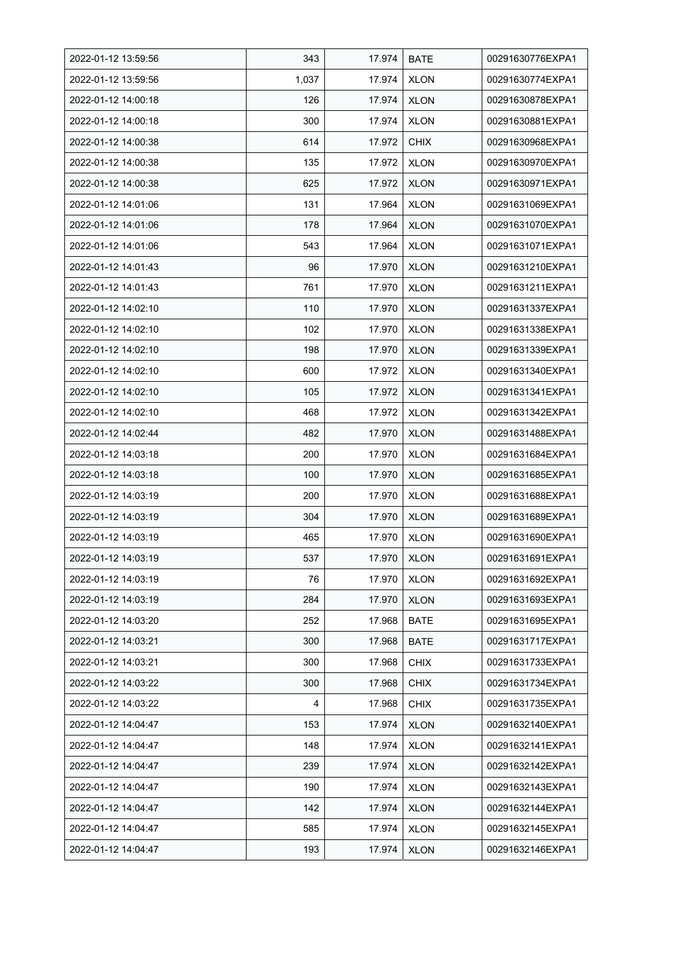| 2022-01-12 13:59:56 | 343   | 17.974 | <b>BATE</b> | 00291630776EXPA1 |
|---------------------|-------|--------|-------------|------------------|
| 2022-01-12 13:59:56 | 1,037 | 17.974 | <b>XLON</b> | 00291630774EXPA1 |
| 2022-01-12 14:00:18 | 126   | 17.974 | <b>XLON</b> | 00291630878EXPA1 |
| 2022-01-12 14:00:18 | 300   | 17.974 | <b>XLON</b> | 00291630881EXPA1 |
| 2022-01-12 14:00:38 | 614   | 17.972 | <b>CHIX</b> | 00291630968EXPA1 |
| 2022-01-12 14:00:38 | 135   | 17.972 | <b>XLON</b> | 00291630970EXPA1 |
| 2022-01-12 14:00:38 | 625   | 17.972 | <b>XLON</b> | 00291630971EXPA1 |
| 2022-01-12 14:01:06 | 131   | 17.964 | <b>XLON</b> | 00291631069EXPA1 |
| 2022-01-12 14:01:06 | 178   | 17.964 | <b>XLON</b> | 00291631070EXPA1 |
| 2022-01-12 14:01:06 | 543   | 17.964 | <b>XLON</b> | 00291631071EXPA1 |
| 2022-01-12 14:01:43 | 96    | 17.970 | <b>XLON</b> | 00291631210EXPA1 |
| 2022-01-12 14:01:43 | 761   | 17.970 | <b>XLON</b> | 00291631211EXPA1 |
| 2022-01-12 14:02:10 | 110   | 17.970 | <b>XLON</b> | 00291631337EXPA1 |
| 2022-01-12 14:02:10 | 102   | 17.970 | <b>XLON</b> | 00291631338EXPA1 |
| 2022-01-12 14:02:10 | 198   | 17.970 | <b>XLON</b> | 00291631339EXPA1 |
| 2022-01-12 14:02:10 | 600   | 17.972 | <b>XLON</b> | 00291631340EXPA1 |
| 2022-01-12 14:02:10 | 105   | 17.972 | <b>XLON</b> | 00291631341EXPA1 |
| 2022-01-12 14:02:10 | 468   | 17.972 | <b>XLON</b> | 00291631342EXPA1 |
| 2022-01-12 14:02:44 | 482   | 17.970 | <b>XLON</b> | 00291631488EXPA1 |
| 2022-01-12 14:03:18 | 200   | 17.970 | <b>XLON</b> | 00291631684EXPA1 |
| 2022-01-12 14:03:18 | 100   | 17.970 | <b>XLON</b> | 00291631685EXPA1 |
| 2022-01-12 14:03:19 | 200   | 17.970 | <b>XLON</b> | 00291631688EXPA1 |
| 2022-01-12 14:03:19 | 304   | 17.970 | <b>XLON</b> | 00291631689EXPA1 |
| 2022-01-12 14:03:19 | 465   | 17.970 | <b>XLON</b> | 00291631690EXPA1 |
| 2022-01-12 14:03:19 | 537   | 17.970 | <b>XLON</b> | 00291631691EXPA1 |
| 2022-01-12 14:03:19 | 76    | 17.970 | <b>XLON</b> | 00291631692EXPA1 |
| 2022-01-12 14:03:19 | 284   | 17.970 | XLON        | 00291631693EXPA1 |
| 2022-01-12 14:03:20 | 252   | 17.968 | <b>BATE</b> | 00291631695EXPA1 |
| 2022-01-12 14:03:21 | 300   | 17.968 | <b>BATE</b> | 00291631717EXPA1 |
| 2022-01-12 14:03:21 | 300   | 17.968 | <b>CHIX</b> | 00291631733EXPA1 |
| 2022-01-12 14:03:22 | 300   | 17.968 | <b>CHIX</b> | 00291631734EXPA1 |
| 2022-01-12 14:03:22 | 4     | 17.968 | <b>CHIX</b> | 00291631735EXPA1 |
| 2022-01-12 14:04:47 | 153   | 17.974 | <b>XLON</b> | 00291632140EXPA1 |
| 2022-01-12 14:04:47 | 148   | 17.974 | <b>XLON</b> | 00291632141EXPA1 |
| 2022-01-12 14:04:47 | 239   | 17.974 | <b>XLON</b> | 00291632142EXPA1 |
| 2022-01-12 14:04:47 | 190   | 17.974 | XLON        | 00291632143EXPA1 |
| 2022-01-12 14:04:47 | 142   | 17.974 | <b>XLON</b> | 00291632144EXPA1 |
| 2022-01-12 14:04:47 | 585   | 17.974 | <b>XLON</b> | 00291632145EXPA1 |
| 2022-01-12 14:04:47 | 193   | 17.974 | <b>XLON</b> | 00291632146EXPA1 |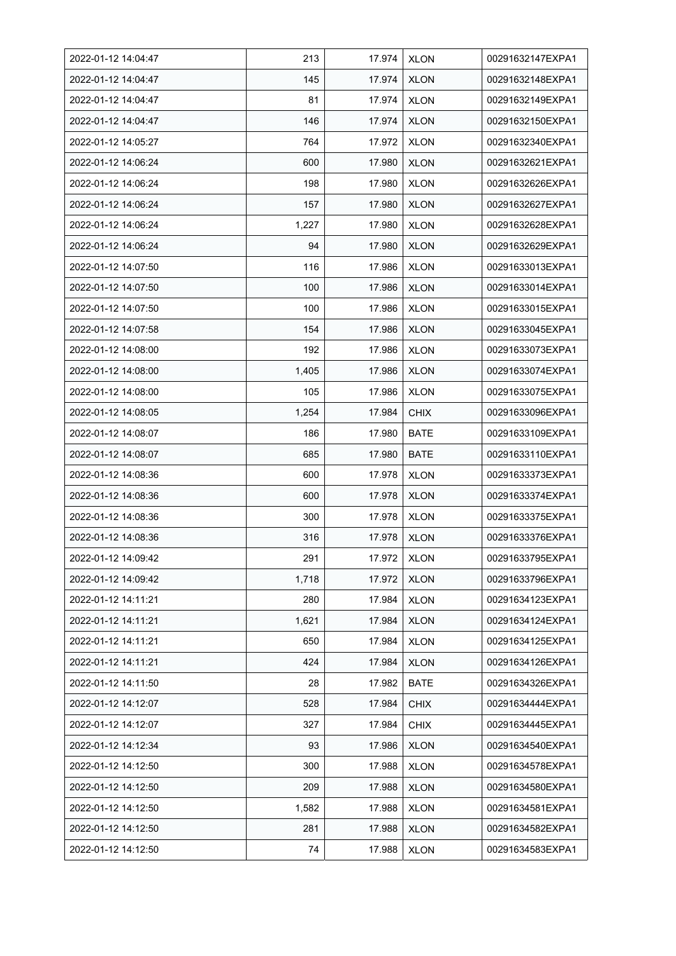| 2022-01-12 14:04:47 | 213   | 17.974 | <b>XLON</b> | 00291632147EXPA1 |
|---------------------|-------|--------|-------------|------------------|
| 2022-01-12 14:04:47 | 145   | 17.974 | <b>XLON</b> | 00291632148EXPA1 |
| 2022-01-12 14:04:47 | 81    | 17.974 | <b>XLON</b> | 00291632149EXPA1 |
| 2022-01-12 14:04:47 | 146   | 17.974 | <b>XLON</b> | 00291632150EXPA1 |
| 2022-01-12 14:05:27 | 764   | 17.972 | <b>XLON</b> | 00291632340EXPA1 |
| 2022-01-12 14:06:24 | 600   | 17.980 | <b>XLON</b> | 00291632621EXPA1 |
| 2022-01-12 14:06:24 | 198   | 17.980 | <b>XLON</b> | 00291632626EXPA1 |
| 2022-01-12 14:06:24 | 157   | 17.980 | <b>XLON</b> | 00291632627EXPA1 |
| 2022-01-12 14:06:24 | 1,227 | 17.980 | <b>XLON</b> | 00291632628EXPA1 |
| 2022-01-12 14:06:24 | 94    | 17.980 | <b>XLON</b> | 00291632629EXPA1 |
| 2022-01-12 14:07:50 | 116   | 17.986 | <b>XLON</b> | 00291633013EXPA1 |
| 2022-01-12 14:07:50 | 100   | 17.986 | <b>XLON</b> | 00291633014EXPA1 |
| 2022-01-12 14:07:50 | 100   | 17.986 | <b>XLON</b> | 00291633015EXPA1 |
| 2022-01-12 14:07:58 | 154   | 17.986 | <b>XLON</b> | 00291633045EXPA1 |
| 2022-01-12 14:08:00 | 192   | 17.986 | <b>XLON</b> | 00291633073EXPA1 |
| 2022-01-12 14:08:00 | 1,405 | 17.986 | <b>XLON</b> | 00291633074EXPA1 |
| 2022-01-12 14:08:00 | 105   | 17.986 | <b>XLON</b> | 00291633075EXPA1 |
| 2022-01-12 14:08:05 | 1,254 | 17.984 | <b>CHIX</b> | 00291633096EXPA1 |
| 2022-01-12 14:08:07 | 186   | 17.980 | <b>BATE</b> | 00291633109EXPA1 |
| 2022-01-12 14:08:07 | 685   | 17.980 | <b>BATE</b> | 00291633110EXPA1 |
| 2022-01-12 14:08:36 | 600   | 17.978 | <b>XLON</b> | 00291633373EXPA1 |
| 2022-01-12 14:08:36 | 600   | 17.978 | <b>XLON</b> | 00291633374EXPA1 |
| 2022-01-12 14:08:36 | 300   | 17.978 | <b>XLON</b> | 00291633375EXPA1 |
| 2022-01-12 14:08:36 | 316   | 17.978 | <b>XLON</b> | 00291633376EXPA1 |
| 2022-01-12 14:09:42 | 291   | 17.972 | <b>XLON</b> | 00291633795EXPA1 |
| 2022-01-12 14:09:42 | 1,718 | 17.972 | <b>XLON</b> | 00291633796EXPA1 |
| 2022-01-12 14:11:21 | 280   | 17.984 | <b>XLON</b> | 00291634123EXPA1 |
| 2022-01-12 14:11:21 | 1,621 | 17.984 | <b>XLON</b> | 00291634124EXPA1 |
| 2022-01-12 14:11:21 | 650   | 17.984 | <b>XLON</b> | 00291634125EXPA1 |
| 2022-01-12 14:11:21 | 424   | 17.984 | <b>XLON</b> | 00291634126EXPA1 |
| 2022-01-12 14:11:50 | 28    | 17.982 | <b>BATE</b> | 00291634326EXPA1 |
| 2022-01-12 14:12:07 | 528   | 17.984 | <b>CHIX</b> | 00291634444EXPA1 |
| 2022-01-12 14:12:07 | 327   | 17.984 | <b>CHIX</b> | 00291634445EXPA1 |
| 2022-01-12 14:12:34 | 93    | 17.986 | <b>XLON</b> | 00291634540EXPA1 |
| 2022-01-12 14:12:50 | 300   | 17.988 | <b>XLON</b> | 00291634578EXPA1 |
| 2022-01-12 14:12:50 | 209   | 17.988 | <b>XLON</b> | 00291634580EXPA1 |
| 2022-01-12 14:12:50 | 1,582 | 17.988 | <b>XLON</b> | 00291634581EXPA1 |
| 2022-01-12 14:12:50 | 281   | 17.988 | <b>XLON</b> | 00291634582EXPA1 |
| 2022-01-12 14:12:50 | 74    | 17.988 | <b>XLON</b> | 00291634583EXPA1 |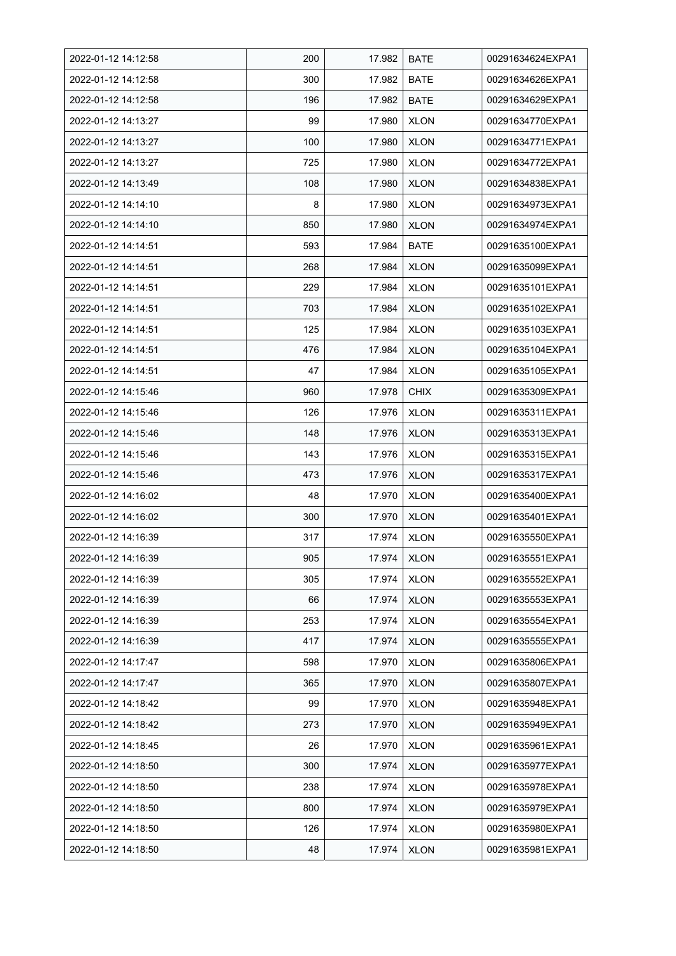| 2022-01-12 14:12:58 | 200 | 17.982 | <b>BATE</b> | 00291634624EXPA1 |
|---------------------|-----|--------|-------------|------------------|
| 2022-01-12 14:12:58 | 300 | 17.982 | <b>BATE</b> | 00291634626EXPA1 |
| 2022-01-12 14:12:58 | 196 | 17.982 | <b>BATE</b> | 00291634629EXPA1 |
| 2022-01-12 14:13:27 | 99  | 17.980 | <b>XLON</b> | 00291634770EXPA1 |
| 2022-01-12 14:13:27 | 100 | 17.980 | <b>XLON</b> | 00291634771EXPA1 |
| 2022-01-12 14:13:27 | 725 | 17.980 | <b>XLON</b> | 00291634772EXPA1 |
| 2022-01-12 14:13:49 | 108 | 17.980 | <b>XLON</b> | 00291634838EXPA1 |
| 2022-01-12 14:14:10 | 8   | 17.980 | <b>XLON</b> | 00291634973EXPA1 |
| 2022-01-12 14:14:10 | 850 | 17.980 | <b>XLON</b> | 00291634974EXPA1 |
| 2022-01-12 14:14:51 | 593 | 17.984 | <b>BATE</b> | 00291635100EXPA1 |
| 2022-01-12 14:14:51 | 268 | 17.984 | <b>XLON</b> | 00291635099EXPA1 |
| 2022-01-12 14:14:51 | 229 | 17.984 | <b>XLON</b> | 00291635101EXPA1 |
| 2022-01-12 14:14:51 | 703 | 17.984 | <b>XLON</b> | 00291635102EXPA1 |
| 2022-01-12 14:14:51 | 125 | 17.984 | <b>XLON</b> | 00291635103EXPA1 |
| 2022-01-12 14:14:51 | 476 | 17.984 | <b>XLON</b> | 00291635104EXPA1 |
| 2022-01-12 14:14:51 | 47  | 17.984 | <b>XLON</b> | 00291635105EXPA1 |
| 2022-01-12 14:15:46 | 960 | 17.978 | <b>CHIX</b> | 00291635309EXPA1 |
| 2022-01-12 14:15:46 | 126 | 17.976 | <b>XLON</b> | 00291635311EXPA1 |
| 2022-01-12 14:15:46 | 148 | 17.976 | <b>XLON</b> | 00291635313EXPA1 |
| 2022-01-12 14:15:46 | 143 | 17.976 | <b>XLON</b> | 00291635315EXPA1 |
| 2022-01-12 14:15:46 | 473 | 17.976 | <b>XLON</b> | 00291635317EXPA1 |
| 2022-01-12 14:16:02 | 48  | 17.970 | <b>XLON</b> | 00291635400EXPA1 |
| 2022-01-12 14:16:02 | 300 | 17.970 | <b>XLON</b> | 00291635401EXPA1 |
| 2022-01-12 14:16:39 | 317 | 17.974 | <b>XLON</b> | 00291635550EXPA1 |
| 2022-01-12 14:16:39 | 905 | 17.974 | <b>XLON</b> | 00291635551EXPA1 |
| 2022-01-12 14:16:39 | 305 | 17.974 | <b>XLON</b> | 00291635552EXPA1 |
| 2022-01-12 14:16:39 | 66  | 17.974 | XLON        | 00291635553EXPA1 |
| 2022-01-12 14:16:39 | 253 | 17.974 | <b>XLON</b> | 00291635554EXPA1 |
| 2022-01-12 14:16:39 | 417 | 17.974 | <b>XLON</b> | 00291635555EXPA1 |
| 2022-01-12 14:17:47 | 598 | 17.970 | <b>XLON</b> | 00291635806EXPA1 |
| 2022-01-12 14:17:47 | 365 | 17.970 | <b>XLON</b> | 00291635807EXPA1 |
| 2022-01-12 14:18:42 | 99  | 17.970 | <b>XLON</b> | 00291635948EXPA1 |
| 2022-01-12 14:18:42 | 273 | 17.970 | <b>XLON</b> | 00291635949EXPA1 |
| 2022-01-12 14:18:45 | 26  | 17.970 | <b>XLON</b> | 00291635961EXPA1 |
| 2022-01-12 14:18:50 | 300 | 17.974 | <b>XLON</b> | 00291635977EXPA1 |
| 2022-01-12 14:18:50 | 238 | 17.974 | <b>XLON</b> | 00291635978EXPA1 |
| 2022-01-12 14:18:50 | 800 | 17.974 | <b>XLON</b> | 00291635979EXPA1 |
| 2022-01-12 14:18:50 | 126 | 17.974 | <b>XLON</b> | 00291635980EXPA1 |
| 2022-01-12 14:18:50 | 48  | 17.974 | <b>XLON</b> | 00291635981EXPA1 |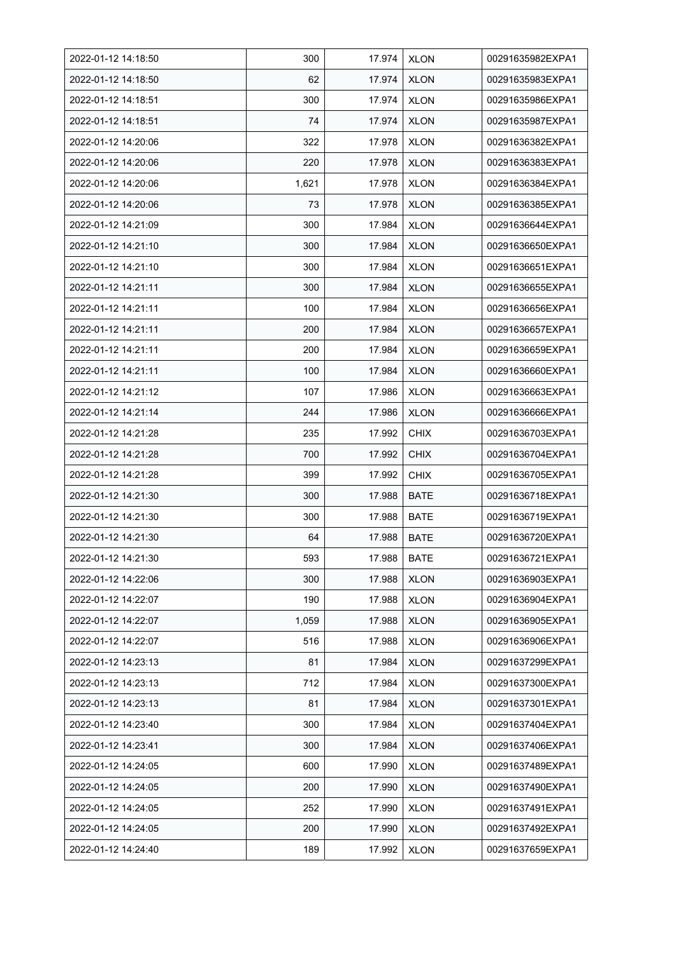| 2022-01-12 14:18:50 | 300   | 17.974 | <b>XLON</b> | 00291635982EXPA1 |
|---------------------|-------|--------|-------------|------------------|
| 2022-01-12 14:18:50 | 62    | 17.974 | <b>XLON</b> | 00291635983EXPA1 |
| 2022-01-12 14:18:51 | 300   | 17.974 | <b>XLON</b> | 00291635986EXPA1 |
| 2022-01-12 14:18:51 | 74    | 17.974 | <b>XLON</b> | 00291635987EXPA1 |
| 2022-01-12 14:20:06 | 322   | 17.978 | <b>XLON</b> | 00291636382EXPA1 |
| 2022-01-12 14:20:06 | 220   | 17.978 | <b>XLON</b> | 00291636383EXPA1 |
| 2022-01-12 14:20:06 | 1,621 | 17.978 | <b>XLON</b> | 00291636384EXPA1 |
| 2022-01-12 14:20:06 | 73    | 17.978 | <b>XLON</b> | 00291636385EXPA1 |
| 2022-01-12 14:21:09 | 300   | 17.984 | <b>XLON</b> | 00291636644EXPA1 |
| 2022-01-12 14:21:10 | 300   | 17.984 | <b>XLON</b> | 00291636650EXPA1 |
| 2022-01-12 14:21:10 | 300   | 17.984 | <b>XLON</b> | 00291636651EXPA1 |
| 2022-01-12 14:21:11 | 300   | 17.984 | <b>XLON</b> | 00291636655EXPA1 |
| 2022-01-12 14:21:11 | 100   | 17.984 | <b>XLON</b> | 00291636656EXPA1 |
| 2022-01-12 14:21:11 | 200   | 17.984 | <b>XLON</b> | 00291636657EXPA1 |
| 2022-01-12 14:21:11 | 200   | 17.984 | <b>XLON</b> | 00291636659EXPA1 |
| 2022-01-12 14:21:11 | 100   | 17.984 | <b>XLON</b> | 00291636660EXPA1 |
| 2022-01-12 14:21:12 | 107   | 17.986 | <b>XLON</b> | 00291636663EXPA1 |
| 2022-01-12 14:21:14 | 244   | 17.986 | <b>XLON</b> | 00291636666EXPA1 |
| 2022-01-12 14:21:28 | 235   | 17.992 | <b>CHIX</b> | 00291636703EXPA1 |
| 2022-01-12 14:21:28 | 700   | 17.992 | <b>CHIX</b> | 00291636704EXPA1 |
| 2022-01-12 14:21:28 | 399   | 17.992 | <b>CHIX</b> | 00291636705EXPA1 |
| 2022-01-12 14:21:30 | 300   | 17.988 | <b>BATE</b> | 00291636718EXPA1 |
| 2022-01-12 14:21:30 | 300   | 17.988 | <b>BATE</b> | 00291636719EXPA1 |
| 2022-01-12 14:21:30 | 64    | 17.988 | <b>BATE</b> | 00291636720EXPA1 |
| 2022-01-12 14:21:30 | 593   | 17.988 | <b>BATE</b> | 00291636721EXPA1 |
| 2022-01-12 14:22:06 | 300   | 17.988 | <b>XLON</b> | 00291636903EXPA1 |
| 2022-01-12 14:22:07 | 190   | 17.988 | <b>XLON</b> | 00291636904EXPA1 |
| 2022-01-12 14:22:07 | 1,059 | 17.988 | <b>XLON</b> | 00291636905EXPA1 |
| 2022-01-12 14:22:07 | 516   | 17.988 | <b>XLON</b> | 00291636906EXPA1 |
| 2022-01-12 14:23:13 | 81    | 17.984 | <b>XLON</b> | 00291637299EXPA1 |
| 2022-01-12 14:23:13 | 712   | 17.984 | <b>XLON</b> | 00291637300EXPA1 |
| 2022-01-12 14:23:13 | 81    | 17.984 | <b>XLON</b> | 00291637301EXPA1 |
| 2022-01-12 14:23:40 | 300   | 17.984 | <b>XLON</b> | 00291637404EXPA1 |
| 2022-01-12 14:23:41 | 300   | 17.984 | <b>XLON</b> | 00291637406EXPA1 |
| 2022-01-12 14:24:05 | 600   | 17.990 | <b>XLON</b> | 00291637489EXPA1 |
| 2022-01-12 14:24:05 | 200   | 17.990 | <b>XLON</b> | 00291637490EXPA1 |
| 2022-01-12 14:24:05 | 252   | 17.990 | <b>XLON</b> | 00291637491EXPA1 |
| 2022-01-12 14:24:05 | 200   | 17.990 | <b>XLON</b> | 00291637492EXPA1 |
| 2022-01-12 14:24:40 | 189   | 17.992 | <b>XLON</b> | 00291637659EXPA1 |
|                     |       |        |             |                  |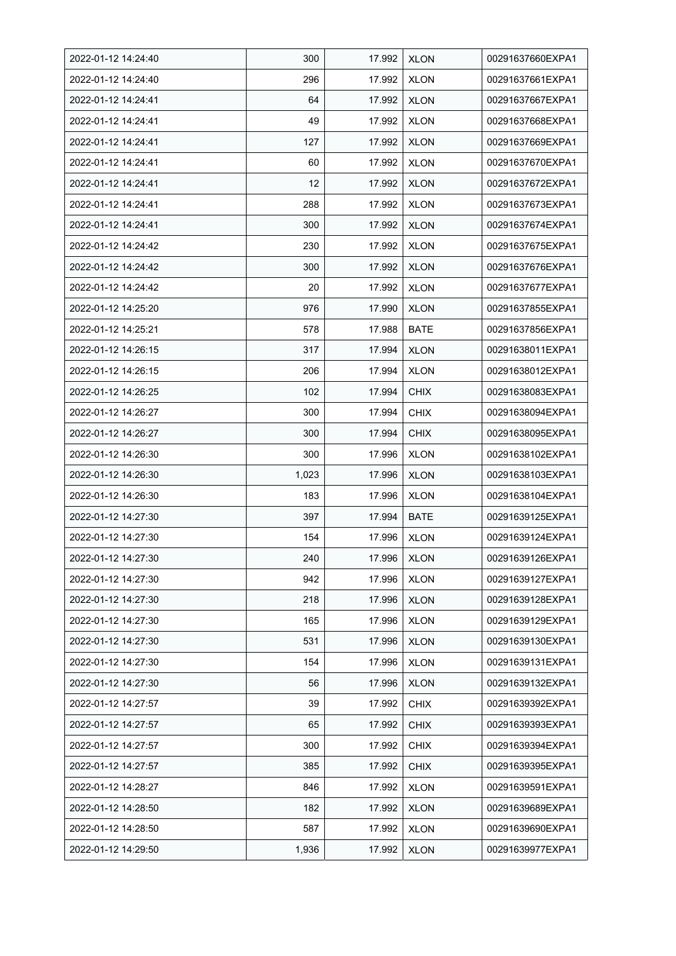| 2022-01-12 14:24:40 | 300   | 17.992 | <b>XLON</b> | 00291637660EXPA1 |
|---------------------|-------|--------|-------------|------------------|
| 2022-01-12 14:24:40 | 296   | 17.992 | <b>XLON</b> | 00291637661EXPA1 |
| 2022-01-12 14:24:41 | 64    | 17.992 | <b>XLON</b> | 00291637667EXPA1 |
| 2022-01-12 14:24:41 | 49    | 17.992 | <b>XLON</b> | 00291637668EXPA1 |
| 2022-01-12 14:24:41 | 127   | 17.992 | <b>XLON</b> | 00291637669EXPA1 |
| 2022-01-12 14:24:41 | 60    | 17.992 | <b>XLON</b> | 00291637670EXPA1 |
| 2022-01-12 14:24:41 | 12    | 17.992 | <b>XLON</b> | 00291637672EXPA1 |
| 2022-01-12 14:24:41 | 288   | 17.992 | <b>XLON</b> | 00291637673EXPA1 |
| 2022-01-12 14:24:41 | 300   | 17.992 | <b>XLON</b> | 00291637674EXPA1 |
| 2022-01-12 14:24:42 | 230   | 17.992 | <b>XLON</b> | 00291637675EXPA1 |
| 2022-01-12 14:24:42 | 300   | 17.992 | <b>XLON</b> | 00291637676EXPA1 |
| 2022-01-12 14:24:42 | 20    | 17.992 | <b>XLON</b> | 00291637677EXPA1 |
| 2022-01-12 14:25:20 | 976   | 17.990 | <b>XLON</b> | 00291637855EXPA1 |
| 2022-01-12 14:25:21 | 578   | 17.988 | <b>BATE</b> | 00291637856EXPA1 |
| 2022-01-12 14:26:15 | 317   | 17.994 | <b>XLON</b> | 00291638011EXPA1 |
| 2022-01-12 14:26:15 | 206   | 17.994 | <b>XLON</b> | 00291638012EXPA1 |
| 2022-01-12 14:26:25 | 102   | 17.994 | <b>CHIX</b> | 00291638083EXPA1 |
| 2022-01-12 14:26:27 | 300   | 17.994 | <b>CHIX</b> | 00291638094EXPA1 |
| 2022-01-12 14:26:27 | 300   | 17.994 | <b>CHIX</b> | 00291638095EXPA1 |
| 2022-01-12 14:26:30 | 300   | 17.996 | <b>XLON</b> | 00291638102EXPA1 |
| 2022-01-12 14:26:30 | 1,023 | 17.996 | <b>XLON</b> | 00291638103EXPA1 |
| 2022-01-12 14:26:30 | 183   | 17.996 | <b>XLON</b> | 00291638104EXPA1 |
| 2022-01-12 14:27:30 | 397   | 17.994 | <b>BATE</b> | 00291639125EXPA1 |
| 2022-01-12 14:27:30 | 154   | 17.996 | <b>XLON</b> | 00291639124EXPA1 |
| 2022-01-12 14:27:30 | 240   | 17.996 | <b>XLON</b> | 00291639126EXPA1 |
| 2022-01-12 14:27:30 | 942   | 17.996 | <b>XLON</b> | 00291639127EXPA1 |
| 2022-01-12 14:27:30 | 218   | 17.996 | <b>XLON</b> | 00291639128EXPA1 |
| 2022-01-12 14:27:30 | 165   | 17.996 | <b>XLON</b> | 00291639129EXPA1 |
| 2022-01-12 14:27:30 | 531   | 17.996 | <b>XLON</b> | 00291639130EXPA1 |
| 2022-01-12 14:27:30 | 154   | 17.996 | <b>XLON</b> | 00291639131EXPA1 |
| 2022-01-12 14:27:30 | 56    | 17.996 | <b>XLON</b> | 00291639132EXPA1 |
| 2022-01-12 14:27:57 | 39    | 17.992 | <b>CHIX</b> | 00291639392EXPA1 |
| 2022-01-12 14:27:57 | 65    | 17.992 | <b>CHIX</b> | 00291639393EXPA1 |
| 2022-01-12 14:27:57 | 300   | 17.992 | <b>CHIX</b> | 00291639394EXPA1 |
| 2022-01-12 14:27:57 | 385   | 17.992 | <b>CHIX</b> | 00291639395EXPA1 |
| 2022-01-12 14:28:27 | 846   | 17.992 | <b>XLON</b> | 00291639591EXPA1 |
| 2022-01-12 14:28:50 | 182   | 17.992 | <b>XLON</b> | 00291639689EXPA1 |
| 2022-01-12 14:28:50 | 587   | 17.992 | <b>XLON</b> | 00291639690EXPA1 |
| 2022-01-12 14:29:50 | 1,936 | 17.992 | <b>XLON</b> | 00291639977EXPA1 |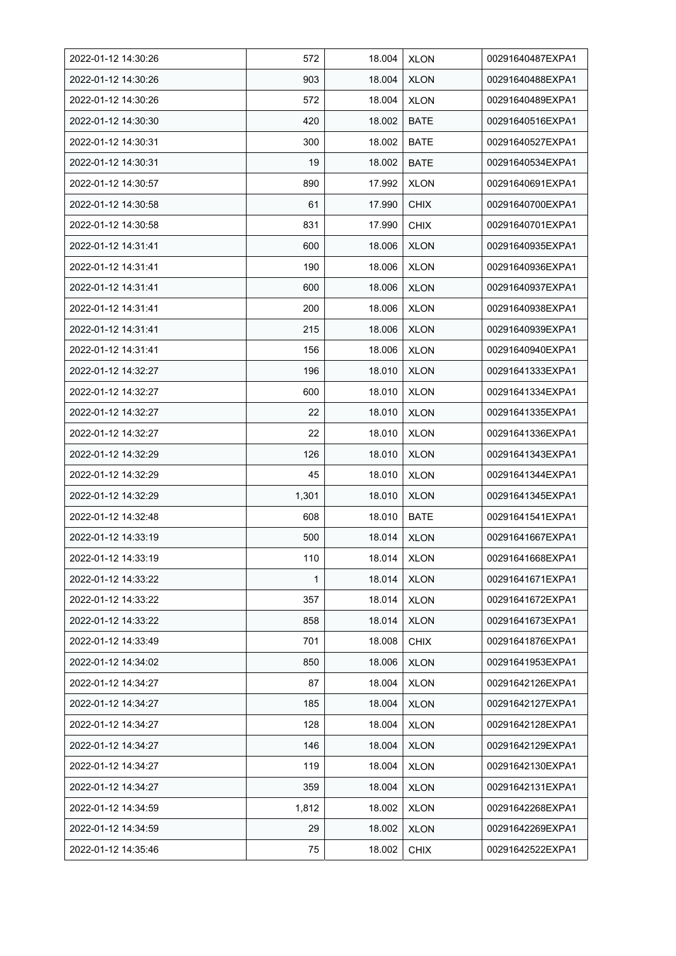| 2022-01-12 14:30:26 | 572   | 18.004 | <b>XLON</b> | 00291640487EXPA1 |
|---------------------|-------|--------|-------------|------------------|
| 2022-01-12 14:30:26 | 903   | 18.004 | <b>XLON</b> | 00291640488EXPA1 |
| 2022-01-12 14:30:26 | 572   | 18.004 | <b>XLON</b> | 00291640489EXPA1 |
| 2022-01-12 14:30:30 | 420   | 18.002 | <b>BATE</b> | 00291640516EXPA1 |
| 2022-01-12 14:30:31 | 300   | 18.002 | <b>BATE</b> | 00291640527EXPA1 |
| 2022-01-12 14:30:31 | 19    | 18.002 | <b>BATE</b> | 00291640534EXPA1 |
| 2022-01-12 14:30:57 | 890   | 17.992 | <b>XLON</b> | 00291640691EXPA1 |
| 2022-01-12 14:30:58 | 61    | 17.990 | <b>CHIX</b> | 00291640700EXPA1 |
| 2022-01-12 14:30:58 | 831   | 17.990 | <b>CHIX</b> | 00291640701EXPA1 |
| 2022-01-12 14:31:41 | 600   | 18.006 | <b>XLON</b> | 00291640935EXPA1 |
| 2022-01-12 14:31:41 | 190   | 18.006 | <b>XLON</b> | 00291640936EXPA1 |
| 2022-01-12 14:31:41 | 600   | 18.006 | <b>XLON</b> | 00291640937EXPA1 |
| 2022-01-12 14:31:41 | 200   | 18.006 | <b>XLON</b> | 00291640938EXPA1 |
| 2022-01-12 14:31:41 | 215   | 18.006 | <b>XLON</b> | 00291640939EXPA1 |
| 2022-01-12 14:31:41 | 156   | 18.006 | <b>XLON</b> | 00291640940EXPA1 |
| 2022-01-12 14:32:27 | 196   | 18.010 | <b>XLON</b> | 00291641333EXPA1 |
| 2022-01-12 14:32:27 | 600   | 18.010 | <b>XLON</b> | 00291641334EXPA1 |
| 2022-01-12 14:32:27 | 22    | 18.010 | <b>XLON</b> | 00291641335EXPA1 |
| 2022-01-12 14:32:27 | 22    | 18.010 | <b>XLON</b> | 00291641336EXPA1 |
| 2022-01-12 14:32:29 | 126   | 18.010 | <b>XLON</b> | 00291641343EXPA1 |
| 2022-01-12 14:32:29 | 45    | 18.010 | <b>XLON</b> | 00291641344EXPA1 |
| 2022-01-12 14:32:29 | 1,301 | 18.010 | <b>XLON</b> | 00291641345EXPA1 |
| 2022-01-12 14:32:48 | 608   | 18.010 | <b>BATE</b> | 00291641541EXPA1 |
| 2022-01-12 14:33:19 | 500   | 18.014 | <b>XLON</b> | 00291641667EXPA1 |
| 2022-01-12 14:33:19 | 110   | 18.014 | <b>XLON</b> | 00291641668EXPA1 |
| 2022-01-12 14:33:22 | 1     | 18.014 | <b>XLON</b> | 00291641671EXPA1 |
| 2022-01-12 14:33:22 | 357   | 18.014 | <b>XLON</b> | 00291641672EXPA1 |
| 2022-01-12 14:33:22 | 858   | 18.014 | <b>XLON</b> | 00291641673EXPA1 |
| 2022-01-12 14:33:49 | 701   | 18.008 | <b>CHIX</b> | 00291641876EXPA1 |
| 2022-01-12 14:34:02 | 850   | 18.006 | <b>XLON</b> | 00291641953EXPA1 |
| 2022-01-12 14:34:27 | 87    | 18.004 | <b>XLON</b> | 00291642126EXPA1 |
| 2022-01-12 14:34:27 | 185   | 18.004 | <b>XLON</b> | 00291642127EXPA1 |
| 2022-01-12 14:34:27 | 128   | 18.004 | <b>XLON</b> | 00291642128EXPA1 |
| 2022-01-12 14:34:27 | 146   | 18.004 | <b>XLON</b> | 00291642129EXPA1 |
| 2022-01-12 14:34:27 | 119   | 18.004 | <b>XLON</b> | 00291642130EXPA1 |
| 2022-01-12 14:34:27 | 359   | 18.004 | <b>XLON</b> | 00291642131EXPA1 |
| 2022-01-12 14:34:59 | 1,812 | 18.002 | <b>XLON</b> | 00291642268EXPA1 |
| 2022-01-12 14:34:59 | 29    | 18.002 | <b>XLON</b> | 00291642269EXPA1 |
| 2022-01-12 14:35:46 | 75    | 18.002 | <b>CHIX</b> | 00291642522EXPA1 |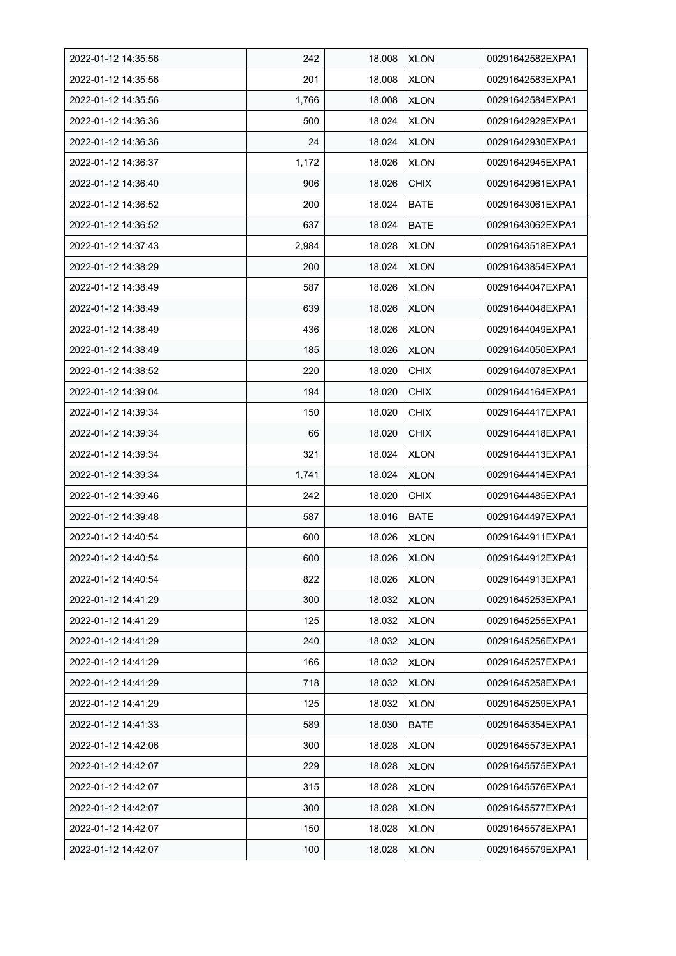| 2022-01-12 14:35:56 | 242   | 18.008 | <b>XLON</b> | 00291642582EXPA1 |
|---------------------|-------|--------|-------------|------------------|
| 2022-01-12 14:35:56 | 201   | 18.008 | <b>XLON</b> | 00291642583EXPA1 |
| 2022-01-12 14:35:56 | 1,766 | 18.008 | <b>XLON</b> | 00291642584EXPA1 |
| 2022-01-12 14:36:36 | 500   | 18.024 | <b>XLON</b> | 00291642929EXPA1 |
| 2022-01-12 14:36:36 | 24    | 18.024 | <b>XLON</b> | 00291642930EXPA1 |
| 2022-01-12 14:36:37 | 1,172 | 18.026 | <b>XLON</b> | 00291642945EXPA1 |
| 2022-01-12 14:36:40 | 906   | 18.026 | <b>CHIX</b> | 00291642961EXPA1 |
| 2022-01-12 14:36:52 | 200   | 18.024 | <b>BATE</b> | 00291643061EXPA1 |
| 2022-01-12 14:36:52 | 637   | 18.024 | <b>BATE</b> | 00291643062EXPA1 |
| 2022-01-12 14:37:43 | 2,984 | 18.028 | <b>XLON</b> | 00291643518EXPA1 |
| 2022-01-12 14:38:29 | 200   | 18.024 | <b>XLON</b> | 00291643854EXPA1 |
| 2022-01-12 14:38:49 | 587   | 18.026 | <b>XLON</b> | 00291644047EXPA1 |
| 2022-01-12 14:38:49 | 639   | 18.026 | <b>XLON</b> | 00291644048EXPA1 |
| 2022-01-12 14:38:49 | 436   | 18.026 | <b>XLON</b> | 00291644049EXPA1 |
| 2022-01-12 14:38:49 | 185   | 18.026 | <b>XLON</b> | 00291644050EXPA1 |
| 2022-01-12 14:38:52 | 220   | 18.020 | <b>CHIX</b> | 00291644078EXPA1 |
| 2022-01-12 14:39:04 | 194   | 18.020 | <b>CHIX</b> | 00291644164EXPA1 |
| 2022-01-12 14:39:34 | 150   | 18.020 | <b>CHIX</b> | 00291644417EXPA1 |
| 2022-01-12 14:39:34 | 66    | 18.020 | <b>CHIX</b> | 00291644418EXPA1 |
| 2022-01-12 14:39:34 | 321   | 18.024 | <b>XLON</b> | 00291644413EXPA1 |
| 2022-01-12 14:39:34 | 1,741 | 18.024 | <b>XLON</b> | 00291644414EXPA1 |
| 2022-01-12 14:39:46 | 242   | 18.020 | <b>CHIX</b> | 00291644485EXPA1 |
| 2022-01-12 14:39:48 | 587   | 18.016 | <b>BATE</b> | 00291644497EXPA1 |
| 2022-01-12 14:40:54 | 600   | 18.026 | <b>XLON</b> | 00291644911EXPA1 |
| 2022-01-12 14:40:54 | 600   | 18.026 | <b>XLON</b> | 00291644912EXPA1 |
| 2022-01-12 14:40:54 | 822   | 18.026 | <b>XLON</b> | 00291644913EXPA1 |
| 2022-01-12 14:41:29 | 300   | 18.032 | <b>XLON</b> | 00291645253EXPA1 |
| 2022-01-12 14:41:29 | 125   | 18.032 | <b>XLON</b> | 00291645255EXPA1 |
| 2022-01-12 14:41:29 | 240   | 18.032 | <b>XLON</b> | 00291645256EXPA1 |
| 2022-01-12 14:41:29 | 166   | 18.032 | <b>XLON</b> | 00291645257EXPA1 |
| 2022-01-12 14:41:29 | 718   | 18.032 | <b>XLON</b> | 00291645258EXPA1 |
| 2022-01-12 14:41:29 | 125   | 18.032 | <b>XLON</b> | 00291645259EXPA1 |
| 2022-01-12 14:41:33 | 589   | 18.030 | <b>BATE</b> | 00291645354EXPA1 |
| 2022-01-12 14:42:06 | 300   | 18.028 | <b>XLON</b> | 00291645573EXPA1 |
| 2022-01-12 14:42:07 | 229   | 18.028 | <b>XLON</b> | 00291645575EXPA1 |
| 2022-01-12 14:42:07 | 315   | 18.028 | <b>XLON</b> | 00291645576EXPA1 |
| 2022-01-12 14:42:07 | 300   | 18.028 | <b>XLON</b> | 00291645577EXPA1 |
| 2022-01-12 14:42:07 | 150   | 18.028 | <b>XLON</b> | 00291645578EXPA1 |
| 2022-01-12 14:42:07 | 100   | 18.028 | <b>XLON</b> | 00291645579EXPA1 |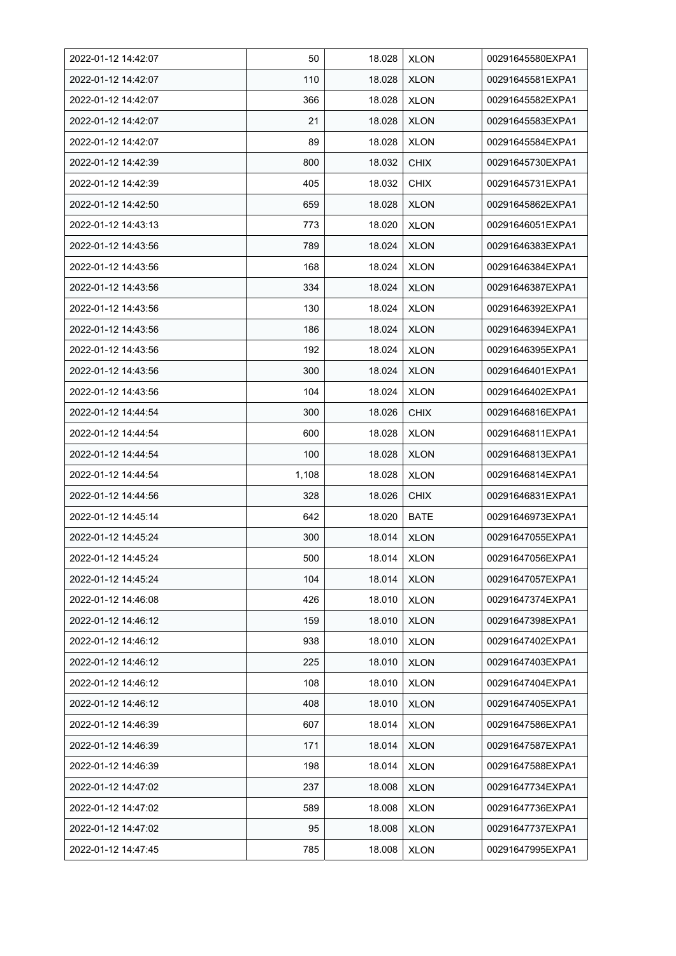| 2022-01-12 14:42:07 | 50    | 18.028 | <b>XLON</b> | 00291645580EXPA1 |
|---------------------|-------|--------|-------------|------------------|
| 2022-01-12 14:42:07 | 110   | 18.028 | <b>XLON</b> | 00291645581EXPA1 |
| 2022-01-12 14:42:07 | 366   | 18.028 | <b>XLON</b> | 00291645582EXPA1 |
| 2022-01-12 14:42:07 | 21    | 18.028 | <b>XLON</b> | 00291645583EXPA1 |
| 2022-01-12 14:42:07 | 89    | 18.028 | <b>XLON</b> | 00291645584EXPA1 |
| 2022-01-12 14:42:39 | 800   | 18.032 | <b>CHIX</b> | 00291645730EXPA1 |
| 2022-01-12 14:42:39 | 405   | 18.032 | <b>CHIX</b> | 00291645731EXPA1 |
| 2022-01-12 14:42:50 | 659   | 18.028 | <b>XLON</b> | 00291645862EXPA1 |
| 2022-01-12 14:43:13 | 773   | 18.020 | <b>XLON</b> | 00291646051EXPA1 |
| 2022-01-12 14:43:56 | 789   | 18.024 | <b>XLON</b> | 00291646383EXPA1 |
| 2022-01-12 14:43:56 | 168   | 18.024 | <b>XLON</b> | 00291646384EXPA1 |
| 2022-01-12 14:43:56 | 334   | 18.024 | <b>XLON</b> | 00291646387EXPA1 |
| 2022-01-12 14:43:56 | 130   | 18.024 | <b>XLON</b> | 00291646392EXPA1 |
| 2022-01-12 14:43:56 | 186   | 18.024 | <b>XLON</b> | 00291646394EXPA1 |
| 2022-01-12 14:43:56 | 192   | 18.024 | <b>XLON</b> | 00291646395EXPA1 |
| 2022-01-12 14:43:56 | 300   | 18.024 | <b>XLON</b> | 00291646401EXPA1 |
| 2022-01-12 14:43:56 | 104   | 18.024 | <b>XLON</b> | 00291646402EXPA1 |
| 2022-01-12 14:44:54 | 300   | 18.026 | <b>CHIX</b> | 00291646816EXPA1 |
| 2022-01-12 14:44:54 | 600   | 18.028 | <b>XLON</b> | 00291646811EXPA1 |
| 2022-01-12 14:44:54 | 100   | 18.028 | <b>XLON</b> | 00291646813EXPA1 |
| 2022-01-12 14:44:54 | 1,108 | 18.028 | <b>XLON</b> | 00291646814EXPA1 |
| 2022-01-12 14:44:56 | 328   | 18.026 | <b>CHIX</b> | 00291646831EXPA1 |
| 2022-01-12 14:45:14 | 642   | 18.020 | <b>BATE</b> | 00291646973EXPA1 |
| 2022-01-12 14:45:24 | 300   | 18.014 | <b>XLON</b> | 00291647055EXPA1 |
| 2022-01-12 14:45:24 | 500   | 18.014 | <b>XLON</b> | 00291647056EXPA1 |
| 2022-01-12 14:45:24 | 104   | 18.014 | <b>XLON</b> | 00291647057EXPA1 |
| 2022-01-12 14:46:08 | 426   | 18.010 | <b>XLON</b> | 00291647374EXPA1 |
| 2022-01-12 14:46:12 | 159   | 18.010 | <b>XLON</b> | 00291647398EXPA1 |
| 2022-01-12 14:46:12 | 938   | 18.010 | <b>XLON</b> | 00291647402EXPA1 |
| 2022-01-12 14:46:12 | 225   | 18.010 | <b>XLON</b> | 00291647403EXPA1 |
| 2022-01-12 14:46:12 | 108   | 18.010 | <b>XLON</b> | 00291647404EXPA1 |
| 2022-01-12 14:46:12 | 408   | 18.010 | <b>XLON</b> | 00291647405EXPA1 |
| 2022-01-12 14:46:39 | 607   | 18.014 | <b>XLON</b> | 00291647586EXPA1 |
| 2022-01-12 14:46:39 | 171   | 18.014 | <b>XLON</b> | 00291647587EXPA1 |
| 2022-01-12 14:46:39 | 198   | 18.014 | <b>XLON</b> | 00291647588EXPA1 |
| 2022-01-12 14:47:02 | 237   | 18.008 | <b>XLON</b> | 00291647734EXPA1 |
| 2022-01-12 14:47:02 | 589   | 18.008 | <b>XLON</b> | 00291647736EXPA1 |
| 2022-01-12 14:47:02 | 95    | 18.008 | <b>XLON</b> | 00291647737EXPA1 |
| 2022-01-12 14:47:45 | 785   | 18.008 | <b>XLON</b> | 00291647995EXPA1 |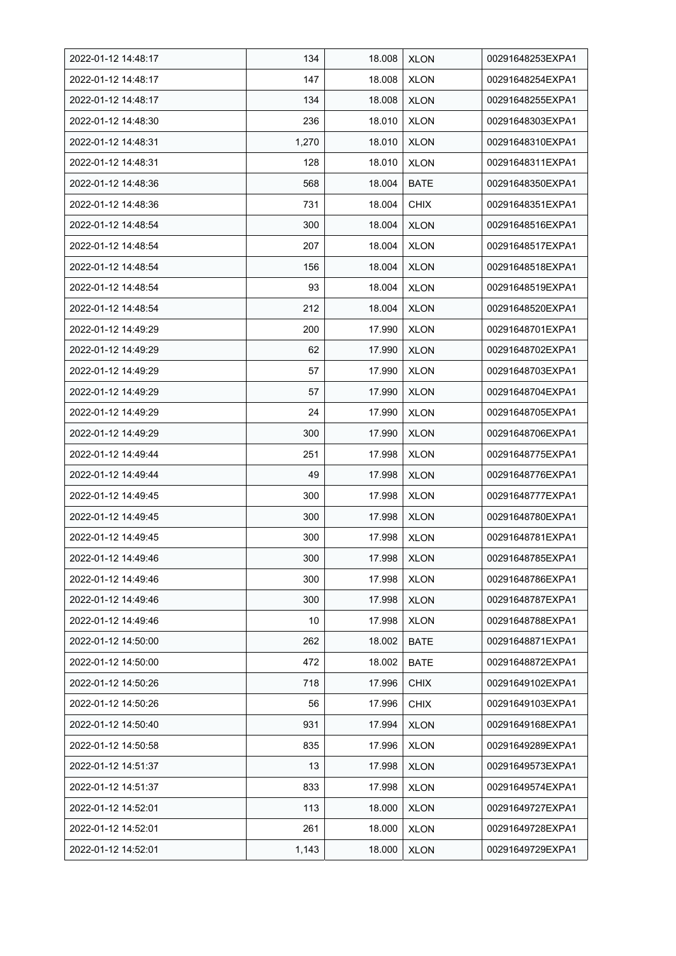| 2022-01-12 14:48:17 | 134   | 18.008 | <b>XLON</b> | 00291648253EXPA1 |
|---------------------|-------|--------|-------------|------------------|
| 2022-01-12 14:48:17 | 147   | 18.008 | <b>XLON</b> | 00291648254EXPA1 |
| 2022-01-12 14:48:17 | 134   | 18.008 | <b>XLON</b> | 00291648255EXPA1 |
| 2022-01-12 14:48:30 | 236   | 18.010 | <b>XLON</b> | 00291648303EXPA1 |
| 2022-01-12 14:48:31 | 1,270 | 18.010 | <b>XLON</b> | 00291648310EXPA1 |
| 2022-01-12 14:48:31 | 128   | 18.010 | <b>XLON</b> | 00291648311EXPA1 |
| 2022-01-12 14:48:36 | 568   | 18.004 | <b>BATE</b> | 00291648350EXPA1 |
| 2022-01-12 14:48:36 | 731   | 18.004 | <b>CHIX</b> | 00291648351EXPA1 |
| 2022-01-12 14:48:54 | 300   | 18.004 | <b>XLON</b> | 00291648516EXPA1 |
| 2022-01-12 14:48:54 | 207   | 18.004 | <b>XLON</b> | 00291648517EXPA1 |
| 2022-01-12 14:48:54 | 156   | 18.004 | <b>XLON</b> | 00291648518EXPA1 |
| 2022-01-12 14:48:54 | 93    | 18.004 | <b>XLON</b> | 00291648519EXPA1 |
| 2022-01-12 14:48:54 | 212   | 18.004 | <b>XLON</b> | 00291648520EXPA1 |
| 2022-01-12 14:49:29 | 200   | 17.990 | <b>XLON</b> | 00291648701EXPA1 |
| 2022-01-12 14:49:29 | 62    | 17.990 | <b>XLON</b> | 00291648702EXPA1 |
| 2022-01-12 14:49:29 | 57    | 17.990 | <b>XLON</b> | 00291648703EXPA1 |
| 2022-01-12 14:49:29 | 57    | 17.990 | <b>XLON</b> | 00291648704EXPA1 |
| 2022-01-12 14:49:29 | 24    | 17.990 | <b>XLON</b> | 00291648705EXPA1 |
| 2022-01-12 14:49:29 | 300   | 17.990 | <b>XLON</b> | 00291648706EXPA1 |
| 2022-01-12 14:49:44 | 251   | 17.998 | XLON        | 00291648775EXPA1 |
| 2022-01-12 14:49:44 | 49    | 17.998 | <b>XLON</b> | 00291648776EXPA1 |
| 2022-01-12 14:49:45 | 300   | 17.998 | <b>XLON</b> | 00291648777EXPA1 |
| 2022-01-12 14:49:45 | 300   | 17.998 | <b>XLON</b> | 00291648780EXPA1 |
| 2022-01-12 14:49:45 | 300   | 17.998 | <b>XLON</b> | 00291648781EXPA1 |
| 2022-01-12 14:49:46 | 300   | 17.998 | <b>XLON</b> | 00291648785EXPA1 |
| 2022-01-12 14:49:46 | 300   | 17.998 | <b>XLON</b> | 00291648786EXPA1 |
| 2022-01-12 14:49:46 | 300   | 17.998 | <b>XLON</b> | 00291648787EXPA1 |
| 2022-01-12 14:49:46 | 10    | 17.998 | <b>XLON</b> | 00291648788EXPA1 |
| 2022-01-12 14:50:00 | 262   | 18.002 | <b>BATE</b> | 00291648871EXPA1 |
| 2022-01-12 14:50:00 | 472   | 18.002 | <b>BATE</b> | 00291648872EXPA1 |
| 2022-01-12 14:50:26 | 718   | 17.996 | <b>CHIX</b> | 00291649102EXPA1 |
| 2022-01-12 14:50:26 | 56    | 17.996 | <b>CHIX</b> | 00291649103EXPA1 |
| 2022-01-12 14:50:40 | 931   | 17.994 | <b>XLON</b> | 00291649168EXPA1 |
| 2022-01-12 14:50:58 | 835   | 17.996 | <b>XLON</b> | 00291649289EXPA1 |
| 2022-01-12 14:51:37 | 13    | 17.998 | <b>XLON</b> | 00291649573EXPA1 |
| 2022-01-12 14:51:37 | 833   | 17.998 | <b>XLON</b> | 00291649574EXPA1 |
| 2022-01-12 14:52:01 | 113   | 18.000 | <b>XLON</b> | 00291649727EXPA1 |
| 2022-01-12 14:52:01 | 261   | 18.000 | XLON        | 00291649728EXPA1 |
| 2022-01-12 14:52:01 | 1,143 | 18.000 | <b>XLON</b> | 00291649729EXPA1 |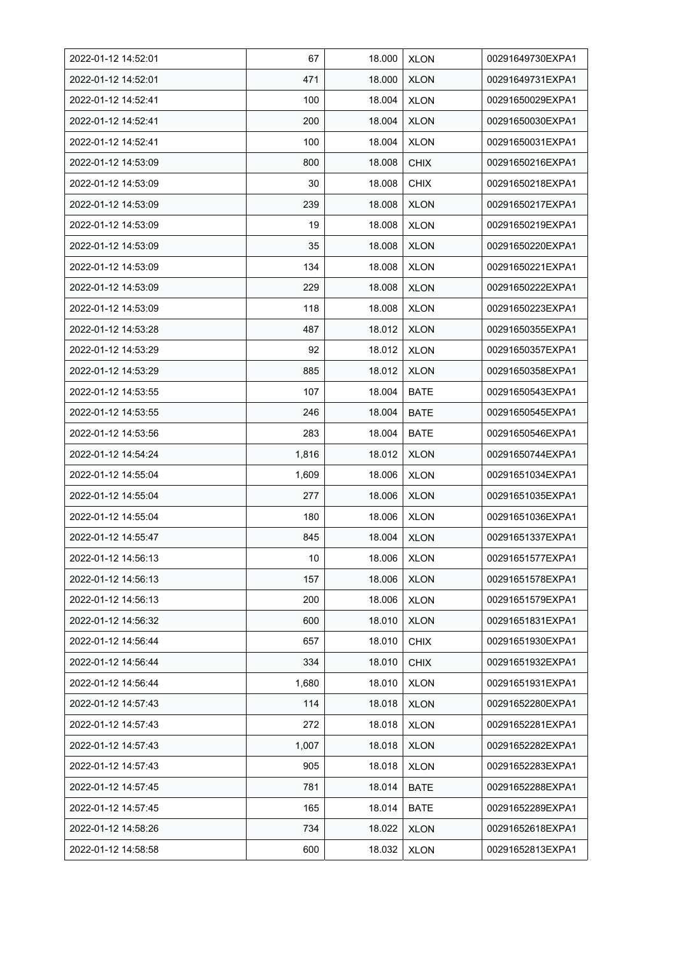| 2022-01-12 14:52:01 | 67    | 18.000 | <b>XLON</b> | 00291649730EXPA1 |
|---------------------|-------|--------|-------------|------------------|
| 2022-01-12 14:52:01 | 471   | 18.000 | <b>XLON</b> | 00291649731EXPA1 |
| 2022-01-12 14:52:41 | 100   | 18.004 | <b>XLON</b> | 00291650029EXPA1 |
| 2022-01-12 14:52:41 | 200   | 18.004 | <b>XLON</b> | 00291650030EXPA1 |
| 2022-01-12 14:52:41 | 100   | 18.004 | <b>XLON</b> | 00291650031EXPA1 |
| 2022-01-12 14:53:09 | 800   | 18.008 | <b>CHIX</b> | 00291650216EXPA1 |
| 2022-01-12 14:53:09 | 30    | 18.008 | <b>CHIX</b> | 00291650218EXPA1 |
| 2022-01-12 14:53:09 | 239   | 18.008 | <b>XLON</b> | 00291650217EXPA1 |
| 2022-01-12 14:53:09 | 19    | 18.008 | <b>XLON</b> | 00291650219EXPA1 |
| 2022-01-12 14:53:09 | 35    | 18.008 | <b>XLON</b> | 00291650220EXPA1 |
| 2022-01-12 14:53:09 | 134   | 18.008 | <b>XLON</b> | 00291650221EXPA1 |
| 2022-01-12 14:53:09 | 229   | 18.008 | <b>XLON</b> | 00291650222EXPA1 |
| 2022-01-12 14:53:09 | 118   | 18.008 | <b>XLON</b> | 00291650223EXPA1 |
| 2022-01-12 14:53:28 | 487   | 18.012 | <b>XLON</b> | 00291650355EXPA1 |
| 2022-01-12 14:53:29 | 92    | 18.012 | <b>XLON</b> | 00291650357EXPA1 |
| 2022-01-12 14:53:29 | 885   | 18.012 | <b>XLON</b> | 00291650358EXPA1 |
| 2022-01-12 14:53:55 | 107   | 18.004 | <b>BATE</b> | 00291650543EXPA1 |
| 2022-01-12 14:53:55 | 246   | 18.004 | BATE        | 00291650545EXPA1 |
| 2022-01-12 14:53:56 | 283   | 18.004 | <b>BATE</b> | 00291650546EXPA1 |
| 2022-01-12 14:54:24 | 1,816 | 18.012 | <b>XLON</b> | 00291650744EXPA1 |
| 2022-01-12 14:55:04 | 1,609 | 18.006 | <b>XLON</b> | 00291651034EXPA1 |
| 2022-01-12 14:55:04 | 277   | 18.006 | <b>XLON</b> | 00291651035EXPA1 |
| 2022-01-12 14:55:04 | 180   | 18.006 | <b>XLON</b> | 00291651036EXPA1 |
| 2022-01-12 14:55:47 | 845   | 18.004 | <b>XLON</b> | 00291651337EXPA1 |
| 2022-01-12 14:56:13 | 10    | 18.006 | <b>XLON</b> | 00291651577EXPA1 |
| 2022-01-12 14:56:13 | 157   | 18.006 | <b>XLON</b> | 00291651578EXPA1 |
| 2022-01-12 14:56:13 | 200   | 18.006 | <b>XLON</b> | 00291651579EXPA1 |
| 2022-01-12 14:56:32 | 600   | 18.010 | <b>XLON</b> | 00291651831EXPA1 |
| 2022-01-12 14:56:44 | 657   | 18.010 | <b>CHIX</b> | 00291651930EXPA1 |
| 2022-01-12 14:56:44 | 334   | 18.010 | <b>CHIX</b> | 00291651932EXPA1 |
| 2022-01-12 14:56:44 | 1,680 | 18.010 | <b>XLON</b> | 00291651931EXPA1 |
| 2022-01-12 14:57:43 | 114   | 18.018 | <b>XLON</b> | 00291652280EXPA1 |
| 2022-01-12 14:57:43 | 272   | 18.018 | <b>XLON</b> | 00291652281EXPA1 |
| 2022-01-12 14:57:43 | 1,007 | 18.018 | <b>XLON</b> | 00291652282EXPA1 |
| 2022-01-12 14:57:43 | 905   | 18.018 | <b>XLON</b> | 00291652283EXPA1 |
| 2022-01-12 14:57:45 | 781   | 18.014 | <b>BATE</b> | 00291652288EXPA1 |
| 2022-01-12 14:57:45 | 165   | 18.014 | <b>BATE</b> | 00291652289EXPA1 |
| 2022-01-12 14:58:26 | 734   | 18.022 | <b>XLON</b> | 00291652618EXPA1 |
| 2022-01-12 14:58:58 | 600   | 18.032 | <b>XLON</b> | 00291652813EXPA1 |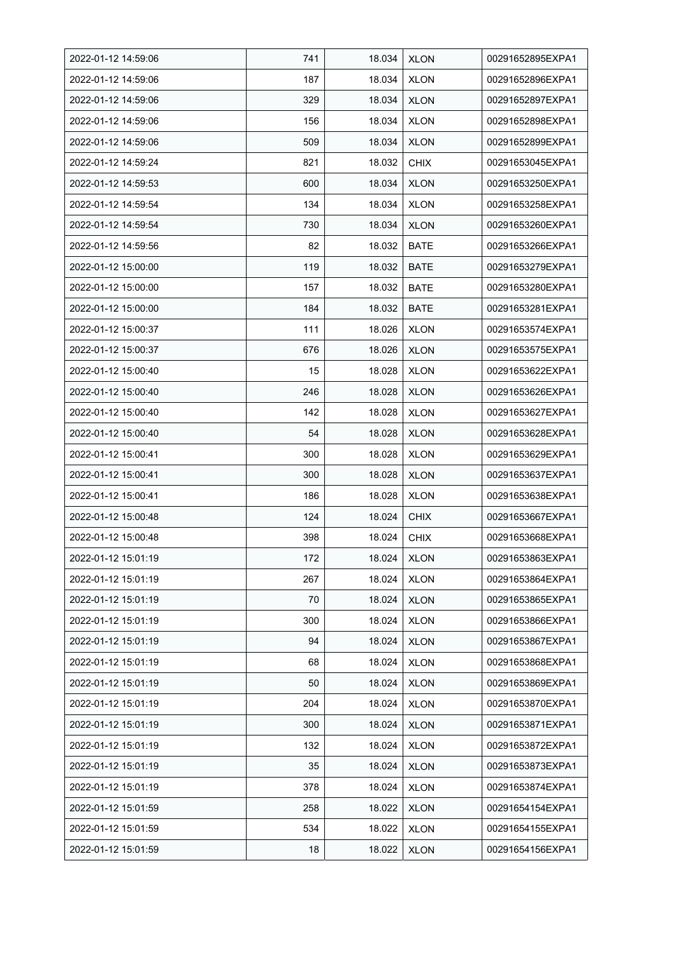| 2022-01-12 14:59:06 | 741 | 18.034 | <b>XLON</b> | 00291652895EXPA1 |
|---------------------|-----|--------|-------------|------------------|
| 2022-01-12 14:59:06 | 187 | 18.034 | <b>XLON</b> | 00291652896EXPA1 |
| 2022-01-12 14:59:06 | 329 | 18.034 | <b>XLON</b> | 00291652897EXPA1 |
| 2022-01-12 14:59:06 | 156 | 18.034 | <b>XLON</b> | 00291652898EXPA1 |
| 2022-01-12 14:59:06 | 509 | 18.034 | <b>XLON</b> | 00291652899EXPA1 |
| 2022-01-12 14:59:24 | 821 | 18.032 | <b>CHIX</b> | 00291653045EXPA1 |
| 2022-01-12 14:59:53 | 600 | 18.034 | <b>XLON</b> | 00291653250EXPA1 |
| 2022-01-12 14:59:54 | 134 | 18.034 | <b>XLON</b> | 00291653258EXPA1 |
| 2022-01-12 14:59:54 | 730 | 18.034 | <b>XLON</b> | 00291653260EXPA1 |
| 2022-01-12 14:59:56 | 82  | 18.032 | <b>BATE</b> | 00291653266EXPA1 |
| 2022-01-12 15:00:00 | 119 | 18.032 | <b>BATE</b> | 00291653279EXPA1 |
| 2022-01-12 15:00:00 | 157 | 18.032 | <b>BATE</b> | 00291653280EXPA1 |
| 2022-01-12 15:00:00 | 184 | 18.032 | <b>BATE</b> | 00291653281EXPA1 |
| 2022-01-12 15:00:37 | 111 | 18.026 | <b>XLON</b> | 00291653574EXPA1 |
| 2022-01-12 15:00:37 | 676 | 18.026 | <b>XLON</b> | 00291653575EXPA1 |
| 2022-01-12 15:00:40 | 15  | 18.028 | <b>XLON</b> | 00291653622EXPA1 |
| 2022-01-12 15:00:40 | 246 | 18.028 | <b>XLON</b> | 00291653626EXPA1 |
| 2022-01-12 15:00:40 | 142 | 18.028 | <b>XLON</b> | 00291653627EXPA1 |
| 2022-01-12 15:00:40 | 54  | 18.028 | <b>XLON</b> | 00291653628EXPA1 |
| 2022-01-12 15:00:41 | 300 | 18.028 | XLON        | 00291653629EXPA1 |
| 2022-01-12 15:00:41 | 300 | 18.028 | <b>XLON</b> | 00291653637EXPA1 |
| 2022-01-12 15:00:41 | 186 | 18.028 | <b>XLON</b> | 00291653638EXPA1 |
| 2022-01-12 15:00:48 | 124 | 18.024 | <b>CHIX</b> | 00291653667EXPA1 |
| 2022-01-12 15:00:48 | 398 | 18.024 | <b>CHIX</b> | 00291653668EXPA1 |
| 2022-01-12 15:01:19 | 172 | 18.024 | <b>XLON</b> | 00291653863EXPA1 |
| 2022-01-12 15:01:19 | 267 | 18.024 | <b>XLON</b> | 00291653864EXPA1 |
| 2022-01-12 15:01:19 | 70  | 18.024 | <b>XLON</b> | 00291653865EXPA1 |
| 2022-01-12 15:01:19 | 300 | 18.024 | <b>XLON</b> | 00291653866EXPA1 |
| 2022-01-12 15:01:19 | 94  | 18.024 | <b>XLON</b> | 00291653867EXPA1 |
| 2022-01-12 15:01:19 | 68  | 18.024 | <b>XLON</b> | 00291653868EXPA1 |
| 2022-01-12 15:01:19 | 50  | 18.024 | <b>XLON</b> | 00291653869EXPA1 |
| 2022-01-12 15:01:19 | 204 | 18.024 | <b>XLON</b> | 00291653870EXPA1 |
| 2022-01-12 15:01:19 | 300 | 18.024 | <b>XLON</b> | 00291653871EXPA1 |
| 2022-01-12 15:01:19 | 132 | 18.024 | <b>XLON</b> | 00291653872EXPA1 |
| 2022-01-12 15:01:19 | 35  | 18.024 | <b>XLON</b> | 00291653873EXPA1 |
| 2022-01-12 15:01:19 | 378 | 18.024 | <b>XLON</b> | 00291653874EXPA1 |
| 2022-01-12 15:01:59 | 258 | 18.022 | <b>XLON</b> | 00291654154EXPA1 |
| 2022-01-12 15:01:59 | 534 | 18.022 | XLON        | 00291654155EXPA1 |
| 2022-01-12 15:01:59 | 18  | 18.022 | <b>XLON</b> | 00291654156EXPA1 |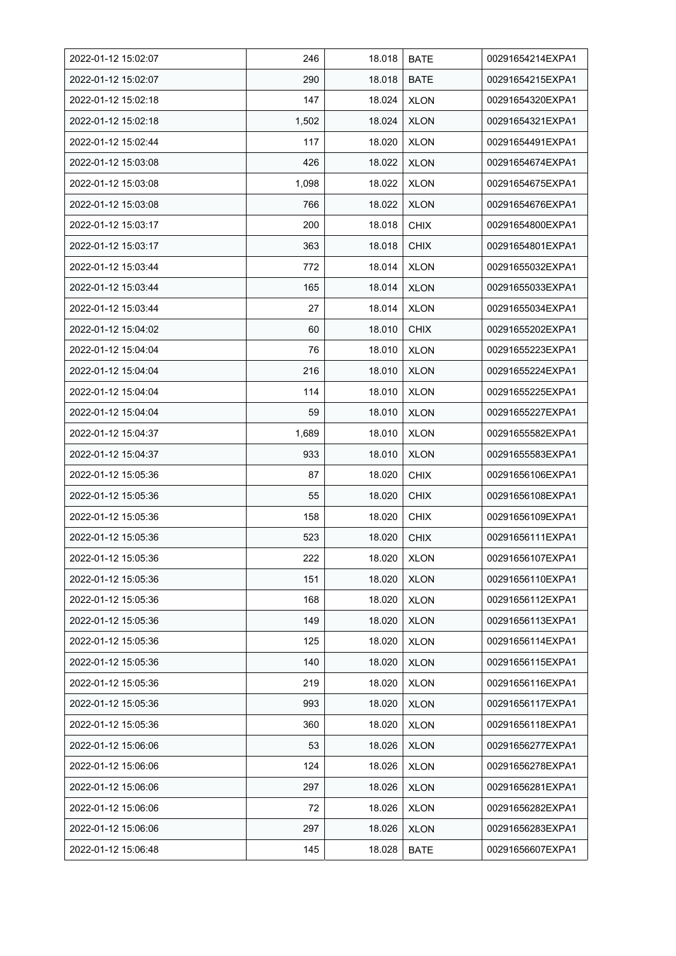| 2022-01-12 15:02:07 | 246   | 18.018 | <b>BATE</b> | 00291654214EXPA1 |
|---------------------|-------|--------|-------------|------------------|
| 2022-01-12 15:02:07 | 290   | 18.018 | <b>BATE</b> | 00291654215EXPA1 |
| 2022-01-12 15:02:18 | 147   | 18.024 | <b>XLON</b> | 00291654320EXPA1 |
| 2022-01-12 15:02:18 | 1,502 | 18.024 | <b>XLON</b> | 00291654321EXPA1 |
| 2022-01-12 15:02:44 | 117   | 18.020 | <b>XLON</b> | 00291654491EXPA1 |
| 2022-01-12 15:03:08 | 426   | 18.022 | <b>XLON</b> | 00291654674EXPA1 |
| 2022-01-12 15:03:08 | 1,098 | 18.022 | <b>XLON</b> | 00291654675EXPA1 |
| 2022-01-12 15:03:08 | 766   | 18.022 | <b>XLON</b> | 00291654676EXPA1 |
| 2022-01-12 15:03:17 | 200   | 18.018 | <b>CHIX</b> | 00291654800EXPA1 |
| 2022-01-12 15:03:17 | 363   | 18.018 | <b>CHIX</b> | 00291654801EXPA1 |
| 2022-01-12 15:03:44 | 772   | 18.014 | <b>XLON</b> | 00291655032EXPA1 |
| 2022-01-12 15:03:44 | 165   | 18.014 | <b>XLON</b> | 00291655033EXPA1 |
| 2022-01-12 15:03:44 | 27    | 18.014 | <b>XLON</b> | 00291655034EXPA1 |
| 2022-01-12 15:04:02 | 60    | 18.010 | <b>CHIX</b> | 00291655202EXPA1 |
| 2022-01-12 15:04:04 | 76    | 18.010 | <b>XLON</b> | 00291655223EXPA1 |
| 2022-01-12 15:04:04 | 216   | 18.010 | <b>XLON</b> | 00291655224EXPA1 |
| 2022-01-12 15:04:04 | 114   | 18.010 | <b>XLON</b> | 00291655225EXPA1 |
| 2022-01-12 15:04:04 | 59    | 18.010 | <b>XLON</b> | 00291655227EXPA1 |
| 2022-01-12 15:04:37 | 1,689 | 18.010 | <b>XLON</b> | 00291655582EXPA1 |
| 2022-01-12 15:04:37 | 933   | 18.010 | <b>XLON</b> | 00291655583EXPA1 |
| 2022-01-12 15:05:36 | 87    | 18.020 | <b>CHIX</b> | 00291656106EXPA1 |
| 2022-01-12 15:05:36 | 55    | 18.020 | <b>CHIX</b> | 00291656108EXPA1 |
| 2022-01-12 15:05:36 | 158   | 18.020 | <b>CHIX</b> | 00291656109EXPA1 |
| 2022-01-12 15:05:36 | 523   | 18.020 | <b>CHIX</b> | 00291656111EXPA1 |
| 2022-01-12 15:05:36 | 222   | 18.020 | <b>XLON</b> | 00291656107EXPA1 |
| 2022-01-12 15:05:36 | 151   | 18.020 | <b>XLON</b> | 00291656110EXPA1 |
| 2022-01-12 15:05:36 | 168   | 18.020 | <b>XLON</b> | 00291656112EXPA1 |
| 2022-01-12 15:05:36 | 149   | 18.020 | <b>XLON</b> | 00291656113EXPA1 |
| 2022-01-12 15:05:36 | 125   | 18.020 | <b>XLON</b> | 00291656114EXPA1 |
| 2022-01-12 15:05:36 | 140   | 18.020 | <b>XLON</b> | 00291656115EXPA1 |
| 2022-01-12 15:05:36 | 219   | 18.020 | <b>XLON</b> | 00291656116EXPA1 |
| 2022-01-12 15:05:36 | 993   | 18.020 | <b>XLON</b> | 00291656117EXPA1 |
| 2022-01-12 15:05:36 | 360   | 18.020 | <b>XLON</b> | 00291656118EXPA1 |
| 2022-01-12 15:06:06 | 53    | 18.026 | <b>XLON</b> | 00291656277EXPA1 |
| 2022-01-12 15:06:06 | 124   | 18.026 | <b>XLON</b> | 00291656278EXPA1 |
| 2022-01-12 15:06:06 | 297   | 18.026 | <b>XLON</b> | 00291656281EXPA1 |
| 2022-01-12 15:06:06 | 72    | 18.026 | <b>XLON</b> | 00291656282EXPA1 |
| 2022-01-12 15:06:06 | 297   | 18.026 | <b>XLON</b> | 00291656283EXPA1 |
| 2022-01-12 15:06:48 | 145   | 18.028 | <b>BATE</b> | 00291656607EXPA1 |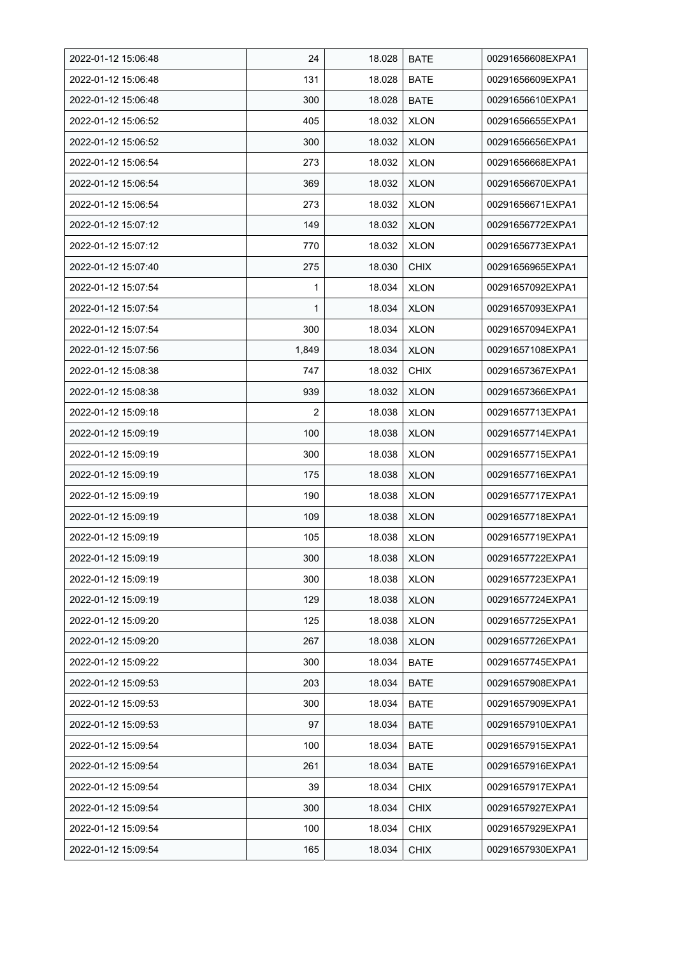| 2022-01-12 15:06:48 | 24    | 18.028 | <b>BATE</b> | 00291656608EXPA1 |
|---------------------|-------|--------|-------------|------------------|
| 2022-01-12 15:06:48 | 131   | 18.028 | <b>BATE</b> | 00291656609EXPA1 |
| 2022-01-12 15:06:48 | 300   | 18.028 | <b>BATE</b> | 00291656610EXPA1 |
| 2022-01-12 15:06:52 | 405   | 18.032 | <b>XLON</b> | 00291656655EXPA1 |
| 2022-01-12 15:06:52 | 300   | 18.032 | <b>XLON</b> | 00291656656EXPA1 |
| 2022-01-12 15:06:54 | 273   | 18.032 | <b>XLON</b> | 00291656668EXPA1 |
| 2022-01-12 15:06:54 | 369   | 18.032 | <b>XLON</b> | 00291656670EXPA1 |
| 2022-01-12 15:06:54 | 273   | 18.032 | <b>XLON</b> | 00291656671EXPA1 |
| 2022-01-12 15:07:12 | 149   | 18.032 | <b>XLON</b> | 00291656772EXPA1 |
| 2022-01-12 15:07:12 | 770   | 18.032 | <b>XLON</b> | 00291656773EXPA1 |
| 2022-01-12 15:07:40 | 275   | 18.030 | <b>CHIX</b> | 00291656965EXPA1 |
| 2022-01-12 15:07:54 | 1     | 18.034 | <b>XLON</b> | 00291657092EXPA1 |
| 2022-01-12 15:07:54 | 1     | 18.034 | <b>XLON</b> | 00291657093EXPA1 |
| 2022-01-12 15:07:54 | 300   | 18.034 | <b>XLON</b> | 00291657094EXPA1 |
| 2022-01-12 15:07:56 | 1,849 | 18.034 | <b>XLON</b> | 00291657108EXPA1 |
| 2022-01-12 15:08:38 | 747   | 18.032 | <b>CHIX</b> | 00291657367EXPA1 |
| 2022-01-12 15:08:38 | 939   | 18.032 | <b>XLON</b> | 00291657366EXPA1 |
| 2022-01-12 15:09:18 | 2     | 18.038 | <b>XLON</b> | 00291657713EXPA1 |
| 2022-01-12 15:09:19 | 100   | 18.038 | <b>XLON</b> | 00291657714EXPA1 |
| 2022-01-12 15:09:19 | 300   | 18.038 | <b>XLON</b> | 00291657715EXPA1 |
| 2022-01-12 15:09:19 | 175   | 18.038 | <b>XLON</b> | 00291657716EXPA1 |
| 2022-01-12 15:09:19 | 190   | 18.038 | <b>XLON</b> | 00291657717EXPA1 |
| 2022-01-12 15:09:19 | 109   | 18.038 | <b>XLON</b> | 00291657718EXPA1 |
| 2022-01-12 15:09:19 | 105   | 18.038 | <b>XLON</b> | 00291657719EXPA1 |
| 2022-01-12 15:09:19 | 300   | 18.038 | <b>XLON</b> | 00291657722EXPA1 |
| 2022-01-12 15:09:19 | 300   | 18.038 | <b>XLON</b> | 00291657723EXPA1 |
| 2022-01-12 15:09:19 | 129   | 18.038 | <b>XLON</b> | 00291657724EXPA1 |
| 2022-01-12 15:09:20 | 125   | 18.038 | <b>XLON</b> | 00291657725EXPA1 |
| 2022-01-12 15:09:20 | 267   | 18.038 | <b>XLON</b> | 00291657726EXPA1 |
| 2022-01-12 15:09:22 | 300   | 18.034 | <b>BATE</b> | 00291657745EXPA1 |
| 2022-01-12 15:09:53 | 203   | 18.034 | <b>BATE</b> | 00291657908EXPA1 |
| 2022-01-12 15:09:53 | 300   | 18.034 | <b>BATE</b> | 00291657909EXPA1 |
| 2022-01-12 15:09:53 | 97    | 18.034 | <b>BATE</b> | 00291657910EXPA1 |
| 2022-01-12 15:09:54 | 100   | 18.034 | <b>BATE</b> | 00291657915EXPA1 |
| 2022-01-12 15:09:54 | 261   | 18.034 | BATE        | 00291657916EXPA1 |
| 2022-01-12 15:09:54 | 39    | 18.034 | <b>CHIX</b> | 00291657917EXPA1 |
| 2022-01-12 15:09:54 | 300   | 18.034 | <b>CHIX</b> | 00291657927EXPA1 |
| 2022-01-12 15:09:54 | 100   | 18.034 | <b>CHIX</b> | 00291657929EXPA1 |
| 2022-01-12 15:09:54 | 165   | 18.034 | <b>CHIX</b> | 00291657930EXPA1 |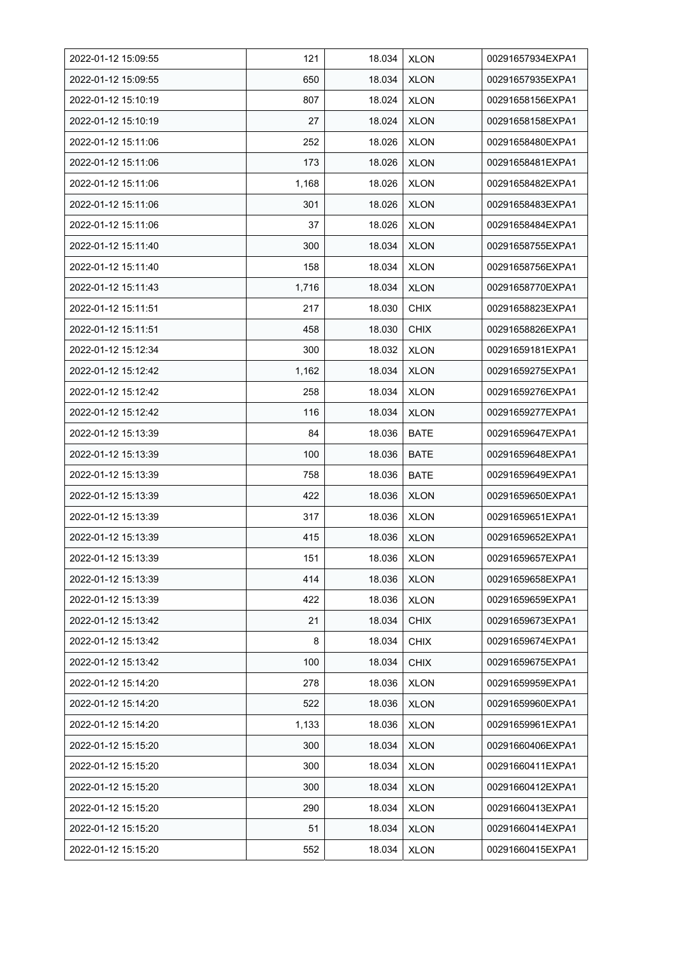| 2022-01-12 15:09:55 | 121   | 18.034 | <b>XLON</b> | 00291657934EXPA1 |
|---------------------|-------|--------|-------------|------------------|
| 2022-01-12 15:09:55 | 650   | 18.034 | <b>XLON</b> | 00291657935EXPA1 |
| 2022-01-12 15:10:19 | 807   | 18.024 | <b>XLON</b> | 00291658156EXPA1 |
| 2022-01-12 15:10:19 | 27    | 18.024 | <b>XLON</b> | 00291658158EXPA1 |
| 2022-01-12 15:11:06 | 252   | 18.026 | <b>XLON</b> | 00291658480EXPA1 |
| 2022-01-12 15:11:06 | 173   | 18.026 | <b>XLON</b> | 00291658481EXPA1 |
| 2022-01-12 15:11:06 | 1,168 | 18.026 | <b>XLON</b> | 00291658482EXPA1 |
| 2022-01-12 15:11:06 | 301   | 18.026 | <b>XLON</b> | 00291658483EXPA1 |
| 2022-01-12 15:11:06 | 37    | 18.026 | <b>XLON</b> | 00291658484EXPA1 |
| 2022-01-12 15:11:40 | 300   | 18.034 | <b>XLON</b> | 00291658755EXPA1 |
| 2022-01-12 15:11:40 | 158   | 18.034 | <b>XLON</b> | 00291658756EXPA1 |
| 2022-01-12 15:11:43 | 1,716 | 18.034 | <b>XLON</b> | 00291658770EXPA1 |
| 2022-01-12 15:11:51 | 217   | 18.030 | <b>CHIX</b> | 00291658823EXPA1 |
| 2022-01-12 15:11:51 | 458   | 18.030 | <b>CHIX</b> | 00291658826EXPA1 |
| 2022-01-12 15:12:34 | 300   | 18.032 | <b>XLON</b> | 00291659181EXPA1 |
| 2022-01-12 15:12:42 | 1,162 | 18.034 | <b>XLON</b> | 00291659275EXPA1 |
| 2022-01-12 15:12:42 | 258   | 18.034 | <b>XLON</b> | 00291659276EXPA1 |
| 2022-01-12 15:12:42 | 116   | 18.034 | <b>XLON</b> | 00291659277EXPA1 |
| 2022-01-12 15:13:39 | 84    | 18.036 | <b>BATE</b> | 00291659647EXPA1 |
| 2022-01-12 15:13:39 | 100   | 18.036 | <b>BATE</b> | 00291659648EXPA1 |
| 2022-01-12 15:13:39 | 758   | 18.036 | <b>BATE</b> | 00291659649EXPA1 |
| 2022-01-12 15:13:39 | 422   | 18.036 | <b>XLON</b> | 00291659650EXPA1 |
| 2022-01-12 15:13:39 | 317   | 18.036 | <b>XLON</b> | 00291659651EXPA1 |
| 2022-01-12 15:13:39 | 415   | 18.036 | <b>XLON</b> | 00291659652EXPA1 |
| 2022-01-12 15:13:39 | 151   | 18.036 | <b>XLON</b> | 00291659657EXPA1 |
| 2022-01-12 15:13:39 | 414   | 18.036 | <b>XLON</b> | 00291659658EXPA1 |
| 2022-01-12 15:13:39 | 422   | 18.036 | <b>XLON</b> | 00291659659EXPA1 |
| 2022-01-12 15:13:42 | 21    | 18.034 | <b>CHIX</b> | 00291659673EXPA1 |
| 2022-01-12 15:13:42 | 8     | 18.034 | <b>CHIX</b> | 00291659674EXPA1 |
| 2022-01-12 15:13:42 | 100   | 18.034 | <b>CHIX</b> | 00291659675EXPA1 |
| 2022-01-12 15:14:20 | 278   | 18.036 | <b>XLON</b> | 00291659959EXPA1 |
| 2022-01-12 15:14:20 | 522   | 18.036 | <b>XLON</b> | 00291659960EXPA1 |
| 2022-01-12 15:14:20 | 1,133 | 18.036 | <b>XLON</b> | 00291659961EXPA1 |
| 2022-01-12 15:15:20 | 300   | 18.034 | <b>XLON</b> | 00291660406EXPA1 |
| 2022-01-12 15:15:20 | 300   | 18.034 | <b>XLON</b> | 00291660411EXPA1 |
| 2022-01-12 15:15:20 | 300   | 18.034 | <b>XLON</b> | 00291660412EXPA1 |
| 2022-01-12 15:15:20 | 290   | 18.034 | <b>XLON</b> | 00291660413EXPA1 |
| 2022-01-12 15:15:20 | 51    | 18.034 | <b>XLON</b> | 00291660414EXPA1 |
| 2022-01-12 15:15:20 | 552   | 18.034 | <b>XLON</b> | 00291660415EXPA1 |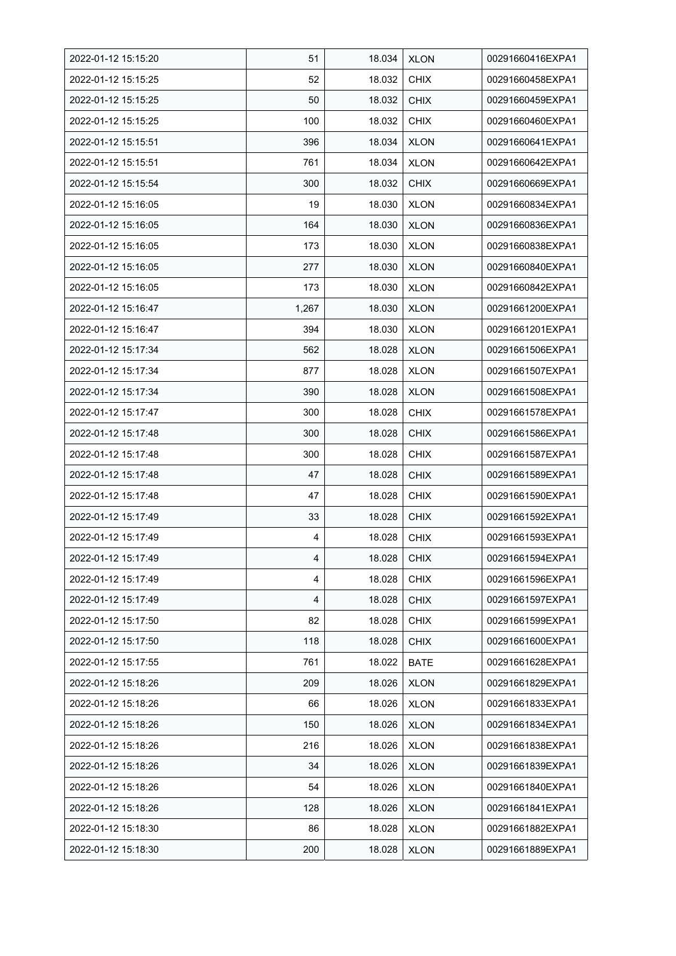| 2022-01-12 15:15:20 | 51    | 18.034 | <b>XLON</b> | 00291660416EXPA1 |
|---------------------|-------|--------|-------------|------------------|
| 2022-01-12 15:15:25 | 52    | 18.032 | <b>CHIX</b> | 00291660458EXPA1 |
| 2022-01-12 15:15:25 | 50    | 18.032 | <b>CHIX</b> | 00291660459EXPA1 |
| 2022-01-12 15:15:25 | 100   | 18.032 | <b>CHIX</b> | 00291660460EXPA1 |
| 2022-01-12 15:15:51 | 396   | 18.034 | <b>XLON</b> | 00291660641EXPA1 |
| 2022-01-12 15:15:51 | 761   | 18.034 | <b>XLON</b> | 00291660642EXPA1 |
| 2022-01-12 15:15:54 | 300   | 18.032 | <b>CHIX</b> | 00291660669EXPA1 |
| 2022-01-12 15:16:05 | 19    | 18.030 | <b>XLON</b> | 00291660834EXPA1 |
| 2022-01-12 15:16:05 | 164   | 18.030 | <b>XLON</b> | 00291660836EXPA1 |
| 2022-01-12 15:16:05 | 173   | 18.030 | <b>XLON</b> | 00291660838EXPA1 |
| 2022-01-12 15:16:05 | 277   | 18.030 | <b>XLON</b> | 00291660840EXPA1 |
| 2022-01-12 15:16:05 | 173   | 18.030 | <b>XLON</b> | 00291660842EXPA1 |
| 2022-01-12 15:16:47 | 1,267 | 18.030 | <b>XLON</b> | 00291661200EXPA1 |
| 2022-01-12 15:16:47 | 394   | 18.030 | <b>XLON</b> | 00291661201EXPA1 |
| 2022-01-12 15:17:34 | 562   | 18.028 | <b>XLON</b> | 00291661506EXPA1 |
| 2022-01-12 15:17:34 | 877   | 18.028 | <b>XLON</b> | 00291661507EXPA1 |
| 2022-01-12 15:17:34 | 390   | 18.028 | <b>XLON</b> | 00291661508EXPA1 |
| 2022-01-12 15:17:47 | 300   | 18.028 | <b>CHIX</b> | 00291661578EXPA1 |
| 2022-01-12 15:17:48 | 300   | 18.028 | <b>CHIX</b> | 00291661586EXPA1 |
| 2022-01-12 15:17:48 | 300   | 18.028 | <b>CHIX</b> | 00291661587EXPA1 |
| 2022-01-12 15:17:48 | 47    | 18.028 | <b>CHIX</b> | 00291661589EXPA1 |
| 2022-01-12 15:17:48 | 47    | 18.028 | <b>CHIX</b> | 00291661590EXPA1 |
| 2022-01-12 15:17:49 | 33    | 18.028 | <b>CHIX</b> | 00291661592EXPA1 |
| 2022-01-12 15:17:49 | 4     | 18.028 | <b>CHIX</b> | 00291661593EXPA1 |
| 2022-01-12 15:17:49 | 4     | 18.028 | <b>CHIX</b> | 00291661594EXPA1 |
| 2022-01-12 15:17:49 | 4     | 18.028 | <b>CHIX</b> | 00291661596EXPA1 |
| 2022-01-12 15:17:49 | 4     | 18.028 | <b>CHIX</b> | 00291661597EXPA1 |
| 2022-01-12 15:17:50 | 82    | 18.028 | CHIX        | 00291661599EXPA1 |
| 2022-01-12 15:17:50 | 118   | 18.028 | <b>CHIX</b> | 00291661600EXPA1 |
| 2022-01-12 15:17:55 | 761   | 18.022 | <b>BATE</b> | 00291661628EXPA1 |
| 2022-01-12 15:18:26 | 209   | 18.026 | <b>XLON</b> | 00291661829EXPA1 |
| 2022-01-12 15:18:26 | 66    | 18.026 | <b>XLON</b> | 00291661833EXPA1 |
| 2022-01-12 15:18:26 | 150   | 18.026 | <b>XLON</b> | 00291661834EXPA1 |
| 2022-01-12 15:18:26 | 216   | 18.026 | <b>XLON</b> | 00291661838EXPA1 |
| 2022-01-12 15:18:26 | 34    | 18.026 | <b>XLON</b> | 00291661839EXPA1 |
| 2022-01-12 15:18:26 | 54    | 18.026 | <b>XLON</b> | 00291661840EXPA1 |
| 2022-01-12 15:18:26 | 128   | 18.026 | <b>XLON</b> | 00291661841EXPA1 |
| 2022-01-12 15:18:30 | 86    | 18.028 | <b>XLON</b> | 00291661882EXPA1 |
| 2022-01-12 15:18:30 | 200   | 18.028 | <b>XLON</b> | 00291661889EXPA1 |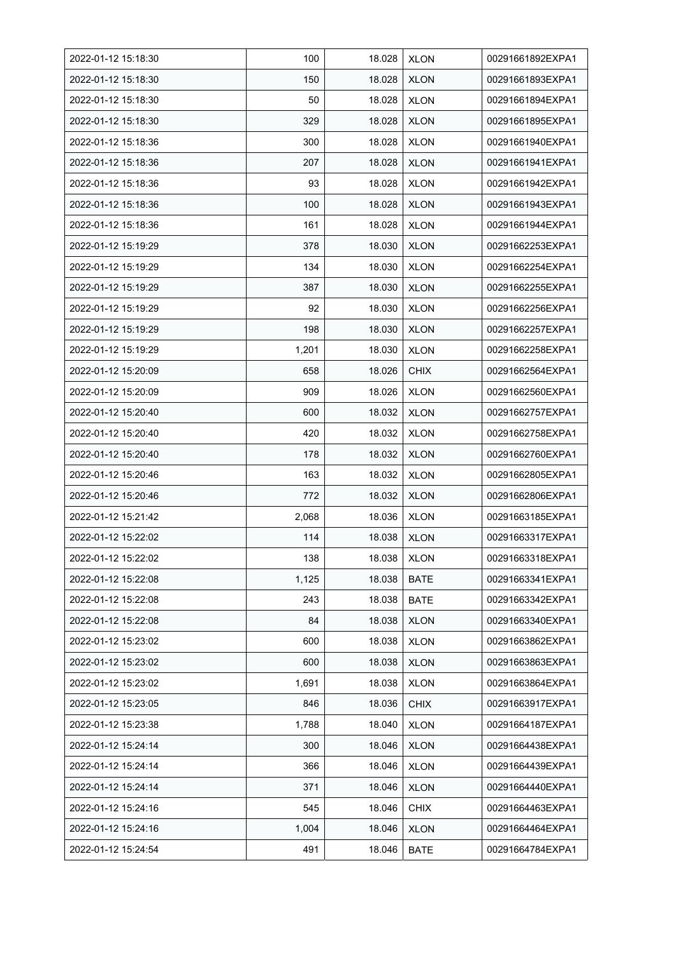| 2022-01-12 15:18:30 | 100   | 18.028 | <b>XLON</b> | 00291661892EXPA1 |
|---------------------|-------|--------|-------------|------------------|
| 2022-01-12 15:18:30 | 150   | 18.028 | <b>XLON</b> | 00291661893EXPA1 |
| 2022-01-12 15:18:30 | 50    | 18.028 | <b>XLON</b> | 00291661894EXPA1 |
| 2022-01-12 15:18:30 | 329   | 18.028 | <b>XLON</b> | 00291661895EXPA1 |
| 2022-01-12 15:18:36 | 300   | 18.028 | <b>XLON</b> | 00291661940EXPA1 |
| 2022-01-12 15:18:36 | 207   | 18.028 | <b>XLON</b> | 00291661941EXPA1 |
| 2022-01-12 15:18:36 | 93    | 18.028 | <b>XLON</b> | 00291661942EXPA1 |
| 2022-01-12 15:18:36 | 100   | 18.028 | <b>XLON</b> | 00291661943EXPA1 |
| 2022-01-12 15:18:36 | 161   | 18.028 | <b>XLON</b> | 00291661944EXPA1 |
| 2022-01-12 15:19:29 | 378   | 18.030 | <b>XLON</b> | 00291662253EXPA1 |
| 2022-01-12 15:19:29 | 134   | 18.030 | <b>XLON</b> | 00291662254EXPA1 |
| 2022-01-12 15:19:29 | 387   | 18.030 | <b>XLON</b> | 00291662255EXPA1 |
| 2022-01-12 15:19:29 | 92    | 18.030 | <b>XLON</b> | 00291662256EXPA1 |
| 2022-01-12 15:19:29 | 198   | 18.030 | <b>XLON</b> | 00291662257EXPA1 |
| 2022-01-12 15:19:29 | 1,201 | 18.030 | <b>XLON</b> | 00291662258EXPA1 |
| 2022-01-12 15:20:09 | 658   | 18.026 | <b>CHIX</b> | 00291662564EXPA1 |
| 2022-01-12 15:20:09 | 909   | 18.026 | <b>XLON</b> | 00291662560EXPA1 |
| 2022-01-12 15:20:40 | 600   | 18.032 | <b>XLON</b> | 00291662757EXPA1 |
| 2022-01-12 15:20:40 | 420   | 18.032 | <b>XLON</b> | 00291662758EXPA1 |
| 2022-01-12 15:20:40 | 178   | 18.032 | <b>XLON</b> | 00291662760EXPA1 |
| 2022-01-12 15:20:46 | 163   | 18.032 | <b>XLON</b> | 00291662805EXPA1 |
| 2022-01-12 15:20:46 | 772   | 18.032 | <b>XLON</b> | 00291662806EXPA1 |
| 2022-01-12 15:21:42 | 2,068 | 18.036 | <b>XLON</b> | 00291663185EXPA1 |
| 2022-01-12 15:22:02 | 114   | 18.038 | <b>XLON</b> | 00291663317EXPA1 |
| 2022-01-12 15:22:02 | 138   | 18.038 | <b>XLON</b> | 00291663318EXPA1 |
| 2022-01-12 15:22:08 | 1,125 | 18.038 | <b>BATE</b> | 00291663341EXPA1 |
| 2022-01-12 15:22:08 | 243   | 18.038 | <b>BATE</b> | 00291663342EXPA1 |
| 2022-01-12 15:22:08 | 84    | 18.038 | <b>XLON</b> | 00291663340EXPA1 |
| 2022-01-12 15:23:02 | 600   | 18.038 | <b>XLON</b> | 00291663862EXPA1 |
| 2022-01-12 15:23:02 | 600   | 18.038 | <b>XLON</b> | 00291663863EXPA1 |
| 2022-01-12 15:23:02 | 1,691 | 18.038 | <b>XLON</b> | 00291663864EXPA1 |
| 2022-01-12 15:23:05 | 846   | 18.036 | <b>CHIX</b> | 00291663917EXPA1 |
| 2022-01-12 15:23:38 | 1,788 | 18.040 | <b>XLON</b> | 00291664187EXPA1 |
| 2022-01-12 15:24:14 | 300   | 18.046 | <b>XLON</b> | 00291664438EXPA1 |
| 2022-01-12 15:24:14 | 366   | 18.046 | <b>XLON</b> | 00291664439EXPA1 |
| 2022-01-12 15:24:14 | 371   | 18.046 | <b>XLON</b> | 00291664440EXPA1 |
| 2022-01-12 15:24:16 | 545   | 18.046 | CHIX        | 00291664463EXPA1 |
| 2022-01-12 15:24:16 | 1,004 | 18.046 | <b>XLON</b> | 00291664464EXPA1 |
| 2022-01-12 15:24:54 | 491   | 18.046 | <b>BATE</b> | 00291664784EXPA1 |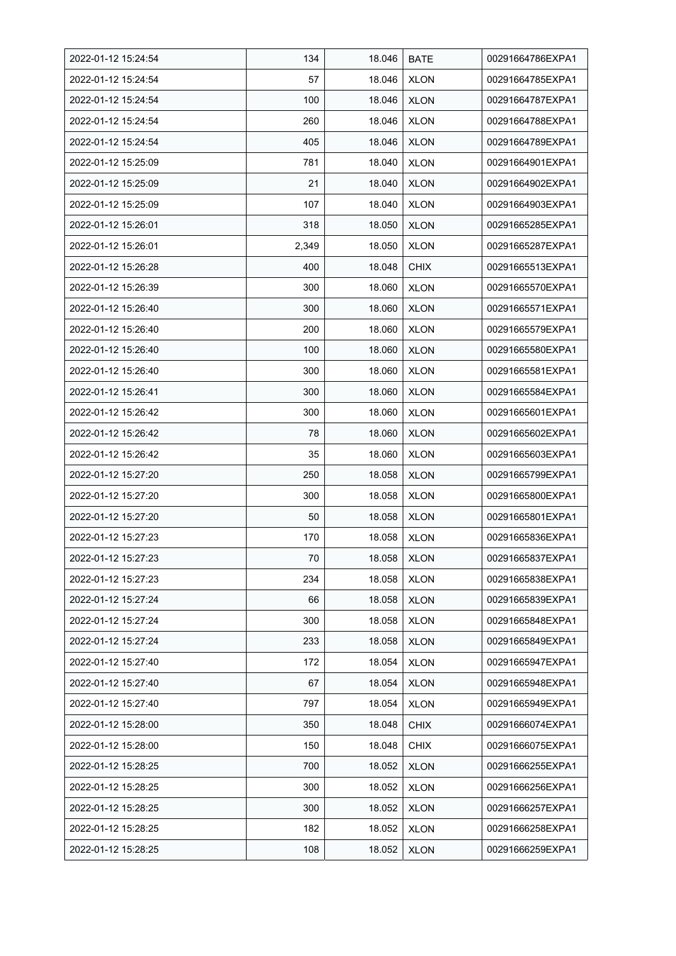| 2022-01-12 15:24:54 | 134   | 18.046 | <b>BATE</b> | 00291664786EXPA1 |
|---------------------|-------|--------|-------------|------------------|
| 2022-01-12 15:24:54 | 57    | 18.046 | <b>XLON</b> | 00291664785EXPA1 |
| 2022-01-12 15:24:54 | 100   | 18.046 | <b>XLON</b> | 00291664787EXPA1 |
| 2022-01-12 15:24:54 | 260   | 18.046 | <b>XLON</b> | 00291664788EXPA1 |
| 2022-01-12 15:24:54 | 405   | 18.046 | <b>XLON</b> | 00291664789EXPA1 |
| 2022-01-12 15:25:09 | 781   | 18.040 | <b>XLON</b> | 00291664901EXPA1 |
| 2022-01-12 15:25:09 | 21    | 18.040 | <b>XLON</b> | 00291664902EXPA1 |
| 2022-01-12 15:25:09 | 107   | 18.040 | <b>XLON</b> | 00291664903EXPA1 |
| 2022-01-12 15:26:01 | 318   | 18.050 | <b>XLON</b> | 00291665285EXPA1 |
| 2022-01-12 15:26:01 | 2,349 | 18.050 | <b>XLON</b> | 00291665287EXPA1 |
| 2022-01-12 15:26:28 | 400   | 18.048 | <b>CHIX</b> | 00291665513EXPA1 |
| 2022-01-12 15:26:39 | 300   | 18.060 | <b>XLON</b> | 00291665570EXPA1 |
| 2022-01-12 15:26:40 | 300   | 18.060 | <b>XLON</b> | 00291665571EXPA1 |
| 2022-01-12 15:26:40 | 200   | 18.060 | <b>XLON</b> | 00291665579EXPA1 |
| 2022-01-12 15:26:40 | 100   | 18.060 | <b>XLON</b> | 00291665580EXPA1 |
| 2022-01-12 15:26:40 | 300   | 18.060 | <b>XLON</b> | 00291665581EXPA1 |
| 2022-01-12 15:26:41 | 300   | 18.060 | <b>XLON</b> | 00291665584EXPA1 |
| 2022-01-12 15:26:42 | 300   | 18.060 | <b>XLON</b> | 00291665601EXPA1 |
| 2022-01-12 15:26:42 | 78    | 18.060 | <b>XLON</b> | 00291665602EXPA1 |
| 2022-01-12 15:26:42 | 35    | 18.060 | <b>XLON</b> | 00291665603EXPA1 |
| 2022-01-12 15:27:20 | 250   | 18.058 | <b>XLON</b> | 00291665799EXPA1 |
| 2022-01-12 15:27:20 | 300   | 18.058 | <b>XLON</b> | 00291665800EXPA1 |
| 2022-01-12 15:27:20 | 50    | 18.058 | <b>XLON</b> | 00291665801EXPA1 |
| 2022-01-12 15:27:23 | 170   | 18.058 | <b>XLON</b> | 00291665836EXPA1 |
| 2022-01-12 15:27:23 | 70    | 18.058 | <b>XLON</b> | 00291665837EXPA1 |
| 2022-01-12 15:27:23 | 234   | 18.058 | <b>XLON</b> | 00291665838EXPA1 |
| 2022-01-12 15:27:24 | 66    | 18.058 | <b>XLON</b> | 00291665839EXPA1 |
| 2022-01-12 15:27:24 | 300   | 18.058 | <b>XLON</b> | 00291665848EXPA1 |
| 2022-01-12 15:27:24 | 233   | 18.058 | <b>XLON</b> | 00291665849EXPA1 |
| 2022-01-12 15:27:40 | 172   | 18.054 | <b>XLON</b> | 00291665947EXPA1 |
| 2022-01-12 15:27:40 | 67    | 18.054 | <b>XLON</b> | 00291665948EXPA1 |
| 2022-01-12 15:27:40 | 797   | 18.054 | <b>XLON</b> | 00291665949EXPA1 |
| 2022-01-12 15:28:00 | 350   | 18.048 | <b>CHIX</b> | 00291666074EXPA1 |
| 2022-01-12 15:28:00 | 150   | 18.048 | <b>CHIX</b> | 00291666075EXPA1 |
| 2022-01-12 15:28:25 | 700   | 18.052 | <b>XLON</b> | 00291666255EXPA1 |
| 2022-01-12 15:28:25 | 300   | 18.052 | <b>XLON</b> | 00291666256EXPA1 |
| 2022-01-12 15:28:25 | 300   | 18.052 | <b>XLON</b> | 00291666257EXPA1 |
| 2022-01-12 15:28:25 | 182   | 18.052 | <b>XLON</b> | 00291666258EXPA1 |
| 2022-01-12 15:28:25 | 108   | 18.052 | <b>XLON</b> | 00291666259EXPA1 |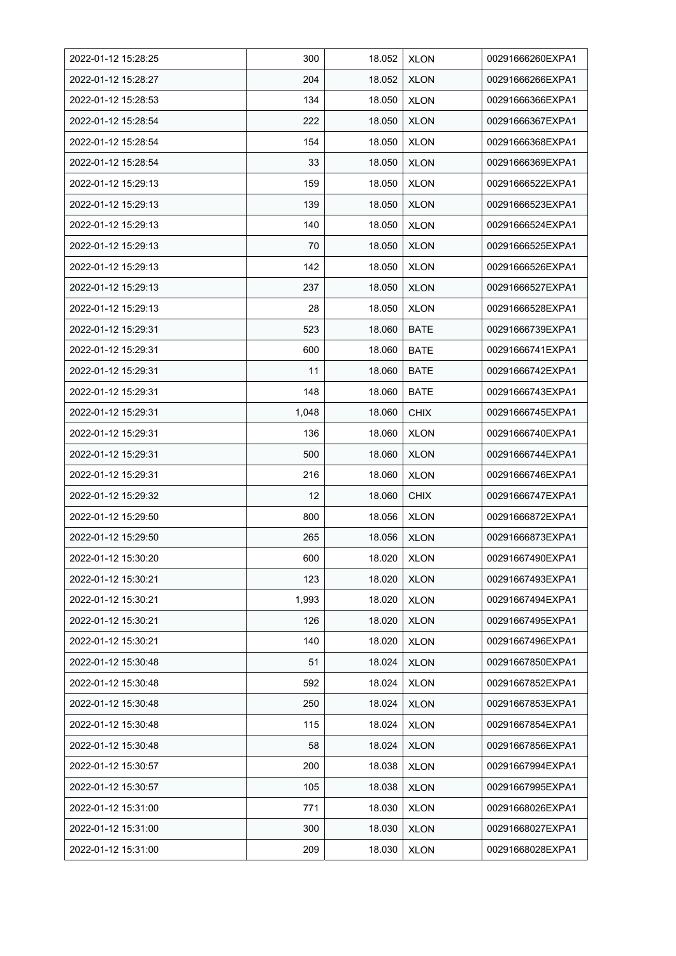| 2022-01-12 15:28:25 | 300   | 18.052 | <b>XLON</b> | 00291666260EXPA1 |
|---------------------|-------|--------|-------------|------------------|
| 2022-01-12 15:28:27 | 204   | 18.052 | <b>XLON</b> | 00291666266EXPA1 |
| 2022-01-12 15:28:53 | 134   | 18.050 | <b>XLON</b> | 00291666366EXPA1 |
| 2022-01-12 15:28:54 | 222   | 18.050 | <b>XLON</b> | 00291666367EXPA1 |
| 2022-01-12 15:28:54 | 154   | 18.050 | <b>XLON</b> | 00291666368EXPA1 |
| 2022-01-12 15:28:54 | 33    | 18.050 | <b>XLON</b> | 00291666369EXPA1 |
| 2022-01-12 15:29:13 | 159   | 18.050 | <b>XLON</b> | 00291666522EXPA1 |
| 2022-01-12 15:29:13 | 139   | 18.050 | <b>XLON</b> | 00291666523EXPA1 |
| 2022-01-12 15:29:13 | 140   | 18.050 | <b>XLON</b> | 00291666524EXPA1 |
| 2022-01-12 15:29:13 | 70    | 18.050 | <b>XLON</b> | 00291666525EXPA1 |
| 2022-01-12 15:29:13 | 142   | 18.050 | <b>XLON</b> | 00291666526EXPA1 |
| 2022-01-12 15:29:13 | 237   | 18.050 | <b>XLON</b> | 00291666527EXPA1 |
| 2022-01-12 15:29:13 | 28    | 18.050 | <b>XLON</b> | 00291666528EXPA1 |
| 2022-01-12 15:29:31 | 523   | 18.060 | <b>BATE</b> | 00291666739EXPA1 |
| 2022-01-12 15:29:31 | 600   | 18.060 | <b>BATE</b> | 00291666741EXPA1 |
| 2022-01-12 15:29:31 | 11    | 18.060 | <b>BATE</b> | 00291666742EXPA1 |
| 2022-01-12 15:29:31 | 148   | 18.060 | <b>BATE</b> | 00291666743EXPA1 |
| 2022-01-12 15:29:31 | 1,048 | 18.060 | <b>CHIX</b> | 00291666745EXPA1 |
| 2022-01-12 15:29:31 | 136   | 18.060 | <b>XLON</b> | 00291666740EXPA1 |
| 2022-01-12 15:29:31 | 500   | 18.060 | <b>XLON</b> | 00291666744EXPA1 |
| 2022-01-12 15:29:31 | 216   | 18.060 | <b>XLON</b> | 00291666746EXPA1 |
| 2022-01-12 15:29:32 | 12    | 18.060 | <b>CHIX</b> | 00291666747EXPA1 |
| 2022-01-12 15:29:50 | 800   | 18.056 | <b>XLON</b> | 00291666872EXPA1 |
| 2022-01-12 15:29:50 | 265   | 18.056 | <b>XLON</b> | 00291666873EXPA1 |
| 2022-01-12 15:30:20 | 600   | 18.020 | <b>XLON</b> | 00291667490EXPA1 |
| 2022-01-12 15:30:21 | 123   | 18.020 | <b>XLON</b> | 00291667493EXPA1 |
| 2022-01-12 15:30:21 | 1,993 | 18.020 | <b>XLON</b> | 00291667494EXPA1 |
| 2022-01-12 15:30:21 | 126   | 18.020 | <b>XLON</b> | 00291667495EXPA1 |
| 2022-01-12 15:30:21 | 140   | 18.020 | <b>XLON</b> | 00291667496EXPA1 |
| 2022-01-12 15:30:48 | 51    | 18.024 | <b>XLON</b> | 00291667850EXPA1 |
| 2022-01-12 15:30:48 | 592   | 18.024 | <b>XLON</b> | 00291667852EXPA1 |
| 2022-01-12 15:30:48 | 250   | 18.024 | <b>XLON</b> | 00291667853EXPA1 |
| 2022-01-12 15:30:48 | 115   | 18.024 | <b>XLON</b> | 00291667854EXPA1 |
| 2022-01-12 15:30:48 | 58    | 18.024 | <b>XLON</b> | 00291667856EXPA1 |
| 2022-01-12 15:30:57 | 200   | 18.038 | <b>XLON</b> | 00291667994EXPA1 |
| 2022-01-12 15:30:57 | 105   | 18.038 | <b>XLON</b> | 00291667995EXPA1 |
| 2022-01-12 15:31:00 | 771   | 18.030 | <b>XLON</b> | 00291668026EXPA1 |
| 2022-01-12 15:31:00 | 300   | 18.030 | <b>XLON</b> | 00291668027EXPA1 |
| 2022-01-12 15:31:00 | 209   | 18.030 | <b>XLON</b> | 00291668028EXPA1 |
|                     |       |        |             |                  |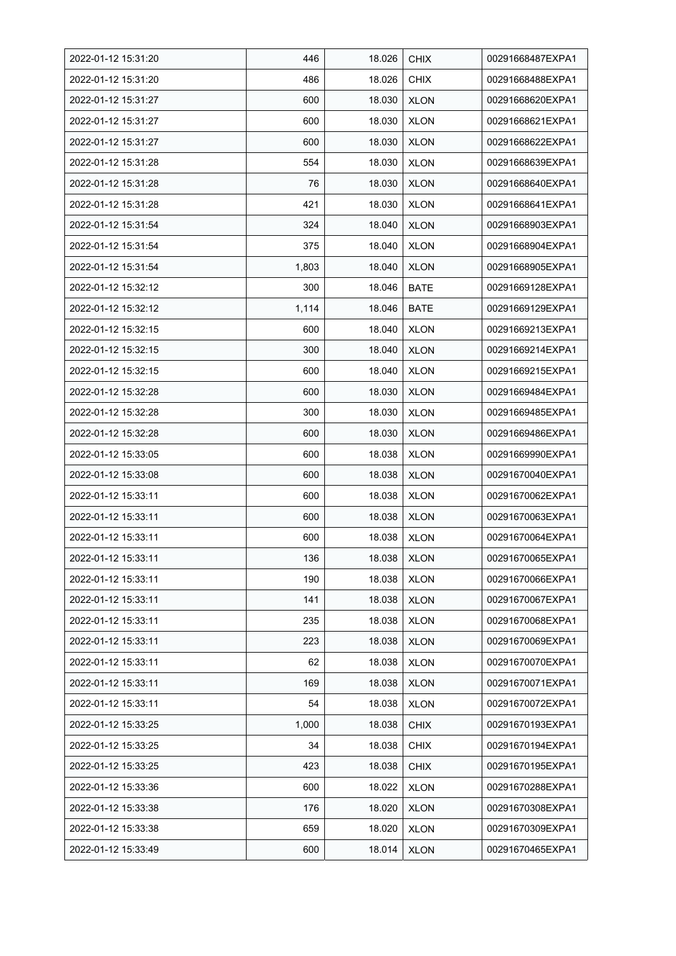| 2022-01-12 15:31:20 | 446   | 18.026 | <b>CHIX</b> | 00291668487EXPA1 |
|---------------------|-------|--------|-------------|------------------|
| 2022-01-12 15:31:20 | 486   | 18.026 | <b>CHIX</b> | 00291668488EXPA1 |
| 2022-01-12 15:31:27 | 600   | 18.030 | <b>XLON</b> | 00291668620EXPA1 |
| 2022-01-12 15:31:27 | 600   | 18.030 | <b>XLON</b> | 00291668621EXPA1 |
| 2022-01-12 15:31:27 | 600   | 18.030 | <b>XLON</b> | 00291668622EXPA1 |
| 2022-01-12 15:31:28 | 554   | 18.030 | <b>XLON</b> | 00291668639EXPA1 |
| 2022-01-12 15:31:28 | 76    | 18.030 | <b>XLON</b> | 00291668640EXPA1 |
| 2022-01-12 15:31:28 | 421   | 18.030 | <b>XLON</b> | 00291668641EXPA1 |
| 2022-01-12 15:31:54 | 324   | 18.040 | <b>XLON</b> | 00291668903EXPA1 |
| 2022-01-12 15:31:54 | 375   | 18.040 | <b>XLON</b> | 00291668904EXPA1 |
| 2022-01-12 15:31:54 | 1,803 | 18.040 | <b>XLON</b> | 00291668905EXPA1 |
| 2022-01-12 15:32:12 | 300   | 18.046 | <b>BATE</b> | 00291669128EXPA1 |
| 2022-01-12 15:32:12 | 1,114 | 18.046 | <b>BATE</b> | 00291669129EXPA1 |
| 2022-01-12 15:32:15 | 600   | 18.040 | <b>XLON</b> | 00291669213EXPA1 |
| 2022-01-12 15:32:15 | 300   | 18.040 | <b>XLON</b> | 00291669214EXPA1 |
| 2022-01-12 15:32:15 | 600   | 18.040 | <b>XLON</b> | 00291669215EXPA1 |
| 2022-01-12 15:32:28 | 600   | 18.030 | <b>XLON</b> | 00291669484EXPA1 |
| 2022-01-12 15:32:28 | 300   | 18.030 | <b>XLON</b> | 00291669485EXPA1 |
| 2022-01-12 15:32:28 | 600   | 18.030 | <b>XLON</b> | 00291669486EXPA1 |
| 2022-01-12 15:33:05 | 600   | 18.038 | <b>XLON</b> | 00291669990EXPA1 |
| 2022-01-12 15:33:08 | 600   | 18.038 | <b>XLON</b> | 00291670040EXPA1 |
| 2022-01-12 15:33:11 | 600   | 18.038 | <b>XLON</b> | 00291670062EXPA1 |
| 2022-01-12 15:33:11 | 600   | 18.038 | <b>XLON</b> | 00291670063EXPA1 |
| 2022-01-12 15:33:11 | 600   | 18.038 | <b>XLON</b> | 00291670064EXPA1 |
| 2022-01-12 15:33:11 | 136   | 18.038 | <b>XLON</b> | 00291670065EXPA1 |
| 2022-01-12 15:33:11 | 190   | 18.038 | <b>XLON</b> | 00291670066EXPA1 |
| 2022-01-12 15:33:11 | 141   | 18.038 | <b>XLON</b> | 00291670067EXPA1 |
| 2022-01-12 15:33:11 | 235   | 18.038 | <b>XLON</b> | 00291670068EXPA1 |
| 2022-01-12 15:33:11 | 223   | 18.038 | <b>XLON</b> | 00291670069EXPA1 |
| 2022-01-12 15:33:11 | 62    | 18.038 | <b>XLON</b> | 00291670070EXPA1 |
| 2022-01-12 15:33:11 | 169   | 18.038 | <b>XLON</b> | 00291670071EXPA1 |
| 2022-01-12 15:33:11 | 54    | 18.038 | <b>XLON</b> | 00291670072EXPA1 |
| 2022-01-12 15:33:25 | 1,000 | 18.038 | <b>CHIX</b> | 00291670193EXPA1 |
| 2022-01-12 15:33:25 | 34    | 18.038 | <b>CHIX</b> | 00291670194EXPA1 |
| 2022-01-12 15:33:25 | 423   | 18.038 | <b>CHIX</b> | 00291670195EXPA1 |
| 2022-01-12 15:33:36 | 600   | 18.022 | <b>XLON</b> | 00291670288EXPA1 |
| 2022-01-12 15:33:38 | 176   | 18.020 | <b>XLON</b> | 00291670308EXPA1 |
| 2022-01-12 15:33:38 | 659   | 18.020 | <b>XLON</b> | 00291670309EXPA1 |
| 2022-01-12 15:33:49 | 600   | 18.014 | <b>XLON</b> | 00291670465EXPA1 |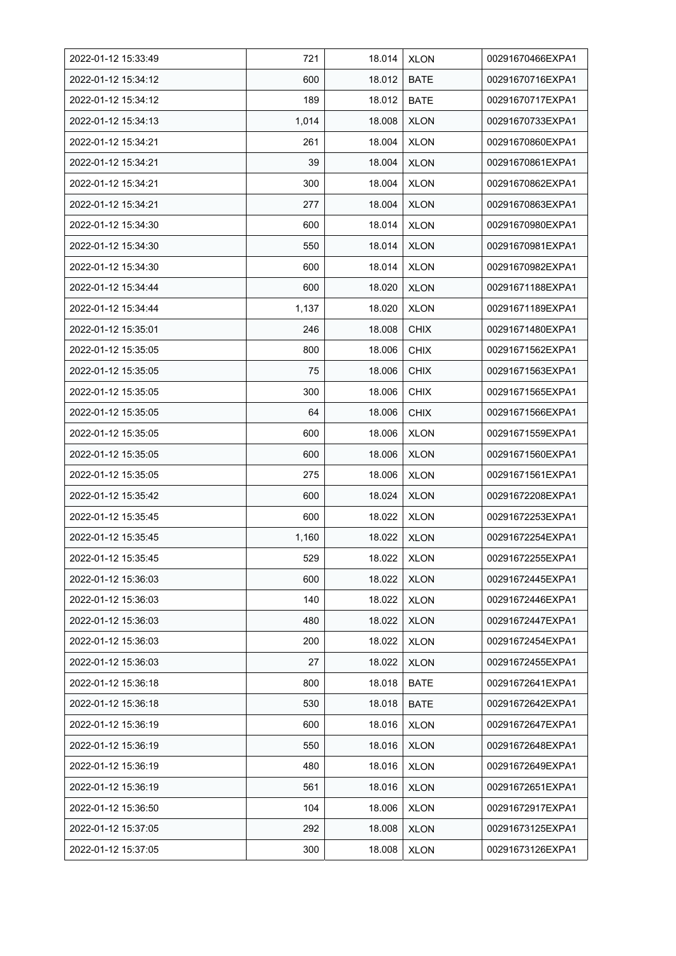| 2022-01-12 15:33:49 | 721   | 18.014 | <b>XLON</b> | 00291670466EXPA1 |
|---------------------|-------|--------|-------------|------------------|
| 2022-01-12 15:34:12 | 600   | 18.012 | <b>BATE</b> | 00291670716EXPA1 |
| 2022-01-12 15:34:12 | 189   | 18.012 | <b>BATE</b> | 00291670717EXPA1 |
| 2022-01-12 15:34:13 | 1,014 | 18.008 | <b>XLON</b> | 00291670733EXPA1 |
| 2022-01-12 15:34:21 | 261   | 18.004 | <b>XLON</b> | 00291670860EXPA1 |
| 2022-01-12 15:34:21 | 39    | 18.004 | <b>XLON</b> | 00291670861EXPA1 |
| 2022-01-12 15:34:21 | 300   | 18.004 | <b>XLON</b> | 00291670862EXPA1 |
| 2022-01-12 15:34:21 | 277   | 18.004 | <b>XLON</b> | 00291670863EXPA1 |
| 2022-01-12 15:34:30 | 600   | 18.014 | <b>XLON</b> | 00291670980EXPA1 |
| 2022-01-12 15:34:30 | 550   | 18.014 | <b>XLON</b> | 00291670981EXPA1 |
| 2022-01-12 15:34:30 | 600   | 18.014 | <b>XLON</b> | 00291670982EXPA1 |
| 2022-01-12 15:34:44 | 600   | 18.020 | <b>XLON</b> | 00291671188EXPA1 |
| 2022-01-12 15:34:44 | 1,137 | 18.020 | <b>XLON</b> | 00291671189EXPA1 |
| 2022-01-12 15:35:01 | 246   | 18.008 | <b>CHIX</b> | 00291671480EXPA1 |
| 2022-01-12 15:35:05 | 800   | 18.006 | <b>CHIX</b> | 00291671562EXPA1 |
| 2022-01-12 15:35:05 | 75    | 18.006 | <b>CHIX</b> | 00291671563EXPA1 |
| 2022-01-12 15:35:05 | 300   | 18.006 | <b>CHIX</b> | 00291671565EXPA1 |
| 2022-01-12 15:35:05 | 64    | 18.006 | <b>CHIX</b> | 00291671566EXPA1 |
| 2022-01-12 15:35:05 | 600   | 18.006 | <b>XLON</b> | 00291671559EXPA1 |
| 2022-01-12 15:35:05 | 600   | 18.006 | <b>XLON</b> | 00291671560EXPA1 |
| 2022-01-12 15:35:05 | 275   | 18.006 | <b>XLON</b> | 00291671561EXPA1 |
| 2022-01-12 15:35:42 | 600   | 18.024 | <b>XLON</b> | 00291672208EXPA1 |
| 2022-01-12 15:35:45 | 600   | 18.022 | <b>XLON</b> | 00291672253EXPA1 |
| 2022-01-12 15:35:45 | 1,160 | 18.022 | <b>XLON</b> | 00291672254EXPA1 |
| 2022-01-12 15:35:45 | 529   | 18.022 | <b>XLON</b> | 00291672255EXPA1 |
| 2022-01-12 15:36:03 | 600   | 18.022 | <b>XLON</b> | 00291672445EXPA1 |
| 2022-01-12 15:36:03 | 140   | 18.022 | <b>XLON</b> | 00291672446EXPA1 |
| 2022-01-12 15:36:03 | 480   | 18.022 | <b>XLON</b> | 00291672447EXPA1 |
| 2022-01-12 15:36:03 | 200   | 18.022 | <b>XLON</b> | 00291672454EXPA1 |
| 2022-01-12 15:36:03 | 27    | 18.022 | <b>XLON</b> | 00291672455EXPA1 |
| 2022-01-12 15:36:18 | 800   | 18.018 | <b>BATE</b> | 00291672641EXPA1 |
| 2022-01-12 15:36:18 | 530   | 18.018 | <b>BATE</b> | 00291672642EXPA1 |
| 2022-01-12 15:36:19 | 600   | 18.016 | <b>XLON</b> | 00291672647EXPA1 |
| 2022-01-12 15:36:19 | 550   | 18.016 | <b>XLON</b> | 00291672648EXPA1 |
| 2022-01-12 15:36:19 | 480   | 18.016 | <b>XLON</b> | 00291672649EXPA1 |
| 2022-01-12 15:36:19 | 561   | 18.016 | XLON        | 00291672651EXPA1 |
| 2022-01-12 15:36:50 | 104   | 18.006 | <b>XLON</b> | 00291672917EXPA1 |
| 2022-01-12 15:37:05 | 292   | 18.008 | <b>XLON</b> | 00291673125EXPA1 |
| 2022-01-12 15:37:05 | 300   | 18.008 | <b>XLON</b> | 00291673126EXPA1 |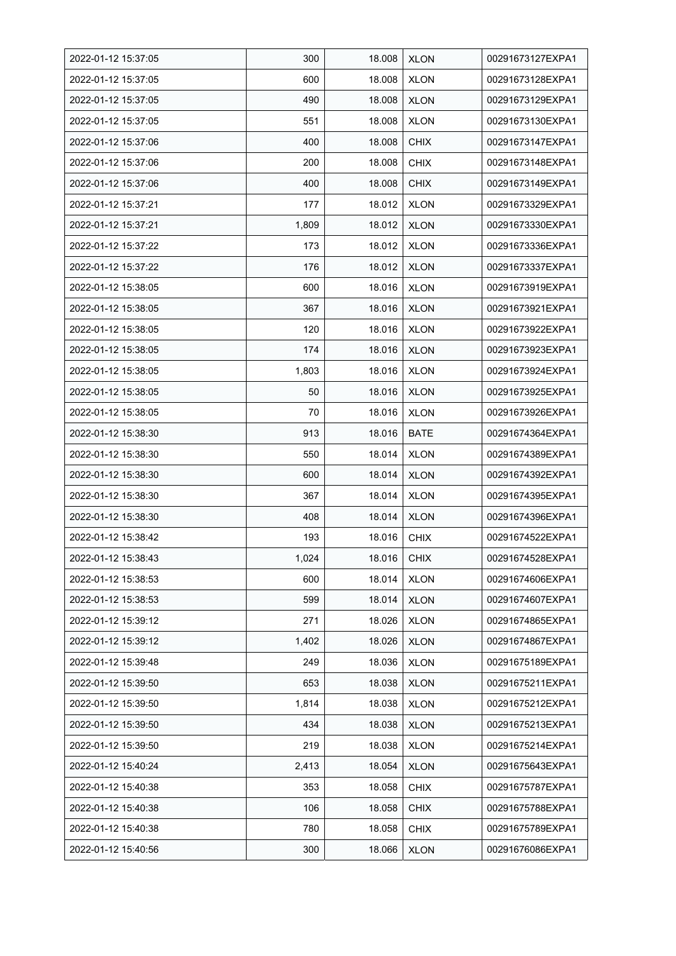| 2022-01-12 15:37:05 | 300   | 18.008 | <b>XLON</b> | 00291673127EXPA1 |
|---------------------|-------|--------|-------------|------------------|
| 2022-01-12 15:37:05 | 600   | 18.008 | <b>XLON</b> | 00291673128EXPA1 |
| 2022-01-12 15:37:05 | 490   | 18.008 | <b>XLON</b> | 00291673129EXPA1 |
| 2022-01-12 15:37:05 | 551   | 18.008 | <b>XLON</b> | 00291673130EXPA1 |
| 2022-01-12 15:37:06 | 400   | 18.008 | <b>CHIX</b> | 00291673147EXPA1 |
| 2022-01-12 15:37:06 | 200   | 18.008 | <b>CHIX</b> | 00291673148EXPA1 |
| 2022-01-12 15:37:06 | 400   | 18.008 | <b>CHIX</b> | 00291673149EXPA1 |
| 2022-01-12 15:37:21 | 177   | 18.012 | <b>XLON</b> | 00291673329EXPA1 |
| 2022-01-12 15:37:21 | 1,809 | 18.012 | <b>XLON</b> | 00291673330EXPA1 |
| 2022-01-12 15:37:22 | 173   | 18.012 | <b>XLON</b> | 00291673336EXPA1 |
| 2022-01-12 15:37:22 | 176   | 18.012 | <b>XLON</b> | 00291673337EXPA1 |
| 2022-01-12 15:38:05 | 600   | 18.016 | <b>XLON</b> | 00291673919EXPA1 |
| 2022-01-12 15:38:05 | 367   | 18.016 | <b>XLON</b> | 00291673921EXPA1 |
| 2022-01-12 15:38:05 | 120   | 18.016 | <b>XLON</b> | 00291673922EXPA1 |
| 2022-01-12 15:38:05 | 174   | 18.016 | <b>XLON</b> | 00291673923EXPA1 |
| 2022-01-12 15:38:05 | 1,803 | 18.016 | <b>XLON</b> | 00291673924EXPA1 |
| 2022-01-12 15:38:05 | 50    | 18.016 | <b>XLON</b> | 00291673925EXPA1 |
| 2022-01-12 15:38:05 | 70    | 18.016 | <b>XLON</b> | 00291673926EXPA1 |
| 2022-01-12 15:38:30 | 913   | 18.016 | <b>BATE</b> | 00291674364EXPA1 |
| 2022-01-12 15:38:30 | 550   | 18.014 | <b>XLON</b> | 00291674389EXPA1 |
| 2022-01-12 15:38:30 | 600   | 18.014 | <b>XLON</b> | 00291674392EXPA1 |
| 2022-01-12 15:38:30 | 367   | 18.014 | <b>XLON</b> | 00291674395EXPA1 |
| 2022-01-12 15:38:30 | 408   | 18.014 | <b>XLON</b> | 00291674396EXPA1 |
| 2022-01-12 15:38:42 | 193   | 18.016 | <b>CHIX</b> | 00291674522EXPA1 |
| 2022-01-12 15:38:43 | 1,024 | 18.016 | <b>CHIX</b> | 00291674528EXPA1 |
| 2022-01-12 15:38:53 | 600   | 18.014 | <b>XLON</b> | 00291674606EXPA1 |
| 2022-01-12 15:38:53 | 599   | 18.014 | <b>XLON</b> | 00291674607EXPA1 |
| 2022-01-12 15:39:12 | 271   | 18.026 | <b>XLON</b> | 00291674865EXPA1 |
| 2022-01-12 15:39:12 | 1,402 | 18.026 | <b>XLON</b> | 00291674867EXPA1 |
| 2022-01-12 15:39:48 | 249   | 18.036 | <b>XLON</b> | 00291675189EXPA1 |
| 2022-01-12 15:39:50 | 653   | 18.038 | <b>XLON</b> | 00291675211EXPA1 |
| 2022-01-12 15:39:50 | 1,814 | 18.038 | <b>XLON</b> | 00291675212EXPA1 |
| 2022-01-12 15:39:50 | 434   | 18.038 | <b>XLON</b> | 00291675213EXPA1 |
| 2022-01-12 15:39:50 | 219   | 18.038 | <b>XLON</b> | 00291675214EXPA1 |
| 2022-01-12 15:40:24 | 2,413 | 18.054 | <b>XLON</b> | 00291675643EXPA1 |
| 2022-01-12 15:40:38 | 353   | 18.058 | <b>CHIX</b> | 00291675787EXPA1 |
| 2022-01-12 15:40:38 | 106   | 18.058 | <b>CHIX</b> | 00291675788EXPA1 |
| 2022-01-12 15:40:38 | 780   | 18.058 | <b>CHIX</b> | 00291675789EXPA1 |
| 2022-01-12 15:40:56 | 300   | 18.066 | <b>XLON</b> | 00291676086EXPA1 |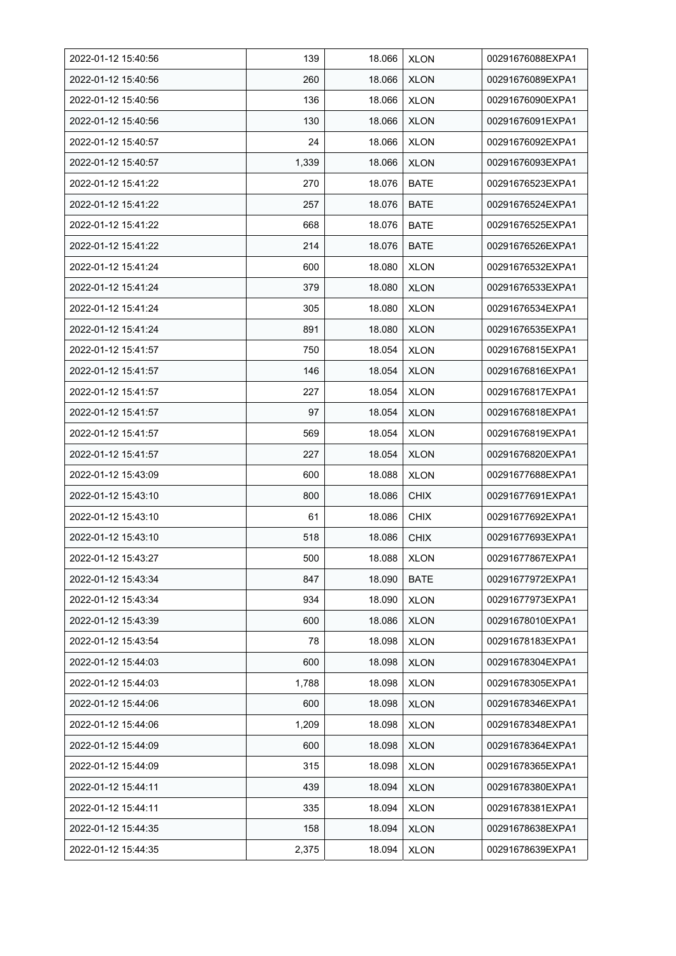| 2022-01-12 15:40:56 | 139   | 18.066 | <b>XLON</b> | 00291676088EXPA1 |
|---------------------|-------|--------|-------------|------------------|
| 2022-01-12 15:40:56 | 260   | 18.066 | <b>XLON</b> | 00291676089EXPA1 |
| 2022-01-12 15:40:56 | 136   | 18.066 | <b>XLON</b> | 00291676090EXPA1 |
| 2022-01-12 15:40:56 | 130   | 18.066 | <b>XLON</b> | 00291676091EXPA1 |
| 2022-01-12 15:40:57 | 24    | 18.066 | <b>XLON</b> | 00291676092EXPA1 |
| 2022-01-12 15:40:57 | 1,339 | 18.066 | <b>XLON</b> | 00291676093EXPA1 |
| 2022-01-12 15:41:22 | 270   | 18.076 | <b>BATE</b> | 00291676523EXPA1 |
| 2022-01-12 15:41:22 | 257   | 18.076 | BATE        | 00291676524EXPA1 |
| 2022-01-12 15:41:22 | 668   | 18.076 | <b>BATE</b> | 00291676525EXPA1 |
| 2022-01-12 15:41:22 | 214   | 18.076 | <b>BATE</b> | 00291676526EXPA1 |
| 2022-01-12 15:41:24 | 600   | 18.080 | <b>XLON</b> | 00291676532EXPA1 |
| 2022-01-12 15:41:24 | 379   | 18.080 | <b>XLON</b> | 00291676533EXPA1 |
| 2022-01-12 15:41:24 | 305   | 18.080 | <b>XLON</b> | 00291676534EXPA1 |
| 2022-01-12 15:41:24 | 891   | 18.080 | <b>XLON</b> | 00291676535EXPA1 |
| 2022-01-12 15:41:57 | 750   | 18.054 | <b>XLON</b> | 00291676815EXPA1 |
| 2022-01-12 15:41:57 | 146   | 18.054 | <b>XLON</b> | 00291676816EXPA1 |
| 2022-01-12 15:41:57 | 227   | 18.054 | <b>XLON</b> | 00291676817EXPA1 |
| 2022-01-12 15:41:57 | 97    | 18.054 | <b>XLON</b> | 00291676818EXPA1 |
| 2022-01-12 15:41:57 | 569   | 18.054 | <b>XLON</b> | 00291676819EXPA1 |
| 2022-01-12 15:41:57 | 227   | 18.054 | <b>XLON</b> | 00291676820EXPA1 |
| 2022-01-12 15:43:09 | 600   | 18.088 | <b>XLON</b> | 00291677688EXPA1 |
| 2022-01-12 15:43:10 | 800   | 18.086 | <b>CHIX</b> | 00291677691EXPA1 |
| 2022-01-12 15:43:10 | 61    | 18.086 | <b>CHIX</b> | 00291677692EXPA1 |
| 2022-01-12 15:43:10 | 518   | 18.086 | <b>CHIX</b> | 00291677693EXPA1 |
| 2022-01-12 15:43:27 | 500   | 18.088 | <b>XLON</b> | 00291677867EXPA1 |
| 2022-01-12 15:43:34 | 847   | 18.090 | BATE        | 00291677972EXPA1 |
| 2022-01-12 15:43:34 | 934   | 18.090 | <b>XLON</b> | 00291677973EXPA1 |
| 2022-01-12 15:43:39 | 600   | 18.086 | <b>XLON</b> | 00291678010EXPA1 |
| 2022-01-12 15:43:54 | 78    | 18.098 | <b>XLON</b> | 00291678183EXPA1 |
| 2022-01-12 15:44:03 | 600   | 18.098 | <b>XLON</b> | 00291678304EXPA1 |
| 2022-01-12 15:44:03 | 1,788 | 18.098 | <b>XLON</b> | 00291678305EXPA1 |
| 2022-01-12 15:44:06 | 600   | 18.098 | <b>XLON</b> | 00291678346EXPA1 |
| 2022-01-12 15:44:06 | 1,209 | 18.098 | <b>XLON</b> | 00291678348EXPA1 |
| 2022-01-12 15:44:09 | 600   | 18.098 | <b>XLON</b> | 00291678364EXPA1 |
| 2022-01-12 15:44:09 | 315   | 18.098 | <b>XLON</b> | 00291678365EXPA1 |
| 2022-01-12 15:44:11 | 439   | 18.094 | <b>XLON</b> | 00291678380EXPA1 |
| 2022-01-12 15:44:11 | 335   | 18.094 | <b>XLON</b> | 00291678381EXPA1 |
| 2022-01-12 15:44:35 | 158   | 18.094 | <b>XLON</b> | 00291678638EXPA1 |
| 2022-01-12 15:44:35 | 2,375 | 18.094 | <b>XLON</b> | 00291678639EXPA1 |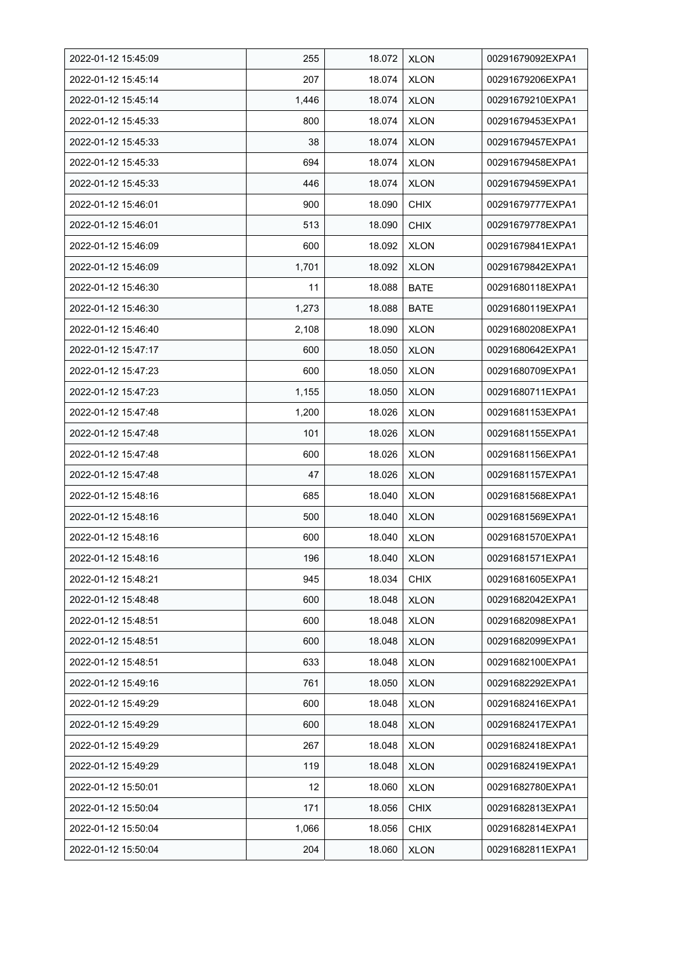| 2022-01-12 15:45:09 | 255   | 18.072 | <b>XLON</b> | 00291679092EXPA1 |
|---------------------|-------|--------|-------------|------------------|
| 2022-01-12 15:45:14 | 207   | 18.074 | <b>XLON</b> | 00291679206EXPA1 |
| 2022-01-12 15:45:14 | 1,446 | 18.074 | <b>XLON</b> | 00291679210EXPA1 |
| 2022-01-12 15:45:33 | 800   | 18.074 | <b>XLON</b> | 00291679453EXPA1 |
| 2022-01-12 15:45:33 | 38    | 18.074 | <b>XLON</b> | 00291679457EXPA1 |
| 2022-01-12 15:45:33 | 694   | 18.074 | <b>XLON</b> | 00291679458EXPA1 |
| 2022-01-12 15:45:33 | 446   | 18.074 | <b>XLON</b> | 00291679459EXPA1 |
| 2022-01-12 15:46:01 | 900   | 18.090 | <b>CHIX</b> | 00291679777EXPA1 |
| 2022-01-12 15:46:01 | 513   | 18.090 | <b>CHIX</b> | 00291679778EXPA1 |
| 2022-01-12 15:46:09 | 600   | 18.092 | <b>XLON</b> | 00291679841EXPA1 |
| 2022-01-12 15:46:09 | 1,701 | 18.092 | <b>XLON</b> | 00291679842EXPA1 |
| 2022-01-12 15:46:30 | 11    | 18.088 | <b>BATE</b> | 00291680118EXPA1 |
| 2022-01-12 15:46:30 | 1,273 | 18.088 | <b>BATE</b> | 00291680119EXPA1 |
| 2022-01-12 15:46:40 | 2,108 | 18.090 | <b>XLON</b> | 00291680208EXPA1 |
| 2022-01-12 15:47:17 | 600   | 18.050 | <b>XLON</b> | 00291680642EXPA1 |
| 2022-01-12 15:47:23 | 600   | 18.050 | <b>XLON</b> | 00291680709EXPA1 |
| 2022-01-12 15:47:23 | 1,155 | 18.050 | <b>XLON</b> | 00291680711EXPA1 |
| 2022-01-12 15:47:48 | 1,200 | 18.026 | <b>XLON</b> | 00291681153EXPA1 |
| 2022-01-12 15:47:48 | 101   | 18.026 | <b>XLON</b> | 00291681155EXPA1 |
| 2022-01-12 15:47:48 | 600   | 18.026 | <b>XLON</b> | 00291681156EXPA1 |
| 2022-01-12 15:47:48 | 47    | 18.026 | <b>XLON</b> | 00291681157EXPA1 |
| 2022-01-12 15:48:16 | 685   | 18.040 | <b>XLON</b> | 00291681568EXPA1 |
| 2022-01-12 15:48:16 | 500   | 18.040 | <b>XLON</b> | 00291681569EXPA1 |
| 2022-01-12 15:48:16 | 600   | 18.040 | <b>XLON</b> | 00291681570EXPA1 |
| 2022-01-12 15:48:16 | 196   | 18.040 | <b>XLON</b> | 00291681571EXPA1 |
| 2022-01-12 15:48:21 | 945   | 18.034 | <b>CHIX</b> | 00291681605EXPA1 |
| 2022-01-12 15:48:48 | 600   | 18.048 | <b>XLON</b> | 00291682042EXPA1 |
| 2022-01-12 15:48:51 | 600   | 18.048 | <b>XLON</b> | 00291682098EXPA1 |
| 2022-01-12 15:48:51 | 600   | 18.048 | <b>XLON</b> | 00291682099EXPA1 |
| 2022-01-12 15:48:51 | 633   | 18.048 | <b>XLON</b> | 00291682100EXPA1 |
| 2022-01-12 15:49:16 | 761   | 18.050 | <b>XLON</b> | 00291682292EXPA1 |
| 2022-01-12 15:49:29 | 600   | 18.048 | <b>XLON</b> | 00291682416EXPA1 |
| 2022-01-12 15:49:29 | 600   | 18.048 | <b>XLON</b> | 00291682417EXPA1 |
| 2022-01-12 15:49:29 | 267   | 18.048 | <b>XLON</b> | 00291682418EXPA1 |
| 2022-01-12 15:49:29 | 119   | 18.048 | <b>XLON</b> | 00291682419EXPA1 |
| 2022-01-12 15:50:01 | 12    | 18.060 | <b>XLON</b> | 00291682780EXPA1 |
| 2022-01-12 15:50:04 | 171   | 18.056 | <b>CHIX</b> | 00291682813EXPA1 |
| 2022-01-12 15:50:04 | 1,066 | 18.056 | <b>CHIX</b> | 00291682814EXPA1 |
| 2022-01-12 15:50:04 | 204   | 18.060 | <b>XLON</b> | 00291682811EXPA1 |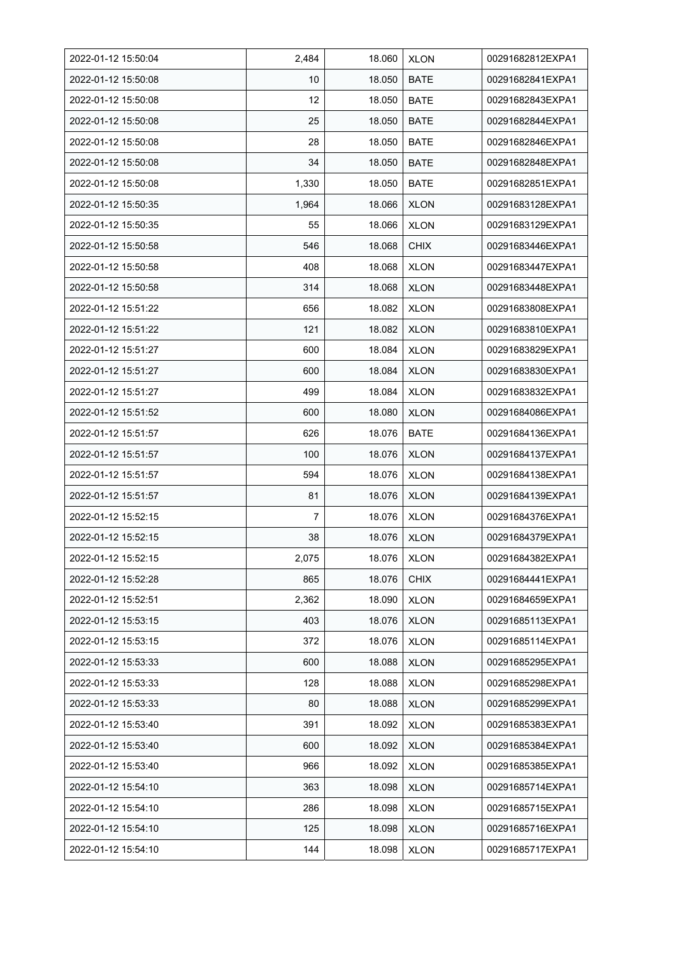| 2022-01-12 15:50:04 | 2,484 | 18.060 | <b>XLON</b> | 00291682812EXPA1 |
|---------------------|-------|--------|-------------|------------------|
| 2022-01-12 15:50:08 | 10    | 18.050 | <b>BATE</b> | 00291682841EXPA1 |
| 2022-01-12 15:50:08 | 12    | 18.050 | <b>BATE</b> | 00291682843EXPA1 |
| 2022-01-12 15:50:08 | 25    | 18.050 | <b>BATE</b> | 00291682844EXPA1 |
| 2022-01-12 15:50:08 | 28    | 18.050 | <b>BATE</b> | 00291682846EXPA1 |
| 2022-01-12 15:50:08 | 34    | 18.050 | <b>BATE</b> | 00291682848EXPA1 |
| 2022-01-12 15:50:08 | 1,330 | 18.050 | <b>BATE</b> | 00291682851EXPA1 |
| 2022-01-12 15:50:35 | 1,964 | 18.066 | <b>XLON</b> | 00291683128EXPA1 |
| 2022-01-12 15:50:35 | 55    | 18.066 | <b>XLON</b> | 00291683129EXPA1 |
| 2022-01-12 15:50:58 | 546   | 18.068 | <b>CHIX</b> | 00291683446EXPA1 |
| 2022-01-12 15:50:58 | 408   | 18.068 | <b>XLON</b> | 00291683447EXPA1 |
| 2022-01-12 15:50:58 | 314   | 18.068 | <b>XLON</b> | 00291683448EXPA1 |
| 2022-01-12 15:51:22 | 656   | 18.082 | <b>XLON</b> | 00291683808EXPA1 |
| 2022-01-12 15:51:22 | 121   | 18.082 | <b>XLON</b> | 00291683810EXPA1 |
| 2022-01-12 15:51:27 | 600   | 18.084 | <b>XLON</b> | 00291683829EXPA1 |
| 2022-01-12 15:51:27 | 600   | 18.084 | <b>XLON</b> | 00291683830EXPA1 |
| 2022-01-12 15:51:27 | 499   | 18.084 | <b>XLON</b> | 00291683832EXPA1 |
| 2022-01-12 15:51:52 | 600   | 18.080 | <b>XLON</b> | 00291684086EXPA1 |
| 2022-01-12 15:51:57 | 626   | 18.076 | <b>BATE</b> | 00291684136EXPA1 |
| 2022-01-12 15:51:57 | 100   | 18.076 | <b>XLON</b> | 00291684137EXPA1 |
| 2022-01-12 15:51:57 | 594   | 18.076 | <b>XLON</b> | 00291684138EXPA1 |
| 2022-01-12 15:51:57 | 81    | 18.076 | <b>XLON</b> | 00291684139EXPA1 |
| 2022-01-12 15:52:15 | 7     | 18.076 | <b>XLON</b> | 00291684376EXPA1 |
| 2022-01-12 15:52:15 | 38    | 18.076 | <b>XLON</b> | 00291684379EXPA1 |
| 2022-01-12 15:52:15 | 2,075 | 18.076 | <b>XLON</b> | 00291684382EXPA1 |
| 2022-01-12 15:52:28 | 865   | 18.076 | <b>CHIX</b> | 00291684441EXPA1 |
| 2022-01-12 15:52:51 | 2,362 | 18.090 | <b>XLON</b> | 00291684659EXPA1 |
| 2022-01-12 15:53:15 | 403   | 18.076 | <b>XLON</b> | 00291685113EXPA1 |
| 2022-01-12 15:53:15 | 372   | 18.076 | <b>XLON</b> | 00291685114EXPA1 |
| 2022-01-12 15:53:33 | 600   | 18.088 | <b>XLON</b> | 00291685295EXPA1 |
| 2022-01-12 15:53:33 | 128   | 18.088 | <b>XLON</b> | 00291685298EXPA1 |
| 2022-01-12 15:53:33 | 80    | 18.088 | <b>XLON</b> | 00291685299EXPA1 |
| 2022-01-12 15:53:40 | 391   | 18.092 | <b>XLON</b> | 00291685383EXPA1 |
| 2022-01-12 15:53:40 | 600   | 18.092 | <b>XLON</b> | 00291685384EXPA1 |
| 2022-01-12 15:53:40 | 966   | 18.092 | <b>XLON</b> | 00291685385EXPA1 |
| 2022-01-12 15:54:10 | 363   | 18.098 | <b>XLON</b> | 00291685714EXPA1 |
| 2022-01-12 15:54:10 | 286   | 18.098 | <b>XLON</b> | 00291685715EXPA1 |
| 2022-01-12 15:54:10 | 125   | 18.098 | <b>XLON</b> | 00291685716EXPA1 |
| 2022-01-12 15:54:10 | 144   | 18.098 | <b>XLON</b> | 00291685717EXPA1 |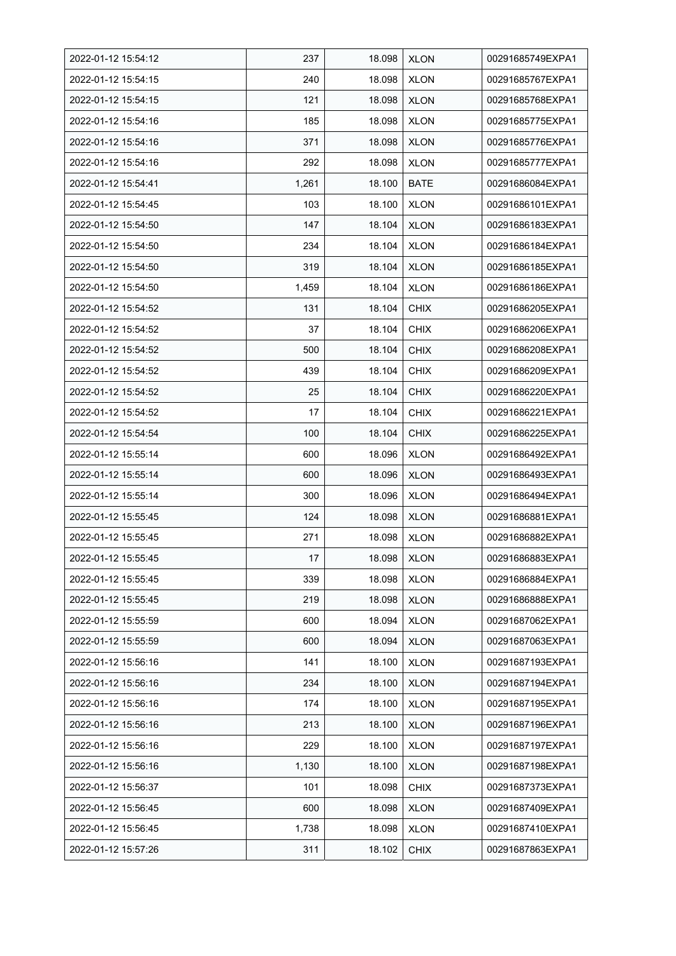| 2022-01-12 15:54:12 | 237   | 18.098 | <b>XLON</b> | 00291685749EXPA1 |
|---------------------|-------|--------|-------------|------------------|
| 2022-01-12 15:54:15 | 240   | 18.098 | <b>XLON</b> | 00291685767EXPA1 |
| 2022-01-12 15:54:15 | 121   | 18.098 | <b>XLON</b> | 00291685768EXPA1 |
| 2022-01-12 15:54:16 | 185   | 18.098 | <b>XLON</b> | 00291685775EXPA1 |
| 2022-01-12 15:54:16 | 371   | 18.098 | <b>XLON</b> | 00291685776EXPA1 |
| 2022-01-12 15:54:16 | 292   | 18.098 | <b>XLON</b> | 00291685777EXPA1 |
| 2022-01-12 15.54.41 | 1,261 | 18.100 | <b>BATE</b> | 00291686084EXPA1 |
| 2022-01-12 15:54:45 | 103   | 18.100 | <b>XLON</b> | 00291686101EXPA1 |
| 2022-01-12 15:54:50 | 147   | 18.104 | <b>XLON</b> | 00291686183EXPA1 |
| 2022-01-12 15:54:50 | 234   | 18.104 | <b>XLON</b> | 00291686184EXPA1 |
| 2022-01-12 15:54:50 | 319   | 18.104 | <b>XLON</b> | 00291686185EXPA1 |
| 2022-01-12 15:54:50 | 1,459 | 18.104 | <b>XLON</b> | 00291686186EXPA1 |
| 2022-01-12 15:54:52 | 131   | 18.104 | <b>CHIX</b> | 00291686205EXPA1 |
| 2022-01-12 15:54:52 | 37    | 18.104 | <b>CHIX</b> | 00291686206EXPA1 |
| 2022-01-12 15:54:52 | 500   | 18.104 | <b>CHIX</b> | 00291686208EXPA1 |
| 2022-01-12 15:54:52 | 439   | 18.104 | <b>CHIX</b> | 00291686209EXPA1 |
| 2022-01-12 15:54:52 | 25    | 18.104 | <b>CHIX</b> | 00291686220EXPA1 |
| 2022-01-12 15:54:52 | 17    | 18.104 | <b>CHIX</b> | 00291686221EXPA1 |
| 2022-01-12 15:54:54 | 100   | 18.104 | <b>CHIX</b> | 00291686225EXPA1 |
| 2022-01-12 15:55:14 | 600   | 18.096 | <b>XLON</b> | 00291686492EXPA1 |
| 2022-01-12 15:55:14 | 600   | 18.096 | <b>XLON</b> | 00291686493EXPA1 |
| 2022-01-12 15:55:14 | 300   | 18.096 | <b>XLON</b> | 00291686494EXPA1 |
| 2022-01-12 15:55:45 | 124   | 18.098 | <b>XLON</b> | 00291686881EXPA1 |
| 2022-01-12 15:55:45 | 271   | 18.098 | <b>XLON</b> | 00291686882EXPA1 |
| 2022-01-12 15:55:45 | 17    | 18.098 | <b>XLON</b> | 00291686883EXPA1 |
| 2022-01-12 15:55:45 | 339   | 18.098 | <b>XLON</b> | 00291686884EXPA1 |
| 2022-01-12 15:55:45 | 219   | 18.098 | <b>XLON</b> | 00291686888EXPA1 |
| 2022-01-12 15:55:59 | 600   | 18.094 | <b>XLON</b> | 00291687062EXPA1 |
| 2022-01-12 15:55:59 | 600   | 18.094 | <b>XLON</b> | 00291687063EXPA1 |
| 2022-01-12 15:56:16 | 141   | 18.100 | <b>XLON</b> | 00291687193EXPA1 |
| 2022-01-12 15:56:16 | 234   | 18.100 | <b>XLON</b> | 00291687194EXPA1 |
| 2022-01-12 15:56:16 | 174   | 18.100 | <b>XLON</b> | 00291687195EXPA1 |
| 2022-01-12 15:56:16 | 213   | 18.100 | <b>XLON</b> | 00291687196EXPA1 |
| 2022-01-12 15:56:16 | 229   | 18.100 | <b>XLON</b> | 00291687197EXPA1 |
| 2022-01-12 15:56:16 | 1,130 | 18.100 | <b>XLON</b> | 00291687198EXPA1 |
| 2022-01-12 15:56:37 | 101   | 18.098 | <b>CHIX</b> | 00291687373EXPA1 |
| 2022-01-12 15:56:45 | 600   | 18.098 | <b>XLON</b> | 00291687409EXPA1 |
| 2022-01-12 15:56:45 | 1,738 | 18.098 | <b>XLON</b> | 00291687410EXPA1 |
| 2022-01-12 15:57:26 | 311   | 18.102 | <b>CHIX</b> | 00291687863EXPA1 |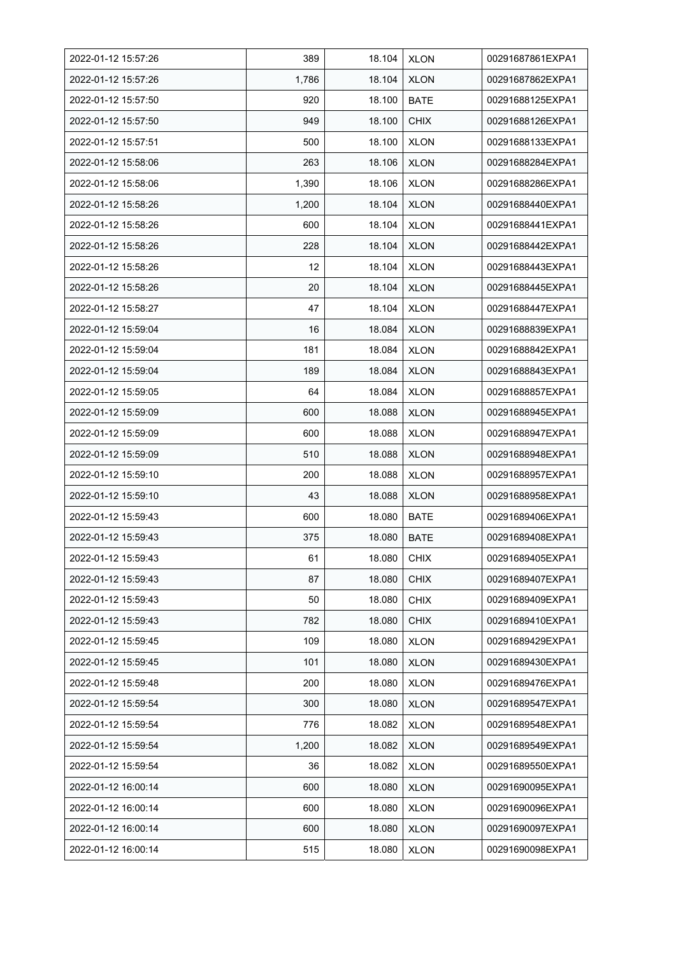| 2022-01-12 15:57:26 | 389               | 18.104 | <b>XLON</b> | 00291687861EXPA1 |
|---------------------|-------------------|--------|-------------|------------------|
| 2022-01-12 15:57:26 | 1,786             | 18.104 | <b>XLON</b> | 00291687862EXPA1 |
| 2022-01-12 15:57:50 | 920               | 18.100 | <b>BATE</b> | 00291688125EXPA1 |
| 2022-01-12 15:57:50 | 949               | 18.100 | <b>CHIX</b> | 00291688126EXPA1 |
| 2022-01-12 15.57.51 | 500               | 18.100 | <b>XLON</b> | 00291688133EXPA1 |
| 2022-01-12 15:58:06 | 263               | 18.106 | <b>XLON</b> | 00291688284EXPA1 |
| 2022-01-12 15:58:06 | 1,390             | 18.106 | <b>XLON</b> | 00291688286EXPA1 |
| 2022-01-12 15:58:26 | 1,200             | 18.104 | <b>XLON</b> | 00291688440EXPA1 |
| 2022-01-12 15:58:26 | 600               | 18.104 | <b>XLON</b> | 00291688441EXPA1 |
| 2022-01-12 15:58:26 | 228               | 18.104 | <b>XLON</b> | 00291688442EXPA1 |
| 2022-01-12 15:58:26 | $12 \overline{ }$ | 18.104 | <b>XLON</b> | 00291688443EXPA1 |
| 2022-01-12 15:58:26 | 20                | 18.104 | <b>XLON</b> | 00291688445EXPA1 |
| 2022-01-12 15:58:27 | 47                | 18.104 | <b>XLON</b> | 00291688447EXPA1 |
| 2022-01-12 15:59:04 | 16                | 18.084 | <b>XLON</b> | 00291688839EXPA1 |
| 2022-01-12 15:59:04 | 181               | 18.084 | <b>XLON</b> | 00291688842EXPA1 |
| 2022-01-12 15:59:04 | 189               | 18.084 | <b>XLON</b> | 00291688843EXPA1 |
| 2022-01-12 15:59:05 | 64                | 18.084 | <b>XLON</b> | 00291688857EXPA1 |
| 2022-01-12 15:59:09 | 600               | 18.088 | <b>XLON</b> | 00291688945EXPA1 |
| 2022-01-12 15:59:09 | 600               | 18.088 | <b>XLON</b> | 00291688947EXPA1 |
| 2022-01-12 15:59:09 | 510               | 18.088 | <b>XLON</b> | 00291688948EXPA1 |
| 2022-01-12 15:59:10 | 200               | 18.088 | <b>XLON</b> | 00291688957EXPA1 |
| 2022-01-12 15:59:10 | 43                | 18.088 | <b>XLON</b> | 00291688958EXPA1 |
| 2022-01-12 15:59:43 | 600               | 18.080 | <b>BATE</b> | 00291689406EXPA1 |
| 2022-01-12 15:59:43 | 375               | 18.080 | <b>BATE</b> | 00291689408EXPA1 |
| 2022-01-12 15:59:43 | 61                | 18.080 | <b>CHIX</b> | 00291689405EXPA1 |
| 2022-01-12 15:59:43 | 87                | 18.080 | <b>CHIX</b> | 00291689407EXPA1 |
| 2022-01-12 15:59:43 | 50                | 18.080 | <b>CHIX</b> | 00291689409EXPA1 |
| 2022-01-12 15:59:43 | 782               | 18.080 | <b>CHIX</b> | 00291689410EXPA1 |
| 2022-01-12 15:59:45 | 109               | 18.080 | <b>XLON</b> | 00291689429EXPA1 |
| 2022-01-12 15:59:45 | 101               | 18.080 | <b>XLON</b> | 00291689430EXPA1 |
| 2022-01-12 15:59:48 | 200               | 18.080 | <b>XLON</b> | 00291689476EXPA1 |
| 2022-01-12 15:59:54 | 300               | 18.080 | <b>XLON</b> | 00291689547EXPA1 |
| 2022-01-12 15:59:54 | 776               | 18.082 | <b>XLON</b> | 00291689548EXPA1 |
| 2022-01-12 15:59:54 | 1,200             | 18.082 | <b>XLON</b> | 00291689549EXPA1 |
| 2022-01-12 15:59:54 | 36                | 18.082 | <b>XLON</b> | 00291689550EXPA1 |
| 2022-01-12 16:00:14 | 600               | 18.080 | <b>XLON</b> | 00291690095EXPA1 |
| 2022-01-12 16:00:14 | 600               | 18.080 | <b>XLON</b> | 00291690096EXPA1 |
| 2022-01-12 16:00:14 | 600               | 18.080 | <b>XLON</b> | 00291690097EXPA1 |
| 2022-01-12 16:00:14 | 515               | 18.080 | <b>XLON</b> | 00291690098EXPA1 |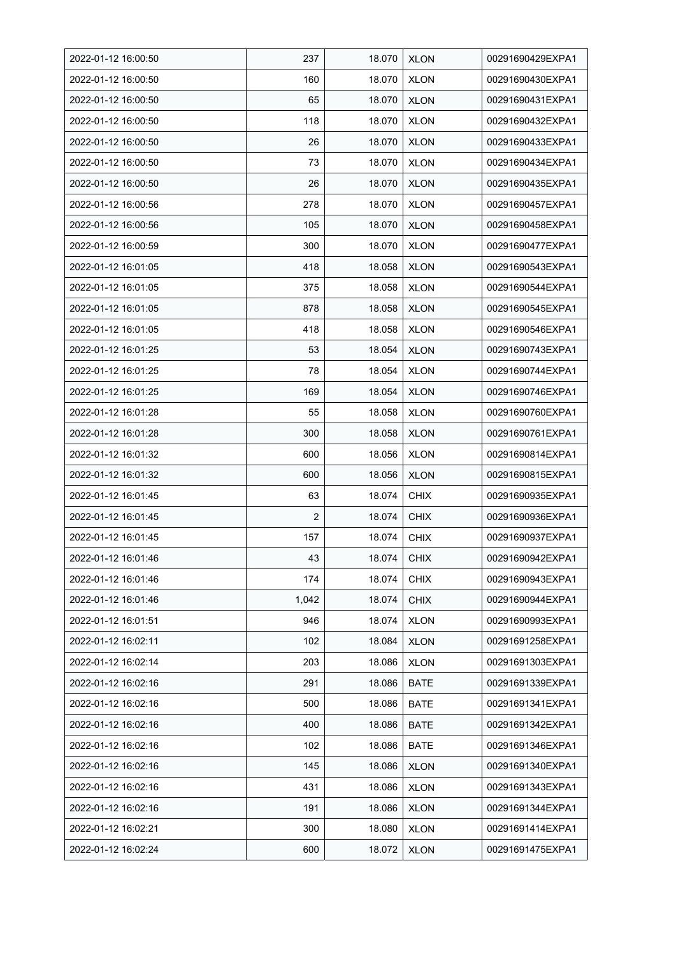| 2022-01-12 16:00:50 | 237            | 18.070 | <b>XLON</b> | 00291690429EXPA1 |
|---------------------|----------------|--------|-------------|------------------|
| 2022-01-12 16:00:50 | 160            | 18.070 | <b>XLON</b> | 00291690430EXPA1 |
| 2022-01-12 16:00:50 | 65             | 18.070 | <b>XLON</b> | 00291690431EXPA1 |
| 2022-01-12 16:00:50 | 118            | 18.070 | <b>XLON</b> | 00291690432EXPA1 |
| 2022-01-12 16:00:50 | 26             | 18.070 | <b>XLON</b> | 00291690433EXPA1 |
| 2022-01-12 16:00:50 | 73             | 18.070 | <b>XLON</b> | 00291690434EXPA1 |
| 2022-01-12 16:00:50 | 26             | 18.070 | <b>XLON</b> | 00291690435EXPA1 |
| 2022-01-12 16:00:56 | 278            | 18.070 | <b>XLON</b> | 00291690457EXPA1 |
| 2022-01-12 16:00:56 | 105            | 18.070 | <b>XLON</b> | 00291690458EXPA1 |
| 2022-01-12 16:00:59 | 300            | 18.070 | <b>XLON</b> | 00291690477EXPA1 |
| 2022-01-12 16:01:05 | 418            | 18.058 | <b>XLON</b> | 00291690543EXPA1 |
| 2022-01-12 16:01:05 | 375            | 18.058 | <b>XLON</b> | 00291690544EXPA1 |
| 2022-01-12 16:01:05 | 878            | 18.058 | <b>XLON</b> | 00291690545EXPA1 |
| 2022-01-12 16:01:05 | 418            | 18.058 | <b>XLON</b> | 00291690546EXPA1 |
| 2022-01-12 16:01:25 | 53             | 18.054 | <b>XLON</b> | 00291690743EXPA1 |
| 2022-01-12 16:01:25 | 78             | 18.054 | <b>XLON</b> | 00291690744EXPA1 |
| 2022-01-12 16:01:25 | 169            | 18.054 | <b>XLON</b> | 00291690746EXPA1 |
| 2022-01-12 16:01:28 | 55             | 18.058 | <b>XLON</b> | 00291690760EXPA1 |
| 2022-01-12 16:01:28 | 300            | 18.058 | <b>XLON</b> | 00291690761EXPA1 |
| 2022-01-12 16:01:32 | 600            | 18.056 | <b>XLON</b> | 00291690814EXPA1 |
| 2022-01-12 16:01:32 | 600            | 18.056 | <b>XLON</b> | 00291690815EXPA1 |
| 2022-01-12 16:01:45 | 63             | 18.074 | <b>CHIX</b> | 00291690935EXPA1 |
| 2022-01-12 16:01:45 | $\overline{2}$ | 18.074 | <b>CHIX</b> | 00291690936EXPA1 |
| 2022-01-12 16:01:45 | 157            | 18.074 | <b>CHIX</b> | 00291690937EXPA1 |
| 2022-01-12 16:01:46 | 43             | 18.074 | CHIX        | 00291690942EXPA1 |
| 2022-01-12 16:01:46 | 174            | 18.074 | <b>CHIX</b> | 00291690943EXPA1 |
| 2022-01-12 16:01:46 | 1,042          | 18.074 | <b>CHIX</b> | 00291690944EXPA1 |
| 2022-01-12 16:01:51 | 946            | 18.074 | <b>XLON</b> | 00291690993EXPA1 |
| 2022-01-12 16:02:11 | 102            | 18.084 | <b>XLON</b> | 00291691258EXPA1 |
| 2022-01-12 16:02:14 | 203            | 18.086 | <b>XLON</b> | 00291691303EXPA1 |
| 2022-01-12 16:02:16 | 291            | 18.086 | <b>BATE</b> | 00291691339EXPA1 |
| 2022-01-12 16:02:16 | 500            | 18.086 | BATE        | 00291691341EXPA1 |
| 2022-01-12 16:02:16 | 400            | 18.086 | BATE        | 00291691342EXPA1 |
| 2022-01-12 16:02:16 | 102            | 18.086 | <b>BATE</b> | 00291691346EXPA1 |
| 2022-01-12 16:02:16 | 145            | 18.086 | <b>XLON</b> | 00291691340EXPA1 |
| 2022-01-12 16:02:16 | 431            | 18.086 | <b>XLON</b> | 00291691343EXPA1 |
| 2022-01-12 16:02:16 | 191            | 18.086 | <b>XLON</b> | 00291691344EXPA1 |
| 2022-01-12 16:02:21 | 300            | 18.080 | <b>XLON</b> | 00291691414EXPA1 |
| 2022-01-12 16:02:24 | 600            | 18.072 | <b>XLON</b> | 00291691475EXPA1 |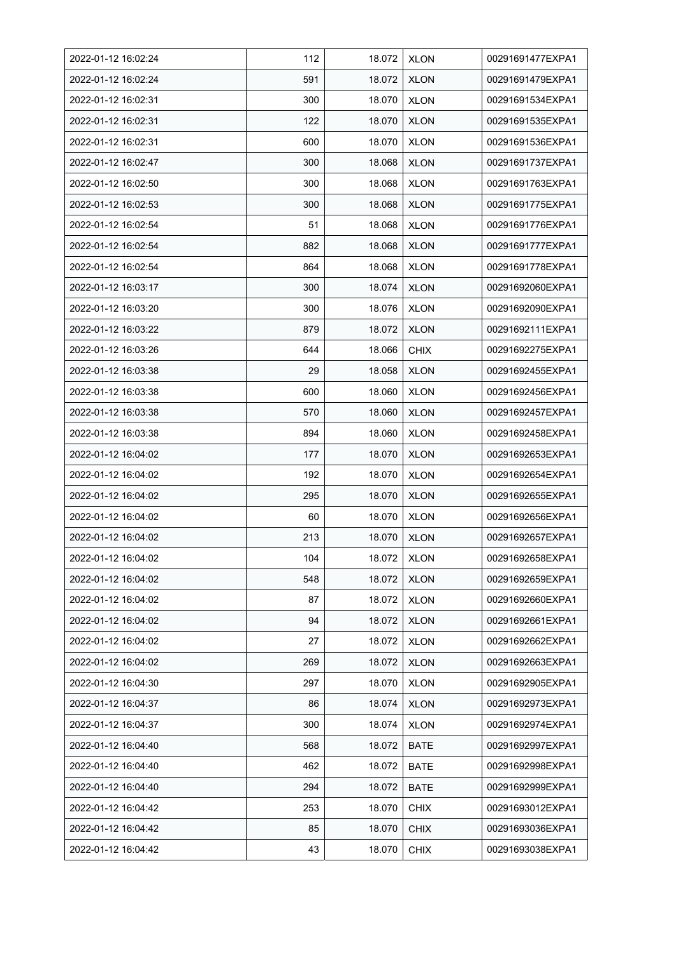| 2022-01-12 16:02:24 | 112 | 18.072 | <b>XLON</b> | 00291691477EXPA1 |
|---------------------|-----|--------|-------------|------------------|
| 2022-01-12 16:02:24 | 591 | 18.072 | <b>XLON</b> | 00291691479EXPA1 |
| 2022-01-12 16:02:31 | 300 | 18.070 | <b>XLON</b> | 00291691534EXPA1 |
| 2022-01-12 16:02:31 | 122 | 18.070 | <b>XLON</b> | 00291691535EXPA1 |
| 2022-01-12 16:02:31 | 600 | 18.070 | <b>XLON</b> | 00291691536EXPA1 |
| 2022-01-12 16:02:47 | 300 | 18.068 | <b>XLON</b> | 00291691737EXPA1 |
| 2022-01-12 16:02:50 | 300 | 18.068 | <b>XLON</b> | 00291691763EXPA1 |
| 2022-01-12 16:02:53 | 300 | 18.068 | <b>XLON</b> | 00291691775EXPA1 |
| 2022-01-12 16:02:54 | 51  | 18.068 | <b>XLON</b> | 00291691776EXPA1 |
| 2022-01-12 16:02:54 | 882 | 18.068 | <b>XLON</b> | 00291691777EXPA1 |
| 2022-01-12 16:02:54 | 864 | 18.068 | <b>XLON</b> | 00291691778EXPA1 |
| 2022-01-12 16:03:17 | 300 | 18.074 | <b>XLON</b> | 00291692060EXPA1 |
| 2022-01-12 16:03:20 | 300 | 18.076 | <b>XLON</b> | 00291692090EXPA1 |
| 2022-01-12 16:03:22 | 879 | 18.072 | <b>XLON</b> | 00291692111EXPA1 |
| 2022-01-12 16:03:26 | 644 | 18.066 | <b>CHIX</b> | 00291692275EXPA1 |
| 2022-01-12 16:03:38 | 29  | 18.058 | <b>XLON</b> | 00291692455EXPA1 |
| 2022-01-12 16:03:38 | 600 | 18.060 | <b>XLON</b> | 00291692456EXPA1 |
| 2022-01-12 16:03:38 | 570 | 18.060 | <b>XLON</b> | 00291692457EXPA1 |
| 2022-01-12 16:03:38 | 894 | 18.060 | <b>XLON</b> | 00291692458EXPA1 |
| 2022-01-12 16:04:02 | 177 | 18.070 | <b>XLON</b> | 00291692653EXPA1 |
| 2022-01-12 16:04:02 | 192 | 18.070 | <b>XLON</b> | 00291692654EXPA1 |
| 2022-01-12 16:04:02 | 295 | 18.070 | <b>XLON</b> | 00291692655EXPA1 |
| 2022-01-12 16:04:02 | 60  | 18.070 | <b>XLON</b> | 00291692656EXPA1 |
| 2022-01-12 16:04:02 | 213 | 18.070 | <b>XLON</b> | 00291692657EXPA1 |
| 2022-01-12 16:04:02 | 104 | 18.072 | <b>XLON</b> | 00291692658EXPA1 |
| 2022-01-12 16:04:02 | 548 | 18.072 | <b>XLON</b> | 00291692659EXPA1 |
| 2022-01-12 16:04:02 | 87  | 18.072 | <b>XLON</b> | 00291692660EXPA1 |
| 2022-01-12 16:04:02 | 94  | 18.072 | <b>XLON</b> | 00291692661EXPA1 |
| 2022-01-12 16:04:02 | 27  | 18.072 | <b>XLON</b> | 00291692662EXPA1 |
| 2022-01-12 16:04:02 | 269 | 18.072 | <b>XLON</b> | 00291692663EXPA1 |
| 2022-01-12 16:04:30 | 297 | 18.070 | <b>XLON</b> | 00291692905EXPA1 |
| 2022-01-12 16:04:37 | 86  | 18.074 | <b>XLON</b> | 00291692973EXPA1 |
| 2022-01-12 16:04:37 | 300 | 18.074 | <b>XLON</b> | 00291692974EXPA1 |
| 2022-01-12 16:04:40 | 568 | 18.072 | <b>BATE</b> | 00291692997EXPA1 |
| 2022-01-12 16:04:40 | 462 | 18.072 | <b>BATE</b> | 00291692998EXPA1 |
| 2022-01-12 16:04:40 | 294 | 18.072 | <b>BATE</b> | 00291692999EXPA1 |
| 2022-01-12 16:04:42 | 253 | 18.070 | <b>CHIX</b> | 00291693012EXPA1 |
| 2022-01-12 16:04:42 | 85  | 18.070 | <b>CHIX</b> | 00291693036EXPA1 |
| 2022-01-12 16:04:42 | 43  | 18.070 | <b>CHIX</b> | 00291693038EXPA1 |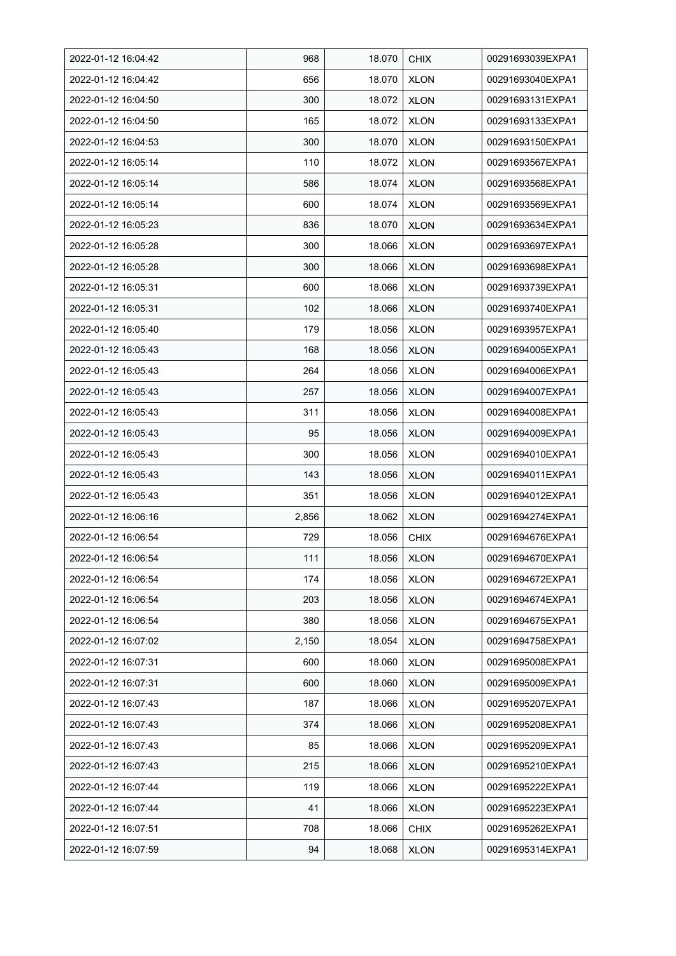| 2022-01-12 16:04:42 | 968   | 18.070 | <b>CHIX</b> | 00291693039EXPA1 |
|---------------------|-------|--------|-------------|------------------|
| 2022-01-12 16:04:42 | 656   | 18.070 | <b>XLON</b> | 00291693040EXPA1 |
| 2022-01-12 16:04:50 | 300   | 18.072 | <b>XLON</b> | 00291693131EXPA1 |
| 2022-01-12 16:04:50 | 165   | 18.072 | <b>XLON</b> | 00291693133EXPA1 |
| 2022-01-12 16:04:53 | 300   | 18.070 | <b>XLON</b> | 00291693150EXPA1 |
| 2022-01-12 16:05:14 | 110   | 18.072 | <b>XLON</b> | 00291693567EXPA1 |
| 2022-01-12 16:05:14 | 586   | 18.074 | <b>XLON</b> | 00291693568EXPA1 |
| 2022-01-12 16:05:14 | 600   | 18.074 | <b>XLON</b> | 00291693569EXPA1 |
| 2022-01-12 16:05:23 | 836   | 18.070 | <b>XLON</b> | 00291693634EXPA1 |
| 2022-01-12 16:05:28 | 300   | 18.066 | <b>XLON</b> | 00291693697EXPA1 |
| 2022-01-12 16:05:28 | 300   | 18.066 | <b>XLON</b> | 00291693698EXPA1 |
| 2022-01-12 16:05:31 | 600   | 18.066 | <b>XLON</b> | 00291693739EXPA1 |
| 2022-01-12 16:05:31 | 102   | 18.066 | <b>XLON</b> | 00291693740EXPA1 |
| 2022-01-12 16:05:40 | 179   | 18.056 | <b>XLON</b> | 00291693957EXPA1 |
| 2022-01-12 16:05:43 | 168   | 18.056 | <b>XLON</b> | 00291694005EXPA1 |
| 2022-01-12 16:05:43 | 264   | 18.056 | <b>XLON</b> | 00291694006EXPA1 |
| 2022-01-12 16:05:43 | 257   | 18.056 | <b>XLON</b> | 00291694007EXPA1 |
| 2022-01-12 16:05:43 | 311   | 18.056 | <b>XLON</b> | 00291694008EXPA1 |
| 2022-01-12 16:05:43 | 95    | 18.056 | <b>XLON</b> | 00291694009EXPA1 |
| 2022-01-12 16:05:43 | 300   | 18.056 | <b>XLON</b> | 00291694010EXPA1 |
| 2022-01-12 16:05:43 | 143   | 18.056 | <b>XLON</b> | 00291694011EXPA1 |
| 2022-01-12 16:05:43 | 351   | 18.056 | <b>XLON</b> | 00291694012EXPA1 |
| 2022-01-12 16:06:16 | 2,856 | 18.062 | <b>XLON</b> | 00291694274EXPA1 |
| 2022-01-12 16:06:54 | 729   | 18.056 | <b>CHIX</b> | 00291694676EXPA1 |
| 2022-01-12 16:06:54 | 111   | 18.056 | <b>XLON</b> | 00291694670EXPA1 |
| 2022-01-12 16:06:54 | 174   | 18.056 | <b>XLON</b> | 00291694672EXPA1 |
| 2022-01-12 16:06:54 | 203   | 18.056 | <b>XLON</b> | 00291694674EXPA1 |
| 2022-01-12 16:06:54 | 380   | 18.056 | <b>XLON</b> | 00291694675EXPA1 |
| 2022-01-12 16:07:02 | 2,150 | 18.054 | <b>XLON</b> | 00291694758EXPA1 |
| 2022-01-12 16:07:31 | 600   | 18.060 | <b>XLON</b> | 00291695008EXPA1 |
| 2022-01-12 16:07:31 | 600   | 18.060 | <b>XLON</b> | 00291695009EXPA1 |
| 2022-01-12 16:07:43 | 187   | 18.066 | <b>XLON</b> | 00291695207EXPA1 |
| 2022-01-12 16:07:43 | 374   | 18.066 | <b>XLON</b> | 00291695208EXPA1 |
| 2022-01-12 16:07:43 | 85    | 18.066 | <b>XLON</b> | 00291695209EXPA1 |
| 2022-01-12 16:07:43 | 215   | 18.066 | <b>XLON</b> | 00291695210EXPA1 |
| 2022-01-12 16:07:44 | 119   | 18.066 | <b>XLON</b> | 00291695222EXPA1 |
| 2022-01-12 16:07:44 | 41    | 18.066 | <b>XLON</b> | 00291695223EXPA1 |
| 2022-01-12 16:07:51 | 708   | 18.066 | <b>CHIX</b> | 00291695262EXPA1 |
| 2022-01-12 16:07:59 | 94    | 18.068 | <b>XLON</b> | 00291695314EXPA1 |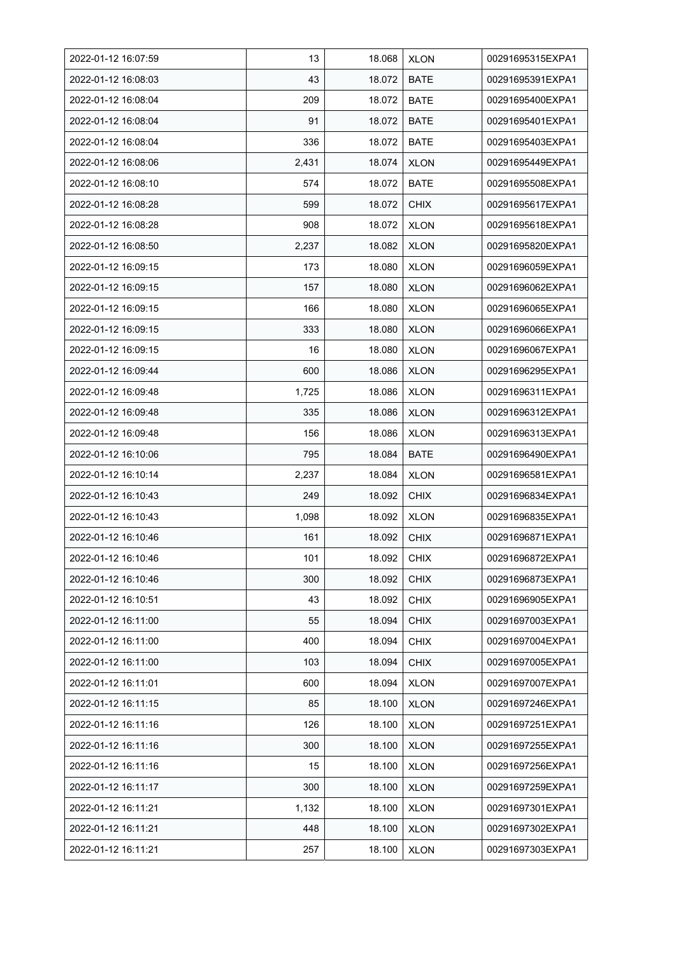| 2022-01-12 16:07:59 | 13    | 18.068 | <b>XLON</b> | 00291695315EXPA1 |
|---------------------|-------|--------|-------------|------------------|
| 2022-01-12 16:08:03 | 43    | 18.072 | <b>BATE</b> | 00291695391EXPA1 |
| 2022-01-12 16:08:04 | 209   | 18.072 | <b>BATE</b> | 00291695400EXPA1 |
| 2022-01-12 16:08:04 | 91    | 18.072 | <b>BATE</b> | 00291695401EXPA1 |
| 2022-01-12 16:08:04 | 336   | 18.072 | <b>BATE</b> | 00291695403EXPA1 |
| 2022-01-12 16:08:06 | 2,431 | 18.074 | <b>XLON</b> | 00291695449EXPA1 |
| 2022-01-12 16:08:10 | 574   | 18.072 | <b>BATE</b> | 00291695508EXPA1 |
| 2022-01-12 16:08:28 | 599   | 18.072 | <b>CHIX</b> | 00291695617EXPA1 |
| 2022-01-12 16:08:28 | 908   | 18.072 | <b>XLON</b> | 00291695618EXPA1 |
| 2022-01-12 16:08:50 | 2,237 | 18.082 | <b>XLON</b> | 00291695820EXPA1 |
| 2022-01-12 16:09:15 | 173   | 18.080 | <b>XLON</b> | 00291696059EXPA1 |
| 2022-01-12 16:09:15 | 157   | 18.080 | <b>XLON</b> | 00291696062EXPA1 |
| 2022-01-12 16:09:15 | 166   | 18.080 | <b>XLON</b> | 00291696065EXPA1 |
| 2022-01-12 16:09:15 | 333   | 18.080 | <b>XLON</b> | 00291696066EXPA1 |
| 2022-01-12 16:09:15 | 16    | 18.080 | <b>XLON</b> | 00291696067EXPA1 |
| 2022-01-12 16:09:44 | 600   | 18.086 | <b>XLON</b> | 00291696295EXPA1 |
| 2022-01-12 16:09:48 | 1,725 | 18.086 | <b>XLON</b> | 00291696311EXPA1 |
| 2022-01-12 16:09:48 | 335   | 18.086 | <b>XLON</b> | 00291696312EXPA1 |
| 2022-01-12 16:09:48 | 156   | 18.086 | <b>XLON</b> | 00291696313EXPA1 |
| 2022-01-12 16:10:06 | 795   | 18.084 | <b>BATE</b> | 00291696490EXPA1 |
| 2022-01-12 16:10:14 | 2,237 | 18.084 | <b>XLON</b> | 00291696581EXPA1 |
| 2022-01-12 16:10:43 | 249   | 18.092 | <b>CHIX</b> | 00291696834EXPA1 |
| 2022-01-12 16:10:43 | 1,098 | 18.092 | <b>XLON</b> | 00291696835EXPA1 |
| 2022-01-12 16:10:46 | 161   | 18.092 | <b>CHIX</b> | 00291696871EXPA1 |
| 2022-01-12 16:10:46 | 101   | 18.092 | <b>CHIX</b> | 00291696872EXPA1 |
| 2022-01-12 16:10:46 | 300   | 18.092 | <b>CHIX</b> | 00291696873EXPA1 |
| 2022-01-12 16:10:51 | 43    | 18.092 | <b>CHIX</b> | 00291696905EXPA1 |
| 2022-01-12 16:11:00 | 55    | 18.094 | <b>CHIX</b> | 00291697003EXPA1 |
| 2022-01-12 16:11:00 | 400   | 18.094 | <b>CHIX</b> | 00291697004EXPA1 |
| 2022-01-12 16:11:00 | 103   | 18.094 | <b>CHIX</b> | 00291697005EXPA1 |
| 2022-01-12 16:11:01 | 600   | 18.094 | <b>XLON</b> | 00291697007EXPA1 |
| 2022-01-12 16:11:15 | 85    | 18.100 | <b>XLON</b> | 00291697246EXPA1 |
| 2022-01-12 16:11:16 | 126   | 18.100 | <b>XLON</b> | 00291697251EXPA1 |
| 2022-01-12 16:11:16 | 300   | 18.100 | <b>XLON</b> | 00291697255EXPA1 |
| 2022-01-12 16:11:16 | 15    | 18.100 | <b>XLON</b> | 00291697256EXPA1 |
| 2022-01-12 16:11:17 | 300   | 18.100 | <b>XLON</b> | 00291697259EXPA1 |
| 2022-01-12 16:11:21 | 1,132 | 18.100 | <b>XLON</b> | 00291697301EXPA1 |
| 2022-01-12 16:11:21 | 448   | 18.100 | <b>XLON</b> | 00291697302EXPA1 |
| 2022-01-12 16:11:21 | 257   | 18.100 | <b>XLON</b> | 00291697303EXPA1 |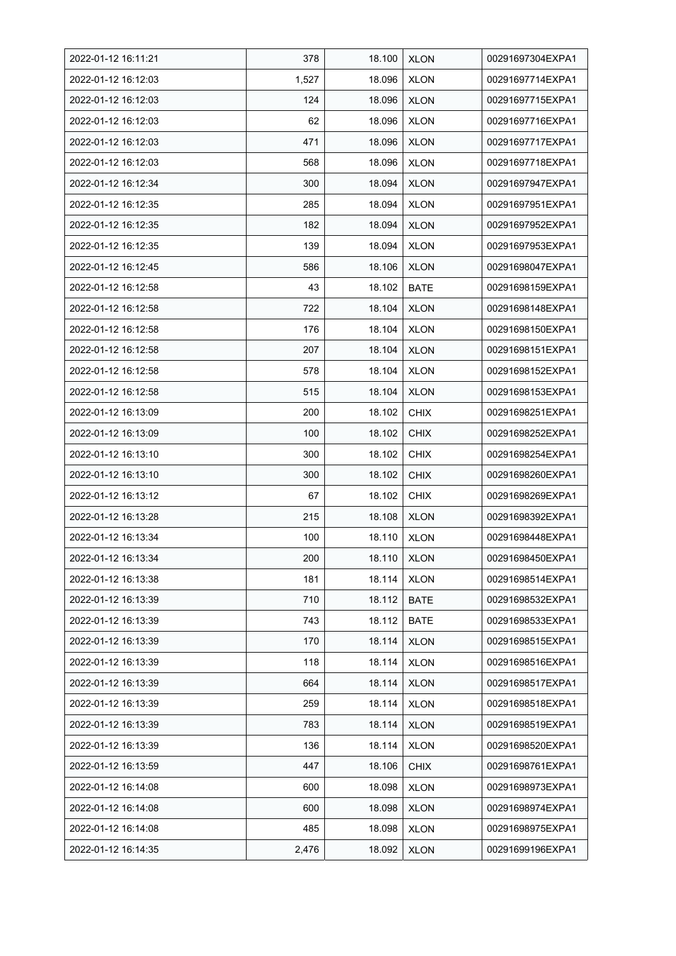| 2022-01-12 16:11:21 | 378   | 18.100 | <b>XLON</b> | 00291697304EXPA1 |
|---------------------|-------|--------|-------------|------------------|
| 2022-01-12 16:12:03 | 1,527 | 18.096 | <b>XLON</b> | 00291697714EXPA1 |
| 2022-01-12 16:12:03 | 124   | 18.096 | <b>XLON</b> | 00291697715EXPA1 |
| 2022-01-12 16:12:03 | 62    | 18.096 | <b>XLON</b> | 00291697716EXPA1 |
| 2022-01-12 16:12:03 | 471   | 18.096 | <b>XLON</b> | 00291697717EXPA1 |
| 2022-01-12 16:12:03 | 568   | 18.096 | <b>XLON</b> | 00291697718EXPA1 |
| 2022-01-12 16:12:34 | 300   | 18.094 | <b>XLON</b> | 00291697947EXPA1 |
| 2022-01-12 16:12:35 | 285   | 18.094 | <b>XLON</b> | 00291697951EXPA1 |
| 2022-01-12 16:12:35 | 182   | 18.094 | <b>XLON</b> | 00291697952EXPA1 |
| 2022-01-12 16:12:35 | 139   | 18.094 | <b>XLON</b> | 00291697953EXPA1 |
| 2022-01-12 16:12:45 | 586   | 18.106 | <b>XLON</b> | 00291698047EXPA1 |
| 2022-01-12 16:12:58 | 43    | 18.102 | <b>BATE</b> | 00291698159EXPA1 |
| 2022-01-12 16:12:58 | 722   | 18.104 | <b>XLON</b> | 00291698148EXPA1 |
| 2022-01-12 16:12:58 | 176   | 18.104 | <b>XLON</b> | 00291698150EXPA1 |
| 2022-01-12 16:12:58 | 207   | 18.104 | <b>XLON</b> | 00291698151EXPA1 |
| 2022-01-12 16:12:58 | 578   | 18.104 | <b>XLON</b> | 00291698152EXPA1 |
| 2022-01-12 16:12:58 | 515   | 18.104 | <b>XLON</b> | 00291698153EXPA1 |
| 2022-01-12 16:13:09 | 200   | 18.102 | <b>CHIX</b> | 00291698251EXPA1 |
| 2022-01-12 16:13:09 | 100   | 18.102 | <b>CHIX</b> | 00291698252EXPA1 |
| 2022-01-12 16:13:10 | 300   | 18.102 | <b>CHIX</b> | 00291698254EXPA1 |
| 2022-01-12 16:13:10 | 300   | 18.102 | <b>CHIX</b> | 00291698260EXPA1 |
| 2022-01-12 16:13:12 | 67    | 18.102 | <b>CHIX</b> | 00291698269EXPA1 |
| 2022-01-12 16:13:28 | 215   | 18.108 | <b>XLON</b> | 00291698392EXPA1 |
| 2022-01-12 16:13:34 | 100   | 18.110 | <b>XLON</b> | 00291698448EXPA1 |
| 2022-01-12 16:13:34 | 200   | 18.110 | <b>XLON</b> | 00291698450EXPA1 |
| 2022-01-12 16:13:38 | 181   | 18.114 | <b>XLON</b> | 00291698514EXPA1 |
| 2022-01-12 16:13:39 | 710   | 18.112 | <b>BATE</b> | 00291698532EXPA1 |
| 2022-01-12 16:13:39 | 743   | 18.112 | <b>BATE</b> | 00291698533EXPA1 |
| 2022-01-12 16:13:39 | 170   | 18.114 | <b>XLON</b> | 00291698515EXPA1 |
| 2022-01-12 16:13:39 | 118   | 18.114 | <b>XLON</b> | 00291698516EXPA1 |
| 2022-01-12 16:13:39 | 664   | 18.114 | <b>XLON</b> | 00291698517EXPA1 |
| 2022-01-12 16:13:39 | 259   | 18.114 | <b>XLON</b> | 00291698518EXPA1 |
| 2022-01-12 16:13:39 | 783   | 18.114 | <b>XLON</b> | 00291698519EXPA1 |
| 2022-01-12 16:13:39 | 136   | 18.114 | <b>XLON</b> | 00291698520EXPA1 |
| 2022-01-12 16:13:59 | 447   | 18.106 | <b>CHIX</b> | 00291698761EXPA1 |
| 2022-01-12 16:14:08 | 600   | 18.098 | <b>XLON</b> | 00291698973EXPA1 |
| 2022-01-12 16:14:08 | 600   | 18.098 | <b>XLON</b> | 00291698974EXPA1 |
| 2022-01-12 16:14:08 | 485   | 18.098 | <b>XLON</b> | 00291698975EXPA1 |
| 2022-01-12 16:14:35 | 2,476 | 18.092 | <b>XLON</b> | 00291699196EXPA1 |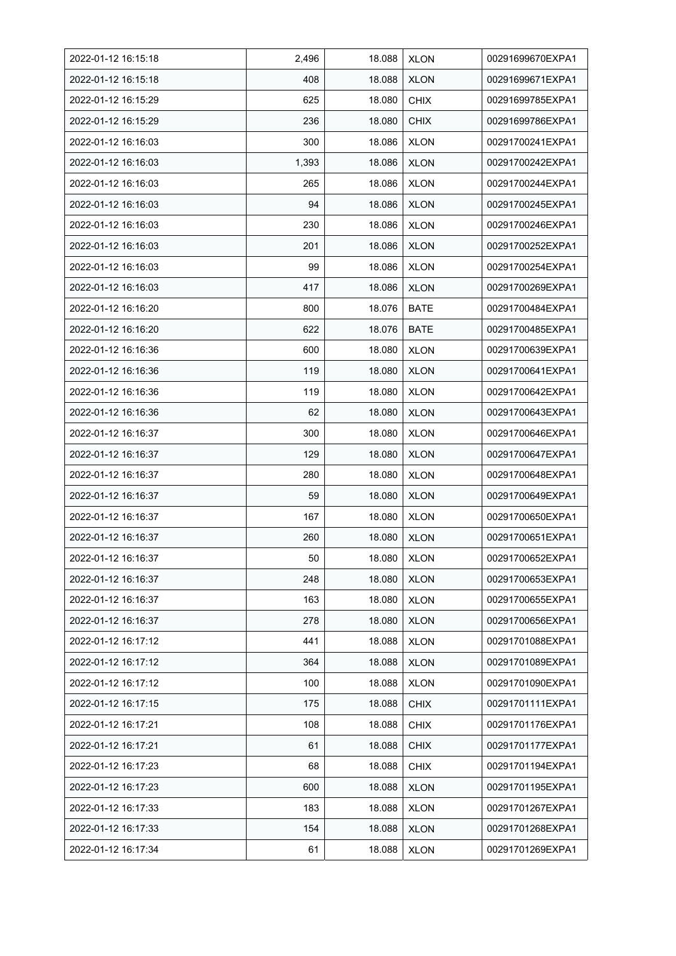| 2022-01-12 16:15:18 | 2,496 | 18.088 | <b>XLON</b> | 00291699670EXPA1 |
|---------------------|-------|--------|-------------|------------------|
| 2022-01-12 16:15:18 | 408   | 18.088 | <b>XLON</b> | 00291699671EXPA1 |
| 2022-01-12 16:15:29 | 625   | 18.080 | <b>CHIX</b> | 00291699785EXPA1 |
| 2022-01-12 16:15:29 | 236   | 18.080 | <b>CHIX</b> | 00291699786EXPA1 |
| 2022-01-12 16:16:03 | 300   | 18.086 | <b>XLON</b> | 00291700241EXPA1 |
| 2022-01-12 16:16:03 | 1,393 | 18.086 | <b>XLON</b> | 00291700242EXPA1 |
| 2022-01-12 16:16:03 | 265   | 18.086 | <b>XLON</b> | 00291700244EXPA1 |
| 2022-01-12 16:16:03 | 94    | 18.086 | <b>XLON</b> | 00291700245EXPA1 |
| 2022-01-12 16:16:03 | 230   | 18.086 | <b>XLON</b> | 00291700246EXPA1 |
| 2022-01-12 16:16:03 | 201   | 18.086 | <b>XLON</b> | 00291700252EXPA1 |
| 2022-01-12 16:16:03 | 99    | 18.086 | <b>XLON</b> | 00291700254EXPA1 |
| 2022-01-12 16:16:03 | 417   | 18.086 | <b>XLON</b> | 00291700269EXPA1 |
| 2022-01-12 16:16:20 | 800   | 18.076 | <b>BATE</b> | 00291700484EXPA1 |
| 2022-01-12 16:16:20 | 622   | 18.076 | <b>BATE</b> | 00291700485EXPA1 |
| 2022-01-12 16:16:36 | 600   | 18.080 | <b>XLON</b> | 00291700639EXPA1 |
| 2022-01-12 16:16:36 | 119   | 18.080 | <b>XLON</b> | 00291700641EXPA1 |
| 2022-01-12 16:16:36 | 119   | 18.080 | <b>XLON</b> | 00291700642EXPA1 |
| 2022-01-12 16:16:36 | 62    | 18.080 | <b>XLON</b> | 00291700643EXPA1 |
| 2022-01-12 16:16:37 | 300   | 18.080 | <b>XLON</b> | 00291700646EXPA1 |
| 2022-01-12 16:16:37 | 129   | 18.080 | <b>XLON</b> | 00291700647EXPA1 |
| 2022-01-12 16:16:37 | 280   | 18.080 | <b>XLON</b> | 00291700648EXPA1 |
| 2022-01-12 16:16:37 | 59    | 18.080 | <b>XLON</b> | 00291700649EXPA1 |
| 2022-01-12 16:16:37 | 167   | 18.080 | <b>XLON</b> | 00291700650EXPA1 |
| 2022-01-12 16:16:37 | 260   | 18.080 | <b>XLON</b> | 00291700651EXPA1 |
| 2022-01-12 16:16:37 | 50    | 18.080 | <b>XLON</b> | 00291700652EXPA1 |
| 2022-01-12 16:16:37 | 248   | 18.080 | <b>XLON</b> | 00291700653EXPA1 |
| 2022-01-12 16:16:37 | 163   | 18.080 | <b>XLON</b> | 00291700655EXPA1 |
| 2022-01-12 16:16:37 | 278   | 18.080 | <b>XLON</b> | 00291700656EXPA1 |
| 2022-01-12 16:17:12 | 441   | 18.088 | <b>XLON</b> | 00291701088EXPA1 |
| 2022-01-12 16:17:12 | 364   | 18.088 | <b>XLON</b> | 00291701089EXPA1 |
| 2022-01-12 16:17:12 | 100   | 18.088 | <b>XLON</b> | 00291701090EXPA1 |
| 2022-01-12 16:17:15 | 175   | 18.088 | <b>CHIX</b> | 00291701111EXPA1 |
| 2022-01-12 16:17:21 | 108   | 18.088 | <b>CHIX</b> | 00291701176EXPA1 |
| 2022-01-12 16:17:21 | 61    | 18.088 | <b>CHIX</b> | 00291701177EXPA1 |
| 2022-01-12 16:17:23 | 68    | 18.088 | <b>CHIX</b> | 00291701194EXPA1 |
| 2022-01-12 16:17:23 | 600   | 18.088 | <b>XLON</b> | 00291701195EXPA1 |
| 2022-01-12 16:17:33 | 183   | 18.088 | <b>XLON</b> | 00291701267EXPA1 |
| 2022-01-12 16:17:33 | 154   | 18.088 | <b>XLON</b> | 00291701268EXPA1 |
| 2022-01-12 16:17:34 | 61    | 18.088 | <b>XLON</b> | 00291701269EXPA1 |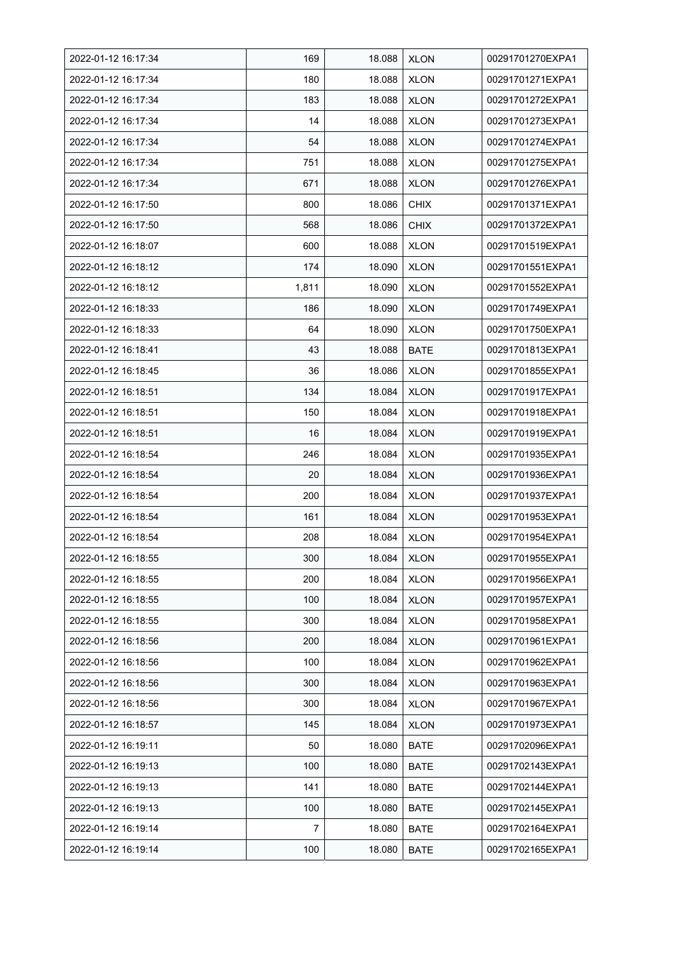| 2022-01-12 16:17:34 | 169   | 18.088 | <b>XLON</b> | 00291701270EXPA1 |
|---------------------|-------|--------|-------------|------------------|
| 2022-01-12 16:17:34 | 180   | 18.088 | <b>XLON</b> | 00291701271EXPA1 |
| 2022-01-12 16:17:34 | 183   | 18.088 | <b>XLON</b> | 00291701272EXPA1 |
| 2022-01-12 16:17:34 | 14    | 18.088 | <b>XLON</b> | 00291701273EXPA1 |
| 2022-01-12 16:17:34 | 54    | 18.088 | <b>XLON</b> | 00291701274EXPA1 |
| 2022-01-12 16:17:34 | 751   | 18.088 | <b>XLON</b> | 00291701275EXPA1 |
| 2022-01-12 16:17:34 | 671   | 18.088 | <b>XLON</b> | 00291701276EXPA1 |
| 2022-01-12 16:17:50 | 800   | 18.086 | <b>CHIX</b> | 00291701371EXPA1 |
| 2022-01-12 16:17:50 | 568   | 18.086 | <b>CHIX</b> | 00291701372EXPA1 |
| 2022-01-12 16:18:07 | 600   | 18.088 | <b>XLON</b> | 00291701519EXPA1 |
| 2022-01-12 16:18:12 | 174   | 18.090 | <b>XLON</b> | 00291701551EXPA1 |
| 2022-01-12 16:18:12 | 1,811 | 18.090 | <b>XLON</b> | 00291701552EXPA1 |
| 2022-01-12 16:18:33 | 186   | 18.090 | <b>XLON</b> | 00291701749EXPA1 |
| 2022-01-12 16:18:33 | 64    | 18.090 | <b>XLON</b> | 00291701750EXPA1 |
| 2022-01-12 16:18:41 | 43    | 18.088 | <b>BATE</b> | 00291701813EXPA1 |
| 2022-01-12 16:18:45 | 36    | 18.086 | <b>XLON</b> | 00291701855EXPA1 |
| 2022-01-12 16:18:51 | 134   | 18.084 | <b>XLON</b> | 00291701917EXPA1 |
| 2022-01-12 16:18:51 | 150   | 18.084 | <b>XLON</b> | 00291701918EXPA1 |
| 2022-01-12 16:18:51 | 16    | 18.084 | <b>XLON</b> | 00291701919EXPA1 |
| 2022-01-12 16:18:54 | 246   | 18.084 | <b>XLON</b> | 00291701935EXPA1 |
| 2022-01-12 16:18:54 | 20    | 18.084 | <b>XLON</b> | 00291701936EXPA1 |
| 2022-01-12 16:18:54 | 200   | 18.084 | <b>XLON</b> | 00291701937EXPA1 |
| 2022-01-12 16:18:54 | 161   | 18.084 | <b>XLON</b> | 00291701953EXPA1 |
| 2022-01-12 16:18:54 | 208   | 18.084 | <b>XLON</b> | 00291701954EXPA1 |
| 2022-01-12 16:18:55 | 300   | 18.084 | <b>XLON</b> | 00291701955EXPA1 |
| 2022-01-12 16:18:55 | 200   | 18.084 | <b>XLON</b> | 00291701956EXPA1 |
| 2022-01-12 16:18:55 | 100   | 18.084 | <b>XLON</b> | 00291701957EXPA1 |
| 2022-01-12 16:18:55 | 300   | 18.084 | <b>XLON</b> | 00291701958EXPA1 |
| 2022-01-12 16:18:56 | 200   | 18.084 | <b>XLON</b> | 00291701961EXPA1 |
| 2022-01-12 16:18:56 | 100   | 18.084 | <b>XLON</b> | 00291701962EXPA1 |
| 2022-01-12 16:18:56 | 300   | 18.084 | <b>XLON</b> | 00291701963EXPA1 |
| 2022-01-12 16:18:56 | 300   | 18.084 | <b>XLON</b> | 00291701967EXPA1 |
| 2022-01-12 16:18:57 | 145   | 18.084 | <b>XLON</b> | 00291701973EXPA1 |
| 2022-01-12 16:19:11 | 50    | 18.080 | <b>BATE</b> | 00291702096EXPA1 |
| 2022-01-12 16:19:13 | 100   | 18.080 | BATE        | 00291702143EXPA1 |
| 2022-01-12 16:19:13 | 141   | 18.080 | BATE        | 00291702144EXPA1 |
| 2022-01-12 16:19:13 | 100   | 18.080 | <b>BATE</b> | 00291702145EXPA1 |
| 2022-01-12 16:19:14 | 7     | 18.080 | <b>BATE</b> | 00291702164EXPA1 |
| 2022-01-12 16:19:14 | 100   | 18.080 | <b>BATE</b> | 00291702165EXPA1 |
|                     |       |        |             |                  |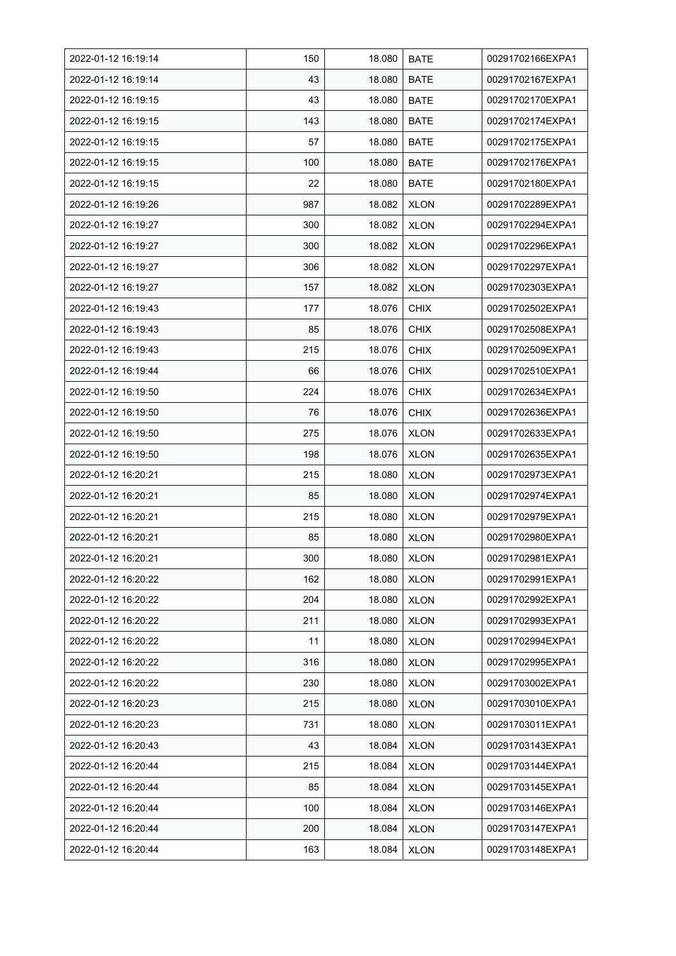| 2022-01-12 16:19:14 | 150 | 18.080 | <b>BATE</b> | 00291702166EXPA1 |
|---------------------|-----|--------|-------------|------------------|
| 2022-01-12 16:19:14 | 43  | 18.080 | <b>BATE</b> | 00291702167EXPA1 |
| 2022-01-12 16:19:15 | 43  | 18.080 | <b>BATE</b> | 00291702170EXPA1 |
| 2022-01-12 16:19:15 | 143 | 18.080 | <b>BATE</b> | 00291702174EXPA1 |
| 2022-01-12 16:19:15 | 57  | 18.080 | <b>BATE</b> | 00291702175EXPA1 |
| 2022-01-12 16:19:15 | 100 | 18.080 | <b>BATE</b> | 00291702176EXPA1 |
| 2022-01-12 16:19:15 | 22  | 18.080 | <b>BATE</b> | 00291702180EXPA1 |
| 2022-01-12 16:19:26 | 987 | 18.082 | <b>XLON</b> | 00291702289EXPA1 |
| 2022-01-12 16:19:27 | 300 | 18.082 | <b>XLON</b> | 00291702294EXPA1 |
| 2022-01-12 16:19:27 | 300 | 18.082 | <b>XLON</b> | 00291702296EXPA1 |
| 2022-01-12 16:19:27 | 306 | 18.082 | <b>XLON</b> | 00291702297EXPA1 |
| 2022-01-12 16:19:27 | 157 | 18.082 | <b>XLON</b> | 00291702303EXPA1 |
| 2022-01-12 16:19:43 | 177 | 18.076 | <b>CHIX</b> | 00291702502EXPA1 |
| 2022-01-12 16:19:43 | 85  | 18.076 | <b>CHIX</b> | 00291702508EXPA1 |
| 2022-01-12 16:19:43 | 215 | 18.076 | <b>CHIX</b> | 00291702509EXPA1 |
| 2022-01-12 16:19:44 | 66  | 18.076 | <b>CHIX</b> | 00291702510EXPA1 |
| 2022-01-12 16:19:50 | 224 | 18.076 | <b>CHIX</b> | 00291702634EXPA1 |
| 2022-01-12 16:19:50 | 76  | 18.076 | <b>CHIX</b> | 00291702636EXPA1 |
| 2022-01-12 16:19:50 | 275 | 18.076 | <b>XLON</b> | 00291702633EXPA1 |
| 2022-01-12 16:19:50 | 198 | 18.076 | <b>XLON</b> | 00291702635EXPA1 |
| 2022-01-12 16:20:21 | 215 | 18.080 | <b>XLON</b> | 00291702973EXPA1 |
| 2022-01-12 16:20:21 | 85  | 18.080 | <b>XLON</b> | 00291702974EXPA1 |
| 2022-01-12 16:20:21 | 215 | 18.080 | <b>XLON</b> | 00291702979EXPA1 |
| 2022-01-12 16:20:21 | 85  | 18.080 | <b>XLON</b> | 00291702980EXPA1 |
| 2022-01-12 16:20:21 | 300 | 18.080 | <b>XLON</b> | 00291702981EXPA1 |
| 2022-01-12 16:20:22 | 162 | 18.080 | <b>XLON</b> | 00291702991EXPA1 |
| 2022-01-12 16:20:22 | 204 | 18.080 | <b>XLON</b> | 00291702992EXPA1 |
| 2022-01-12 16:20:22 | 211 | 18.080 | <b>XLON</b> | 00291702993EXPA1 |
| 2022-01-12 16:20:22 | 11  | 18.080 | <b>XLON</b> | 00291702994EXPA1 |
| 2022-01-12 16:20:22 | 316 | 18.080 | <b>XLON</b> | 00291702995EXPA1 |
| 2022-01-12 16:20:22 | 230 | 18.080 | <b>XLON</b> | 00291703002EXPA1 |
| 2022-01-12 16:20:23 | 215 | 18.080 | <b>XLON</b> | 00291703010EXPA1 |
| 2022-01-12 16:20:23 | 731 | 18.080 | <b>XLON</b> | 00291703011EXPA1 |
| 2022-01-12 16:20:43 | 43  | 18.084 | <b>XLON</b> | 00291703143EXPA1 |
| 2022-01-12 16:20:44 | 215 | 18.084 | <b>XLON</b> | 00291703144EXPA1 |
| 2022-01-12 16:20:44 | 85  | 18.084 | <b>XLON</b> | 00291703145EXPA1 |
| 2022-01-12 16:20:44 | 100 | 18.084 | <b>XLON</b> | 00291703146EXPA1 |
| 2022-01-12 16:20:44 | 200 | 18.084 | <b>XLON</b> | 00291703147EXPA1 |
| 2022-01-12 16:20:44 | 163 | 18.084 | <b>XLON</b> | 00291703148EXPA1 |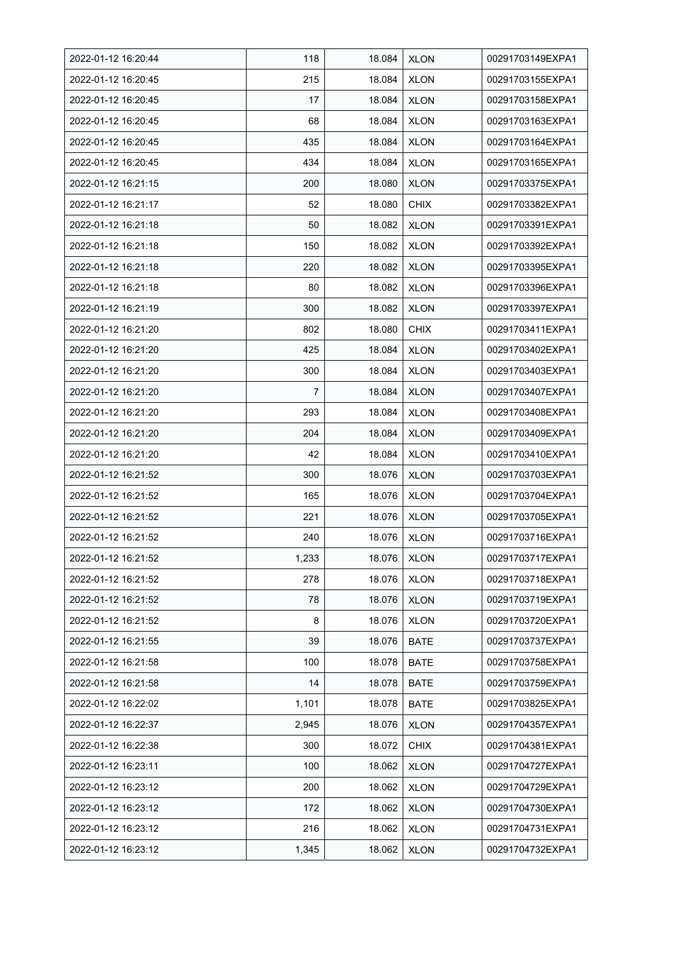| 2022-01-12 16:20:44 | 118   | 18.084 | <b>XLON</b> | 00291703149EXPA1 |
|---------------------|-------|--------|-------------|------------------|
| 2022-01-12 16:20:45 | 215   | 18.084 | <b>XLON</b> | 00291703155EXPA1 |
| 2022-01-12 16:20:45 | 17    | 18.084 | <b>XLON</b> | 00291703158EXPA1 |
| 2022-01-12 16:20:45 | 68    | 18.084 | <b>XLON</b> | 00291703163EXPA1 |
| 2022-01-12 16:20:45 | 435   | 18.084 | <b>XLON</b> | 00291703164EXPA1 |
| 2022-01-12 16:20:45 | 434   | 18.084 | <b>XLON</b> | 00291703165EXPA1 |
| 2022-01-12 16:21:15 | 200   | 18.080 | <b>XLON</b> | 00291703375EXPA1 |
| 2022-01-12 16:21:17 | 52    | 18.080 | <b>CHIX</b> | 00291703382EXPA1 |
| 2022-01-12 16:21:18 | 50    | 18.082 | <b>XLON</b> | 00291703391EXPA1 |
| 2022-01-12 16:21:18 | 150   | 18.082 | <b>XLON</b> | 00291703392EXPA1 |
| 2022-01-12 16:21:18 | 220   | 18.082 | <b>XLON</b> | 00291703395EXPA1 |
| 2022-01-12 16:21:18 | 80    | 18.082 | <b>XLON</b> | 00291703396EXPA1 |
| 2022-01-12 16:21:19 | 300   | 18.082 | <b>XLON</b> | 00291703397EXPA1 |
| 2022-01-12 16:21:20 | 802   | 18.080 | <b>CHIX</b> | 00291703411EXPA1 |
| 2022-01-12 16:21:20 | 425   | 18.084 | <b>XLON</b> | 00291703402EXPA1 |
| 2022-01-12 16:21:20 | 300   | 18.084 | <b>XLON</b> | 00291703403EXPA1 |
| 2022-01-12 16:21:20 | 7     | 18.084 | <b>XLON</b> | 00291703407EXPA1 |
| 2022-01-12 16:21:20 | 293   | 18.084 | <b>XLON</b> | 00291703408EXPA1 |
| 2022-01-12 16:21:20 | 204   | 18.084 | <b>XLON</b> | 00291703409EXPA1 |
| 2022-01-12 16:21:20 | 42    | 18.084 | <b>XLON</b> | 00291703410EXPA1 |
| 2022-01-12 16:21:52 | 300   | 18.076 | <b>XLON</b> | 00291703703EXPA1 |
| 2022-01-12 16:21:52 | 165   | 18.076 | <b>XLON</b> | 00291703704EXPA1 |
| 2022-01-12 16:21:52 | 221   | 18.076 | <b>XLON</b> | 00291703705EXPA1 |
| 2022-01-12 16:21:52 | 240   | 18.076 | <b>XLON</b> | 00291703716EXPA1 |
| 2022-01-12 16:21:52 | 1,233 | 18.076 | <b>XLON</b> | 00291703717EXPA1 |
| 2022-01-12 16:21:52 | 278   | 18.076 | <b>XLON</b> | 00291703718EXPA1 |
| 2022-01-12 16:21:52 | 78    | 18.076 | <b>XLON</b> | 00291703719EXPA1 |
| 2022-01-12 16:21:52 | 8     | 18.076 | <b>XLON</b> | 00291703720EXPA1 |
| 2022-01-12 16:21:55 | 39    | 18.076 | <b>BATE</b> | 00291703737EXPA1 |
| 2022-01-12 16:21:58 | 100   | 18.078 | <b>BATE</b> | 00291703758EXPA1 |
| 2022-01-12 16:21:58 | 14    | 18.078 | <b>BATE</b> | 00291703759EXPA1 |
| 2022-01-12 16:22:02 | 1,101 | 18.078 | <b>BATE</b> | 00291703825EXPA1 |
| 2022-01-12 16:22:37 | 2,945 | 18.076 | <b>XLON</b> | 00291704357EXPA1 |
| 2022-01-12 16:22:38 | 300   | 18.072 | <b>CHIX</b> | 00291704381EXPA1 |
| 2022-01-12 16:23:11 | 100   | 18.062 | <b>XLON</b> | 00291704727EXPA1 |
| 2022-01-12 16:23:12 | 200   | 18.062 | <b>XLON</b> | 00291704729EXPA1 |
| 2022-01-12 16:23:12 | 172   | 18.062 | <b>XLON</b> | 00291704730EXPA1 |
| 2022-01-12 16:23:12 | 216   | 18.062 | <b>XLON</b> | 00291704731EXPA1 |
| 2022-01-12 16:23:12 | 1,345 | 18.062 | <b>XLON</b> | 00291704732EXPA1 |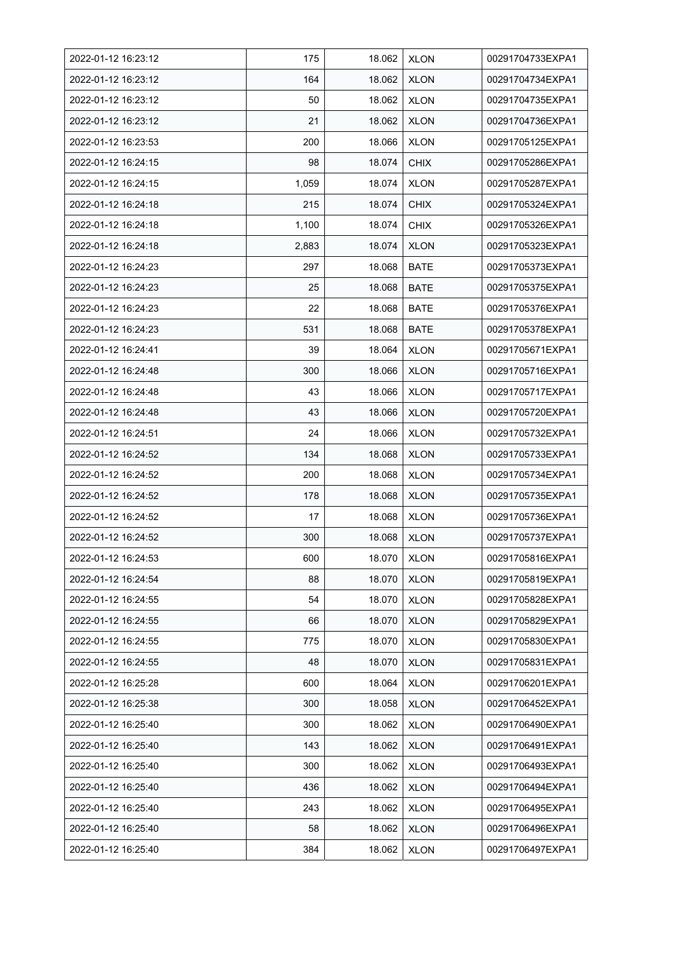| 2022-01-12 16:23:12 | 175   | 18.062 | <b>XLON</b> | 00291704733EXPA1 |
|---------------------|-------|--------|-------------|------------------|
| 2022-01-12 16:23:12 | 164   | 18.062 | <b>XLON</b> | 00291704734EXPA1 |
| 2022-01-12 16:23:12 | 50    | 18.062 | <b>XLON</b> | 00291704735EXPA1 |
| 2022-01-12 16:23:12 | 21    | 18.062 | <b>XLON</b> | 00291704736EXPA1 |
| 2022-01-12 16:23:53 | 200   | 18.066 | <b>XLON</b> | 00291705125EXPA1 |
| 2022-01-12 16:24:15 | 98    | 18.074 | <b>CHIX</b> | 00291705286EXPA1 |
| 2022-01-12 16:24:15 | 1,059 | 18.074 | <b>XLON</b> | 00291705287EXPA1 |
| 2022-01-12 16:24:18 | 215   | 18.074 | <b>CHIX</b> | 00291705324EXPA1 |
| 2022-01-12 16:24:18 | 1,100 | 18.074 | <b>CHIX</b> | 00291705326EXPA1 |
| 2022-01-12 16:24:18 | 2,883 | 18.074 | <b>XLON</b> | 00291705323EXPA1 |
| 2022-01-12 16:24:23 | 297   | 18.068 | <b>BATE</b> | 00291705373EXPA1 |
| 2022-01-12 16:24:23 | 25    | 18.068 | <b>BATE</b> | 00291705375EXPA1 |
| 2022-01-12 16:24:23 | 22    | 18.068 | <b>BATE</b> | 00291705376EXPA1 |
| 2022-01-12 16:24:23 | 531   | 18.068 | <b>BATE</b> | 00291705378EXPA1 |
| 2022-01-12 16:24:41 | 39    | 18.064 | <b>XLON</b> | 00291705671EXPA1 |
| 2022-01-12 16:24:48 | 300   | 18.066 | <b>XLON</b> | 00291705716EXPA1 |
| 2022-01-12 16:24:48 | 43    | 18.066 | <b>XLON</b> | 00291705717EXPA1 |
| 2022-01-12 16:24:48 | 43    | 18.066 | <b>XLON</b> | 00291705720EXPA1 |
| 2022-01-12 16:24:51 | 24    | 18.066 | <b>XLON</b> | 00291705732EXPA1 |
| 2022-01-12 16:24:52 | 134   | 18.068 | <b>XLON</b> | 00291705733EXPA1 |
| 2022-01-12 16:24:52 | 200   | 18.068 | <b>XLON</b> | 00291705734EXPA1 |
| 2022-01-12 16:24:52 | 178   | 18.068 | <b>XLON</b> | 00291705735EXPA1 |
| 2022-01-12 16:24:52 | 17    | 18.068 | <b>XLON</b> | 00291705736EXPA1 |
| 2022-01-12 16:24:52 | 300   | 18.068 | <b>XLON</b> | 00291705737EXPA1 |
| 2022-01-12 16:24:53 | 600   | 18.070 | <b>XLON</b> | 00291705816EXPA1 |
| 2022-01-12 16:24:54 | 88    | 18.070 | <b>XLON</b> | 00291705819EXPA1 |
| 2022-01-12 16:24:55 | 54    | 18.070 | <b>XLON</b> | 00291705828EXPA1 |
| 2022-01-12 16:24:55 | 66    | 18.070 | <b>XLON</b> | 00291705829EXPA1 |
| 2022-01-12 16:24:55 | 775   | 18.070 | <b>XLON</b> | 00291705830EXPA1 |
| 2022-01-12 16:24:55 | 48    | 18.070 | <b>XLON</b> | 00291705831EXPA1 |
| 2022-01-12 16:25:28 | 600   | 18.064 | <b>XLON</b> | 00291706201EXPA1 |
| 2022-01-12 16:25:38 | 300   | 18.058 | <b>XLON</b> | 00291706452EXPA1 |
| 2022-01-12 16:25:40 | 300   | 18.062 | <b>XLON</b> | 00291706490EXPA1 |
| 2022-01-12 16:25:40 | 143   | 18.062 | <b>XLON</b> | 00291706491EXPA1 |
| 2022-01-12 16:25:40 | 300   | 18.062 | XLON        | 00291706493EXPA1 |
| 2022-01-12 16:25:40 | 436   | 18.062 | <b>XLON</b> | 00291706494EXPA1 |
| 2022-01-12 16:25:40 | 243   | 18.062 | <b>XLON</b> | 00291706495EXPA1 |
| 2022-01-12 16:25:40 | 58    | 18.062 | <b>XLON</b> | 00291706496EXPA1 |
| 2022-01-12 16:25:40 | 384   | 18.062 | <b>XLON</b> | 00291706497EXPA1 |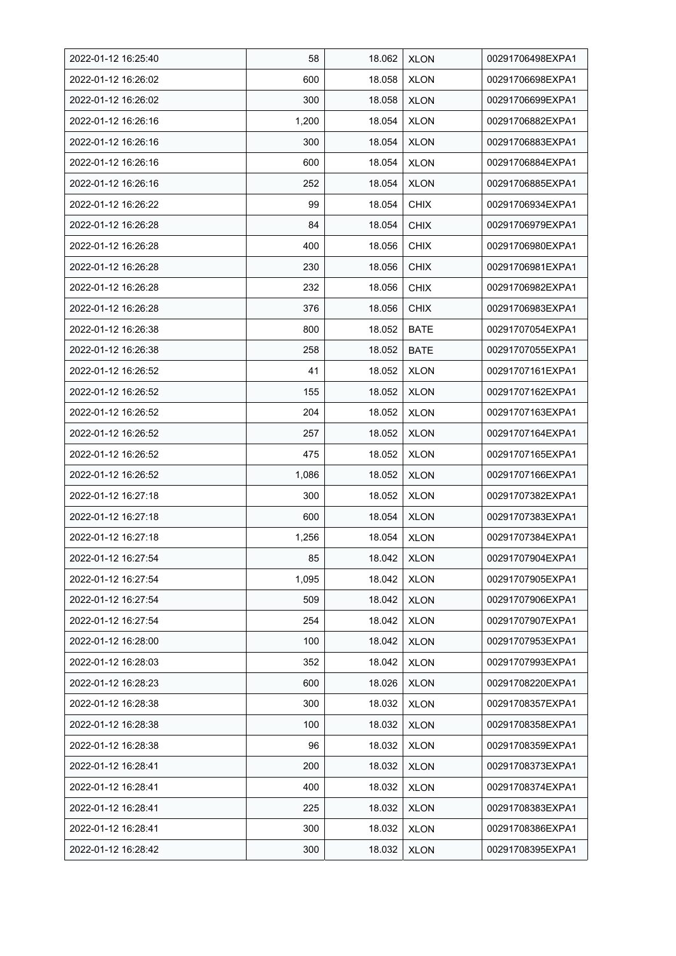| 2022-01-12 16:25:40 | 58    | 18.062 | <b>XLON</b> | 00291706498EXPA1 |
|---------------------|-------|--------|-------------|------------------|
| 2022-01-12 16:26:02 | 600   | 18.058 | <b>XLON</b> | 00291706698EXPA1 |
| 2022-01-12 16:26:02 | 300   | 18.058 | <b>XLON</b> | 00291706699EXPA1 |
| 2022-01-12 16:26:16 | 1,200 | 18.054 | <b>XLON</b> | 00291706882EXPA1 |
| 2022-01-12 16:26:16 | 300   | 18.054 | <b>XLON</b> | 00291706883EXPA1 |
| 2022-01-12 16:26:16 | 600   | 18.054 | <b>XLON</b> | 00291706884EXPA1 |
| 2022-01-12 16:26:16 | 252   | 18.054 | <b>XLON</b> | 00291706885EXPA1 |
| 2022-01-12 16:26:22 | 99    | 18.054 | <b>CHIX</b> | 00291706934EXPA1 |
| 2022-01-12 16:26:28 | 84    | 18.054 | <b>CHIX</b> | 00291706979EXPA1 |
| 2022-01-12 16:26:28 | 400   | 18.056 | <b>CHIX</b> | 00291706980EXPA1 |
| 2022-01-12 16:26:28 | 230   | 18.056 | <b>CHIX</b> | 00291706981EXPA1 |
| 2022-01-12 16:26:28 | 232   | 18.056 | <b>CHIX</b> | 00291706982EXPA1 |
| 2022-01-12 16:26:28 | 376   | 18.056 | <b>CHIX</b> | 00291706983EXPA1 |
| 2022-01-12 16:26:38 | 800   | 18.052 | <b>BATE</b> | 00291707054EXPA1 |
| 2022-01-12 16:26:38 | 258   | 18.052 | <b>BATE</b> | 00291707055EXPA1 |
| 2022-01-12 16:26:52 | 41    | 18.052 | <b>XLON</b> | 00291707161EXPA1 |
| 2022-01-12 16:26:52 | 155   | 18.052 | <b>XLON</b> | 00291707162EXPA1 |
| 2022-01-12 16:26:52 | 204   | 18.052 | XLON        | 00291707163EXPA1 |
| 2022-01-12 16:26:52 | 257   | 18.052 | <b>XLON</b> | 00291707164EXPA1 |
| 2022-01-12 16:26:52 | 475   | 18.052 | <b>XLON</b> | 00291707165EXPA1 |
| 2022-01-12 16:26:52 | 1,086 | 18.052 | <b>XLON</b> | 00291707166EXPA1 |
| 2022-01-12 16:27:18 | 300   | 18.052 | <b>XLON</b> | 00291707382EXPA1 |
| 2022-01-12 16:27:18 | 600   | 18.054 | <b>XLON</b> | 00291707383EXPA1 |
| 2022-01-12 16:27:18 | 1,256 | 18.054 | <b>XLON</b> | 00291707384EXPA1 |
| 2022-01-12 16:27:54 | 85    | 18.042 | <b>XLON</b> | 00291707904EXPA1 |
| 2022-01-12 16:27:54 | 1,095 | 18.042 | <b>XLON</b> | 00291707905EXPA1 |
| 2022-01-12 16:27:54 | 509   | 18.042 | <b>XLON</b> | 00291707906EXPA1 |
| 2022-01-12 16:27:54 | 254   | 18.042 | <b>XLON</b> | 00291707907EXPA1 |
| 2022-01-12 16:28:00 | 100   | 18.042 | <b>XLON</b> | 00291707953EXPA1 |
| 2022-01-12 16:28:03 | 352   | 18.042 | <b>XLON</b> | 00291707993EXPA1 |
| 2022-01-12 16:28:23 | 600   | 18.026 | <b>XLON</b> | 00291708220EXPA1 |
| 2022-01-12 16:28:38 | 300   | 18.032 | <b>XLON</b> | 00291708357EXPA1 |
| 2022-01-12 16:28:38 | 100   | 18.032 | <b>XLON</b> | 00291708358EXPA1 |
| 2022-01-12 16:28:38 | 96    | 18.032 | <b>XLON</b> | 00291708359EXPA1 |
| 2022-01-12 16:28:41 | 200   | 18.032 | <b>XLON</b> | 00291708373EXPA1 |
| 2022-01-12 16:28:41 | 400   | 18.032 | <b>XLON</b> | 00291708374EXPA1 |
| 2022-01-12 16:28:41 | 225   | 18.032 | <b>XLON</b> | 00291708383EXPA1 |
| 2022-01-12 16:28:41 | 300   | 18.032 | <b>XLON</b> | 00291708386EXPA1 |
| 2022-01-12 16:28:42 | 300   | 18.032 | <b>XLON</b> | 00291708395EXPA1 |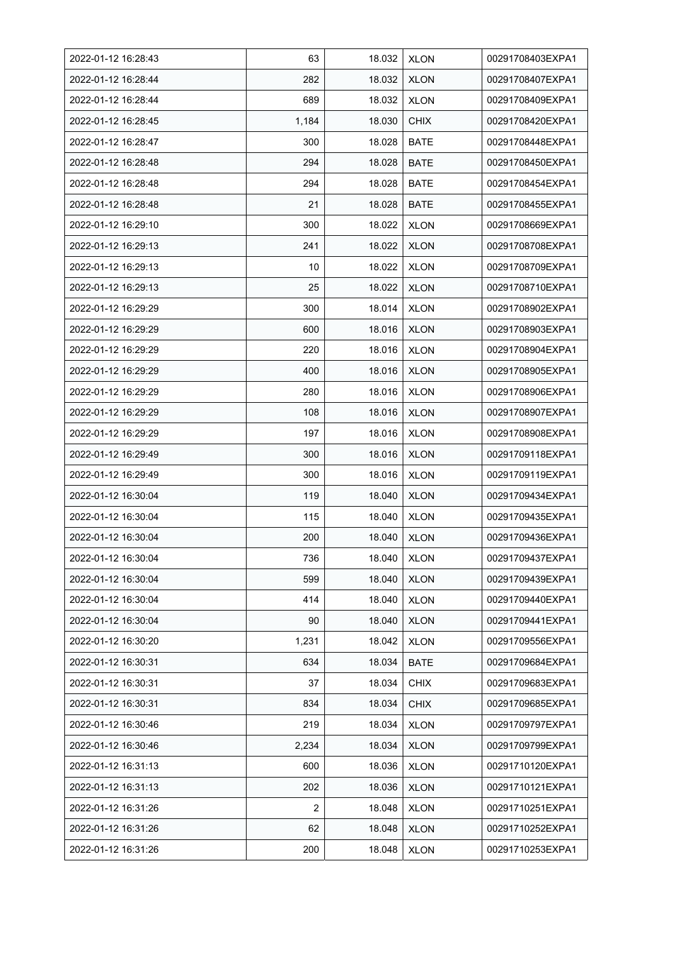| 2022-01-12 16:28:43 | 63    | 18.032 | <b>XLON</b> | 00291708403EXPA1 |
|---------------------|-------|--------|-------------|------------------|
| 2022-01-12 16:28:44 | 282   | 18.032 | <b>XLON</b> | 00291708407EXPA1 |
| 2022-01-12 16:28:44 | 689   | 18.032 | <b>XLON</b> | 00291708409EXPA1 |
| 2022-01-12 16:28:45 | 1,184 | 18.030 | <b>CHIX</b> | 00291708420EXPA1 |
| 2022-01-12 16:28:47 | 300   | 18.028 | <b>BATE</b> | 00291708448EXPA1 |
| 2022-01-12 16:28:48 | 294   | 18.028 | <b>BATE</b> | 00291708450EXPA1 |
| 2022-01-12 16:28:48 | 294   | 18.028 | <b>BATE</b> | 00291708454EXPA1 |
| 2022-01-12 16:28:48 | 21    | 18.028 | <b>BATE</b> | 00291708455EXPA1 |
| 2022-01-12 16:29:10 | 300   | 18.022 | <b>XLON</b> | 00291708669EXPA1 |
| 2022-01-12 16:29:13 | 241   | 18.022 | <b>XLON</b> | 00291708708EXPA1 |
| 2022-01-12 16:29:13 | 10    | 18.022 | <b>XLON</b> | 00291708709EXPA1 |
| 2022-01-12 16:29:13 | 25    | 18.022 | <b>XLON</b> | 00291708710EXPA1 |
| 2022-01-12 16:29:29 | 300   | 18.014 | <b>XLON</b> | 00291708902EXPA1 |
| 2022-01-12 16:29:29 | 600   | 18.016 | <b>XLON</b> | 00291708903EXPA1 |
| 2022-01-12 16:29:29 | 220   | 18.016 | <b>XLON</b> | 00291708904EXPA1 |
| 2022-01-12 16:29:29 | 400   | 18.016 | <b>XLON</b> | 00291708905EXPA1 |
| 2022-01-12 16:29:29 | 280   | 18.016 | <b>XLON</b> | 00291708906EXPA1 |
| 2022-01-12 16:29:29 | 108   | 18.016 | <b>XLON</b> | 00291708907EXPA1 |
| 2022-01-12 16:29:29 | 197   | 18.016 | <b>XLON</b> | 00291708908EXPA1 |
| 2022-01-12 16:29:49 | 300   | 18.016 | <b>XLON</b> | 00291709118EXPA1 |
| 2022-01-12 16:29:49 | 300   | 18.016 | <b>XLON</b> | 00291709119EXPA1 |
| 2022-01-12 16:30:04 | 119   | 18.040 | <b>XLON</b> | 00291709434EXPA1 |
| 2022-01-12 16:30:04 | 115   | 18.040 | <b>XLON</b> | 00291709435EXPA1 |
| 2022-01-12 16:30:04 | 200   | 18.040 | <b>XLON</b> | 00291709436EXPA1 |
| 2022-01-12 16:30:04 | 736   | 18.040 | <b>XLON</b> | 00291709437EXPA1 |
| 2022-01-12 16:30:04 | 599   | 18.040 | <b>XLON</b> | 00291709439EXPA1 |
| 2022-01-12 16:30:04 | 414   | 18.040 | <b>XLON</b> | 00291709440EXPA1 |
| 2022-01-12 16:30:04 | 90    | 18.040 | <b>XLON</b> | 00291709441EXPA1 |
| 2022-01-12 16:30:20 | 1,231 | 18.042 | <b>XLON</b> | 00291709556EXPA1 |
| 2022-01-12 16:30:31 | 634   | 18.034 | <b>BATE</b> | 00291709684EXPA1 |
| 2022-01-12 16:30:31 | 37    | 18.034 | <b>CHIX</b> | 00291709683EXPA1 |
| 2022-01-12 16:30:31 | 834   | 18.034 | <b>CHIX</b> | 00291709685EXPA1 |
| 2022-01-12 16:30:46 | 219   | 18.034 | <b>XLON</b> | 00291709797EXPA1 |
| 2022-01-12 16:30:46 | 2,234 | 18.034 | <b>XLON</b> | 00291709799EXPA1 |
| 2022-01-12 16:31:13 | 600   | 18.036 | <b>XLON</b> | 00291710120EXPA1 |
| 2022-01-12 16:31:13 | 202   | 18.036 | <b>XLON</b> | 00291710121EXPA1 |
| 2022-01-12 16:31:26 | 2     | 18.048 | <b>XLON</b> | 00291710251EXPA1 |
| 2022-01-12 16:31:26 | 62    | 18.048 | <b>XLON</b> | 00291710252EXPA1 |
| 2022-01-12 16:31:26 | 200   | 18.048 | <b>XLON</b> | 00291710253EXPA1 |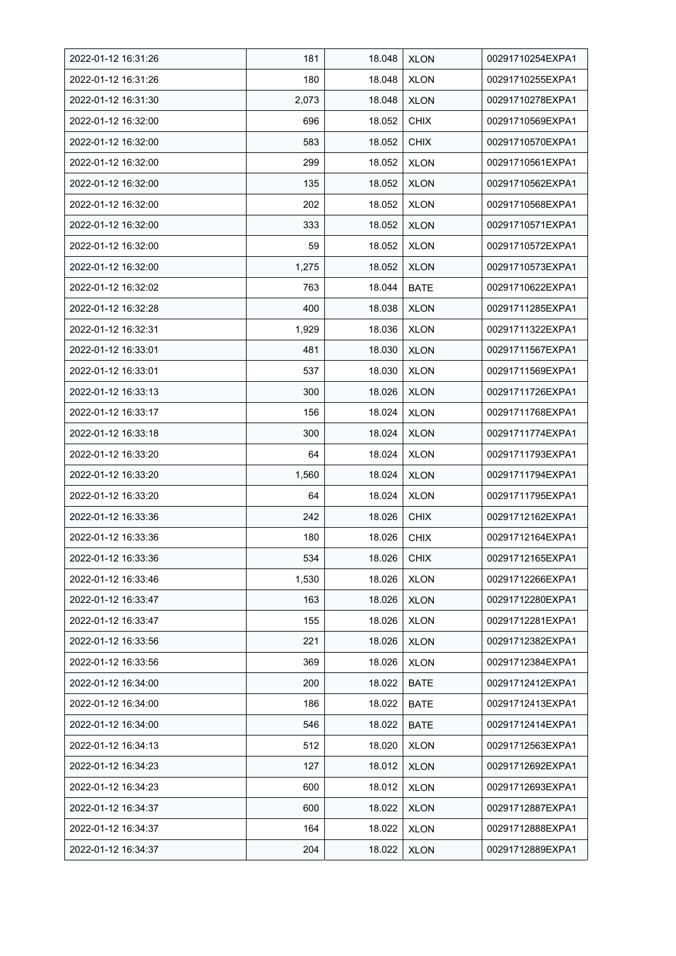| 2022-01-12 16:31:26 | 181   | 18.048 | <b>XLON</b> | 00291710254EXPA1 |
|---------------------|-------|--------|-------------|------------------|
| 2022-01-12 16:31:26 | 180   | 18.048 | <b>XLON</b> | 00291710255EXPA1 |
| 2022-01-12 16:31:30 | 2,073 | 18.048 | <b>XLON</b> | 00291710278EXPA1 |
| 2022-01-12 16:32:00 | 696   | 18.052 | <b>CHIX</b> | 00291710569EXPA1 |
| 2022-01-12 16:32:00 | 583   | 18.052 | <b>CHIX</b> | 00291710570EXPA1 |
| 2022-01-12 16:32:00 | 299   | 18.052 | <b>XLON</b> | 00291710561EXPA1 |
| 2022-01-12 16:32:00 | 135   | 18.052 | <b>XLON</b> | 00291710562EXPA1 |
| 2022-01-12 16:32:00 | 202   | 18.052 | <b>XLON</b> | 00291710568EXPA1 |
| 2022-01-12 16:32:00 | 333   | 18.052 | <b>XLON</b> | 00291710571EXPA1 |
| 2022-01-12 16:32:00 | 59    | 18.052 | <b>XLON</b> | 00291710572EXPA1 |
| 2022-01-12 16:32:00 | 1,275 | 18.052 | <b>XLON</b> | 00291710573EXPA1 |
| 2022-01-12 16:32:02 | 763   | 18.044 | <b>BATE</b> | 00291710622EXPA1 |
| 2022-01-12 16:32:28 | 400   | 18.038 | <b>XLON</b> | 00291711285EXPA1 |
| 2022-01-12 16:32:31 | 1,929 | 18.036 | <b>XLON</b> | 00291711322EXPA1 |
| 2022-01-12 16:33:01 | 481   | 18.030 | <b>XLON</b> | 00291711567EXPA1 |
| 2022-01-12 16:33:01 | 537   | 18.030 | <b>XLON</b> | 00291711569EXPA1 |
| 2022-01-12 16:33:13 | 300   | 18.026 | <b>XLON</b> | 00291711726EXPA1 |
| 2022-01-12 16:33:17 | 156   | 18.024 | <b>XLON</b> | 00291711768EXPA1 |
| 2022-01-12 16:33:18 | 300   | 18.024 | <b>XLON</b> | 00291711774EXPA1 |
| 2022-01-12 16:33:20 | 64    | 18.024 | <b>XLON</b> | 00291711793EXPA1 |
| 2022-01-12 16:33:20 | 1,560 | 18.024 | <b>XLON</b> | 00291711794EXPA1 |
| 2022-01-12 16:33:20 | 64    | 18.024 | <b>XLON</b> | 00291711795EXPA1 |
| 2022-01-12 16:33:36 | 242   | 18.026 | <b>CHIX</b> | 00291712162EXPA1 |
| 2022-01-12 16:33:36 | 180   | 18.026 | <b>CHIX</b> | 00291712164EXPA1 |
| 2022-01-12 16:33:36 | 534   | 18.026 | <b>CHIX</b> | 00291712165EXPA1 |
| 2022-01-12 16:33:46 | 1,530 | 18.026 | <b>XLON</b> | 00291712266EXPA1 |
| 2022-01-12 16:33:47 | 163   | 18.026 | <b>XLON</b> | 00291712280EXPA1 |
| 2022-01-12 16:33:47 | 155   | 18.026 | <b>XLON</b> | 00291712281EXPA1 |
| 2022-01-12 16:33:56 | 221   | 18.026 | <b>XLON</b> | 00291712382EXPA1 |
| 2022-01-12 16:33:56 | 369   | 18.026 | <b>XLON</b> | 00291712384EXPA1 |
| 2022-01-12 16:34:00 | 200   | 18.022 | <b>BATE</b> | 00291712412EXPA1 |
| 2022-01-12 16:34:00 | 186   | 18.022 | <b>BATE</b> | 00291712413EXPA1 |
| 2022-01-12 16:34:00 | 546   | 18.022 | <b>BATE</b> | 00291712414EXPA1 |
| 2022-01-12 16:34:13 | 512   | 18.020 | <b>XLON</b> | 00291712563EXPA1 |
| 2022-01-12 16:34:23 | 127   | 18.012 | <b>XLON</b> | 00291712692EXPA1 |
| 2022-01-12 16:34:23 | 600   | 18.012 | <b>XLON</b> | 00291712693EXPA1 |
| 2022-01-12 16:34:37 | 600   | 18.022 | <b>XLON</b> | 00291712887EXPA1 |
| 2022-01-12 16:34:37 | 164   | 18.022 | <b>XLON</b> | 00291712888EXPA1 |
| 2022-01-12 16:34:37 | 204   | 18.022 | <b>XLON</b> | 00291712889EXPA1 |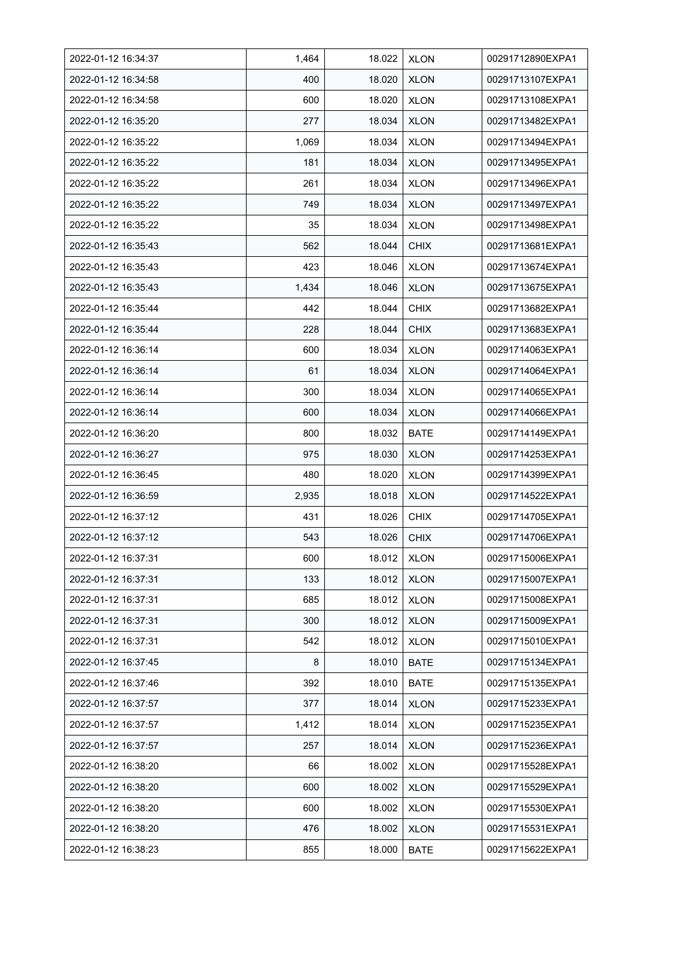| 2022-01-12 16:34:37 | 1,464 | 18.022 | <b>XLON</b> | 00291712890EXPA1 |
|---------------------|-------|--------|-------------|------------------|
| 2022-01-12 16:34:58 | 400   | 18.020 | <b>XLON</b> | 00291713107EXPA1 |
| 2022-01-12 16:34:58 | 600   | 18.020 | <b>XLON</b> | 00291713108EXPA1 |
| 2022-01-12 16:35:20 | 277   | 18.034 | <b>XLON</b> | 00291713482EXPA1 |
| 2022-01-12 16:35:22 | 1,069 | 18.034 | <b>XLON</b> | 00291713494EXPA1 |
| 2022-01-12 16:35:22 | 181   | 18.034 | <b>XLON</b> | 00291713495EXPA1 |
| 2022-01-12 16:35:22 | 261   | 18.034 | <b>XLON</b> | 00291713496EXPA1 |
| 2022-01-12 16:35:22 | 749   | 18.034 | <b>XLON</b> | 00291713497EXPA1 |
| 2022-01-12 16:35:22 | 35    | 18.034 | <b>XLON</b> | 00291713498EXPA1 |
| 2022-01-12 16:35:43 | 562   | 18.044 | <b>CHIX</b> | 00291713681EXPA1 |
| 2022-01-12 16:35:43 | 423   | 18.046 | <b>XLON</b> | 00291713674EXPA1 |
| 2022-01-12 16:35:43 | 1,434 | 18.046 | <b>XLON</b> | 00291713675EXPA1 |
| 2022-01-12 16:35:44 | 442   | 18.044 | <b>CHIX</b> | 00291713682EXPA1 |
| 2022-01-12 16:35:44 | 228   | 18.044 | <b>CHIX</b> | 00291713683EXPA1 |
| 2022-01-12 16:36:14 | 600   | 18.034 | <b>XLON</b> | 00291714063EXPA1 |
| 2022-01-12 16:36:14 | 61    | 18.034 | <b>XLON</b> | 00291714064EXPA1 |
| 2022-01-12 16:36:14 | 300   | 18.034 | <b>XLON</b> | 00291714065EXPA1 |
| 2022-01-12 16:36:14 | 600   | 18.034 | <b>XLON</b> | 00291714066EXPA1 |
| 2022-01-12 16:36:20 | 800   | 18.032 | <b>BATE</b> | 00291714149EXPA1 |
| 2022-01-12 16:36:27 | 975   | 18.030 | <b>XLON</b> | 00291714253EXPA1 |
| 2022-01-12 16:36:45 | 480   | 18.020 | <b>XLON</b> | 00291714399EXPA1 |
| 2022-01-12 16:36:59 | 2,935 | 18.018 | <b>XLON</b> | 00291714522EXPA1 |
| 2022-01-12 16:37:12 | 431   | 18.026 | <b>CHIX</b> | 00291714705EXPA1 |
| 2022-01-12 16:37:12 | 543   | 18.026 | <b>CHIX</b> | 00291714706EXPA1 |
| 2022-01-12 16:37:31 | 600   | 18.012 | <b>XLON</b> | 00291715006EXPA1 |
| 2022-01-12 16:37:31 | 133   | 18.012 | <b>XLON</b> | 00291715007EXPA1 |
| 2022-01-12 16:37:31 | 685   | 18.012 | <b>XLON</b> | 00291715008EXPA1 |
| 2022-01-12 16:37:31 | 300   | 18.012 | <b>XLON</b> | 00291715009EXPA1 |
| 2022-01-12 16:37:31 | 542   | 18.012 | <b>XLON</b> | 00291715010EXPA1 |
| 2022-01-12 16:37:45 | 8     | 18.010 | BATE        | 00291715134EXPA1 |
| 2022-01-12 16:37:46 | 392   | 18.010 | BATE        | 00291715135EXPA1 |
| 2022-01-12 16:37:57 | 377   | 18.014 | <b>XLON</b> | 00291715233EXPA1 |
| 2022-01-12 16:37:57 | 1,412 | 18.014 | <b>XLON</b> | 00291715235EXPA1 |
| 2022-01-12 16:37:57 | 257   | 18.014 | <b>XLON</b> | 00291715236EXPA1 |
| 2022-01-12 16:38:20 | 66    | 18.002 | <b>XLON</b> | 00291715528EXPA1 |
| 2022-01-12 16:38:20 | 600   | 18.002 | <b>XLON</b> | 00291715529EXPA1 |
| 2022-01-12 16:38:20 | 600   | 18.002 | <b>XLON</b> | 00291715530EXPA1 |
| 2022-01-12 16:38:20 | 476   | 18.002 | <b>XLON</b> | 00291715531EXPA1 |
| 2022-01-12 16:38:23 | 855   | 18.000 | <b>BATE</b> | 00291715622EXPA1 |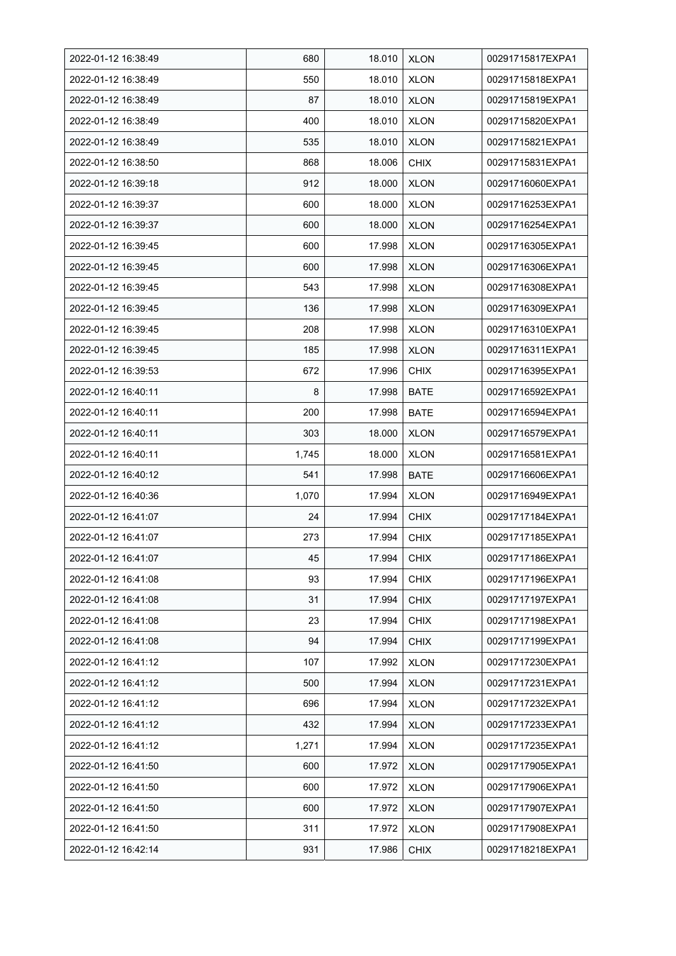| 2022-01-12 16:38:49 | 680   | 18.010 | <b>XLON</b> | 00291715817EXPA1 |
|---------------------|-------|--------|-------------|------------------|
| 2022-01-12 16:38:49 | 550   | 18.010 | <b>XLON</b> | 00291715818EXPA1 |
| 2022-01-12 16:38:49 | 87    | 18.010 | <b>XLON</b> | 00291715819EXPA1 |
| 2022-01-12 16:38:49 | 400   | 18.010 | <b>XLON</b> | 00291715820EXPA1 |
| 2022-01-12 16:38:49 | 535   | 18.010 | <b>XLON</b> | 00291715821EXPA1 |
| 2022-01-12 16:38:50 | 868   | 18.006 | <b>CHIX</b> | 00291715831EXPA1 |
| 2022-01-12 16:39:18 | 912   | 18.000 | <b>XLON</b> | 00291716060EXPA1 |
| 2022-01-12 16:39:37 | 600   | 18.000 | <b>XLON</b> | 00291716253EXPA1 |
| 2022-01-12 16:39:37 | 600   | 18.000 | <b>XLON</b> | 00291716254EXPA1 |
| 2022-01-12 16:39:45 | 600   | 17.998 | <b>XLON</b> | 00291716305EXPA1 |
| 2022-01-12 16:39:45 | 600   | 17.998 | <b>XLON</b> | 00291716306EXPA1 |
| 2022-01-12 16:39:45 | 543   | 17.998 | <b>XLON</b> | 00291716308EXPA1 |
| 2022-01-12 16:39:45 | 136   | 17.998 | <b>XLON</b> | 00291716309EXPA1 |
| 2022-01-12 16:39:45 | 208   | 17.998 | <b>XLON</b> | 00291716310EXPA1 |
| 2022-01-12 16:39:45 | 185   | 17.998 | <b>XLON</b> | 00291716311EXPA1 |
| 2022-01-12 16:39:53 | 672   | 17.996 | <b>CHIX</b> | 00291716395EXPA1 |
| 2022-01-12 16:40:11 | 8     | 17.998 | <b>BATE</b> | 00291716592EXPA1 |
| 2022-01-12 16:40:11 | 200   | 17.998 | <b>BATE</b> | 00291716594EXPA1 |
| 2022-01-12 16:40:11 | 303   | 18.000 | <b>XLON</b> | 00291716579EXPA1 |
| 2022-01-12 16:40:11 | 1,745 | 18.000 | <b>XLON</b> | 00291716581EXPA1 |
| 2022-01-12 16:40:12 | 541   | 17.998 | <b>BATE</b> | 00291716606EXPA1 |
| 2022-01-12 16:40:36 | 1,070 | 17.994 | <b>XLON</b> | 00291716949EXPA1 |
| 2022-01-12 16:41:07 | 24    | 17.994 | <b>CHIX</b> | 00291717184EXPA1 |
| 2022-01-12 16:41:07 | 273   | 17.994 | <b>CHIX</b> | 00291717185EXPA1 |
| 2022-01-12 16:41:07 | 45    | 17.994 | <b>CHIX</b> | 00291717186EXPA1 |
| 2022-01-12 16:41:08 | 93    | 17.994 | <b>CHIX</b> | 00291717196EXPA1 |
| 2022-01-12 16:41:08 | 31    | 17.994 | <b>CHIX</b> | 00291717197EXPA1 |
| 2022-01-12 16:41:08 | 23    | 17.994 | <b>CHIX</b> | 00291717198EXPA1 |
| 2022-01-12 16:41:08 | 94    | 17.994 | <b>CHIX</b> | 00291717199EXPA1 |
| 2022-01-12 16:41:12 | 107   | 17.992 | <b>XLON</b> | 00291717230EXPA1 |
| 2022-01-12 16:41:12 | 500   | 17.994 | <b>XLON</b> | 00291717231EXPA1 |
| 2022-01-12 16:41:12 | 696   | 17.994 | <b>XLON</b> | 00291717232EXPA1 |
| 2022-01-12 16:41:12 | 432   | 17.994 | <b>XLON</b> | 00291717233EXPA1 |
| 2022-01-12 16:41:12 | 1,271 | 17.994 | <b>XLON</b> | 00291717235EXPA1 |
| 2022-01-12 16:41:50 | 600   | 17.972 | <b>XLON</b> | 00291717905EXPA1 |
| 2022-01-12 16:41:50 | 600   | 17.972 | <b>XLON</b> | 00291717906EXPA1 |
| 2022-01-12 16:41:50 | 600   | 17.972 | <b>XLON</b> | 00291717907EXPA1 |
| 2022-01-12 16:41:50 | 311   | 17.972 | <b>XLON</b> | 00291717908EXPA1 |
| 2022-01-12 16:42:14 | 931   | 17.986 | <b>CHIX</b> | 00291718218EXPA1 |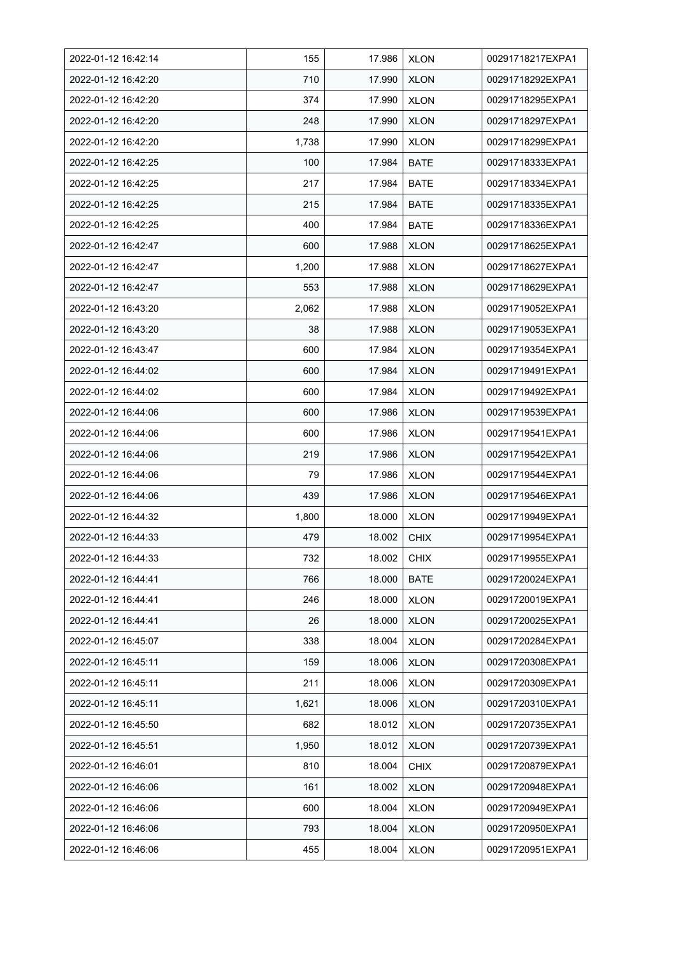| 2022-01-12 16:42:14 | 155   | 17.986 | <b>XLON</b> | 00291718217EXPA1 |
|---------------------|-------|--------|-------------|------------------|
| 2022-01-12 16:42:20 | 710   | 17.990 | <b>XLON</b> | 00291718292EXPA1 |
| 2022-01-12 16:42:20 | 374   | 17.990 | <b>XLON</b> | 00291718295EXPA1 |
| 2022-01-12 16:42:20 | 248   | 17.990 | <b>XLON</b> | 00291718297EXPA1 |
| 2022-01-12 16:42:20 | 1,738 | 17.990 | <b>XLON</b> | 00291718299EXPA1 |
| 2022-01-12 16:42:25 | 100   | 17.984 | <b>BATE</b> | 00291718333EXPA1 |
| 2022-01-12 16:42:25 | 217   | 17.984 | <b>BATE</b> | 00291718334EXPA1 |
| 2022-01-12 16:42:25 | 215   | 17.984 | <b>BATE</b> | 00291718335EXPA1 |
| 2022-01-12 16:42:25 | 400   | 17.984 | <b>BATE</b> | 00291718336EXPA1 |
| 2022-01-12 16:42:47 | 600   | 17.988 | <b>XLON</b> | 00291718625EXPA1 |
| 2022-01-12 16:42:47 | 1,200 | 17.988 | <b>XLON</b> | 00291718627EXPA1 |
| 2022-01-12 16:42:47 | 553   | 17.988 | <b>XLON</b> | 00291718629EXPA1 |
| 2022-01-12 16:43:20 | 2,062 | 17.988 | <b>XLON</b> | 00291719052EXPA1 |
| 2022-01-12 16:43:20 | 38    | 17.988 | <b>XLON</b> | 00291719053EXPA1 |
| 2022-01-12 16:43:47 | 600   | 17.984 | <b>XLON</b> | 00291719354EXPA1 |
| 2022-01-12 16:44:02 | 600   | 17.984 | <b>XLON</b> | 00291719491EXPA1 |
| 2022-01-12 16:44:02 | 600   | 17.984 | <b>XLON</b> | 00291719492EXPA1 |
| 2022-01-12 16:44:06 | 600   | 17.986 | <b>XLON</b> | 00291719539EXPA1 |
| 2022-01-12 16:44:06 | 600   | 17.986 | <b>XLON</b> | 00291719541EXPA1 |
| 2022-01-12 16:44:06 | 219   | 17.986 | <b>XLON</b> | 00291719542EXPA1 |
| 2022-01-12 16:44:06 | 79    | 17.986 | <b>XLON</b> | 00291719544EXPA1 |
| 2022-01-12 16:44:06 | 439   | 17.986 | <b>XLON</b> | 00291719546EXPA1 |
| 2022-01-12 16:44:32 | 1,800 | 18.000 | <b>XLON</b> | 00291719949EXPA1 |
| 2022-01-12 16:44:33 | 479   | 18.002 | <b>CHIX</b> | 00291719954EXPA1 |
| 2022-01-12 16:44:33 | 732   | 18.002 | <b>CHIX</b> | 00291719955EXPA1 |
| 2022-01-12 16:44:41 | 766   | 18.000 | <b>BATE</b> | 00291720024EXPA1 |
| 2022-01-12 16:44:41 | 246   | 18.000 | <b>XLON</b> | 00291720019EXPA1 |
| 2022-01-12 16:44:41 | 26    | 18.000 | <b>XLON</b> | 00291720025EXPA1 |
| 2022-01-12 16:45:07 | 338   | 18.004 | <b>XLON</b> | 00291720284EXPA1 |
| 2022-01-12 16:45:11 | 159   | 18.006 | <b>XLON</b> | 00291720308EXPA1 |
| 2022-01-12 16:45:11 | 211   | 18.006 | <b>XLON</b> | 00291720309EXPA1 |
| 2022-01-12 16:45:11 | 1,621 | 18.006 | <b>XLON</b> | 00291720310EXPA1 |
| 2022-01-12 16:45:50 | 682   | 18.012 | <b>XLON</b> | 00291720735EXPA1 |
| 2022-01-12 16:45:51 | 1,950 | 18.012 | <b>XLON</b> | 00291720739EXPA1 |
| 2022-01-12 16:46:01 | 810   | 18.004 | <b>CHIX</b> | 00291720879EXPA1 |
| 2022-01-12 16:46:06 | 161   | 18.002 | <b>XLON</b> | 00291720948EXPA1 |
| 2022-01-12 16:46:06 | 600   | 18.004 | <b>XLON</b> | 00291720949EXPA1 |
| 2022-01-12 16:46:06 | 793   | 18.004 | <b>XLON</b> | 00291720950EXPA1 |
| 2022-01-12 16:46:06 | 455   | 18.004 | <b>XLON</b> | 00291720951EXPA1 |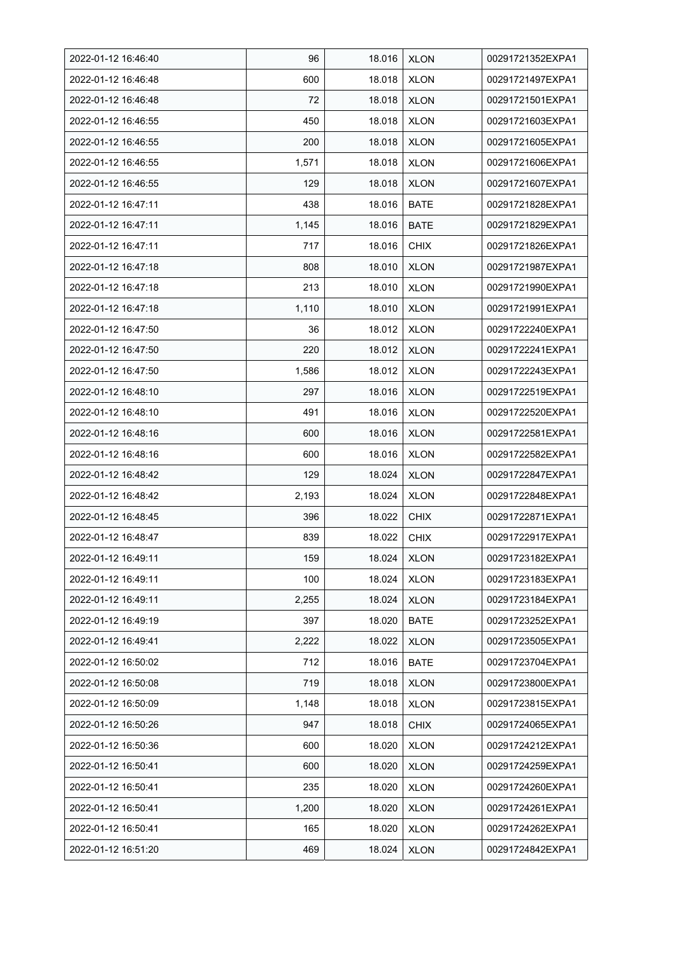| 2022-01-12 16:46:40 | 96    | 18.016 | <b>XLON</b> | 00291721352EXPA1 |
|---------------------|-------|--------|-------------|------------------|
| 2022-01-12 16:46:48 | 600   | 18.018 | <b>XLON</b> | 00291721497EXPA1 |
| 2022-01-12 16:46:48 | 72    | 18.018 | <b>XLON</b> | 00291721501EXPA1 |
| 2022-01-12 16:46:55 | 450   | 18.018 | <b>XLON</b> | 00291721603EXPA1 |
| 2022-01-12 16:46:55 | 200   | 18.018 | <b>XLON</b> | 00291721605EXPA1 |
| 2022-01-12 16:46:55 | 1,571 | 18.018 | <b>XLON</b> | 00291721606EXPA1 |
| 2022-01-12 16:46:55 | 129   | 18.018 | <b>XLON</b> | 00291721607EXPA1 |
| 2022-01-12 16:47:11 | 438   | 18.016 | <b>BATE</b> | 00291721828EXPA1 |
| 2022-01-12 16:47:11 | 1,145 | 18.016 | <b>BATE</b> | 00291721829EXPA1 |
| 2022-01-12 16:47:11 | 717   | 18.016 | <b>CHIX</b> | 00291721826EXPA1 |
| 2022-01-12 16:47:18 | 808   | 18.010 | <b>XLON</b> | 00291721987EXPA1 |
| 2022-01-12 16:47:18 | 213   | 18.010 | <b>XLON</b> | 00291721990EXPA1 |
| 2022-01-12 16:47:18 | 1,110 | 18.010 | <b>XLON</b> | 00291721991EXPA1 |
| 2022-01-12 16:47:50 | 36    | 18.012 | <b>XLON</b> | 00291722240EXPA1 |
| 2022-01-12 16:47:50 | 220   | 18.012 | <b>XLON</b> | 00291722241EXPA1 |
| 2022-01-12 16:47:50 | 1,586 | 18.012 | <b>XLON</b> | 00291722243EXPA1 |
| 2022-01-12 16:48:10 | 297   | 18.016 | <b>XLON</b> | 00291722519EXPA1 |
| 2022-01-12 16:48:10 | 491   | 18.016 | <b>XLON</b> | 00291722520EXPA1 |
| 2022-01-12 16:48:16 | 600   | 18.016 | <b>XLON</b> | 00291722581EXPA1 |
| 2022-01-12 16:48:16 | 600   | 18.016 | <b>XLON</b> | 00291722582EXPA1 |
| 2022-01-12 16:48:42 | 129   | 18.024 | <b>XLON</b> | 00291722847EXPA1 |
| 2022-01-12 16:48:42 | 2,193 | 18.024 | <b>XLON</b> | 00291722848EXPA1 |
| 2022-01-12 16:48:45 | 396   | 18.022 | <b>CHIX</b> | 00291722871EXPA1 |
| 2022-01-12 16:48:47 | 839   | 18.022 | <b>CHIX</b> | 00291722917EXPA1 |
| 2022-01-12 16:49:11 | 159   | 18.024 | <b>XLON</b> | 00291723182EXPA1 |
| 2022-01-12 16:49:11 | 100   | 18.024 | <b>XLON</b> | 00291723183EXPA1 |
| 2022-01-12 16:49:11 | 2,255 | 18.024 | <b>XLON</b> | 00291723184EXPA1 |
| 2022-01-12 16:49:19 | 397   | 18.020 | <b>BATE</b> | 00291723252EXPA1 |
| 2022-01-12 16:49:41 | 2,222 | 18.022 | <b>XLON</b> | 00291723505EXPA1 |
| 2022-01-12 16:50:02 | 712   | 18.016 | <b>BATE</b> | 00291723704EXPA1 |
| 2022-01-12 16:50:08 | 719   | 18.018 | <b>XLON</b> | 00291723800EXPA1 |
| 2022-01-12 16:50:09 | 1,148 | 18.018 | <b>XLON</b> | 00291723815EXPA1 |
| 2022-01-12 16:50:26 | 947   | 18.018 | <b>CHIX</b> | 00291724065EXPA1 |
| 2022-01-12 16:50:36 | 600   | 18.020 | <b>XLON</b> | 00291724212EXPA1 |
| 2022-01-12 16:50:41 | 600   | 18.020 | <b>XLON</b> | 00291724259EXPA1 |
| 2022-01-12 16:50:41 | 235   | 18.020 | <b>XLON</b> | 00291724260EXPA1 |
| 2022-01-12 16:50:41 | 1,200 | 18.020 | <b>XLON</b> | 00291724261EXPA1 |
| 2022-01-12 16:50:41 | 165   | 18.020 | <b>XLON</b> | 00291724262EXPA1 |
| 2022-01-12 16:51:20 | 469   | 18.024 | <b>XLON</b> | 00291724842EXPA1 |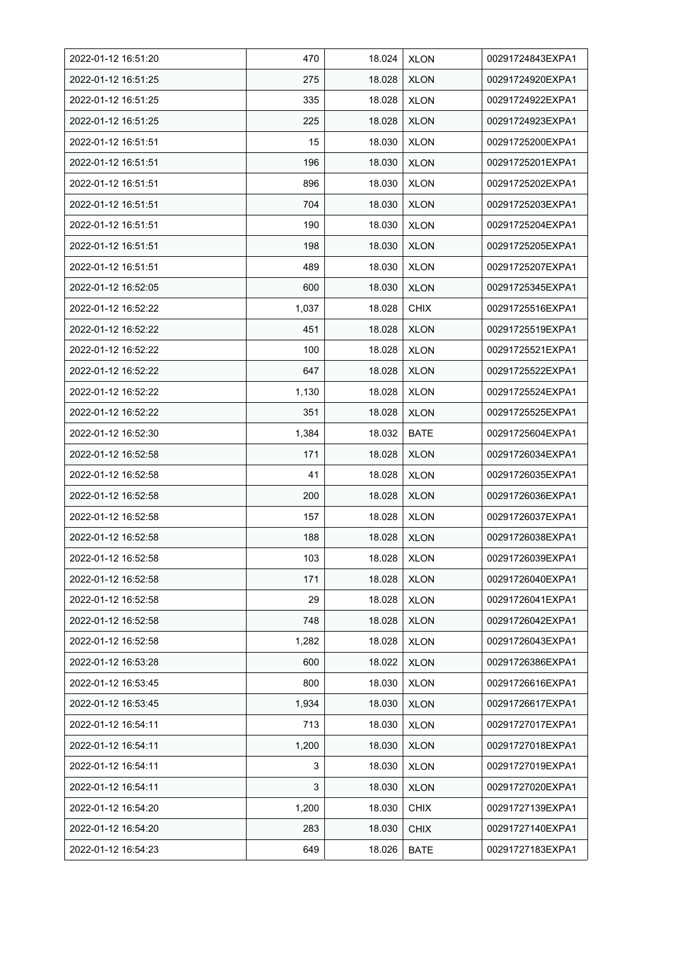| 2022-01-12 16:51:20 | 470   | 18.024 | <b>XLON</b> | 00291724843EXPA1 |
|---------------------|-------|--------|-------------|------------------|
| 2022-01-12 16:51:25 | 275   | 18.028 | <b>XLON</b> | 00291724920EXPA1 |
| 2022-01-12 16:51:25 | 335   | 18.028 | <b>XLON</b> | 00291724922EXPA1 |
| 2022-01-12 16:51:25 | 225   | 18.028 | <b>XLON</b> | 00291724923EXPA1 |
| 2022-01-12 16:51:51 | 15    | 18.030 | <b>XLON</b> | 00291725200EXPA1 |
| 2022-01-12 16:51:51 | 196   | 18.030 | <b>XLON</b> | 00291725201EXPA1 |
| 2022-01-12 16.51.51 | 896   | 18.030 | <b>XLON</b> | 00291725202EXPA1 |
| 2022-01-12 16:51:51 | 704   | 18.030 | <b>XLON</b> | 00291725203EXPA1 |
| 2022-01-12 16:51:51 | 190   | 18.030 | <b>XLON</b> | 00291725204EXPA1 |
| 2022-01-12 16:51:51 | 198   | 18.030 | <b>XLON</b> | 00291725205EXPA1 |
| 2022-01-12 16:51:51 | 489   | 18.030 | <b>XLON</b> | 00291725207EXPA1 |
| 2022-01-12 16:52:05 | 600   | 18.030 | <b>XLON</b> | 00291725345EXPA1 |
| 2022-01-12 16:52:22 | 1,037 | 18.028 | <b>CHIX</b> | 00291725516EXPA1 |
| 2022-01-12 16:52:22 | 451   | 18.028 | <b>XLON</b> | 00291725519EXPA1 |
| 2022-01-12 16:52:22 | 100   | 18.028 | <b>XLON</b> | 00291725521EXPA1 |
| 2022-01-12 16:52:22 | 647   | 18.028 | <b>XLON</b> | 00291725522EXPA1 |
| 2022-01-12 16:52:22 | 1,130 | 18.028 | <b>XLON</b> | 00291725524EXPA1 |
| 2022-01-12 16:52:22 | 351   | 18.028 | <b>XLON</b> | 00291725525EXPA1 |
| 2022-01-12 16:52:30 | 1,384 | 18.032 | <b>BATE</b> | 00291725604EXPA1 |
| 2022-01-12 16:52:58 | 171   | 18.028 | <b>XLON</b> | 00291726034EXPA1 |
| 2022-01-12 16:52:58 | 41    | 18.028 | <b>XLON</b> | 00291726035EXPA1 |
| 2022-01-12 16:52:58 | 200   | 18.028 | <b>XLON</b> | 00291726036EXPA1 |
| 2022-01-12 16:52:58 | 157   | 18.028 | <b>XLON</b> | 00291726037EXPA1 |
| 2022-01-12 16:52:58 | 188   | 18.028 | <b>XLON</b> | 00291726038EXPA1 |
| 2022-01-12 16:52:58 | 103   | 18.028 | <b>XLON</b> | 00291726039EXPA1 |
| 2022-01-12 16:52:58 | 171   | 18.028 | <b>XLON</b> | 00291726040EXPA1 |
| 2022-01-12 16:52:58 | 29    | 18.028 | <b>XLON</b> | 00291726041EXPA1 |
| 2022-01-12 16:52:58 | 748   | 18.028 | <b>XLON</b> | 00291726042EXPA1 |
| 2022-01-12 16:52:58 | 1,282 | 18.028 | <b>XLON</b> | 00291726043EXPA1 |
| 2022-01-12 16:53:28 | 600   | 18.022 | <b>XLON</b> | 00291726386EXPA1 |
| 2022-01-12 16:53:45 | 800   | 18.030 | <b>XLON</b> | 00291726616EXPA1 |
| 2022-01-12 16:53:45 | 1,934 | 18.030 | <b>XLON</b> | 00291726617EXPA1 |
| 2022-01-12 16:54:11 | 713   | 18.030 | <b>XLON</b> | 00291727017EXPA1 |
| 2022-01-12 16:54:11 | 1,200 | 18.030 | <b>XLON</b> | 00291727018EXPA1 |
| 2022-01-12 16:54:11 | 3     | 18.030 | <b>XLON</b> | 00291727019EXPA1 |
| 2022-01-12 16:54:11 | 3     | 18.030 | <b>XLON</b> | 00291727020EXPA1 |
| 2022-01-12 16:54:20 | 1,200 | 18.030 | CHIX        | 00291727139EXPA1 |
| 2022-01-12 16:54:20 | 283   | 18.030 | <b>CHIX</b> | 00291727140EXPA1 |
| 2022-01-12 16:54:23 | 649   | 18.026 | <b>BATE</b> | 00291727183EXPA1 |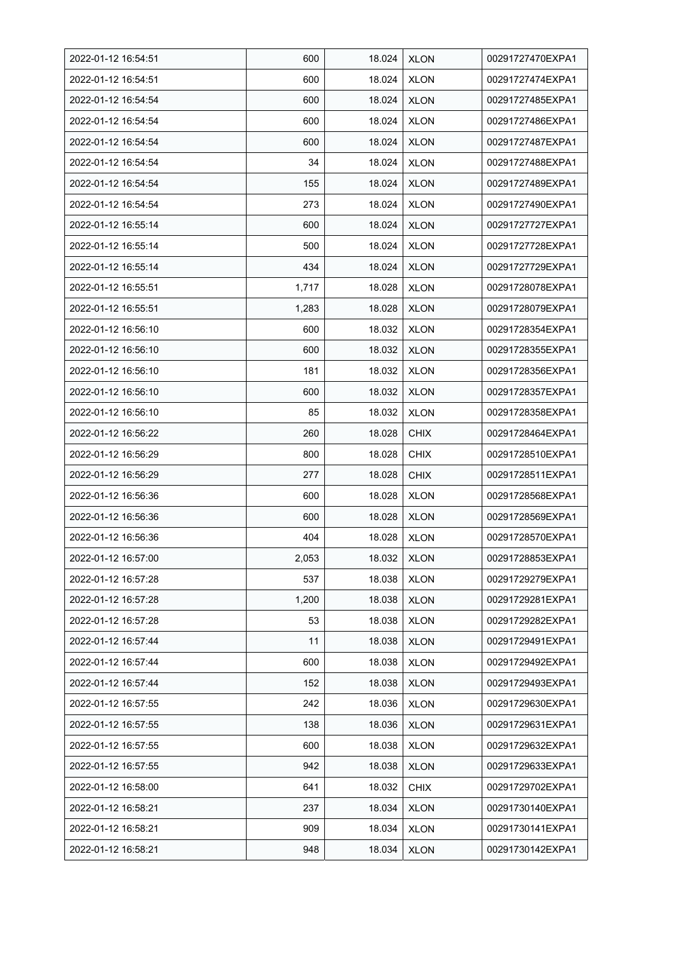| 2022-01-12 16:54:51 | 600   | 18.024 | <b>XLON</b> | 00291727470EXPA1 |
|---------------------|-------|--------|-------------|------------------|
| 2022-01-12 16:54:51 | 600   | 18.024 | <b>XLON</b> | 00291727474EXPA1 |
| 2022-01-12 16:54:54 | 600   | 18.024 | <b>XLON</b> | 00291727485EXPA1 |
| 2022-01-12 16:54:54 | 600   | 18.024 | <b>XLON</b> | 00291727486EXPA1 |
| 2022-01-12 16:54:54 | 600   | 18.024 | <b>XLON</b> | 00291727487EXPA1 |
| 2022-01-12 16:54:54 | 34    | 18.024 | <b>XLON</b> | 00291727488EXPA1 |
| 2022-01-12 16:54:54 | 155   | 18.024 | <b>XLON</b> | 00291727489EXPA1 |
| 2022-01-12 16:54:54 | 273   | 18.024 | <b>XLON</b> | 00291727490EXPA1 |
| 2022-01-12 16:55:14 | 600   | 18.024 | <b>XLON</b> | 00291727727EXPA1 |
| 2022-01-12 16:55:14 | 500   | 18.024 | <b>XLON</b> | 00291727728EXPA1 |
| 2022-01-12 16:55:14 | 434   | 18.024 | <b>XLON</b> | 00291727729EXPA1 |
| 2022-01-12 16:55:51 | 1,717 | 18.028 | <b>XLON</b> | 00291728078EXPA1 |
| 2022-01-12 16:55:51 | 1,283 | 18.028 | <b>XLON</b> | 00291728079EXPA1 |
| 2022-01-12 16:56:10 | 600   | 18.032 | <b>XLON</b> | 00291728354EXPA1 |
| 2022-01-12 16:56:10 | 600   | 18.032 | <b>XLON</b> | 00291728355EXPA1 |
| 2022-01-12 16:56:10 | 181   | 18.032 | XLON        | 00291728356EXPA1 |
| 2022-01-12 16:56:10 | 600   | 18.032 | <b>XLON</b> | 00291728357EXPA1 |
| 2022-01-12 16:56:10 | 85    | 18.032 | <b>XLON</b> | 00291728358EXPA1 |
| 2022-01-12 16:56:22 | 260   | 18.028 | <b>CHIX</b> | 00291728464EXPA1 |
| 2022-01-12 16:56:29 | 800   | 18.028 | <b>CHIX</b> | 00291728510EXPA1 |
| 2022-01-12 16:56:29 | 277   | 18.028 | <b>CHIX</b> | 00291728511EXPA1 |
| 2022-01-12 16:56:36 | 600   | 18.028 | <b>XLON</b> | 00291728568EXPA1 |
| 2022-01-12 16:56:36 | 600   | 18.028 | <b>XLON</b> | 00291728569EXPA1 |
| 2022-01-12 16:56:36 | 404   | 18.028 | <b>XLON</b> | 00291728570EXPA1 |
| 2022-01-12 16:57:00 | 2,053 | 18.032 | <b>XLON</b> | 00291728853EXPA1 |
| 2022-01-12 16:57:28 | 537   | 18.038 | <b>XLON</b> | 00291729279EXPA1 |
| 2022-01-12 16:57:28 | 1,200 | 18.038 | <b>XLON</b> | 00291729281EXPA1 |
| 2022-01-12 16:57:28 | 53    | 18.038 | <b>XLON</b> | 00291729282EXPA1 |
| 2022-01-12 16:57:44 | 11    | 18.038 | <b>XLON</b> | 00291729491EXPA1 |
| 2022-01-12 16:57:44 | 600   | 18.038 | <b>XLON</b> | 00291729492EXPA1 |
| 2022-01-12 16:57:44 | 152   | 18.038 | <b>XLON</b> | 00291729493EXPA1 |
| 2022-01-12 16:57:55 | 242   | 18.036 | <b>XLON</b> | 00291729630EXPA1 |
| 2022-01-12 16:57:55 | 138   | 18.036 | <b>XLON</b> | 00291729631EXPA1 |
| 2022-01-12 16:57:55 | 600   | 18.038 | <b>XLON</b> | 00291729632EXPA1 |
| 2022-01-12 16:57:55 | 942   | 18.038 | <b>XLON</b> | 00291729633EXPA1 |
| 2022-01-12 16:58:00 | 641   | 18.032 | <b>CHIX</b> | 00291729702EXPA1 |
| 2022-01-12 16:58:21 | 237   | 18.034 | <b>XLON</b> | 00291730140EXPA1 |
| 2022-01-12 16:58:21 | 909   | 18.034 | <b>XLON</b> | 00291730141EXPA1 |
| 2022-01-12 16:58:21 | 948   | 18.034 | <b>XLON</b> | 00291730142EXPA1 |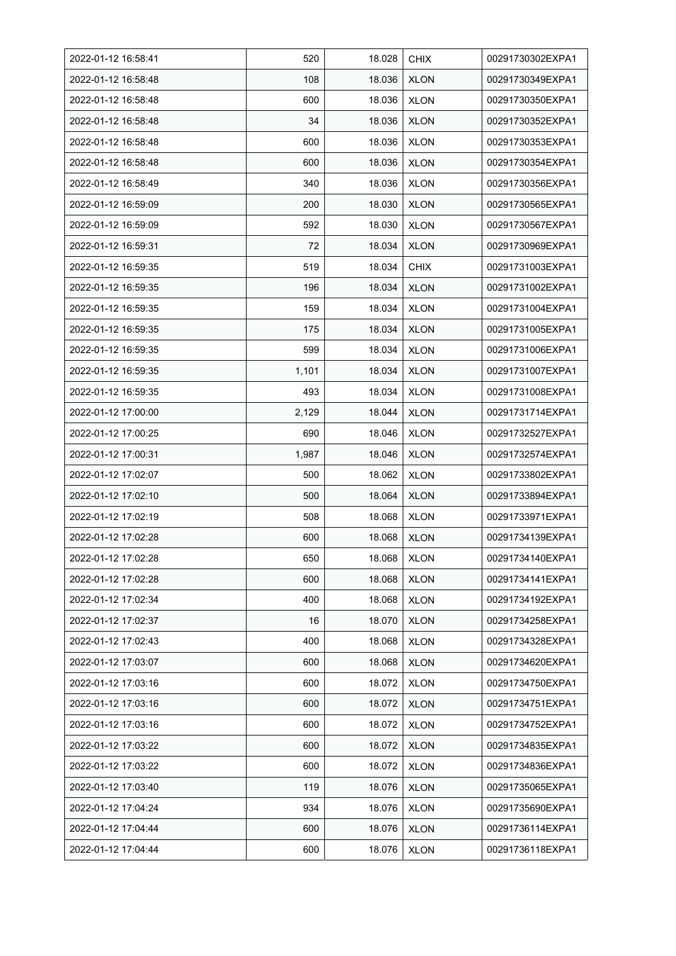| 2022-01-12 16.58.41 | 520   | 18.028 | <b>CHIX</b> | 00291730302EXPA1 |
|---------------------|-------|--------|-------------|------------------|
| 2022-01-12 16:58:48 | 108   | 18.036 | <b>XLON</b> | 00291730349EXPA1 |
| 2022-01-12 16:58:48 | 600   | 18.036 | <b>XLON</b> | 00291730350EXPA1 |
| 2022-01-12 16:58:48 | 34    | 18.036 | <b>XLON</b> | 00291730352EXPA1 |
| 2022-01-12 16:58:48 | 600   | 18.036 | <b>XLON</b> | 00291730353EXPA1 |
| 2022-01-12 16:58:48 | 600   | 18.036 | <b>XLON</b> | 00291730354EXPA1 |
| 2022-01-12 16:58:49 | 340   | 18.036 | <b>XLON</b> | 00291730356EXPA1 |
| 2022-01-12 16:59:09 | 200   | 18.030 | <b>XLON</b> | 00291730565EXPA1 |
| 2022-01-12 16:59:09 | 592   | 18.030 | <b>XLON</b> | 00291730567EXPA1 |
| 2022-01-12 16:59:31 | 72    | 18.034 | <b>XLON</b> | 00291730969EXPA1 |
| 2022-01-12 16:59:35 | 519   | 18.034 | <b>CHIX</b> | 00291731003EXPA1 |
| 2022-01-12 16:59:35 | 196   | 18.034 | <b>XLON</b> | 00291731002EXPA1 |
| 2022-01-12 16:59:35 | 159   | 18.034 | <b>XLON</b> | 00291731004EXPA1 |
| 2022-01-12 16:59:35 | 175   | 18.034 | <b>XLON</b> | 00291731005EXPA1 |
| 2022-01-12 16:59:35 | 599   | 18.034 | <b>XLON</b> | 00291731006EXPA1 |
| 2022-01-12 16:59:35 | 1,101 | 18.034 | <b>XLON</b> | 00291731007EXPA1 |
| 2022-01-12 16:59:35 | 493   | 18.034 | <b>XLON</b> | 00291731008EXPA1 |
| 2022-01-12 17:00:00 | 2,129 | 18.044 | <b>XLON</b> | 00291731714EXPA1 |
| 2022-01-12 17:00:25 | 690   | 18.046 | <b>XLON</b> | 00291732527EXPA1 |
| 2022-01-12 17:00:31 | 1,987 | 18.046 | <b>XLON</b> | 00291732574EXPA1 |
| 2022-01-12 17:02:07 | 500   | 18.062 | <b>XLON</b> | 00291733802EXPA1 |
| 2022-01-12 17:02:10 | 500   | 18.064 | <b>XLON</b> | 00291733894EXPA1 |
| 2022-01-12 17:02:19 | 508   | 18.068 | <b>XLON</b> | 00291733971EXPA1 |
| 2022-01-12 17:02:28 | 600   | 18.068 | <b>XLON</b> | 00291734139EXPA1 |
| 2022-01-12 17:02:28 | 650   | 18.068 | <b>XLON</b> | 00291734140EXPA1 |
| 2022-01-12 17:02:28 | 600   | 18.068 | <b>XLON</b> | 00291734141EXPA1 |
| 2022-01-12 17:02:34 | 400   | 18.068 | <b>XLON</b> | 00291734192EXPA1 |
| 2022-01-12 17:02:37 | 16    | 18.070 | <b>XLON</b> | 00291734258EXPA1 |
| 2022-01-12 17:02:43 | 400   | 18.068 | <b>XLON</b> | 00291734328EXPA1 |
| 2022-01-12 17:03:07 | 600   | 18.068 | <b>XLON</b> | 00291734620EXPA1 |
| 2022-01-12 17:03:16 | 600   | 18.072 | <b>XLON</b> | 00291734750EXPA1 |
| 2022-01-12 17:03:16 | 600   | 18.072 | <b>XLON</b> | 00291734751EXPA1 |
| 2022-01-12 17:03:16 | 600   | 18.072 | <b>XLON</b> | 00291734752EXPA1 |
| 2022-01-12 17:03:22 | 600   | 18.072 | <b>XLON</b> | 00291734835EXPA1 |
| 2022-01-12 17:03:22 | 600   | 18.072 | <b>XLON</b> | 00291734836EXPA1 |
| 2022-01-12 17:03:40 | 119   | 18.076 | XLON        | 00291735065EXPA1 |
| 2022-01-12 17:04:24 | 934   | 18.076 | <b>XLON</b> | 00291735690EXPA1 |
| 2022-01-12 17:04:44 | 600   | 18.076 | <b>XLON</b> | 00291736114EXPA1 |
| 2022-01-12 17:04:44 | 600   | 18.076 | <b>XLON</b> | 00291736118EXPA1 |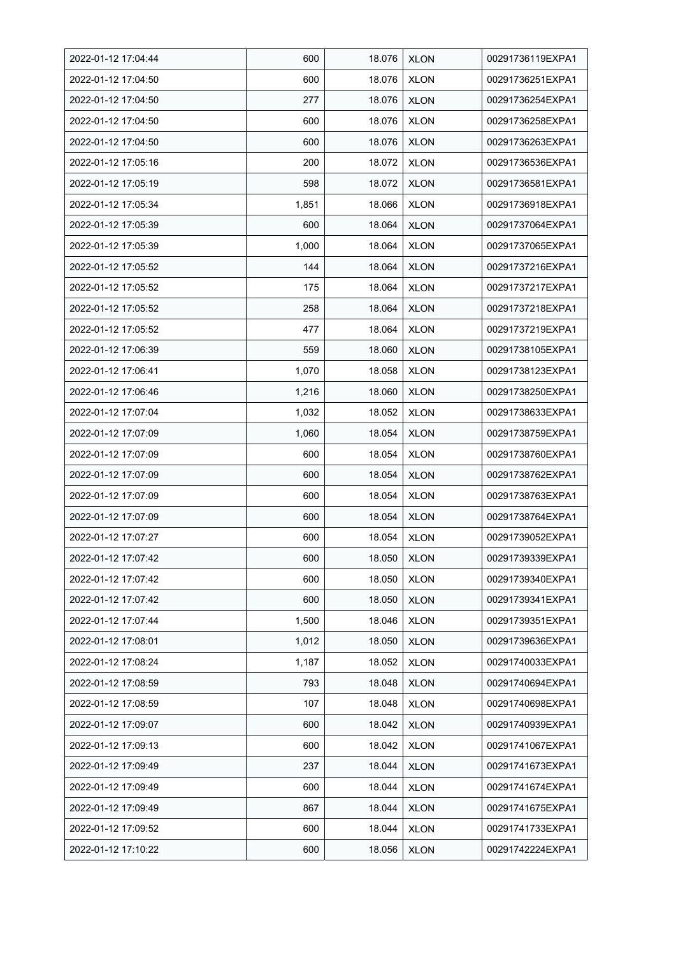| 2022-01-12 17:04:44 | 600   | 18.076 | <b>XLON</b> | 00291736119EXPA1 |
|---------------------|-------|--------|-------------|------------------|
| 2022-01-12 17:04:50 | 600   | 18.076 | <b>XLON</b> | 00291736251EXPA1 |
| 2022-01-12 17:04:50 | 277   | 18.076 | <b>XLON</b> | 00291736254EXPA1 |
| 2022-01-12 17:04:50 | 600   | 18.076 | <b>XLON</b> | 00291736258EXPA1 |
| 2022-01-12 17:04:50 | 600   | 18.076 | <b>XLON</b> | 00291736263EXPA1 |
| 2022-01-12 17:05:16 | 200   | 18.072 | <b>XLON</b> | 00291736536EXPA1 |
| 2022-01-12 17:05:19 | 598   | 18.072 | <b>XLON</b> | 00291736581EXPA1 |
| 2022-01-12 17:05:34 | 1,851 | 18.066 | <b>XLON</b> | 00291736918EXPA1 |
| 2022-01-12 17:05:39 | 600   | 18.064 | <b>XLON</b> | 00291737064EXPA1 |
| 2022-01-12 17:05:39 | 1,000 | 18.064 | <b>XLON</b> | 00291737065EXPA1 |
| 2022-01-12 17:05:52 | 144   | 18.064 | <b>XLON</b> | 00291737216EXPA1 |
| 2022-01-12 17:05:52 | 175   | 18.064 | <b>XLON</b> | 00291737217EXPA1 |
| 2022-01-12 17:05:52 | 258   | 18.064 | <b>XLON</b> | 00291737218EXPA1 |
| 2022-01-12 17:05:52 | 477   | 18.064 | <b>XLON</b> | 00291737219EXPA1 |
| 2022-01-12 17:06:39 | 559   | 18.060 | <b>XLON</b> | 00291738105EXPA1 |
| 2022-01-12 17:06:41 | 1,070 | 18.058 | <b>XLON</b> | 00291738123EXPA1 |
| 2022-01-12 17:06:46 | 1,216 | 18.060 | <b>XLON</b> | 00291738250EXPA1 |
| 2022-01-12 17:07:04 | 1,032 | 18.052 | <b>XLON</b> | 00291738633EXPA1 |
| 2022-01-12 17:07:09 | 1,060 | 18.054 | <b>XLON</b> | 00291738759EXPA1 |
| 2022-01-12 17:07:09 | 600   | 18.054 | <b>XLON</b> | 00291738760EXPA1 |
| 2022-01-12 17:07:09 | 600   | 18.054 | <b>XLON</b> | 00291738762EXPA1 |
| 2022-01-12 17:07:09 | 600   | 18.054 | <b>XLON</b> | 00291738763EXPA1 |
| 2022-01-12 17:07:09 | 600   | 18.054 | <b>XLON</b> | 00291738764EXPA1 |
| 2022-01-12 17:07:27 | 600   | 18.054 | <b>XLON</b> | 00291739052EXPA1 |
| 2022-01-12 17:07:42 | 600   | 18.050 | <b>XLON</b> | 00291739339EXPA1 |
| 2022-01-12 17:07:42 | 600   | 18.050 | <b>XLON</b> | 00291739340EXPA1 |
| 2022-01-12 17:07:42 | 600   | 18.050 | <b>XLON</b> | 00291739341EXPA1 |
| 2022-01-12 17:07:44 | 1,500 | 18.046 | <b>XLON</b> | 00291739351EXPA1 |
| 2022-01-12 17:08:01 | 1,012 | 18.050 | <b>XLON</b> | 00291739636EXPA1 |
| 2022-01-12 17:08:24 | 1,187 | 18.052 | <b>XLON</b> | 00291740033EXPA1 |
| 2022-01-12 17:08:59 | 793   | 18.048 | <b>XLON</b> | 00291740694EXPA1 |
| 2022-01-12 17:08:59 | 107   | 18.048 | <b>XLON</b> | 00291740698EXPA1 |
| 2022-01-12 17:09:07 | 600   | 18.042 | <b>XLON</b> | 00291740939EXPA1 |
| 2022-01-12 17:09:13 | 600   | 18.042 | <b>XLON</b> | 00291741067EXPA1 |
| 2022-01-12 17:09:49 | 237   | 18.044 | <b>XLON</b> | 00291741673EXPA1 |
| 2022-01-12 17:09:49 | 600   | 18.044 | <b>XLON</b> | 00291741674EXPA1 |
| 2022-01-12 17:09:49 | 867   | 18.044 | <b>XLON</b> | 00291741675EXPA1 |
| 2022-01-12 17:09:52 | 600   | 18.044 | <b>XLON</b> | 00291741733EXPA1 |
| 2022-01-12 17:10:22 | 600   | 18.056 | <b>XLON</b> | 00291742224EXPA1 |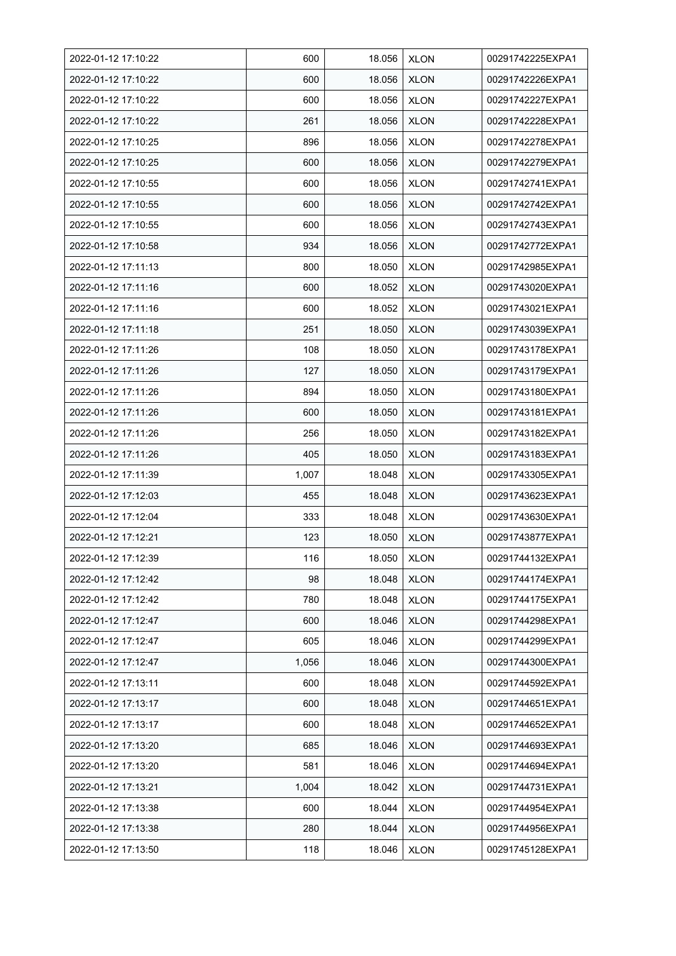| 2022-01-12 17:10:22 | 600   | 18.056 | <b>XLON</b> | 00291742225EXPA1 |
|---------------------|-------|--------|-------------|------------------|
| 2022-01-12 17:10:22 | 600   | 18.056 | <b>XLON</b> | 00291742226EXPA1 |
| 2022-01-12 17:10:22 | 600   | 18.056 | <b>XLON</b> | 00291742227EXPA1 |
| 2022-01-12 17:10:22 | 261   | 18.056 | <b>XLON</b> | 00291742228EXPA1 |
| 2022-01-12 17:10:25 | 896   | 18.056 | <b>XLON</b> | 00291742278EXPA1 |
| 2022-01-12 17:10:25 | 600   | 18.056 | <b>XLON</b> | 00291742279EXPA1 |
| 2022-01-12 17:10:55 | 600   | 18.056 | <b>XLON</b> | 00291742741EXPA1 |
| 2022-01-12 17:10:55 | 600   | 18.056 | <b>XLON</b> | 00291742742EXPA1 |
| 2022-01-12 17:10:55 | 600   | 18.056 | <b>XLON</b> | 00291742743EXPA1 |
| 2022-01-12 17:10:58 | 934   | 18.056 | <b>XLON</b> | 00291742772EXPA1 |
| 2022-01-12 17:11:13 | 800   | 18.050 | <b>XLON</b> | 00291742985EXPA1 |
| 2022-01-12 17:11:16 | 600   | 18.052 | <b>XLON</b> | 00291743020EXPA1 |
| 2022-01-12 17:11:16 | 600   | 18.052 | <b>XLON</b> | 00291743021EXPA1 |
| 2022-01-12 17:11:18 | 251   | 18.050 | <b>XLON</b> | 00291743039EXPA1 |
| 2022-01-12 17:11:26 | 108   | 18.050 | <b>XLON</b> | 00291743178EXPA1 |
| 2022-01-12 17:11:26 | 127   | 18.050 | <b>XLON</b> | 00291743179EXPA1 |
| 2022-01-12 17:11:26 | 894   | 18.050 | <b>XLON</b> | 00291743180EXPA1 |
| 2022-01-12 17:11:26 | 600   | 18.050 | <b>XLON</b> | 00291743181EXPA1 |
| 2022-01-12 17:11:26 | 256   | 18.050 | <b>XLON</b> | 00291743182EXPA1 |
| 2022-01-12 17:11:26 | 405   | 18.050 | <b>XLON</b> | 00291743183EXPA1 |
| 2022-01-12 17:11:39 | 1,007 | 18.048 | <b>XLON</b> | 00291743305EXPA1 |
| 2022-01-12 17:12:03 | 455   | 18.048 | <b>XLON</b> | 00291743623EXPA1 |
| 2022-01-12 17:12:04 | 333   | 18.048 | <b>XLON</b> | 00291743630EXPA1 |
| 2022-01-12 17:12:21 | 123   | 18.050 | <b>XLON</b> | 00291743877EXPA1 |
| 2022-01-12 17:12:39 | 116   | 18.050 | <b>XLON</b> | 00291744132EXPA1 |
| 2022-01-12 17:12:42 | 98    | 18.048 | <b>XLON</b> | 00291744174EXPA1 |
| 2022-01-12 17:12:42 | 780   | 18.048 | <b>XLON</b> | 00291744175EXPA1 |
| 2022-01-12 17:12:47 | 600   | 18.046 | <b>XLON</b> | 00291744298EXPA1 |
| 2022-01-12 17:12:47 | 605   | 18.046 | <b>XLON</b> | 00291744299EXPA1 |
| 2022-01-12 17:12:47 | 1,056 | 18.046 | <b>XLON</b> | 00291744300EXPA1 |
| 2022-01-12 17:13:11 | 600   | 18.048 | <b>XLON</b> | 00291744592EXPA1 |
| 2022-01-12 17:13:17 | 600   | 18.048 | <b>XLON</b> | 00291744651EXPA1 |
| 2022-01-12 17:13:17 | 600   | 18.048 | <b>XLON</b> | 00291744652EXPA1 |
| 2022-01-12 17:13:20 | 685   | 18.046 | <b>XLON</b> | 00291744693EXPA1 |
| 2022-01-12 17:13:20 | 581   | 18.046 | <b>XLON</b> | 00291744694EXPA1 |
| 2022-01-12 17:13:21 | 1,004 | 18.042 | <b>XLON</b> | 00291744731EXPA1 |
| 2022-01-12 17:13:38 | 600   | 18.044 | <b>XLON</b> | 00291744954EXPA1 |
| 2022-01-12 17:13:38 | 280   | 18.044 | <b>XLON</b> | 00291744956EXPA1 |
| 2022-01-12 17:13:50 | 118   | 18.046 | <b>XLON</b> | 00291745128EXPA1 |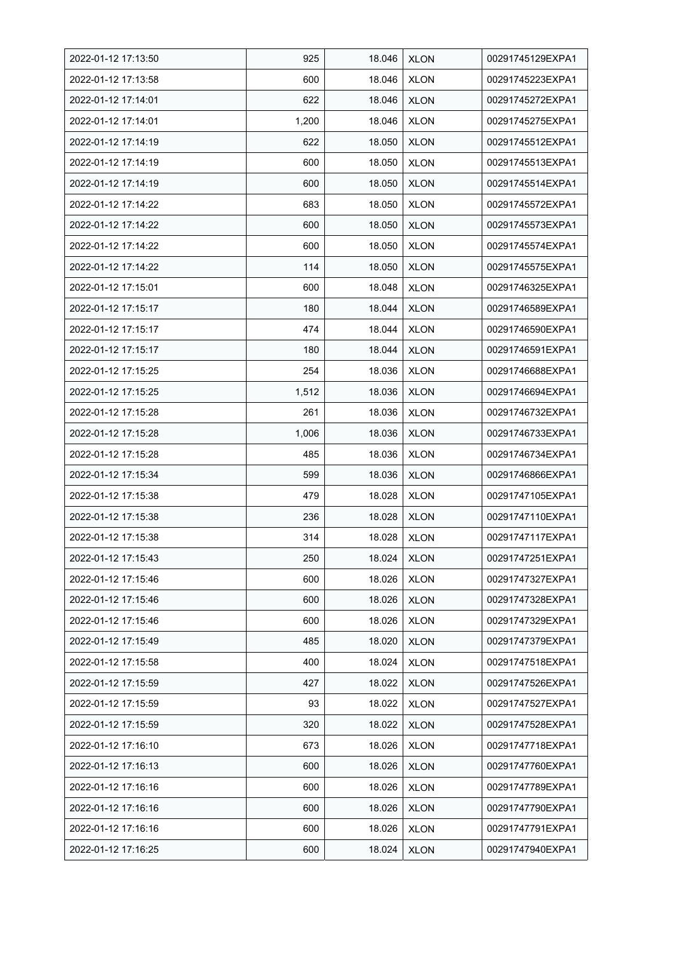| 2022-01-12 17:13:50 | 925   | 18.046 | <b>XLON</b> | 00291745129EXPA1 |
|---------------------|-------|--------|-------------|------------------|
| 2022-01-12 17:13:58 | 600   | 18.046 | <b>XLON</b> | 00291745223EXPA1 |
| 2022-01-12 17:14:01 | 622   | 18.046 | <b>XLON</b> | 00291745272EXPA1 |
| 2022-01-12 17:14:01 | 1,200 | 18.046 | <b>XLON</b> | 00291745275EXPA1 |
| 2022-01-12 17:14:19 | 622   | 18.050 | <b>XLON</b> | 00291745512EXPA1 |
| 2022-01-12 17:14:19 | 600   | 18.050 | <b>XLON</b> | 00291745513EXPA1 |
| 2022-01-12 17:14:19 | 600   | 18.050 | <b>XLON</b> | 00291745514EXPA1 |
| 2022-01-12 17:14:22 | 683   | 18.050 | <b>XLON</b> | 00291745572EXPA1 |
| 2022-01-12 17:14:22 | 600   | 18.050 | <b>XLON</b> | 00291745573EXPA1 |
| 2022-01-12 17:14:22 | 600   | 18.050 | <b>XLON</b> | 00291745574EXPA1 |
| 2022-01-12 17:14:22 | 114   | 18.050 | <b>XLON</b> | 00291745575EXPA1 |
| 2022-01-12 17:15:01 | 600   | 18.048 | <b>XLON</b> | 00291746325EXPA1 |
| 2022-01-12 17:15:17 | 180   | 18.044 | <b>XLON</b> | 00291746589EXPA1 |
| 2022-01-12 17:15:17 | 474   | 18.044 | <b>XLON</b> | 00291746590EXPA1 |
| 2022-01-12 17:15:17 | 180   | 18.044 | <b>XLON</b> | 00291746591EXPA1 |
| 2022-01-12 17:15:25 | 254   | 18.036 | <b>XLON</b> | 00291746688EXPA1 |
| 2022-01-12 17:15:25 | 1,512 | 18.036 | <b>XLON</b> | 00291746694EXPA1 |
| 2022-01-12 17:15:28 | 261   | 18.036 | <b>XLON</b> | 00291746732EXPA1 |
| 2022-01-12 17:15:28 | 1,006 | 18.036 | <b>XLON</b> | 00291746733EXPA1 |
| 2022-01-12 17:15:28 | 485   | 18.036 | <b>XLON</b> | 00291746734EXPA1 |
| 2022-01-12 17:15:34 | 599   | 18.036 | <b>XLON</b> | 00291746866EXPA1 |
| 2022-01-12 17:15:38 | 479   | 18.028 | <b>XLON</b> | 00291747105EXPA1 |
| 2022-01-12 17:15:38 | 236   | 18.028 | <b>XLON</b> | 00291747110EXPA1 |
| 2022-01-12 17:15:38 | 314   | 18.028 | <b>XLON</b> | 00291747117EXPA1 |
| 2022-01-12 17:15:43 | 250   | 18.024 | <b>XLON</b> | 00291747251EXPA1 |
| 2022-01-12 17:15:46 | 600   | 18.026 | <b>XLON</b> | 00291747327EXPA1 |
| 2022-01-12 17:15:46 | 600   | 18.026 | <b>XLON</b> | 00291747328EXPA1 |
| 2022-01-12 17:15:46 | 600   | 18.026 | <b>XLON</b> | 00291747329EXPA1 |
| 2022-01-12 17:15:49 | 485   | 18.020 | <b>XLON</b> | 00291747379EXPA1 |
| 2022-01-12 17:15:58 | 400   | 18.024 | <b>XLON</b> | 00291747518EXPA1 |
| 2022-01-12 17:15:59 | 427   | 18.022 | <b>XLON</b> | 00291747526EXPA1 |
| 2022-01-12 17:15:59 | 93    | 18.022 | <b>XLON</b> | 00291747527EXPA1 |
| 2022-01-12 17:15:59 | 320   | 18.022 | <b>XLON</b> | 00291747528EXPA1 |
| 2022-01-12 17:16:10 | 673   | 18.026 | <b>XLON</b> | 00291747718EXPA1 |
| 2022-01-12 17:16:13 | 600   | 18.026 | <b>XLON</b> | 00291747760EXPA1 |
| 2022-01-12 17:16:16 | 600   | 18.026 | <b>XLON</b> | 00291747789EXPA1 |
| 2022-01-12 17:16:16 | 600   | 18.026 | <b>XLON</b> | 00291747790EXPA1 |
| 2022-01-12 17:16:16 | 600   | 18.026 | <b>XLON</b> | 00291747791EXPA1 |
| 2022-01-12 17:16:25 | 600   | 18.024 | <b>XLON</b> | 00291747940EXPA1 |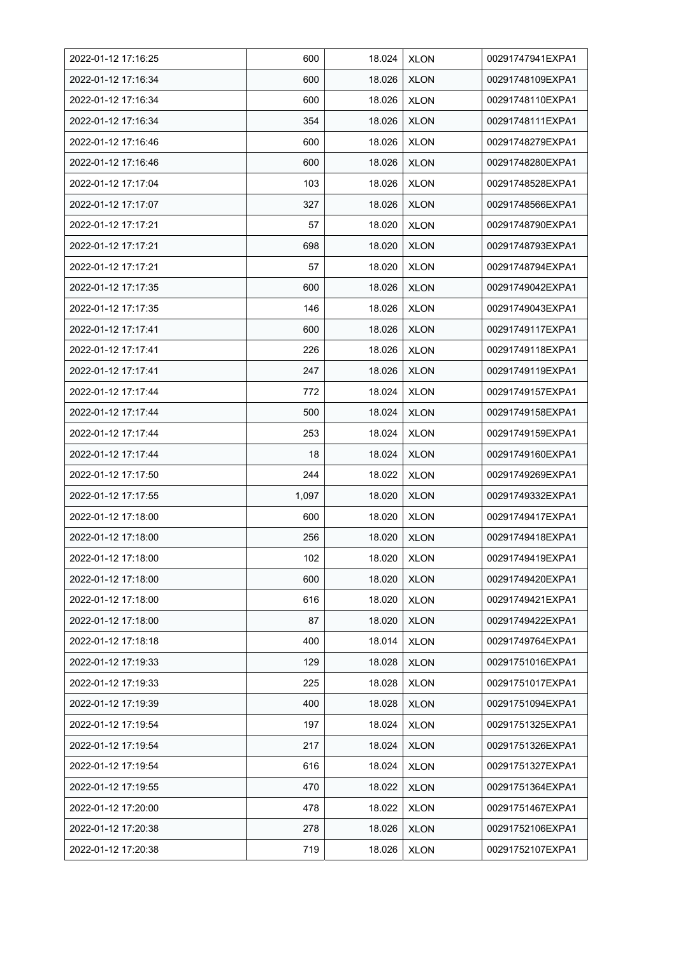| 2022-01-12 17:16:25 | 600   | 18.024 | <b>XLON</b> | 00291747941EXPA1 |
|---------------------|-------|--------|-------------|------------------|
| 2022-01-12 17:16:34 | 600   | 18.026 | <b>XLON</b> | 00291748109EXPA1 |
| 2022-01-12 17:16:34 | 600   | 18.026 | <b>XLON</b> | 00291748110EXPA1 |
| 2022-01-12 17:16:34 | 354   | 18.026 | <b>XLON</b> | 00291748111EXPA1 |
| 2022-01-12 17:16:46 | 600   | 18.026 | <b>XLON</b> | 00291748279EXPA1 |
| 2022-01-12 17:16:46 | 600   | 18.026 | <b>XLON</b> | 00291748280EXPA1 |
| 2022-01-12 17:17:04 | 103   | 18.026 | <b>XLON</b> | 00291748528EXPA1 |
| 2022-01-12 17:17:07 | 327   | 18.026 | <b>XLON</b> | 00291748566EXPA1 |
| 2022-01-12 17:17:21 | 57    | 18.020 | <b>XLON</b> | 00291748790EXPA1 |
| 2022-01-12 17:17:21 | 698   | 18.020 | <b>XLON</b> | 00291748793EXPA1 |
| 2022-01-12 17:17:21 | 57    | 18.020 | <b>XLON</b> | 00291748794EXPA1 |
| 2022-01-12 17:17:35 | 600   | 18.026 | <b>XLON</b> | 00291749042EXPA1 |
| 2022-01-12 17:17:35 | 146   | 18.026 | <b>XLON</b> | 00291749043EXPA1 |
| 2022-01-12 17:17:41 | 600   | 18.026 | <b>XLON</b> | 00291749117EXPA1 |
| 2022-01-12 17:17:41 | 226   | 18.026 | <b>XLON</b> | 00291749118EXPA1 |
| 2022-01-12 17:17:41 | 247   | 18.026 | <b>XLON</b> | 00291749119EXPA1 |
| 2022-01-12 17:17:44 | 772   | 18.024 | <b>XLON</b> | 00291749157EXPA1 |
| 2022-01-12 17:17:44 | 500   | 18.024 | <b>XLON</b> | 00291749158EXPA1 |
| 2022-01-12 17:17:44 | 253   | 18.024 | <b>XLON</b> | 00291749159EXPA1 |
| 2022-01-12 17:17:44 | 18    | 18.024 | <b>XLON</b> | 00291749160EXPA1 |
| 2022-01-12 17:17:50 | 244   | 18.022 | <b>XLON</b> | 00291749269EXPA1 |
| 2022-01-12 17:17:55 | 1,097 | 18.020 | <b>XLON</b> | 00291749332EXPA1 |
| 2022-01-12 17:18:00 | 600   | 18.020 | <b>XLON</b> | 00291749417EXPA1 |
| 2022-01-12 17:18:00 | 256   | 18.020 | <b>XLON</b> | 00291749418EXPA1 |
| 2022-01-12 17:18:00 | 102   | 18.020 | <b>XLON</b> | 00291749419EXPA1 |
| 2022-01-12 17:18:00 | 600   | 18.020 | <b>XLON</b> | 00291749420EXPA1 |
| 2022-01-12 17:18:00 | 616   | 18.020 | <b>XLON</b> | 00291749421EXPA1 |
| 2022-01-12 17:18:00 | 87    | 18.020 | <b>XLON</b> | 00291749422EXPA1 |
| 2022-01-12 17:18:18 | 400   | 18.014 | <b>XLON</b> | 00291749764EXPA1 |
| 2022-01-12 17:19:33 | 129   | 18.028 | <b>XLON</b> | 00291751016EXPA1 |
| 2022-01-12 17:19:33 | 225   | 18.028 | <b>XLON</b> | 00291751017EXPA1 |
| 2022-01-12 17:19:39 | 400   | 18.028 | <b>XLON</b> | 00291751094EXPA1 |
| 2022-01-12 17:19:54 | 197   | 18.024 | <b>XLON</b> | 00291751325EXPA1 |
| 2022-01-12 17:19:54 | 217   | 18.024 | <b>XLON</b> | 00291751326EXPA1 |
| 2022-01-12 17:19:54 | 616   | 18.024 | <b>XLON</b> | 00291751327EXPA1 |
| 2022-01-12 17:19:55 | 470   | 18.022 | <b>XLON</b> | 00291751364EXPA1 |
| 2022-01-12 17:20:00 | 478   | 18.022 | <b>XLON</b> | 00291751467EXPA1 |
| 2022-01-12 17:20:38 | 278   | 18.026 | <b>XLON</b> | 00291752106EXPA1 |
| 2022-01-12 17:20:38 | 719   | 18.026 | <b>XLON</b> | 00291752107EXPA1 |